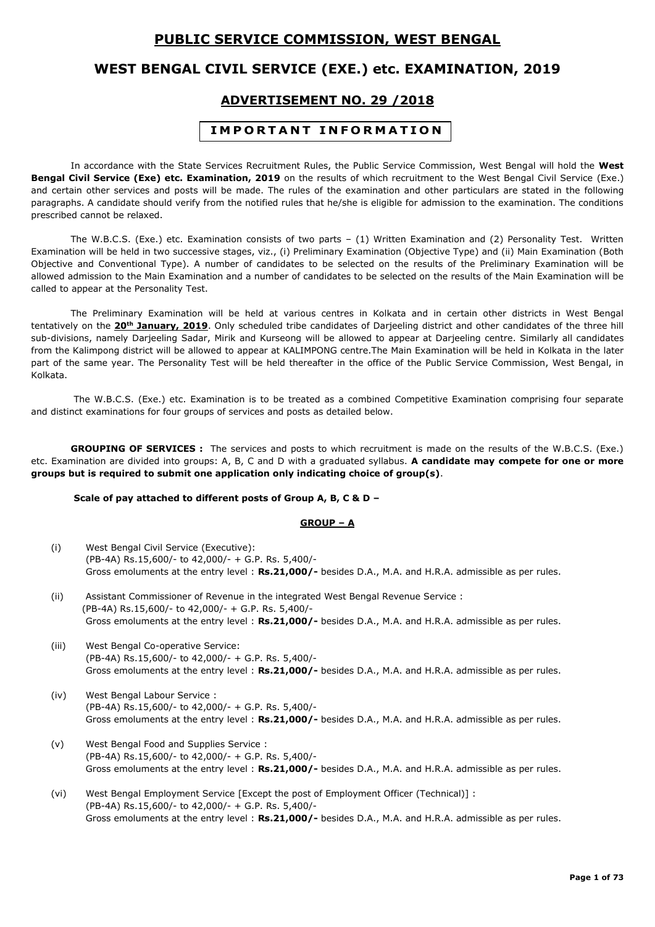# **PUBLIC SERVICE COMMISSION, WEST BENGAL**

# **WEST BENGAL CIVIL SERVICE (EXE.) etc. EXAMINATION, 2019**

# **ADVERTISEMENT NO. 29 /2018**

# **I M P O R T A N T I N F O R M A T I O N**

In accordance with the State Services Recruitment Rules, the Public Service Commission, West Bengal will hold the **West Bengal Civil Service (Exe) etc. Examination, 2019** on the results of which recruitment to the West Bengal Civil Service (Exe.) and certain other services and posts will be made. The rules of the examination and other particulars are stated in the following paragraphs. A candidate should verify from the notified rules that he/she is eligible for admission to the examination. The conditions prescribed cannot be relaxed.

The W.B.C.S. (Exe.) etc. Examination consists of two parts – (1) Written Examination and (2) Personality Test. Written Examination will be held in two successive stages, viz., (i) Preliminary Examination (Objective Type) and (ii) Main Examination (Both Objective and Conventional Type). A number of candidates to be selected on the results of the Preliminary Examination will be allowed admission to the Main Examination and a number of candidates to be selected on the results of the Main Examination will be called to appear at the Personality Test.

The Preliminary Examination will be held at various centres in Kolkata and in certain other districts in West Bengal tentatively on the 20th January, 2019. Only scheduled tribe candidates of Darjeeling district and other candidates of the three hill sub-divisions, namely Darjeeling Sadar, Mirik and Kurseong will be allowed to appear at Darjeeling centre. Similarly all candidates from the Kalimpong district will be allowed to appear at KALIMPONG centre.The Main Examination will be held in Kolkata in the later part of the same year. The Personality Test will be held thereafter in the office of the Public Service Commission, West Bengal, in Kolkata.

The W.B.C.S. (Exe.) etc. Examination is to be treated as a combined Competitive Examination comprising four separate and distinct examinations for four groups of services and posts as detailed below.

**GROUPING OF SERVICES :** The services and posts to which recruitment is made on the results of the W.B.C.S. (Exe.) etc. Examination are divided into groups: A, B, C and D with a graduated syllabus. **A candidate may compete for one or more groups but is required to submit one application only indicating choice of group(s)**.

### **Scale of pay attached to different posts of Group A, B, C & D –**

### **GROUP – A**

- (i) West Bengal Civil Service (Executive): (PB-4A) Rs.15,600/- to 42,000/- + G.P. Rs. 5,400/- Gross emoluments at the entry level : **Rs.21,000/-** besides D.A., M.A. and H.R.A. admissible as per rules.
- (ii) Assistant Commissioner of Revenue in the integrated West Bengal Revenue Service : (PB-4A) Rs.15,600/- to 42,000/- + G.P. Rs. 5,400/- Gross emoluments at the entry level : **Rs.21,000/-** besides D.A., M.A. and H.R.A. admissible as per rules.
- (iii) West Bengal Co-operative Service: (PB-4A) Rs.15,600/- to 42,000/- + G.P. Rs. 5,400/- Gross emoluments at the entry level : **Rs.21,000/-** besides D.A., M.A. and H.R.A. admissible as per rules.
- (iv) West Bengal Labour Service : (PB-4A) Rs.15,600/- to 42,000/- + G.P. Rs. 5,400/- Gross emoluments at the entry level : **Rs.21,000/-** besides D.A., M.A. and H.R.A. admissible as per rules.
- (v) West Bengal Food and Supplies Service : (PB-4A) Rs.15,600/- to 42,000/- + G.P. Rs. 5,400/- Gross emoluments at the entry level : **Rs.21,000/-** besides D.A., M.A. and H.R.A. admissible as per rules.
- (vi) West Bengal Employment Service [Except the post of Employment Officer (Technical)] : (PB-4A) Rs.15,600/- to 42,000/- + G.P. Rs. 5,400/- Gross emoluments at the entry level : **Rs.21,000/-** besides D.A., M.A. and H.R.A. admissible as per rules.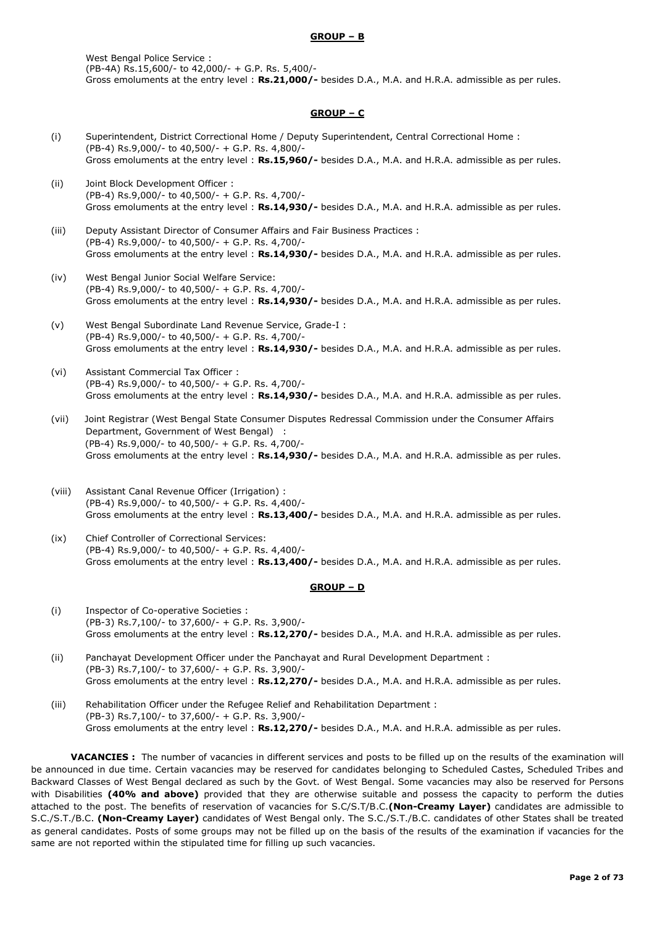#### **GROUP – B**

 West Bengal Police Service : (PB-4A) Rs.15,600/- to 42,000/- + G.P. Rs. 5,400/- Gross emoluments at the entry level : **Rs.21,000/-** besides D.A., M.A. and H.R.A. admissible as per rules.

### **GROUP – C**

- (i) Superintendent, District Correctional Home / Deputy Superintendent, Central Correctional Home : (PB-4) Rs.9,000/- to 40,500/- + G.P. Rs. 4,800/- Gross emoluments at the entry level : **Rs.15,960/-** besides D.A., M.A. and H.R.A. admissible as per rules.
- (ii) Joint Block Development Officer : (PB-4) Rs.9,000/- to 40,500/- + G.P. Rs. 4,700/- Gross emoluments at the entry level : **Rs.14,930/-** besides D.A., M.A. and H.R.A. admissible as per rules.
- (iii) Deputy Assistant Director of Consumer Affairs and Fair Business Practices : (PB-4) Rs.9,000/- to 40,500/- + G.P. Rs. 4,700/- Gross emoluments at the entry level : **Rs.14,930/-** besides D.A., M.A. and H.R.A. admissible as per rules.
- (iv) West Bengal Junior Social Welfare Service: (PB-4) Rs.9,000/- to 40,500/- + G.P. Rs. 4,700/- Gross emoluments at the entry level : **Rs.14,930/-** besides D.A., M.A. and H.R.A. admissible as per rules.
- (v) West Bengal Subordinate Land Revenue Service, Grade-I : (PB-4) Rs.9,000/- to 40,500/- + G.P. Rs. 4,700/- Gross emoluments at the entry level : **Rs.14,930/-** besides D.A., M.A. and H.R.A. admissible as per rules.
- (vi) Assistant Commercial Tax Officer : (PB-4) Rs.9,000/- to 40,500/- + G.P. Rs. 4,700/- Gross emoluments at the entry level : **Rs.14,930/-** besides D.A., M.A. and H.R.A. admissible as per rules.
- (vii) Joint Registrar (West Bengal State Consumer Disputes Redressal Commission under the Consumer Affairs Department, Government of West Bengal) : (PB-4) Rs.9,000/- to 40,500/- + G.P. Rs. 4,700/- Gross emoluments at the entry level : **Rs.14,930/-** besides D.A., M.A. and H.R.A. admissible as per rules.
- (viii) Assistant Canal Revenue Officer (Irrigation) : (PB-4) Rs.9,000/- to 40,500/- + G.P. Rs. 4,400/- Gross emoluments at the entry level : **Rs.13,400/-** besides D.A., M.A. and H.R.A. admissible as per rules.
- (ix) Chief Controller of Correctional Services: (PB-4) Rs.9,000/- to 40,500/- + G.P. Rs. 4,400/- Gross emoluments at the entry level : **Rs.13,400/-** besides D.A., M.A. and H.R.A. admissible as per rules.

### **GROUP – D**

- (i) Inspector of Co-operative Societies : (PB-3) Rs.7,100/- to 37,600/- + G.P. Rs. 3,900/- Gross emoluments at the entry level : **Rs.12,270/-** besides D.A., M.A. and H.R.A. admissible as per rules.
- (ii) Panchayat Development Officer under the Panchayat and Rural Development Department : (PB-3) Rs.7,100/- to 37,600/- + G.P. Rs. 3,900/- Gross emoluments at the entry level : **Rs.12,270/-** besides D.A., M.A. and H.R.A. admissible as per rules.
- (iii) Rehabilitation Officer under the Refugee Relief and Rehabilitation Department : (PB-3) Rs.7,100/- to 37,600/- + G.P. Rs. 3,900/- Gross emoluments at the entry level : **Rs.12,270/-** besides D.A., M.A. and H.R.A. admissible as per rules.

**VACANCIES :** The number of vacancies in different services and posts to be filled up on the results of the examination will be announced in due time. Certain vacancies may be reserved for candidates belonging to Scheduled Castes, Scheduled Tribes and Backward Classes of West Bengal declared as such by the Govt. of West Bengal. Some vacancies may also be reserved for Persons with Disabilities **(40% and above)** provided that they are otherwise suitable and possess the capacity to perform the duties attached to the post. The benefits of reservation of vacancies for S.C/S.T/B.C.**(Non-Creamy Layer)** candidates are admissible to S.C./S.T./B.C. **(Non-Creamy Layer)** candidates of West Bengal only. The S.C./S.T./B.C. candidates of other States shall be treated as general candidates. Posts of some groups may not be filled up on the basis of the results of the examination if vacancies for the same are not reported within the stipulated time for filling up such vacancies.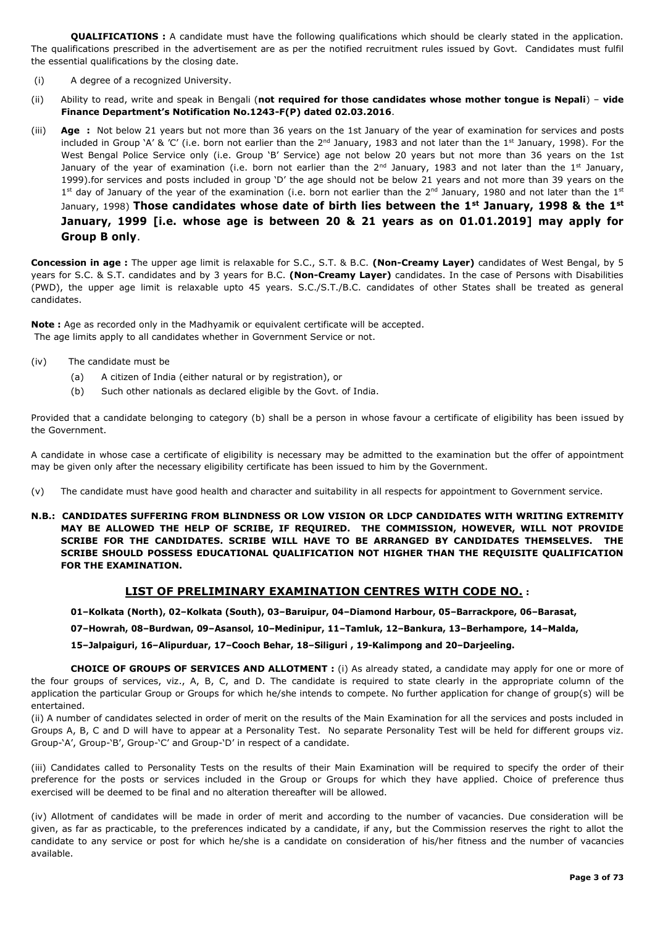**QUALIFICATIONS :** A candidate must have the following qualifications which should be clearly stated in the application. The qualifications prescribed in the advertisement are as per the notified recruitment rules issued by Govt. Candidates must fulfil the essential qualifications by the closing date.

- (i) A degree of a recognized University.
- (ii) Ability to read, write and speak in Bengali (**not required for those candidates whose mother tongue is Nepali**) **vide Finance Department's Notification No.1243-F(P) dated 02.03.2016**.
- (iii) **Age :** Not below 21 years but not more than 36 years on the 1st January of the year of examination for services and posts included in Group 'A' & 'C' (i.e. born not earlier than the  $2^{nd}$  January, 1983 and not later than the 1<sup>st</sup> January, 1998). For the West Bengal Police Service only (i.e. Group 'B' Service) age not below 20 years but not more than 36 years on the 1st January of the year of examination (i.e. born not earlier than the  $2^{nd}$  January, 1983 and not later than the 1<sup>st</sup> January, 1999).for services and posts included in group 'D' the age should not be below 21 years and not more than 39 years on the 1<sup>st</sup> day of January of the year of the examination (i.e. born not earlier than the 2<sup>nd</sup> January, 1980 and not later than the 1<sup>st</sup> January, 1998) **Those candidates whose date of birth lies between the 1st January, 1998 & the 1st January, 1999 [i.e. whose age is between 20 & 21 years as on 01.01.2019] may apply for Group B only**.

**Concession in age :** The upper age limit is relaxable for S.C., S.T. & B.C. **(Non-Creamy Layer)** candidates of West Bengal, by 5 years for S.C. & S.T. candidates and by 3 years for B.C. **(Non-Creamy Layer)** candidates. In the case of Persons with Disabilities (PWD), the upper age limit is relaxable upto 45 years. S.C./S.T./B.C. candidates of other States shall be treated as general candidates.

**Note :** Age as recorded only in the Madhyamik or equivalent certificate will be accepted. The age limits apply to all candidates whether in Government Service or not.

- (iv) The candidate must be
	- (a) A citizen of India (either natural or by registration), or
	- (b) Such other nationals as declared eligible by the Govt. of India.

Provided that a candidate belonging to category (b) shall be a person in whose favour a certificate of eligibility has been issued by the Government.

A candidate in whose case a certificate of eligibility is necessary may be admitted to the examination but the offer of appointment may be given only after the necessary eligibility certificate has been issued to him by the Government.

- (v) The candidate must have good health and character and suitability in all respects for appointment to Government service.
- **N.B.: CANDIDATES SUFFERING FROM BLINDNESS OR LOW VISION OR LDCP CANDIDATES WITH WRITING EXTREMITY MAY BE ALLOWED THE HELP OF SCRIBE, IF REQUIRED. THE COMMISSION, HOWEVER, WILL NOT PROVIDE SCRIBE FOR THE CANDIDATES. SCRIBE WILL HAVE TO BE ARRANGED BY CANDIDATES THEMSELVES. THE SCRIBE SHOULD POSSESS EDUCATIONAL QUALIFICATION NOT HIGHER THAN THE REQUISITE QUALIFICATION FOR THE EXAMINATION.**

# **LIST OF PRELIMINARY EXAMINATION CENTRES WITH CODE NO. :**

**01–Kolkata (North), 02–Kolkata (South), 03–Baruipur, 04–Diamond Harbour, 05–Barrackpore, 06–Barasat,** 

**07–Howrah, 08–Burdwan, 09–Asansol, 10–Medinipur, 11–Tamluk, 12–Bankura, 13–Berhampore, 14–Malda,** 

**15–Jalpaiguri, 16–Alipurduar, 17–Cooch Behar, 18–Siliguri , 19-Kalimpong and 20–Darjeeling.**

**CHOICE OF GROUPS OF SERVICES AND ALLOTMENT :** (i) As already stated, a candidate may apply for one or more of the four groups of services, viz., A, B, C, and D. The candidate is required to state clearly in the appropriate column of the application the particular Group or Groups for which he/she intends to compete. No further application for change of group(s) will be entertained.

(ii) A number of candidates selected in order of merit on the results of the Main Examination for all the services and posts included in Groups A, B, C and D will have to appear at a Personality Test. No separate Personality Test will be held for different groups viz. Group-'A', Group-'B', Group-'C' and Group-'D' in respect of a candidate.

(iii) Candidates called to Personality Tests on the results of their Main Examination will be required to specify the order of their preference for the posts or services included in the Group or Groups for which they have applied. Choice of preference thus exercised will be deemed to be final and no alteration thereafter will be allowed.

(iv) Allotment of candidates will be made in order of merit and according to the number of vacancies. Due consideration will be given, as far as practicable, to the preferences indicated by a candidate, if any, but the Commission reserves the right to allot the candidate to any service or post for which he/she is a candidate on consideration of his/her fitness and the number of vacancies available.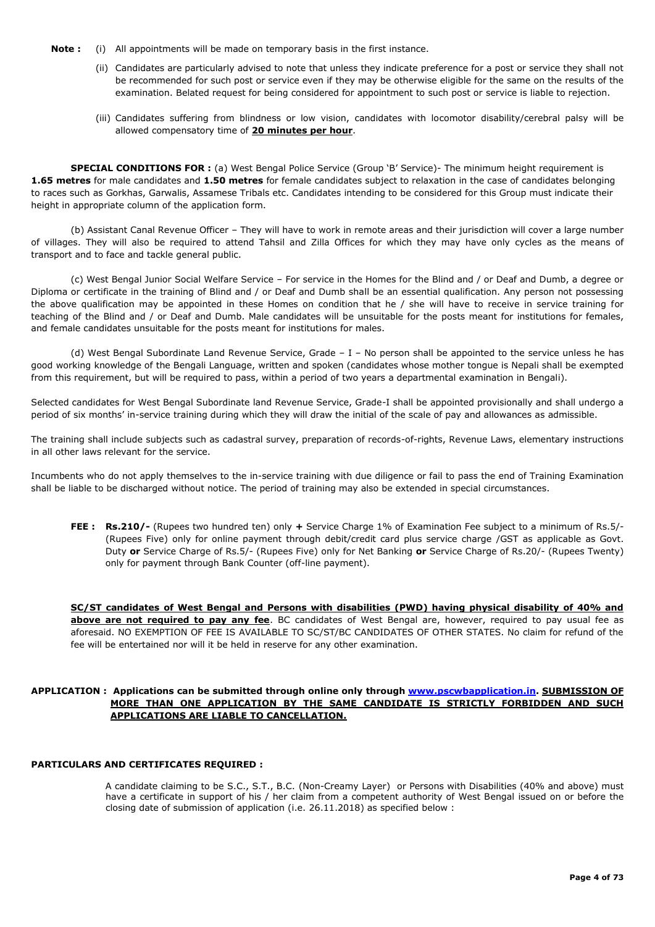- **Note :** (i) All appointments will be made on temporary basis in the first instance.
	- (ii) Candidates are particularly advised to note that unless they indicate preference for a post or service they shall not be recommended for such post or service even if they may be otherwise eligible for the same on the results of the examination. Belated request for being considered for appointment to such post or service is liable to rejection.
	- (iii) Candidates suffering from blindness or low vision, candidates with locomotor disability/cerebral palsy will be allowed compensatory time of **20 minutes per hour**.

**SPECIAL CONDITIONS FOR :** (a) West Bengal Police Service (Group 'B' Service)- The minimum height requirement is **1.65 metres** for male candidates and **1.50 metres** for female candidates subject to relaxation in the case of candidates belonging to races such as Gorkhas, Garwalis, Assamese Tribals etc. Candidates intending to be considered for this Group must indicate their height in appropriate column of the application form.

(b) Assistant Canal Revenue Officer – They will have to work in remote areas and their jurisdiction will cover a large number of villages. They will also be required to attend Tahsil and Zilla Offices for which they may have only cycles as the means of transport and to face and tackle general public.

(c) West Bengal Junior Social Welfare Service – For service in the Homes for the Blind and / or Deaf and Dumb, a degree or Diploma or certificate in the training of Blind and / or Deaf and Dumb shall be an essential qualification. Any person not possessing the above qualification may be appointed in these Homes on condition that he / she will have to receive in service training for teaching of the Blind and / or Deaf and Dumb. Male candidates will be unsuitable for the posts meant for institutions for females, and female candidates unsuitable for the posts meant for institutions for males.

(d) West Bengal Subordinate Land Revenue Service, Grade – I – No person shall be appointed to the service unless he has good working knowledge of the Bengali Language, written and spoken (candidates whose mother tongue is Nepali shall be exempted from this requirement, but will be required to pass, within a period of two years a departmental examination in Bengali).

Selected candidates for West Bengal Subordinate land Revenue Service, Grade-I shall be appointed provisionally and shall undergo a period of six months' in-service training during which they will draw the initial of the scale of pay and allowances as admissible.

The training shall include subjects such as cadastral survey, preparation of records-of-rights, Revenue Laws, elementary instructions in all other laws relevant for the service.

Incumbents who do not apply themselves to the in-service training with due diligence or fail to pass the end of Training Examination shall be liable to be discharged without notice. The period of training may also be extended in special circumstances.

**FEE : Rs.210/-** (Rupees two hundred ten) only **+** Service Charge 1% of Examination Fee subject to a minimum of Rs.5/- (Rupees Five) only for online payment through debit/credit card plus service charge /GST as applicable as Govt. Duty **or** Service Charge of Rs.5/- (Rupees Five) only for Net Banking **or** Service Charge of Rs.20/- (Rupees Twenty) only for payment through Bank Counter (off-line payment).

**SC/ST candidates of West Bengal and Persons with disabilities (PWD) having physical disability of 40% and above are not required to pay any fee**. BC candidates of West Bengal are, however, required to pay usual fee as aforesaid. NO EXEMPTION OF FEE IS AVAILABLE TO SC/ST/BC CANDIDATES OF OTHER STATES. No claim for refund of the fee will be entertained nor will it be held in reserve for any other examination.

### **APPLICATION : Applications can be submitted through online only through [www.pscwbapplication.in.](http://www.pscwbapplication.in/) SUBMISSION OF MORE THAN ONE APPLICATION BY THE SAME CANDIDATE IS STRICTLY FORBIDDEN AND SUCH APPLICATIONS ARE LIABLE TO CANCELLATION.**

### **PARTICULARS AND CERTIFICATES REQUIRED :**

A candidate claiming to be S.C., S.T., B.C. (Non-Creamy Layer) or Persons with Disabilities (40% and above) must have a certificate in support of his / her claim from a competent authority of West Bengal issued on or before the closing date of submission of application (i.e. 26.11.2018) as specified below :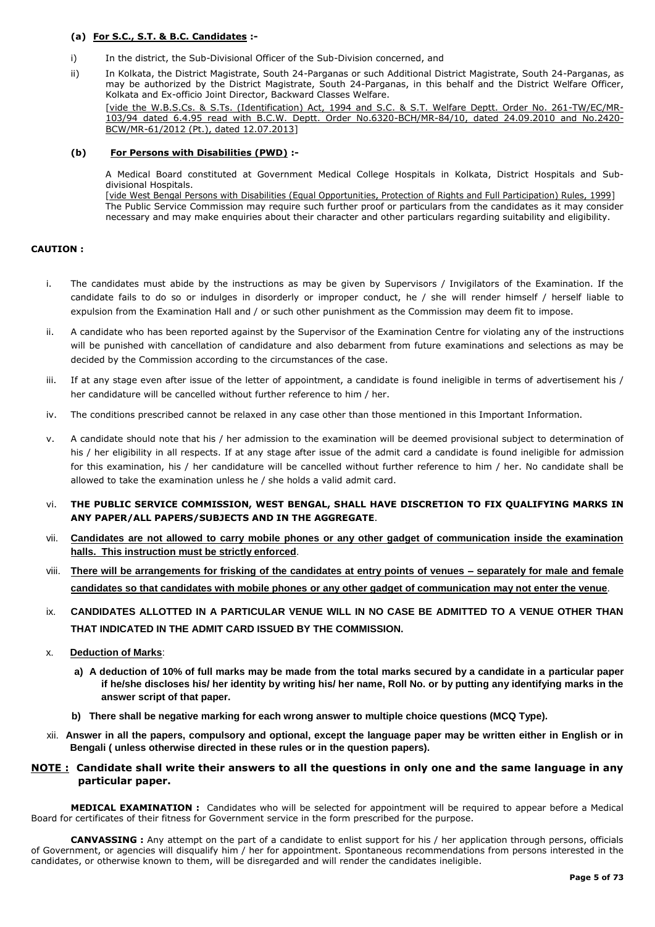### **(a) For S.C., S.T. & B.C. Candidates :-**

- i) In the district, the Sub-Divisional Officer of the Sub-Division concerned, and
- ii) In Kolkata, the District Magistrate, South 24-Parganas or such Additional District Magistrate, South 24-Parganas, as may be authorized by the District Magistrate, South 24-Parganas, in this behalf and the District Welfare Officer, Kolkata and Ex-officio Joint Director, Backward Classes Welfare.

[vide the W.B.S.Cs. & S.Ts. (Identification) Act, 1994 and S.C. & S.T. Welfare Deptt. Order No. 261-TW/EC/MR-103/94 dated 6.4.95 read with B.C.W. Deptt. Order No.6320-BCH/MR-84/10, dated 24.09.2010 and No.2420- BCW/MR-61/2012 (Pt.), dated 12.07.2013]

### **(b) For Persons with Disabilities (PWD) :-**

A Medical Board constituted at Government Medical College Hospitals in Kolkata, District Hospitals and Subdivisional Hospitals.

[vide West Bengal Persons with Disabilities (Equal Opportunities, Protection of Rights and Full Participation) Rules, 1999] The Public Service Commission may require such further proof or particulars from the candidates as it may consider necessary and may make enquiries about their character and other particulars regarding suitability and eligibility.

### **CAUTION :**

- i. The candidates must abide by the instructions as may be given by Supervisors / Invigilators of the Examination. If the candidate fails to do so or indulges in disorderly or improper conduct, he / she will render himself / herself liable to expulsion from the Examination Hall and / or such other punishment as the Commission may deem fit to impose.
- ii. A candidate who has been reported against by the Supervisor of the Examination Centre for violating any of the instructions will be punished with cancellation of candidature and also debarment from future examinations and selections as may be decided by the Commission according to the circumstances of the case.
- iii. If at any stage even after issue of the letter of appointment, a candidate is found ineligible in terms of advertisement his / her candidature will be cancelled without further reference to him / her.
- iv. The conditions prescribed cannot be relaxed in any case other than those mentioned in this Important Information.
- v. A candidate should note that his / her admission to the examination will be deemed provisional subject to determination of his / her eligibility in all respects. If at any stage after issue of the admit card a candidate is found ineligible for admission for this examination, his / her candidature will be cancelled without further reference to him / her. No candidate shall be allowed to take the examination unless he / she holds a valid admit card.
- vi. **THE PUBLIC SERVICE COMMISSION, WEST BENGAL, SHALL HAVE DISCRETION TO FIX QUALIFYING MARKS IN ANY PAPER/ALL PAPERS/SUBJECTS AND IN THE AGGREGATE**.
- vii. **Candidates are not allowed to carry mobile phones or any other gadget of communication inside the examination halls. This instruction must be strictly enforced**.
- viii. **There will be arrangements for frisking of the candidates at entry points of venues – separately for male and female candidates so that candidates with mobile phones or any other gadget of communication may not enter the venue**.
- ix. **CANDIDATES ALLOTTED IN A PARTICULAR VENUE WILL IN NO CASE BE ADMITTED TO A VENUE OTHER THAN THAT INDICATED IN THE ADMIT CARD ISSUED BY THE COMMISSION.**
- x. **Deduction of Marks**:
	- **a) A deduction of 10% of full marks may be made from the total marks secured by a candidate in a particular paper if he/she discloses his/ her identity by writing his/ her name, Roll No. or by putting any identifying marks in the answer script of that paper.**
	- **b) There shall be negative marking for each wrong answer to multiple choice questions (MCQ Type).**
- xii. **Answer in all the papers, compulsory and optional, except the language paper may be written either in English or in Bengali ( unless otherwise directed in these rules or in the question papers).**
- **NOTE : Candidate shall write their answers to all the questions in only one and the same language in any particular paper.**

**MEDICAL EXAMINATION :** Candidates who will be selected for appointment will be required to appear before a Medical Board for certificates of their fitness for Government service in the form prescribed for the purpose.

**CANVASSING :** Any attempt on the part of a candidate to enlist support for his / her application through persons, officials of Government, or agencies will disqualify him / her for appointment. Spontaneous recommendations from persons interested in the candidates, or otherwise known to them, will be disregarded and will render the candidates ineligible.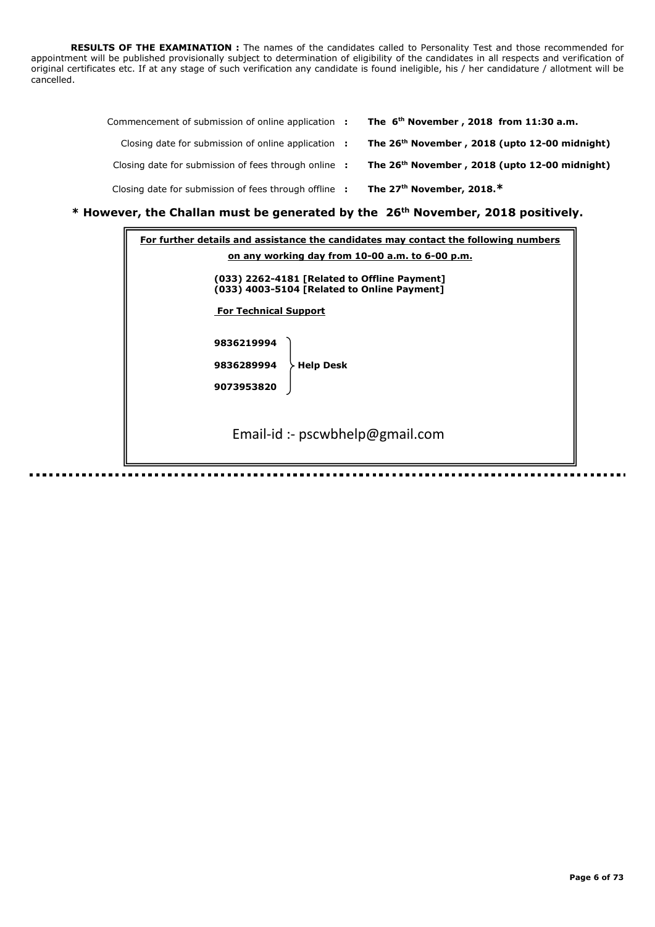**RESULTS OF THE EXAMINATION :** The names of the candidates called to Personality Test and those recommended for appointment will be published provisionally subject to determination of eligibility of the candidates in all respects and verification of original certificates etc. If at any stage of such verification any candidate is found ineligible, his / her candidature / allotment will be cancelled.

| Commencement of submission of online application :    | The $6th$ November, 2018 from 11:30 a.m.                  |
|-------------------------------------------------------|-----------------------------------------------------------|
| Closing date for submission of online application :   | The 26 <sup>th</sup> November, 2018 (upto 12-00 midnight) |
| Closing date for submission of fees through online :  | The 26 <sup>th</sup> November, 2018 (upto 12-00 midnight) |
| Closing date for submission of fees through offline : | The 27 <sup>th</sup> November, 2018.*                     |

# **\* However, the Challan must be generated by the 26th November, 2018 positively.**

| For further details and assistance the candidates may contact the following numbers         |
|---------------------------------------------------------------------------------------------|
| on any working day from 10-00 a.m. to 6-00 p.m.                                             |
| (033) 2262-4181 [Related to Offline Payment]<br>(033) 4003-5104 [Related to Online Payment] |
| <b>For Technical Support</b>                                                                |
|                                                                                             |
| 9836219994                                                                                  |
| 9836289994<br><b>Help Desk</b>                                                              |
| 9073953820                                                                                  |
| Email-id :- $pscwblelp@gmail.com$                                                           |
|                                                                                             |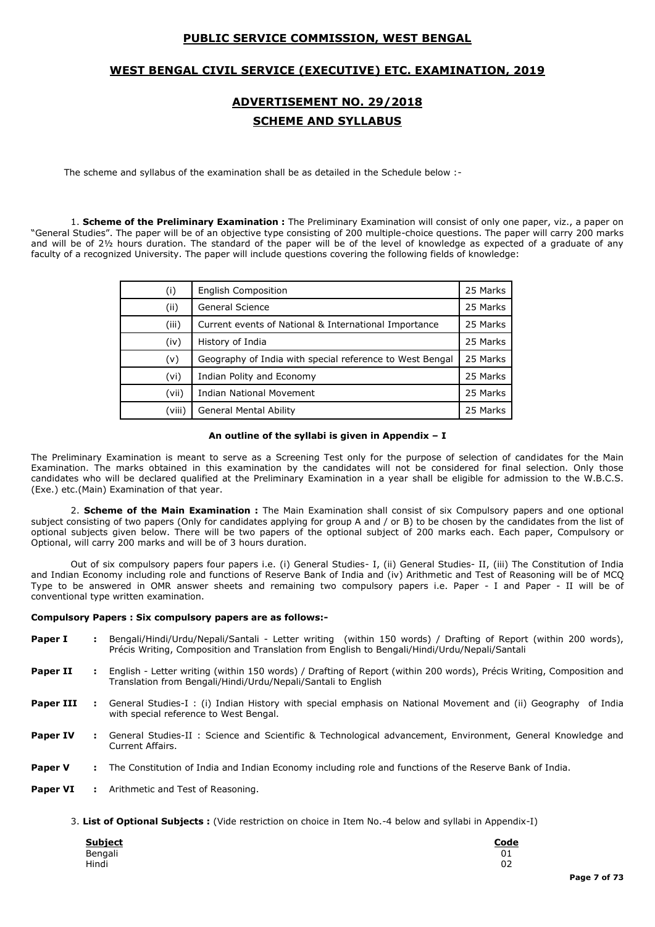# **PUBLIC SERVICE COMMISSION, WEST BENGAL**

# **WEST BENGAL CIVIL SERVICE (EXECUTIVE) ETC. EXAMINATION, 2019**

# **ADVERTISEMENT NO. 29/2018 SCHEME AND SYLLABUS**

The scheme and syllabus of the examination shall be as detailed in the Schedule below :-

1. **Scheme of the Preliminary Examination :** The Preliminary Examination will consist of only one paper, viz., a paper on "General Studies". The paper will be of an objective type consisting of 200 multiple-choice questions. The paper will carry 200 marks and will be of 2½ hours duration. The standard of the paper will be of the level of knowledge as expected of a graduate of any faculty of a recognized University. The paper will include questions covering the following fields of knowledge:

| (i)    | <b>English Composition</b>                               | 25 Marks |
|--------|----------------------------------------------------------|----------|
| (ii)   | General Science                                          | 25 Marks |
| (iii)  | Current events of National & International Importance    | 25 Marks |
| (iv)   | History of India                                         | 25 Marks |
| (v)    | Geography of India with special reference to West Bengal | 25 Marks |
| (vi)   | Indian Polity and Economy                                | 25 Marks |
| (vii)  | <b>Indian National Movement</b>                          | 25 Marks |
| (viii) | <b>General Mental Ability</b>                            | 25 Marks |

### **An outline of the syllabi is given in Appendix – I**

The Preliminary Examination is meant to serve as a Screening Test only for the purpose of selection of candidates for the Main Examination. The marks obtained in this examination by the candidates will not be considered for final selection. Only those candidates who will be declared qualified at the Preliminary Examination in a year shall be eligible for admission to the W.B.C.S. (Exe.) etc.(Main) Examination of that year.

2. **Scheme of the Main Examination :** The Main Examination shall consist of six Compulsory papers and one optional subject consisting of two papers (Only for candidates applying for group A and / or B) to be chosen by the candidates from the list of optional subjects given below. There will be two papers of the optional subject of 200 marks each. Each paper, Compulsory or Optional, will carry 200 marks and will be of 3 hours duration.

Out of six compulsory papers four papers i.e. (i) General Studies- I, (ii) General Studies- II, (iii) The Constitution of India and Indian Economy including role and functions of Reserve Bank of India and (iv) Arithmetic and Test of Reasoning will be of MCQ Type to be answered in OMR answer sheets and remaining two compulsory papers i.e. Paper - I and Paper - II will be of conventional type written examination.

### **Compulsory Papers : Six compulsory papers are as follows:-**

- Paper I : Bengali/Hindi/Urdu/Nepali/Santali Letter writing (within 150 words) / Drafting of Report (within 200 words), Précis Writing, Composition and Translation from English to Bengali/Hindi/Urdu/Nepali/Santali
- **Paper II :** English Letter writing (within 150 words) / Drafting of Report (within 200 words), Précis Writing, Composition and Translation from Bengali/Hindi/Urdu/Nepali/Santali to English
- Paper III : General Studies-I : (i) Indian History with special emphasis on National Movement and (ii) Geography of India with special reference to West Bengal.
- **Paper IV :** General Studies-II : Science and Scientific & Technological advancement, Environment, General Knowledge and Current Affairs.
- **Paper V :** The Constitution of India and Indian Economy including role and functions of the Reserve Bank of India.
- **Paper VI :** Arithmetic and Test of Reasoning.
	- 3. **List of Optional Subjects :** (Vide restriction on choice in Item No.-4 below and syllabi in Appendix-I)

| <b>Code</b> |
|-------------|
| 01          |
| 02          |
|             |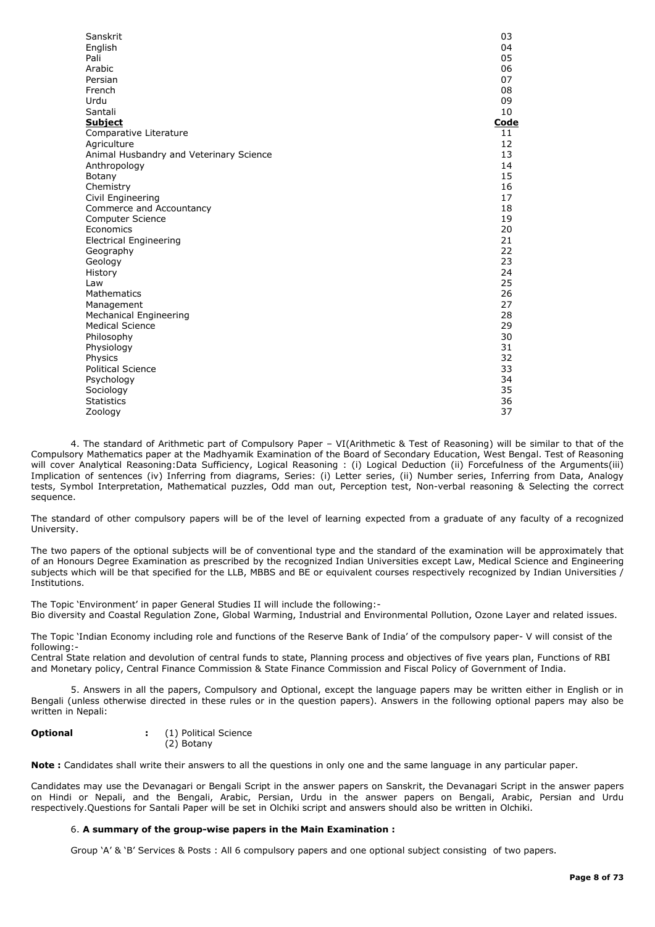| English<br>04<br>05<br>Pali<br>Arabic<br>06<br>Persian<br>07<br>08<br>French<br>Urdu<br>09<br>10<br>Santali<br><b>Subject</b><br><u>Code</u><br>Comparative Literature<br>11<br>12<br>Agriculture<br>13<br>Animal Husbandry and Veterinary Science<br>14<br>Anthropology<br>15<br>Botany<br>Chemistry<br>16<br>17<br>Civil Engineering<br>Commerce and Accountancy<br>18<br><b>Computer Science</b><br>19<br>Economics<br>20<br><b>Electrical Engineering</b><br>21<br>22<br>Geography<br>Geology<br>23<br>24<br>History<br>25<br>Law<br>Mathematics<br>26<br>27<br>Management<br><b>Mechanical Engineering</b><br>28<br><b>Medical Science</b><br>29<br>30<br>Philosophy<br>Physiology<br>31<br>Physics<br>32<br><b>Political Science</b><br>33<br>Psychology<br>34<br>35<br>Sociology<br><b>Statistics</b><br>36<br>37<br>Zoology | Sanskrit | 03 |
|-------------------------------------------------------------------------------------------------------------------------------------------------------------------------------------------------------------------------------------------------------------------------------------------------------------------------------------------------------------------------------------------------------------------------------------------------------------------------------------------------------------------------------------------------------------------------------------------------------------------------------------------------------------------------------------------------------------------------------------------------------------------------------------------------------------------------------------|----------|----|
|                                                                                                                                                                                                                                                                                                                                                                                                                                                                                                                                                                                                                                                                                                                                                                                                                                     |          |    |
|                                                                                                                                                                                                                                                                                                                                                                                                                                                                                                                                                                                                                                                                                                                                                                                                                                     |          |    |
|                                                                                                                                                                                                                                                                                                                                                                                                                                                                                                                                                                                                                                                                                                                                                                                                                                     |          |    |
|                                                                                                                                                                                                                                                                                                                                                                                                                                                                                                                                                                                                                                                                                                                                                                                                                                     |          |    |
|                                                                                                                                                                                                                                                                                                                                                                                                                                                                                                                                                                                                                                                                                                                                                                                                                                     |          |    |
|                                                                                                                                                                                                                                                                                                                                                                                                                                                                                                                                                                                                                                                                                                                                                                                                                                     |          |    |
|                                                                                                                                                                                                                                                                                                                                                                                                                                                                                                                                                                                                                                                                                                                                                                                                                                     |          |    |
|                                                                                                                                                                                                                                                                                                                                                                                                                                                                                                                                                                                                                                                                                                                                                                                                                                     |          |    |
|                                                                                                                                                                                                                                                                                                                                                                                                                                                                                                                                                                                                                                                                                                                                                                                                                                     |          |    |
|                                                                                                                                                                                                                                                                                                                                                                                                                                                                                                                                                                                                                                                                                                                                                                                                                                     |          |    |
|                                                                                                                                                                                                                                                                                                                                                                                                                                                                                                                                                                                                                                                                                                                                                                                                                                     |          |    |
|                                                                                                                                                                                                                                                                                                                                                                                                                                                                                                                                                                                                                                                                                                                                                                                                                                     |          |    |
|                                                                                                                                                                                                                                                                                                                                                                                                                                                                                                                                                                                                                                                                                                                                                                                                                                     |          |    |
|                                                                                                                                                                                                                                                                                                                                                                                                                                                                                                                                                                                                                                                                                                                                                                                                                                     |          |    |
|                                                                                                                                                                                                                                                                                                                                                                                                                                                                                                                                                                                                                                                                                                                                                                                                                                     |          |    |
|                                                                                                                                                                                                                                                                                                                                                                                                                                                                                                                                                                                                                                                                                                                                                                                                                                     |          |    |
|                                                                                                                                                                                                                                                                                                                                                                                                                                                                                                                                                                                                                                                                                                                                                                                                                                     |          |    |
|                                                                                                                                                                                                                                                                                                                                                                                                                                                                                                                                                                                                                                                                                                                                                                                                                                     |          |    |
|                                                                                                                                                                                                                                                                                                                                                                                                                                                                                                                                                                                                                                                                                                                                                                                                                                     |          |    |
|                                                                                                                                                                                                                                                                                                                                                                                                                                                                                                                                                                                                                                                                                                                                                                                                                                     |          |    |
|                                                                                                                                                                                                                                                                                                                                                                                                                                                                                                                                                                                                                                                                                                                                                                                                                                     |          |    |
|                                                                                                                                                                                                                                                                                                                                                                                                                                                                                                                                                                                                                                                                                                                                                                                                                                     |          |    |
|                                                                                                                                                                                                                                                                                                                                                                                                                                                                                                                                                                                                                                                                                                                                                                                                                                     |          |    |
|                                                                                                                                                                                                                                                                                                                                                                                                                                                                                                                                                                                                                                                                                                                                                                                                                                     |          |    |
|                                                                                                                                                                                                                                                                                                                                                                                                                                                                                                                                                                                                                                                                                                                                                                                                                                     |          |    |
|                                                                                                                                                                                                                                                                                                                                                                                                                                                                                                                                                                                                                                                                                                                                                                                                                                     |          |    |
|                                                                                                                                                                                                                                                                                                                                                                                                                                                                                                                                                                                                                                                                                                                                                                                                                                     |          |    |
|                                                                                                                                                                                                                                                                                                                                                                                                                                                                                                                                                                                                                                                                                                                                                                                                                                     |          |    |
|                                                                                                                                                                                                                                                                                                                                                                                                                                                                                                                                                                                                                                                                                                                                                                                                                                     |          |    |
|                                                                                                                                                                                                                                                                                                                                                                                                                                                                                                                                                                                                                                                                                                                                                                                                                                     |          |    |
|                                                                                                                                                                                                                                                                                                                                                                                                                                                                                                                                                                                                                                                                                                                                                                                                                                     |          |    |
|                                                                                                                                                                                                                                                                                                                                                                                                                                                                                                                                                                                                                                                                                                                                                                                                                                     |          |    |
|                                                                                                                                                                                                                                                                                                                                                                                                                                                                                                                                                                                                                                                                                                                                                                                                                                     |          |    |
|                                                                                                                                                                                                                                                                                                                                                                                                                                                                                                                                                                                                                                                                                                                                                                                                                                     |          |    |
|                                                                                                                                                                                                                                                                                                                                                                                                                                                                                                                                                                                                                                                                                                                                                                                                                                     |          |    |

4. The standard of Arithmetic part of Compulsory Paper – VI(Arithmetic & Test of Reasoning) will be similar to that of the Compulsory Mathematics paper at the Madhyamik Examination of the Board of Secondary Education, West Bengal. Test of Reasoning will cover Analytical Reasoning:Data Sufficiency, Logical Reasoning : (i) Logical Deduction (ii) Forcefulness of the Arguments(iii) Implication of sentences (iv) Inferring from diagrams, Series: (i) Letter series, (ii) Number series, Inferring from Data, Analogy tests, Symbol Interpretation, Mathematical puzzles, Odd man out, Perception test, Non-verbal reasoning & Selecting the correct sequence.

The standard of other compulsory papers will be of the level of learning expected from a graduate of any faculty of a recognized University.

The two papers of the optional subjects will be of conventional type and the standard of the examination will be approximately that of an Honours Degree Examination as prescribed by the recognized Indian Universities except Law, Medical Science and Engineering subjects which will be that specified for the LLB, MBBS and BE or equivalent courses respectively recognized by Indian Universities / Institutions.

The Topic 'Environment' in paper General Studies II will include the following:- Bio diversity and Coastal Regulation Zone, Global Warming, Industrial and Environmental Pollution, Ozone Layer and related issues.

The Topic 'Indian Economy including role and functions of the Reserve Bank of India' of the compulsory paper- V will consist of the following:-

Central State relation and devolution of central funds to state, Planning process and objectives of five years plan, Functions of RBI and Monetary policy, Central Finance Commission & State Finance Commission and Fiscal Policy of Government of India.

5. Answers in all the papers, Compulsory and Optional, except the language papers may be written either in English or in Bengali (unless otherwise directed in these rules or in the question papers). Answers in the following optional papers may also be written in Nepali:

#### **Optional :** (1) Political Science (2) Botany

**Note :** Candidates shall write their answers to all the questions in only one and the same language in any particular paper.

Candidates may use the Devanagari or Bengali Script in the answer papers on Sanskrit, the Devanagari Script in the answer papers on Hindi or Nepali, and the Bengali, Arabic, Persian, Urdu in the answer papers on Bengali, Arabic, Persian and Urdu respectively.Questions for Santali Paper will be set in Olchiki script and answers should also be written in Olchiki.

### 6. **A summary of the group-wise papers in the Main Examination :**

Group 'A' & 'B' Services & Posts : All 6 compulsory papers and one optional subject consisting of two papers.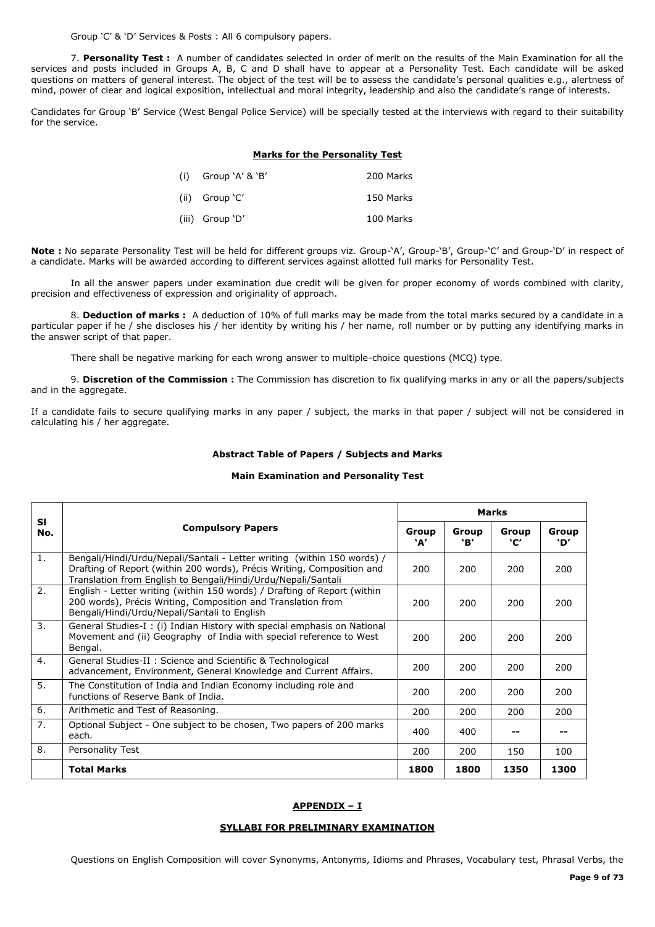Group 'C' & 'D' Services & Posts : All 6 compulsory papers.

7. **Personality Test :** A number of candidates selected in order of merit on the results of the Main Examination for all the services and posts included in Groups A, B, C and D shall have to appear at a Personality Test. Each candidate will be asked questions on matters of general interest. The object of the test will be to assess the candidate's personal qualities e.g., alertness of mind, power of clear and logical exposition, intellectual and moral integrity, leadership and also the candidate's range of interests.

Candidates for Group 'B' Service (West Bengal Police Service) will be specially tested at the interviews with regard to their suitability for the service.

### **Marks for the Personality Test**

| (i) | Group 'A' & 'B' | 200 Marks |
|-----|-----------------|-----------|
|     | (ii) Group 'C'  | 150 Marks |
|     | (iii) Group 'D' | 100 Marks |

**Note :** No separate Personality Test will be held for different groups viz. Group-'A', Group-'B', Group-'C' and Group-'D' in respect of a candidate. Marks will be awarded according to different services against allotted full marks for Personality Test.

In all the answer papers under examination due credit will be given for proper economy of words combined with clarity, precision and effectiveness of expression and originality of approach.

8. **Deduction of marks :** A deduction of 10% of full marks may be made from the total marks secured by a candidate in a particular paper if he / she discloses his / her identity by writing his / her name, roll number or by putting any identifying marks in the answer script of that paper.

There shall be negative marking for each wrong answer to multiple-choice questions (MCQ) type.

9. **Discretion of the Commission :** The Commission has discretion to fix qualifying marks in any or all the papers/subjects and in the aggregate.

If a candidate fails to secure qualifying marks in any paper / subject, the marks in that paper / subject will not be considered in calculating his / her aggregate.

### **Abstract Table of Papers / Subjects and Marks**

### **Main Examination and Personality Test**

|           |                                                                                                                                                                                                                    |                     |              | Marks         |                     |
|-----------|--------------------------------------------------------------------------------------------------------------------------------------------------------------------------------------------------------------------|---------------------|--------------|---------------|---------------------|
| SI<br>No. | <b>Compulsory Papers</b>                                                                                                                                                                                           | <b>Group</b><br>`A' | Group<br>`B' | Group<br>՝ ር' | <b>Group</b><br>'ם' |
| 1.        | Bengali/Hindi/Urdu/Nepali/Santali - Letter writing (within 150 words) /<br>Drafting of Report (within 200 words), Précis Writing, Composition and<br>Translation from English to Bengali/Hindi/Urdu/Nepali/Santali | 200                 | 200          | 200           | 200                 |
| 2.        | English - Letter writing (within 150 words) / Drafting of Report (within<br>200 words), Précis Writing, Composition and Translation from<br>Bengali/Hindi/Urdu/Nepali/Santali to English                           | 200                 | 200          | 200           | 200                 |
| 3.        | General Studies-I: (i) Indian History with special emphasis on National<br>Movement and (ii) Geography of India with special reference to West<br>Bengal.                                                          | 200                 | 200          | 200           | 200                 |
| 4.        | General Studies-II: Science and Scientific & Technological<br>advancement, Environment, General Knowledge and Current Affairs.                                                                                     | 200                 | 200          | 200           | 200                 |
| 5.        | The Constitution of India and Indian Economy including role and<br>functions of Reserve Bank of India.                                                                                                             | 200                 | 200          | 200           | 200                 |
| 6.        | Arithmetic and Test of Reasoning.                                                                                                                                                                                  | 200                 | 200          | 200           | 200                 |
| 7.        | Optional Subject - One subject to be chosen, Two papers of 200 marks<br>each.                                                                                                                                      | 400                 | 400          |               |                     |
| 8.        | <b>Personality Test</b>                                                                                                                                                                                            | 200                 | 200          | 150           | 100                 |
|           | <b>Total Marks</b>                                                                                                                                                                                                 | 1800                | 1800         | 1350          | 1300                |

### **APPENDIX – I**

### **SYLLABI FOR PRELIMINARY EXAMINATION**

Questions on English Composition will cover Synonyms, Antonyms, Idioms and Phrases, Vocabulary test, Phrasal Verbs, the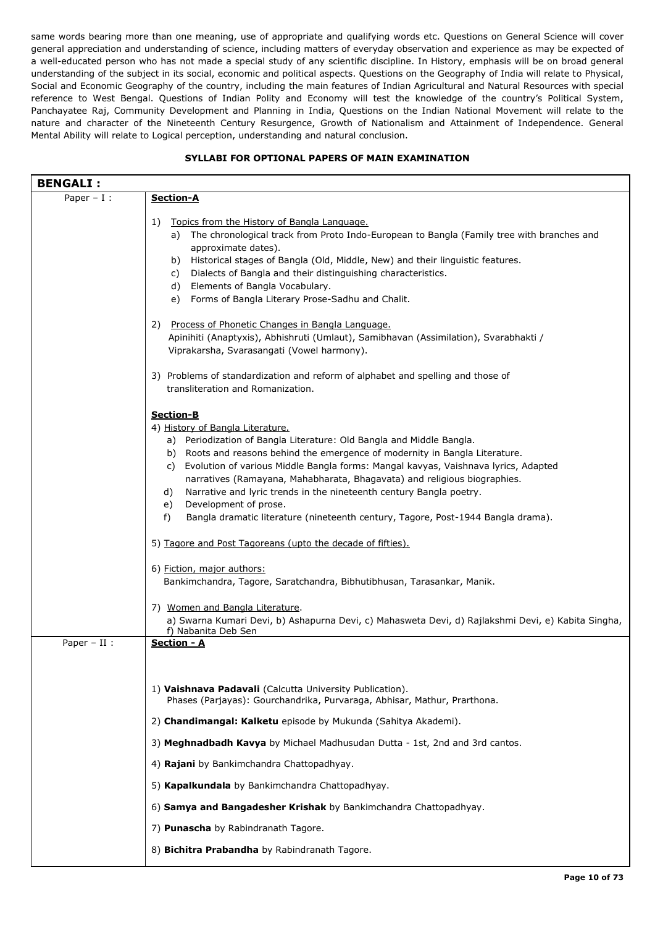same words bearing more than one meaning, use of appropriate and qualifying words etc. Questions on General Science will cover general appreciation and understanding of science, including matters of everyday observation and experience as may be expected of a well-educated person who has not made a special study of any scientific discipline. In History, emphasis will be on broad general understanding of the subject in its social, economic and political aspects. Questions on the Geography of India will relate to Physical, Social and Economic Geography of the country, including the main features of Indian Agricultural and Natural Resources with special reference to West Bengal. Questions of Indian Polity and Economy will test the knowledge of the country's Political System, Panchayatee Raj, Community Development and Planning in India, Questions on the Indian National Movement will relate to the nature and character of the Nineteenth Century Resurgence, Growth of Nationalism and Attainment of Independence. General Mental Ability will relate to Logical perception, understanding and natural conclusion.

# **SYLLABI FOR OPTIONAL PAPERS OF MAIN EXAMINATION**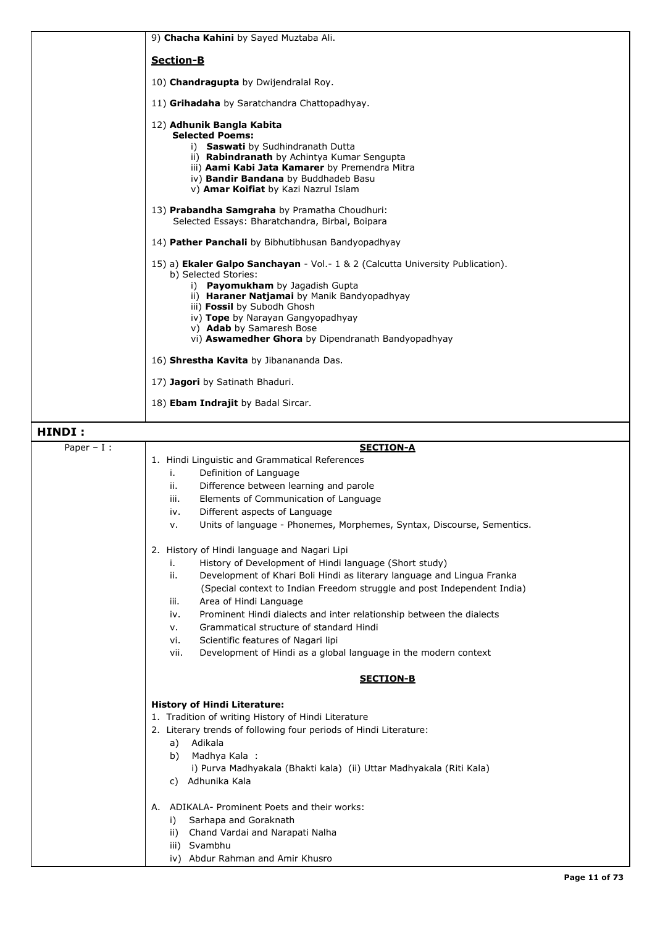|                         | 9) Chacha Kahini by Sayed Muztaba Ali.                                                                                                                                                                                                                                                                                                                                                                                                                                                                                                                             |
|-------------------------|--------------------------------------------------------------------------------------------------------------------------------------------------------------------------------------------------------------------------------------------------------------------------------------------------------------------------------------------------------------------------------------------------------------------------------------------------------------------------------------------------------------------------------------------------------------------|
|                         | Section-B                                                                                                                                                                                                                                                                                                                                                                                                                                                                                                                                                          |
|                         | 10) Chandragupta by Dwijendralal Roy.                                                                                                                                                                                                                                                                                                                                                                                                                                                                                                                              |
|                         | 11) Grihadaha by Saratchandra Chattopadhyay.                                                                                                                                                                                                                                                                                                                                                                                                                                                                                                                       |
|                         | 12) Adhunik Bangla Kabita<br><b>Selected Poems:</b><br>i) Saswati by Sudhindranath Dutta<br>ii) Rabindranath by Achintya Kumar Sengupta<br>iii) Aami Kabi Jata Kamarer by Premendra Mitra<br>iv) Bandir Bandana by Buddhadeb Basu<br>v) Amar Koifiat by Kazi Nazrul Islam                                                                                                                                                                                                                                                                                          |
|                         | 13) Prabandha Samgraha by Pramatha Choudhuri:<br>Selected Essays: Bharatchandra, Birbal, Boipara                                                                                                                                                                                                                                                                                                                                                                                                                                                                   |
|                         | 14) Pather Panchali by Bibhutibhusan Bandyopadhyay                                                                                                                                                                                                                                                                                                                                                                                                                                                                                                                 |
|                         | 15) a) Ekaler Galpo Sanchayan - Vol. - 1 & 2 (Calcutta University Publication).<br>b) Selected Stories:<br>i) Payomukham by Jagadish Gupta<br>ii) Haraner Natjamai by Manik Bandyopadhyay                                                                                                                                                                                                                                                                                                                                                                          |
|                         | iii) Fossil by Subodh Ghosh<br>iv) Tope by Narayan Gangyopadhyay                                                                                                                                                                                                                                                                                                                                                                                                                                                                                                   |
|                         | v) Adab by Samaresh Bose<br>vi) Aswamedher Ghora by Dipendranath Bandyopadhyay                                                                                                                                                                                                                                                                                                                                                                                                                                                                                     |
|                         | 16) Shrestha Kavita by Jibanananda Das.                                                                                                                                                                                                                                                                                                                                                                                                                                                                                                                            |
|                         | 17) Jagori by Satinath Bhaduri.                                                                                                                                                                                                                                                                                                                                                                                                                                                                                                                                    |
|                         | 18) Ebam Indrajit by Badal Sircar.                                                                                                                                                                                                                                                                                                                                                                                                                                                                                                                                 |
|                         |                                                                                                                                                                                                                                                                                                                                                                                                                                                                                                                                                                    |
| HINDI:<br>Paper $- I$ : | <b>SECTION-A</b>                                                                                                                                                                                                                                                                                                                                                                                                                                                                                                                                                   |
|                         | 1. Hindi Linguistic and Grammatical References<br>Definition of Language<br>i.<br>ii.<br>Difference between learning and parole<br>Elements of Communication of Language<br>iii.<br>Different aspects of Language<br>iv.<br>Units of language - Phonemes, Morphemes, Syntax, Discourse, Sementics.<br>ν.                                                                                                                                                                                                                                                           |
|                         | 2. History of Hindi language and Nagari Lipi<br>History of Development of Hindi language (Short study)<br>i.<br>ii.<br>Development of Khari Boli Hindi as literary language and Lingua Franka<br>(Special context to Indian Freedom struggle and post Independent India)<br>Area of Hindi Language<br>iii.<br>Prominent Hindi dialects and inter relationship between the dialects<br>iv.<br>Grammatical structure of standard Hindi<br>ν.<br>Scientific features of Nagari lipi<br>vi.<br>Development of Hindi as a global language in the modern context<br>vii. |
|                         | <b>SECTION-B</b>                                                                                                                                                                                                                                                                                                                                                                                                                                                                                                                                                   |
|                         | <b>History of Hindi Literature:</b><br>1. Tradition of writing History of Hindi Literature<br>2. Literary trends of following four periods of Hindi Literature:<br>Adikala<br>a)<br>Madhya Kala :<br>b)<br>i) Purva Madhyakala (Bhakti kala) (ii) Uttar Madhyakala (Riti Kala)<br>c) Adhunika Kala                                                                                                                                                                                                                                                                 |
|                         | A. ADIKALA- Prominent Poets and their works:<br>Sarhapa and Goraknath<br>i)<br>ii) Chand Vardai and Narapati Nalha<br>iii) Svambhu<br>iv) Abdur Rahman and Amir Khusro                                                                                                                                                                                                                                                                                                                                                                                             |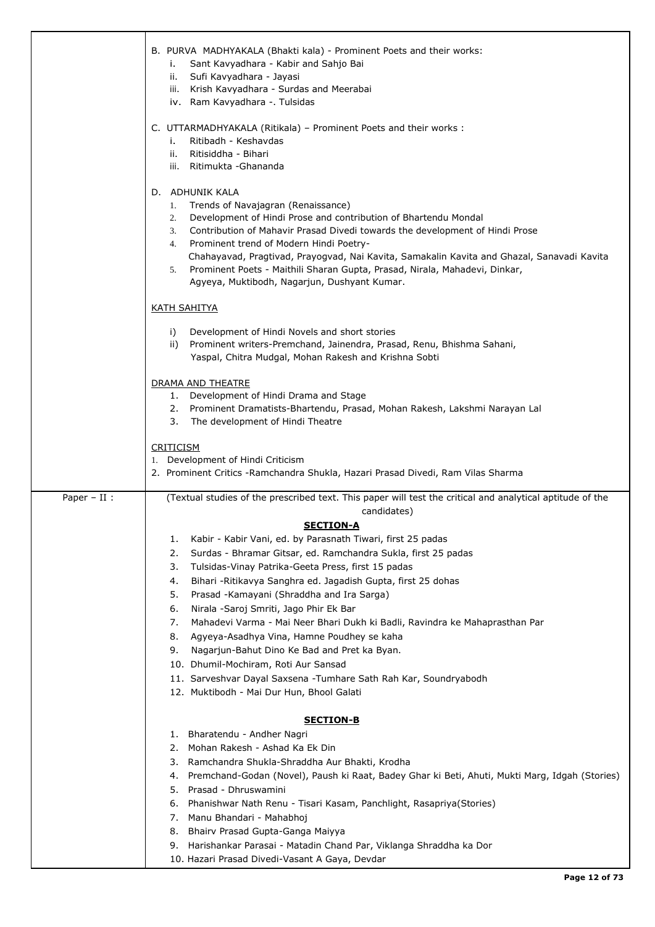|                | B. PURVA MADHYAKALA (Bhakti kala) - Prominent Poets and their works:<br>Sant Kavyadhara - Kabir and Sahjo Bai<br>i.<br>ii. Sufi Kavyadhara - Jayasi<br>iii. Krish Kavyadhara - Surdas and Meerabai<br>iv. Ram Kavyadhara -. Tulsidas<br>C. UTTARMADHYAKALA (Ritikala) - Prominent Poets and their works :<br>Ritibadh - Keshavdas<br>i.<br>ii. Ritisiddha - Bihari<br>iii. Ritimukta - Ghananda<br>D. ADHUNIK KALA<br>Trends of Navajagran (Renaissance)<br>1.<br>Development of Hindi Prose and contribution of Bhartendu Mondal<br>2.<br>Contribution of Mahavir Prasad Divedi towards the development of Hindi Prose<br>3.<br>4. Prominent trend of Modern Hindi Poetry-<br>Chahayavad, Pragtivad, Prayogvad, Nai Kavita, Samakalin Kavita and Ghazal, Sanavadi Kavita |
|----------------|---------------------------------------------------------------------------------------------------------------------------------------------------------------------------------------------------------------------------------------------------------------------------------------------------------------------------------------------------------------------------------------------------------------------------------------------------------------------------------------------------------------------------------------------------------------------------------------------------------------------------------------------------------------------------------------------------------------------------------------------------------------------------|
|                | Prominent Poets - Maithili Sharan Gupta, Prasad, Nirala, Mahadevi, Dinkar,<br>5.<br>Agyeya, Muktibodh, Nagarjun, Dushyant Kumar.                                                                                                                                                                                                                                                                                                                                                                                                                                                                                                                                                                                                                                          |
|                | <b>KATH SAHITYA</b><br>Development of Hindi Novels and short stories<br>i)<br>Prominent writers-Premchand, Jainendra, Prasad, Renu, Bhishma Sahani,<br>ii)<br>Yaspal, Chitra Mudgal, Mohan Rakesh and Krishna Sobti                                                                                                                                                                                                                                                                                                                                                                                                                                                                                                                                                       |
|                | DRAMA AND THEATRE<br>1. Development of Hindi Drama and Stage<br>2. Prominent Dramatists-Bhartendu, Prasad, Mohan Rakesh, Lakshmi Narayan Lal<br>3. The development of Hindi Theatre                                                                                                                                                                                                                                                                                                                                                                                                                                                                                                                                                                                       |
|                | <b>CRITICISM</b><br>1. Development of Hindi Criticism<br>2. Prominent Critics - Ramchandra Shukla, Hazari Prasad Divedi, Ram Vilas Sharma                                                                                                                                                                                                                                                                                                                                                                                                                                                                                                                                                                                                                                 |
| Paper $-$ II : | (Textual studies of the prescribed text. This paper will test the critical and analytical aptitude of the<br>candidates)                                                                                                                                                                                                                                                                                                                                                                                                                                                                                                                                                                                                                                                  |
|                | <b>SECTION-A</b>                                                                                                                                                                                                                                                                                                                                                                                                                                                                                                                                                                                                                                                                                                                                                          |
|                | Kabir - Kabir Vani, ed. by Parasnath Tiwari, first 25 padas<br>ı.                                                                                                                                                                                                                                                                                                                                                                                                                                                                                                                                                                                                                                                                                                         |
|                | Surdas - Bhramar Gitsar, ed. Ramchandra Sukla, first 25 padas<br>2.<br>3.<br>Tulsidas-Vinay Patrika-Geeta Press, first 15 padas                                                                                                                                                                                                                                                                                                                                                                                                                                                                                                                                                                                                                                           |
|                | Bihari -Ritikavya Sanghra ed. Jagadish Gupta, first 25 dohas<br>4.                                                                                                                                                                                                                                                                                                                                                                                                                                                                                                                                                                                                                                                                                                        |
|                | Prasad -Kamayani (Shraddha and Ira Sarga)<br>5.                                                                                                                                                                                                                                                                                                                                                                                                                                                                                                                                                                                                                                                                                                                           |
|                | Nirala -Saroj Smriti, Jago Phir Ek Bar<br>6.                                                                                                                                                                                                                                                                                                                                                                                                                                                                                                                                                                                                                                                                                                                              |
|                | Mahadevi Varma - Mai Neer Bhari Dukh ki Badli, Ravindra ke Mahaprasthan Par<br>7.                                                                                                                                                                                                                                                                                                                                                                                                                                                                                                                                                                                                                                                                                         |
|                | Agyeya-Asadhya Vina, Hamne Poudhey se kaha<br>8.<br>Nagarjun-Bahut Dino Ke Bad and Pret ka Byan.<br>9.                                                                                                                                                                                                                                                                                                                                                                                                                                                                                                                                                                                                                                                                    |
|                | 10. Dhumil-Mochiram, Roti Aur Sansad                                                                                                                                                                                                                                                                                                                                                                                                                                                                                                                                                                                                                                                                                                                                      |
|                | 11. Sarveshvar Dayal Saxsena - Tumhare Sath Rah Kar, Soundryabodh<br>12. Muktibodh - Mai Dur Hun, Bhool Galati                                                                                                                                                                                                                                                                                                                                                                                                                                                                                                                                                                                                                                                            |
|                | <b>SECTION-B</b>                                                                                                                                                                                                                                                                                                                                                                                                                                                                                                                                                                                                                                                                                                                                                          |
|                | 1. Bharatendu - Andher Nagri                                                                                                                                                                                                                                                                                                                                                                                                                                                                                                                                                                                                                                                                                                                                              |
|                | 2. Mohan Rakesh - Ashad Ka Ek Din<br>3. Ramchandra Shukla-Shraddha Aur Bhakti, Krodha                                                                                                                                                                                                                                                                                                                                                                                                                                                                                                                                                                                                                                                                                     |
|                | 4. Premchand-Godan (Novel), Paush ki Raat, Badey Ghar ki Beti, Ahuti, Mukti Marg, Idgah (Stories)                                                                                                                                                                                                                                                                                                                                                                                                                                                                                                                                                                                                                                                                         |
|                | 5. Prasad - Dhruswamini                                                                                                                                                                                                                                                                                                                                                                                                                                                                                                                                                                                                                                                                                                                                                   |
|                | 6. Phanishwar Nath Renu - Tisari Kasam, Panchlight, Rasapriya (Stories)                                                                                                                                                                                                                                                                                                                                                                                                                                                                                                                                                                                                                                                                                                   |
|                | 7. Manu Bhandari - Mahabhoj<br>8. Bhairv Prasad Gupta-Ganga Maiyya                                                                                                                                                                                                                                                                                                                                                                                                                                                                                                                                                                                                                                                                                                        |
|                | 9. Harishankar Parasai - Matadin Chand Par, Viklanga Shraddha ka Dor                                                                                                                                                                                                                                                                                                                                                                                                                                                                                                                                                                                                                                                                                                      |
|                | 10. Hazari Prasad Divedi-Vasant A Gaya, Devdar                                                                                                                                                                                                                                                                                                                                                                                                                                                                                                                                                                                                                                                                                                                            |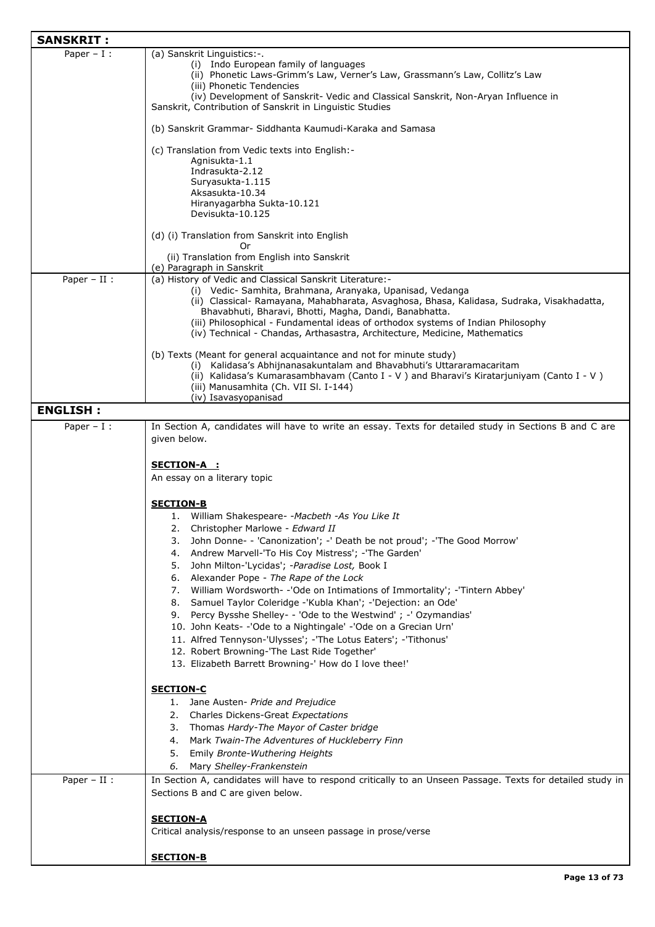| <b>SANSKRIT:</b> |                                                                                                                                                                                                                                                                                                                                                                                                                                                                                                                                                                                                                                                                                                                                                                                                                                                                                                                   |
|------------------|-------------------------------------------------------------------------------------------------------------------------------------------------------------------------------------------------------------------------------------------------------------------------------------------------------------------------------------------------------------------------------------------------------------------------------------------------------------------------------------------------------------------------------------------------------------------------------------------------------------------------------------------------------------------------------------------------------------------------------------------------------------------------------------------------------------------------------------------------------------------------------------------------------------------|
| Paper $-1$ :     | (a) Sanskrit Linguistics:-.<br>(i) Indo European family of languages<br>(ii) Phonetic Laws-Grimm's Law, Verner's Law, Grassmann's Law, Collitz's Law<br>(iii) Phonetic Tendencies<br>(iv) Development of Sanskrit- Vedic and Classical Sanskrit, Non-Aryan Influence in<br>Sanskrit, Contribution of Sanskrit in Linguistic Studies                                                                                                                                                                                                                                                                                                                                                                                                                                                                                                                                                                               |
|                  | (b) Sanskrit Grammar- Siddhanta Kaumudi-Karaka and Samasa                                                                                                                                                                                                                                                                                                                                                                                                                                                                                                                                                                                                                                                                                                                                                                                                                                                         |
|                  | (c) Translation from Vedic texts into English:-<br>Agnisukta-1.1<br>Indrasukta-2.12<br>Suryasukta-1.115<br>Aksasukta-10.34<br>Hiranyagarbha Sukta-10.121<br>Devisukta-10.125                                                                                                                                                                                                                                                                                                                                                                                                                                                                                                                                                                                                                                                                                                                                      |
|                  | (d) (i) Translation from Sanskrit into English<br>Or<br>(ii) Translation from English into Sanskrit                                                                                                                                                                                                                                                                                                                                                                                                                                                                                                                                                                                                                                                                                                                                                                                                               |
| Paper $-$ II :   | (e) Paragraph in Sanskrit<br>(a) History of Vedic and Classical Sanskrit Literature:-<br>(i) Vedic- Samhita, Brahmana, Aranyaka, Upanisad, Vedanga<br>(ii) Classical- Ramayana, Mahabharata, Asvaghosa, Bhasa, Kalidasa, Sudraka, Visakhadatta,<br>Bhavabhuti, Bharavi, Bhotti, Magha, Dandi, Banabhatta.<br>(iii) Philosophical - Fundamental ideas of orthodox systems of Indian Philosophy<br>(iv) Technical - Chandas, Arthasastra, Architecture, Medicine, Mathematics                                                                                                                                                                                                                                                                                                                                                                                                                                       |
|                  | (b) Texts (Meant for general acquaintance and not for minute study)<br>(i) Kalidasa's Abhijnanasakuntalam and Bhavabhuti's Uttararamacaritam<br>(ii) Kalidasa's Kumarasambhavam (Canto I - V) and Bharavi's Kiratarjuniyam (Canto I - V)<br>(iii) Manusamhita (Ch. VII Sl. I-144)<br>(iv) Isavasyopanisad                                                                                                                                                                                                                                                                                                                                                                                                                                                                                                                                                                                                         |
| <b>ENGLISH:</b>  |                                                                                                                                                                                                                                                                                                                                                                                                                                                                                                                                                                                                                                                                                                                                                                                                                                                                                                                   |
| Paper $- I$ :    | In Section A, candidates will have to write an essay. Texts for detailed study in Sections B and C are<br>given below.<br><b>SECTION-A :</b><br>An essay on a literary topic<br><u>SECTION-B</u><br>1. William Shakespeare - - Macbeth - As You Like It<br>Christopher Marlowe - Edward II<br>z.<br>John Donne- - 'Canonization'; -' Death be not proud'; -'The Good Morrow'<br>3.<br>4. Andrew Marvell-'To His Coy Mistress'; -'The Garden'<br>John Milton-'Lycidas'; -Paradise Lost, Book I<br>5.<br>6. Alexander Pope - The Rape of the Lock<br>7. William Wordsworth--'Ode on Intimations of Immortality'; -'Tintern Abbey'<br>Samuel Taylor Coleridge -'Kubla Khan'; -'Dejection: an Ode'<br>8.<br>Percy Bysshe Shelley - - 'Ode to the Westwind'; -' Ozymandias'<br>9.<br>10. John Keats--'Ode to a Nightingale' -'Ode on a Grecian Urn'<br>11. Alfred Tennyson-'Ulysses'; -'The Lotus Eaters'; -'Tithonus' |
|                  | 12. Robert Browning-'The Last Ride Together'<br>13. Elizabeth Barrett Browning-' How do I love thee!'<br><b>SECTION-C</b><br>1. Jane Austen- Pride and Prejudice<br>2. Charles Dickens-Great Expectations<br>3. Thomas Hardy-The Mayor of Caster bridge<br>4. Mark Twain-The Adventures of Huckleberry Finn<br>5.<br>Emily Bronte-Wuthering Heights<br>Mary Shelley-Frankenstein<br>6.                                                                                                                                                                                                                                                                                                                                                                                                                                                                                                                            |
| Paper $-$ II :   | In Section A, candidates will have to respond critically to an Unseen Passage. Texts for detailed study in<br>Sections B and C are given below.<br><b>SECTION-A</b><br>Critical analysis/response to an unseen passage in prose/verse<br><b>SECTION-B</b>                                                                                                                                                                                                                                                                                                                                                                                                                                                                                                                                                                                                                                                         |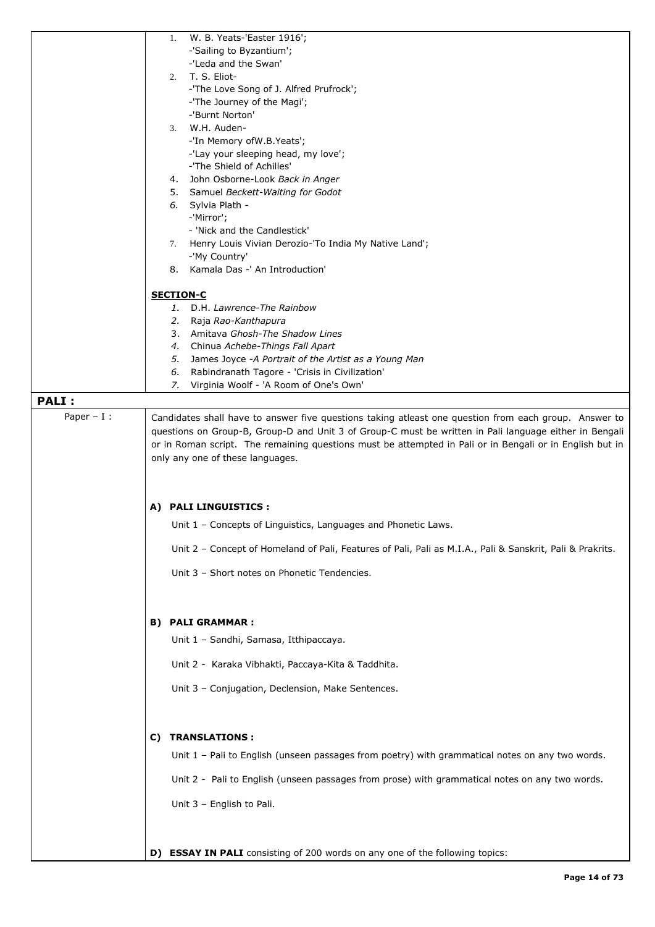|               | W. B. Yeats-'Easter 1916';<br>1.                                                                          |
|---------------|-----------------------------------------------------------------------------------------------------------|
|               | -'Sailing to Byzantium';                                                                                  |
|               |                                                                                                           |
|               | -'Leda and the Swan'                                                                                      |
|               | T. S. Eliot-<br>2.                                                                                        |
|               | -'The Love Song of J. Alfred Prufrock';                                                                   |
|               | -'The Journey of the Magi';                                                                               |
|               |                                                                                                           |
|               | -'Burnt Norton'                                                                                           |
|               | W.H. Auden-<br>3.                                                                                         |
|               | -'In Memory ofW.B.Yeats';                                                                                 |
|               |                                                                                                           |
|               | -'Lay your sleeping head, my love';                                                                       |
|               | -'The Shield of Achilles'                                                                                 |
|               | John Osborne-Look Back in Anger<br>4.                                                                     |
|               | 5. Samuel Beckett-Waiting for Godot                                                                       |
|               |                                                                                                           |
|               | 6. Sylvia Plath -                                                                                         |
|               | -'Mirror';                                                                                                |
|               | - 'Nick and the Candlestick'                                                                              |
|               | Henry Louis Vivian Derozio-'To India My Native Land';<br>7.                                               |
|               |                                                                                                           |
|               | -'My Country'                                                                                             |
|               | 8. Kamala Das -' An Introduction'                                                                         |
|               |                                                                                                           |
|               |                                                                                                           |
|               | <b>SECTION-C</b>                                                                                          |
|               | 1. D.H. Lawrence-The Rainbow                                                                              |
|               | Raja Rao-Kanthapura<br>2.                                                                                 |
|               | 3. Amitava Ghosh-The Shadow Lines                                                                         |
|               |                                                                                                           |
|               | 4. Chinua Achebe-Things Fall Apart                                                                        |
|               | James Joyce - A Portrait of the Artist as a Young Man<br>5.                                               |
|               | Rabindranath Tagore - 'Crisis in Civilization'<br>6.                                                      |
|               |                                                                                                           |
|               | 7.<br>Virginia Woolf - 'A Room of One's Own'                                                              |
| <b>PALI:</b>  |                                                                                                           |
|               |                                                                                                           |
| Paper $- I$ : | Candidates shall have to answer five questions taking atleast one question from each group. Answer to     |
|               | questions on Group-B, Group-D and Unit 3 of Group-C must be written in Pali language either in Bengali    |
|               |                                                                                                           |
|               | or in Roman script. The remaining questions must be attempted in Pali or in Bengali or in English but in  |
|               | only any one of these languages.                                                                          |
|               |                                                                                                           |
|               |                                                                                                           |
|               |                                                                                                           |
|               |                                                                                                           |
|               | A) PALI LINGUISTICS :                                                                                     |
|               |                                                                                                           |
|               |                                                                                                           |
|               | Unit 1 - Concepts of Linguistics, Languages and Phonetic Laws.                                            |
|               |                                                                                                           |
|               | Unit 2 - Concept of Homeland of Pali, Features of Pali, Pali as M.I.A., Pali & Sanskrit, Pali & Prakrits. |
|               |                                                                                                           |
|               |                                                                                                           |
|               | Unit 3 - Short notes on Phonetic Tendencies.                                                              |
|               |                                                                                                           |
|               |                                                                                                           |
|               |                                                                                                           |
|               |                                                                                                           |
|               | <b>B) PALI GRAMMAR:</b>                                                                                   |
|               |                                                                                                           |
|               | Unit 1 - Sandhi, Samasa, Itthipaccaya.                                                                    |
|               |                                                                                                           |
|               | Unit 2 - Karaka Vibhakti, Paccaya-Kita & Taddhita.                                                        |
|               |                                                                                                           |
|               | Unit 3 - Conjugation, Declension, Make Sentences.                                                         |
|               |                                                                                                           |
|               |                                                                                                           |
|               |                                                                                                           |
|               |                                                                                                           |
|               | <b>TRANSLATIONS:</b><br>C)                                                                                |
|               |                                                                                                           |
|               | Unit 1 - Pali to English (unseen passages from poetry) with grammatical notes on any two words.           |
|               |                                                                                                           |
|               | Unit 2 - Pali to English (unseen passages from prose) with grammatical notes on any two words.            |
|               |                                                                                                           |
|               |                                                                                                           |
|               | Unit 3 - English to Pali.                                                                                 |
|               |                                                                                                           |
|               |                                                                                                           |
|               |                                                                                                           |
|               | D) ESSAY IN PALI consisting of 200 words on any one of the following topics:                              |

×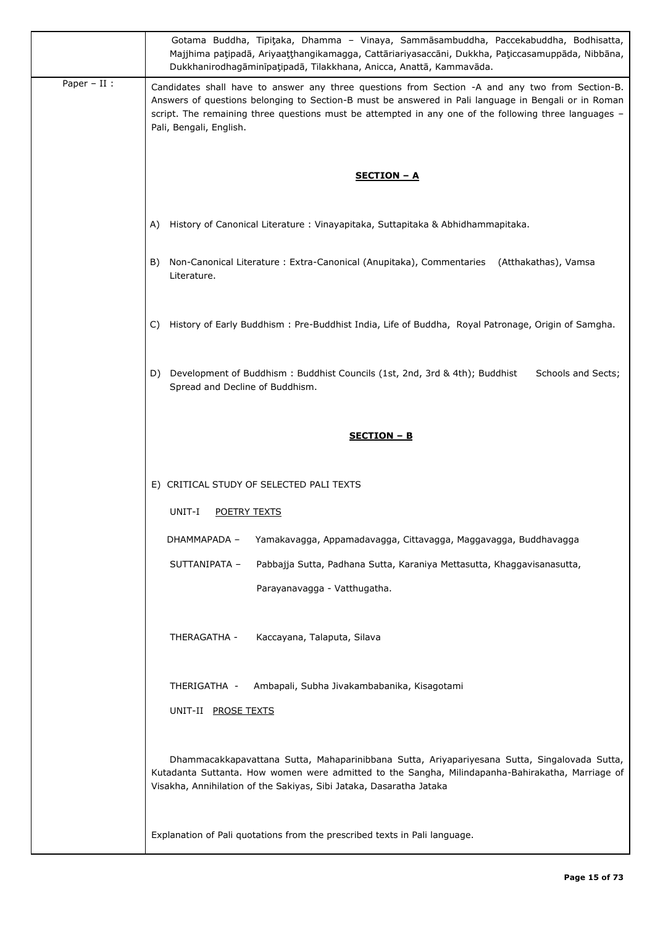|                | Gotama Buddha, Tipitaka, Dhamma - Vinaya, Sammāsambuddha, Paccekabuddha, Bodhisatta,<br>Majjhima paţipadā, Ariyaaţţhangikamagga, Cattāriariyasaccāni, Dukkha, Paţiccasamuppāda, Nibbāna,<br>Dukkhanirodhagāminīpaţipadā, Tilakkhana, Anicca, Anattā, Kammavāda.                                                                             |
|----------------|---------------------------------------------------------------------------------------------------------------------------------------------------------------------------------------------------------------------------------------------------------------------------------------------------------------------------------------------|
| Paper $-$ II : | Candidates shall have to answer any three questions from Section -A and any two from Section-B.<br>Answers of questions belonging to Section-B must be answered in Pali language in Bengali or in Roman<br>script. The remaining three questions must be attempted in any one of the following three languages -<br>Pali, Bengali, English. |
|                | <u>SECTION – A</u>                                                                                                                                                                                                                                                                                                                          |
|                | History of Canonical Literature: Vinayapitaka, Suttapitaka & Abhidhammapitaka.<br>A)                                                                                                                                                                                                                                                        |
|                | Non-Canonical Literature: Extra-Canonical (Anupitaka), Commentaries<br>(Atthakathas), Vamsa<br>B)<br>Literature.                                                                                                                                                                                                                            |
|                | History of Early Buddhism: Pre-Buddhist India, Life of Buddha, Royal Patronage, Origin of Samgha.<br>C)                                                                                                                                                                                                                                     |
|                | D) Development of Buddhism: Buddhist Councils (1st, 2nd, 3rd & 4th); Buddhist<br>Schools and Sects;<br>Spread and Decline of Buddhism.                                                                                                                                                                                                      |
|                | <u>SECTION – B</u>                                                                                                                                                                                                                                                                                                                          |
|                | E) CRITICAL STUDY OF SELECTED PALI TEXTS                                                                                                                                                                                                                                                                                                    |
|                | UNIT-I<br><b>POETRY TEXTS</b>                                                                                                                                                                                                                                                                                                               |
|                | DHAMMAPADA -<br>Yamakavagga, Appamadavagga, Cittavagga, Maggavagga, Buddhavagga                                                                                                                                                                                                                                                             |
|                | SUTTANIPATA -<br>Pabbajja Sutta, Padhana Sutta, Karaniya Mettasutta, Khaggavisanasutta,                                                                                                                                                                                                                                                     |
|                | Parayanavagga - Vatthugatha.                                                                                                                                                                                                                                                                                                                |
|                | THERAGATHA -<br>Kaccayana, Talaputa, Silava                                                                                                                                                                                                                                                                                                 |
|                | THERIGATHA -<br>Ambapali, Subha Jivakambabanika, Kisagotami                                                                                                                                                                                                                                                                                 |
|                | UNIT-II PROSE TEXTS                                                                                                                                                                                                                                                                                                                         |
|                | Dhammacakkapavattana Sutta, Mahaparinibbana Sutta, Ariyapariyesana Sutta, Singalovada Sutta,<br>Kutadanta Suttanta. How women were admitted to the Sangha, Milindapanha-Bahirakatha, Marriage of<br>Visakha, Annihilation of the Sakiyas, Sibi Jataka, Dasaratha Jataka                                                                     |
|                | Explanation of Pali quotations from the prescribed texts in Pali language.                                                                                                                                                                                                                                                                  |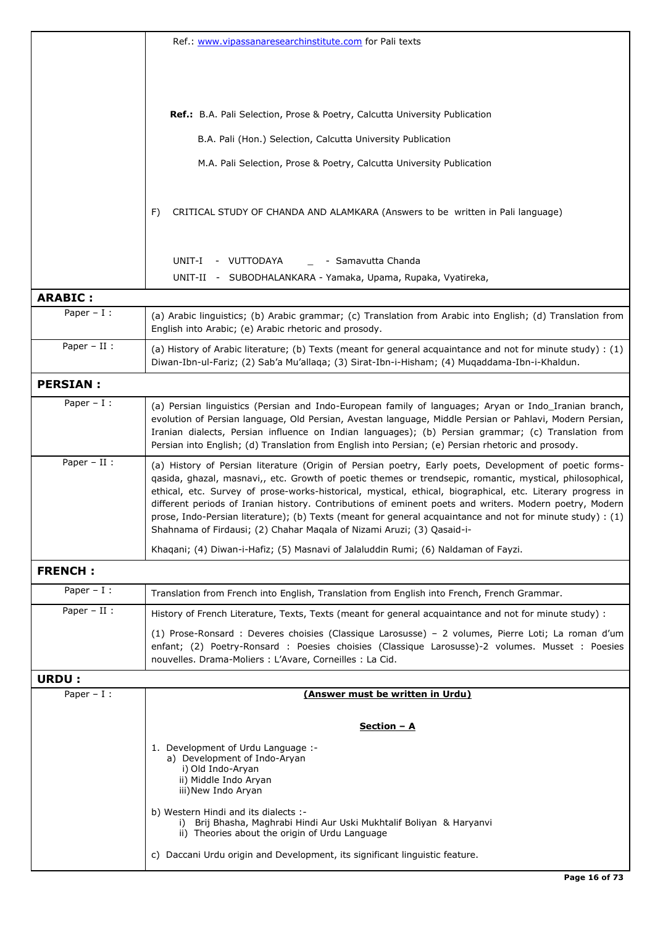|                 | Ref.: www.vipassanaresearchinstitute.com for Pali texts                                                                                                                                                                                                                                                                                                                                                                                                                                                                                                                                                                             |
|-----------------|-------------------------------------------------------------------------------------------------------------------------------------------------------------------------------------------------------------------------------------------------------------------------------------------------------------------------------------------------------------------------------------------------------------------------------------------------------------------------------------------------------------------------------------------------------------------------------------------------------------------------------------|
|                 |                                                                                                                                                                                                                                                                                                                                                                                                                                                                                                                                                                                                                                     |
|                 |                                                                                                                                                                                                                                                                                                                                                                                                                                                                                                                                                                                                                                     |
|                 |                                                                                                                                                                                                                                                                                                                                                                                                                                                                                                                                                                                                                                     |
|                 | Ref.: B.A. Pali Selection, Prose & Poetry, Calcutta University Publication                                                                                                                                                                                                                                                                                                                                                                                                                                                                                                                                                          |
|                 | B.A. Pali (Hon.) Selection, Calcutta University Publication                                                                                                                                                                                                                                                                                                                                                                                                                                                                                                                                                                         |
|                 | M.A. Pali Selection, Prose & Poetry, Calcutta University Publication                                                                                                                                                                                                                                                                                                                                                                                                                                                                                                                                                                |
|                 |                                                                                                                                                                                                                                                                                                                                                                                                                                                                                                                                                                                                                                     |
|                 | F)<br>CRITICAL STUDY OF CHANDA AND ALAMKARA (Answers to be written in Pali language)                                                                                                                                                                                                                                                                                                                                                                                                                                                                                                                                                |
|                 |                                                                                                                                                                                                                                                                                                                                                                                                                                                                                                                                                                                                                                     |
|                 | - Samavutta Chanda<br>UNIT-I - VUTTODAYA                                                                                                                                                                                                                                                                                                                                                                                                                                                                                                                                                                                            |
|                 | UNIT-II - SUBODHALANKARA - Yamaka, Upama, Rupaka, Vyatireka,                                                                                                                                                                                                                                                                                                                                                                                                                                                                                                                                                                        |
| <b>ARABIC:</b>  |                                                                                                                                                                                                                                                                                                                                                                                                                                                                                                                                                                                                                                     |
| Paper $- I$ :   | (a) Arabic linguistics; (b) Arabic grammar; (c) Translation from Arabic into English; (d) Translation from<br>English into Arabic; (e) Arabic rhetoric and prosody.                                                                                                                                                                                                                                                                                                                                                                                                                                                                 |
| Paper $-$ II :  | (a) History of Arabic literature; (b) Texts (meant for general acquaintance and not for minute study) : (1)<br>Diwan-Ibn-ul-Fariz; (2) Sab'a Mu'allaqa; (3) Sirat-Ibn-i-Hisham; (4) Muqaddama-Ibn-i-Khaldun.                                                                                                                                                                                                                                                                                                                                                                                                                        |
| <b>PERSIAN:</b> |                                                                                                                                                                                                                                                                                                                                                                                                                                                                                                                                                                                                                                     |
| Paper $-1$ :    | (a) Persian linguistics (Persian and Indo-European family of languages; Aryan or Indo_Iranian branch,<br>evolution of Persian language, Old Persian, Avestan language, Middle Persian or Pahlavi, Modern Persian,<br>Iranian dialects, Persian influence on Indian languages); (b) Persian grammar; (c) Translation from<br>Persian into English; (d) Translation from English into Persian; (e) Persian rhetoric and prosody.                                                                                                                                                                                                      |
| Paper – $II$ :  | (a) History of Persian literature (Origin of Persian poetry, Early poets, Development of poetic forms-<br>qasida, ghazal, masnavi,, etc. Growth of poetic themes or trendsepic, romantic, mystical, philosophical,<br>ethical, etc. Survey of prose-works-historical, mystical, ethical, biographical, etc. Literary progress in<br>different periods of Iranian history. Contributions of eminent poets and writers. Modern poetry, Modern<br>prose, Indo-Persian literature); (b) Texts (meant for general acquaintance and not for minute study) : (1)<br>Shahnama of Firdausi; (2) Chahar Maqala of Nizami Aruzi; (3) Qasaid-i- |
|                 | Khaqani; (4) Diwan-i-Hafiz; (5) Masnavi of Jalaluddin Rumi; (6) Naldaman of Fayzi.                                                                                                                                                                                                                                                                                                                                                                                                                                                                                                                                                  |
| <b>FRENCH:</b>  |                                                                                                                                                                                                                                                                                                                                                                                                                                                                                                                                                                                                                                     |
| Paper $-1$ :    | Translation from French into English, Translation from English into French, French Grammar.                                                                                                                                                                                                                                                                                                                                                                                                                                                                                                                                         |
| Paper $-$ II :  | History of French Literature, Texts, Texts (meant for general acquaintance and not for minute study) :                                                                                                                                                                                                                                                                                                                                                                                                                                                                                                                              |
|                 | (1) Prose-Ronsard : Deveres choisies (Classique Larosusse) - 2 volumes, Pierre Loti; La roman d'um<br>enfant; (2) Poetry-Ronsard : Poesies choisies (Classique Larosusse)-2 volumes. Musset : Poesies<br>nouvelles. Drama-Moliers : L'Avare, Corneilles : La Cid.                                                                                                                                                                                                                                                                                                                                                                   |
| <b>URDU:</b>    |                                                                                                                                                                                                                                                                                                                                                                                                                                                                                                                                                                                                                                     |
| Paper $-1$ :    | (Answer must be written in Urdu)                                                                                                                                                                                                                                                                                                                                                                                                                                                                                                                                                                                                    |
|                 | <u>Section - A</u>                                                                                                                                                                                                                                                                                                                                                                                                                                                                                                                                                                                                                  |
|                 | 1. Development of Urdu Language :-<br>a) Development of Indo-Aryan<br>i) Old Indo-Aryan<br>ii) Middle Indo Aryan<br>iii) New Indo Aryan                                                                                                                                                                                                                                                                                                                                                                                                                                                                                             |
|                 | b) Western Hindi and its dialects :-<br>i) Brij Bhasha, Maghrabi Hindi Aur Uski Mukhtalif Boliyan & Haryanvi<br>ii) Theories about the origin of Urdu Language                                                                                                                                                                                                                                                                                                                                                                                                                                                                      |
|                 | c) Daccani Urdu origin and Development, its significant linguistic feature.                                                                                                                                                                                                                                                                                                                                                                                                                                                                                                                                                         |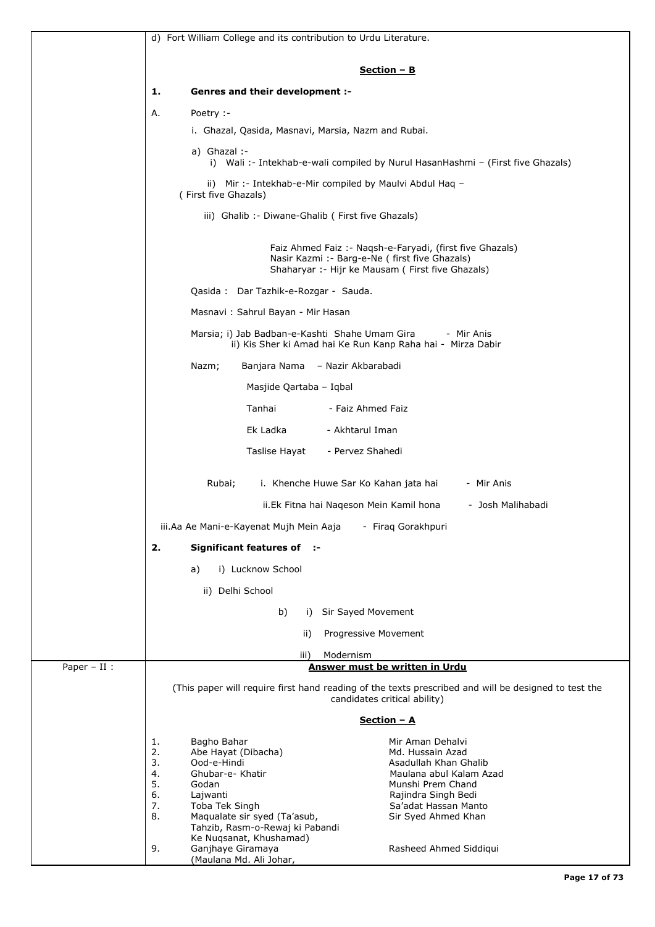|                | d) Fort William College and its contribution to Urdu Literature.                                                                                                                                                                                                                                                                                                                                                                                                                                       |
|----------------|--------------------------------------------------------------------------------------------------------------------------------------------------------------------------------------------------------------------------------------------------------------------------------------------------------------------------------------------------------------------------------------------------------------------------------------------------------------------------------------------------------|
|                |                                                                                                                                                                                                                                                                                                                                                                                                                                                                                                        |
|                | $Section - B$                                                                                                                                                                                                                                                                                                                                                                                                                                                                                          |
|                | 1.<br><b>Genres and their development :-</b>                                                                                                                                                                                                                                                                                                                                                                                                                                                           |
|                | Α.<br>Poetry :-                                                                                                                                                                                                                                                                                                                                                                                                                                                                                        |
|                | i. Ghazal, Qasida, Masnavi, Marsia, Nazm and Rubai.                                                                                                                                                                                                                                                                                                                                                                                                                                                    |
|                | a) Ghazal :-<br>i) Wali: - Intekhab-e-wali compiled by Nurul HasanHashmi - (First five Ghazals)                                                                                                                                                                                                                                                                                                                                                                                                        |
|                | ii) Mir :- Intekhab-e-Mir compiled by Maulvi Abdul Haq -<br>(First five Ghazals)                                                                                                                                                                                                                                                                                                                                                                                                                       |
|                | iii) Ghalib : - Diwane-Ghalib ( First five Ghazals)                                                                                                                                                                                                                                                                                                                                                                                                                                                    |
|                | Faiz Ahmed Faiz : - Naqsh-e-Faryadi, (first five Ghazals)<br>Nasir Kazmi :- Barg-e-Ne ( first five Ghazals)<br>Shaharyar : - Hijr ke Mausam ( First five Ghazals)                                                                                                                                                                                                                                                                                                                                      |
|                | Qasida: Dar Tazhik-e-Rozgar - Sauda.                                                                                                                                                                                                                                                                                                                                                                                                                                                                   |
|                | Masnavi: Sahrul Bayan - Mir Hasan                                                                                                                                                                                                                                                                                                                                                                                                                                                                      |
|                | Marsia; i) Jab Badban-e-Kashti Shahe Umam Gira<br>- Mir Anis<br>ii) Kis Sher ki Amad hai Ke Run Kanp Raha hai - Mirza Dabir                                                                                                                                                                                                                                                                                                                                                                            |
|                | Banjara Nama - Nazir Akbarabadi<br>Nazm;                                                                                                                                                                                                                                                                                                                                                                                                                                                               |
|                | Masjide Qartaba - Iqbal                                                                                                                                                                                                                                                                                                                                                                                                                                                                                |
|                | - Faiz Ahmed Faiz<br>Tanhai                                                                                                                                                                                                                                                                                                                                                                                                                                                                            |
|                | - Akhtarul Iman<br>Ek Ladka                                                                                                                                                                                                                                                                                                                                                                                                                                                                            |
|                | Taslise Hayat<br>- Pervez Shahedi                                                                                                                                                                                                                                                                                                                                                                                                                                                                      |
|                | Rubai;<br>i. Khenche Huwe Sar Ko Kahan jata hai<br>- Mir Anis                                                                                                                                                                                                                                                                                                                                                                                                                                          |
|                | - Josh Malihabadi<br>ii.Ek Fitna hai Nageson Mein Kamil hona                                                                                                                                                                                                                                                                                                                                                                                                                                           |
|                | iii. Aa Ae Mani-e-Kayenat Mujh Mein Aaja<br>- Firaq Gorakhpuri                                                                                                                                                                                                                                                                                                                                                                                                                                         |
|                | 2.<br><b>Significant features of</b><br>- 14                                                                                                                                                                                                                                                                                                                                                                                                                                                           |
|                | i) Lucknow School<br>a)                                                                                                                                                                                                                                                                                                                                                                                                                                                                                |
|                | ii) Delhi School                                                                                                                                                                                                                                                                                                                                                                                                                                                                                       |
|                | b)<br>Sir Sayed Movement<br>i)                                                                                                                                                                                                                                                                                                                                                                                                                                                                         |
|                | Progressive Movement<br>ii)                                                                                                                                                                                                                                                                                                                                                                                                                                                                            |
|                | Modernism<br>iii)                                                                                                                                                                                                                                                                                                                                                                                                                                                                                      |
| Paper $-$ II : | Answer must be written in Urdu                                                                                                                                                                                                                                                                                                                                                                                                                                                                         |
|                | (This paper will require first hand reading of the texts prescribed and will be designed to test the<br>candidates critical ability)                                                                                                                                                                                                                                                                                                                                                                   |
|                | <u>Section - A</u>                                                                                                                                                                                                                                                                                                                                                                                                                                                                                     |
|                | Bagho Bahar<br>Mir Aman Dehalvi<br>1.<br>2.<br>Md. Hussain Azad<br>Abe Hayat (Dibacha)<br>3.<br>Ood-e-Hindi<br>Asadullah Khan Ghalib<br>4.<br>Ghubar-e- Khatir<br>Maulana abul Kalam Azad<br>5.<br>Godan<br>Munshi Prem Chand<br>6.<br>Lajwanti<br>Rajindra Singh Bedi<br>7.<br>Toba Tek Singh<br>Sa'adat Hassan Manto<br>8.<br>Maqualate sir syed (Ta'asub,<br>Sir Syed Ahmed Khan<br>Tahzib, Rasm-o-Rewaj ki Pabandi<br>Ke Nuqsanat, Khushamad)<br>9.<br>Ganjhaye Giramaya<br>Rasheed Ahmed Siddiqui |
|                | (Maulana Md. Ali Johar,                                                                                                                                                                                                                                                                                                                                                                                                                                                                                |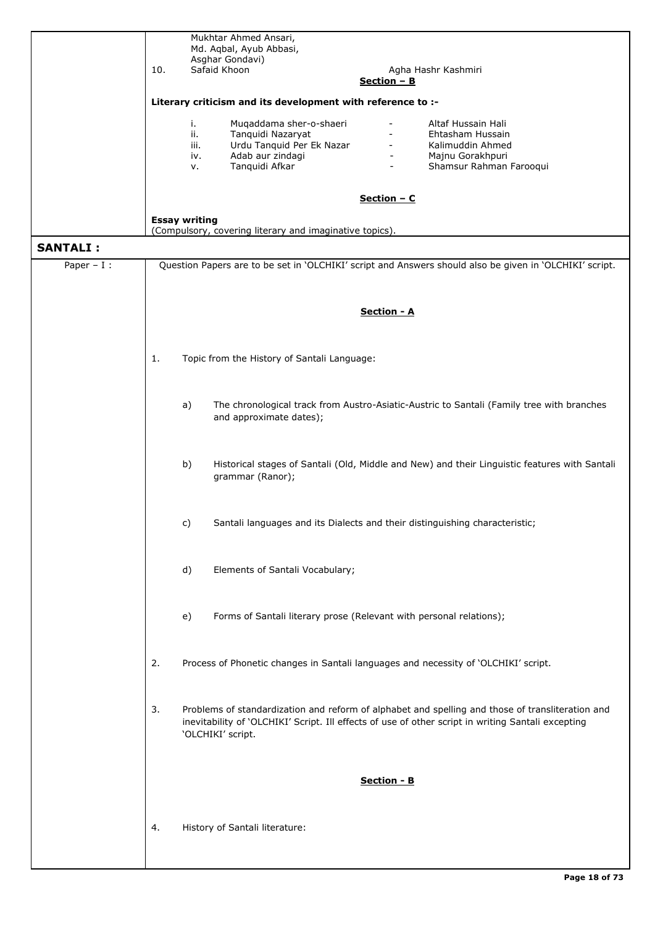|                 | Mukhtar Ahmed Ansari,                                                                                                      |
|-----------------|----------------------------------------------------------------------------------------------------------------------------|
|                 | Md. Aqbal, Ayub Abbasi,                                                                                                    |
|                 | Asghar Gondavi)                                                                                                            |
|                 | Safaid Khoon<br>Agha Hashr Kashmiri<br>10.<br>$Section - B$                                                                |
|                 |                                                                                                                            |
|                 | Literary criticism and its development with reference to :-                                                                |
|                 | Muqaddama sher-o-shaeri<br>Altaf Hussain Hali<br>i.                                                                        |
|                 | Tanquidi Nazaryat<br>Ehtasham Hussain<br>ii.                                                                               |
|                 | Urdu Tanquid Per Ek Nazar<br>iii.<br>Kalimuddin Ahmed<br>$\blacksquare$<br>$\sim$                                          |
|                 | Adab aur zindagi<br>Majnu Gorakhpuri<br>iv.<br>Tanquidi Afkar<br>Shamsur Rahman Farooqui<br>ν.<br>$\overline{\phantom{a}}$ |
|                 |                                                                                                                            |
|                 |                                                                                                                            |
|                 | $Section - C$                                                                                                              |
|                 | <b>Essay writing</b>                                                                                                       |
|                 | (Compulsory, covering literary and imaginative topics).                                                                    |
| <b>SANTALI:</b> |                                                                                                                            |
| Paper $- I$ :   | Question Papers are to be set in 'OLCHIKI' script and Answers should also be given in 'OLCHIKI' script.                    |
|                 |                                                                                                                            |
|                 |                                                                                                                            |
|                 |                                                                                                                            |
|                 | Section - A                                                                                                                |
|                 |                                                                                                                            |
|                 |                                                                                                                            |
|                 | 1.<br>Topic from the History of Santali Language:                                                                          |
|                 |                                                                                                                            |
|                 |                                                                                                                            |
|                 |                                                                                                                            |
|                 | a)<br>The chronological track from Austro-Asiatic-Austric to Santali (Family tree with branches                            |
|                 | and approximate dates);                                                                                                    |
|                 |                                                                                                                            |
|                 |                                                                                                                            |
|                 |                                                                                                                            |
|                 | b)<br>Historical stages of Santali (Old, Middle and New) and their Linguistic features with Santali                        |
|                 | grammar (Ranor);                                                                                                           |
|                 |                                                                                                                            |
|                 |                                                                                                                            |
|                 |                                                                                                                            |
|                 | Santali languages and its Dialects and their distinguishing characteristic;<br>c)                                          |
|                 |                                                                                                                            |
|                 |                                                                                                                            |
|                 | d)                                                                                                                         |
|                 | Elements of Santali Vocabulary;                                                                                            |
|                 |                                                                                                                            |
|                 |                                                                                                                            |
|                 | e)<br>Forms of Santali literary prose (Relevant with personal relations);                                                  |
|                 |                                                                                                                            |
|                 |                                                                                                                            |
|                 |                                                                                                                            |
|                 | 2.<br>Process of Phonetic changes in Santali languages and necessity of 'OLCHIKI' script.                                  |
|                 |                                                                                                                            |
|                 |                                                                                                                            |
|                 |                                                                                                                            |
|                 | 3.<br>Problems of standardization and reform of alphabet and spelling and those of transliteration and                     |
|                 | inevitability of 'OLCHIKI' Script. Ill effects of use of other script in writing Santali excepting                         |
|                 | 'OLCHIKI' script.                                                                                                          |
|                 |                                                                                                                            |
|                 |                                                                                                                            |
|                 | Section - B                                                                                                                |
|                 |                                                                                                                            |
|                 |                                                                                                                            |
|                 |                                                                                                                            |
|                 | 4.<br>History of Santali literature:                                                                                       |
|                 |                                                                                                                            |
|                 |                                                                                                                            |
|                 |                                                                                                                            |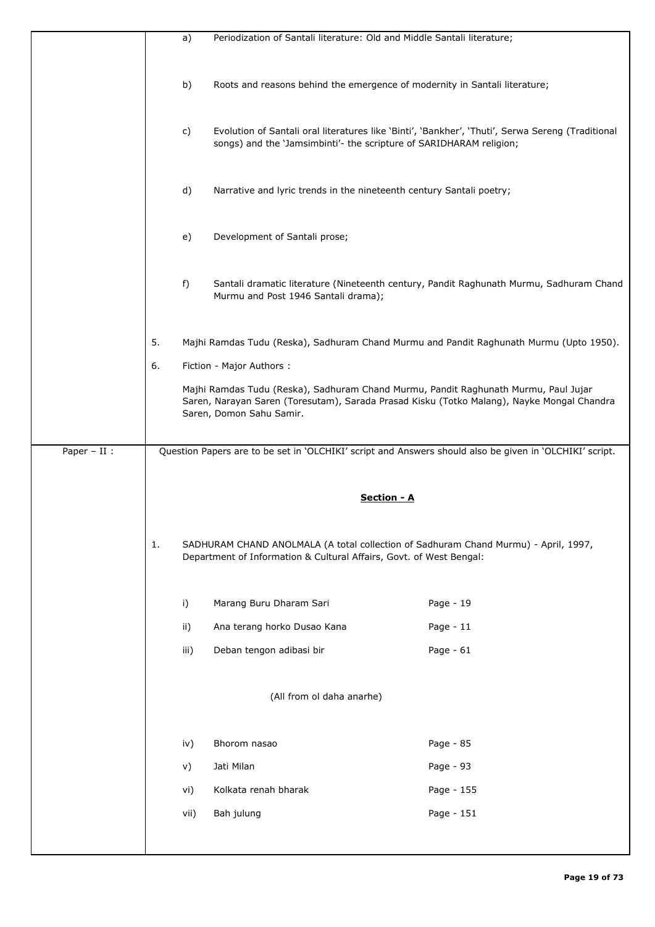|                |    | a)    | Periodization of Santali literature: Old and Middle Santali literature;                                                                                                                                       |             |
|----------------|----|-------|---------------------------------------------------------------------------------------------------------------------------------------------------------------------------------------------------------------|-------------|
|                |    | b)    | Roots and reasons behind the emergence of modernity in Santali literature;                                                                                                                                    |             |
|                |    | c)    | Evolution of Santali oral literatures like 'Binti', 'Bankher', 'Thuti', Serwa Sereng (Traditional<br>songs) and the 'Jamsimbinti'- the scripture of SARIDHARAM religion;                                      |             |
|                |    | d)    | Narrative and lyric trends in the nineteenth century Santali poetry;                                                                                                                                          |             |
|                |    | e)    | Development of Santali prose;                                                                                                                                                                                 |             |
|                |    | $f$ ) | Santali dramatic literature (Nineteenth century, Pandit Raghunath Murmu, Sadhuram Chand<br>Murmu and Post 1946 Santali drama);                                                                                |             |
|                | 5. |       | Majhi Ramdas Tudu (Reska), Sadhuram Chand Murmu and Pandit Raghunath Murmu (Upto 1950).                                                                                                                       |             |
|                | 6. |       | Fiction - Major Authors :                                                                                                                                                                                     |             |
|                |    |       | Majhi Ramdas Tudu (Reska), Sadhuram Chand Murmu, Pandit Raghunath Murmu, Paul Jujar<br>Saren, Narayan Saren (Toresutam), Sarada Prasad Kisku (Totko Malang), Nayke Mongal Chandra<br>Saren, Domon Sahu Samir. |             |
| Paper $-$ II : |    |       | Question Papers are to be set in 'OLCHIKI' script and Answers should also be given in 'OLCHIKI' script.                                                                                                       |             |
|                |    |       |                                                                                                                                                                                                               |             |
|                |    |       | Section - A                                                                                                                                                                                                   |             |
|                | 1. |       | SADHURAM CHAND ANOLMALA (A total collection of Sadhuram Chand Murmu) - April, 1997,<br>Department of Information & Cultural Affairs, Govt. of West Bengal:                                                    |             |
|                |    | i)    | Marang Buru Dharam Sari                                                                                                                                                                                       | Page - 19   |
|                |    | ii)   | Ana terang horko Dusao Kana                                                                                                                                                                                   | Page - $11$ |
|                |    | iii)  | Deban tengon adibasi bir                                                                                                                                                                                      | Page $-61$  |
|                |    |       | (All from ol daha anarhe)                                                                                                                                                                                     |             |
|                |    | iv)   | Bhorom nasao                                                                                                                                                                                                  | Page - 85   |
|                |    | V)    | Jati Milan                                                                                                                                                                                                    | Page - 93   |
|                |    | vi)   | Kolkata renah bharak                                                                                                                                                                                          | Page - 155  |
|                |    | vii)  | Bah julung                                                                                                                                                                                                    | Page - 151  |
|                |    |       |                                                                                                                                                                                                               |             |
|                |    |       |                                                                                                                                                                                                               |             |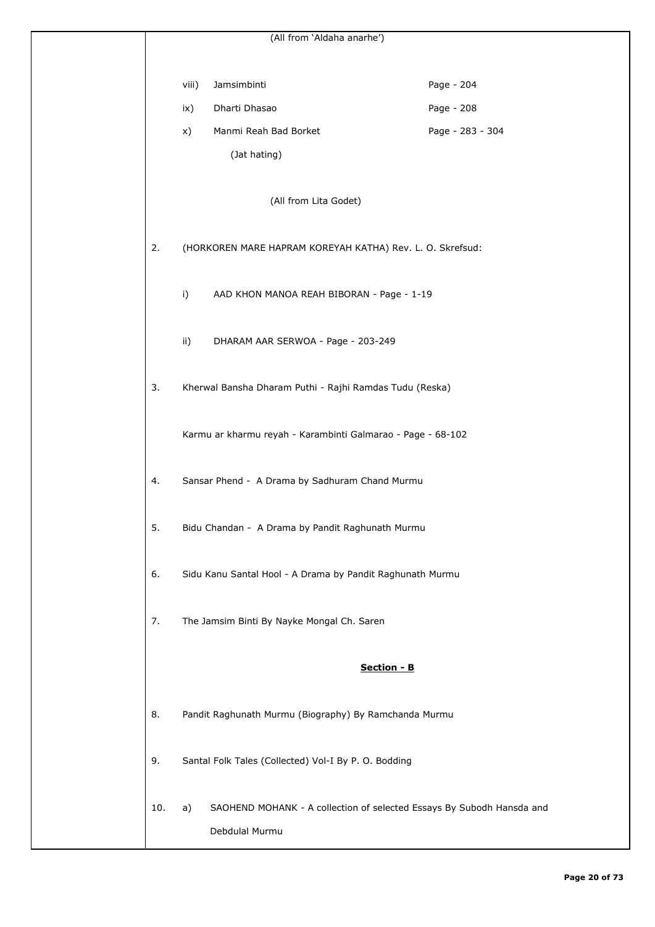|     |       | (All from 'Aldaha anarhe')                                                              |                  |
|-----|-------|-----------------------------------------------------------------------------------------|------------------|
|     |       |                                                                                         |                  |
|     | viii) | Jamsimbinti                                                                             | Page - 204       |
|     | ix)   | Dharti Dhasao                                                                           | Page - 208       |
|     | x)    | Manmi Reah Bad Borket                                                                   | Page - 283 - 304 |
|     |       | (Jat hating)                                                                            |                  |
|     |       | (All from Lita Godet)                                                                   |                  |
| 2.  |       | (HORKOREN MARE HAPRAM KOREYAH KATHA) Rev. L. O. Skrefsud:                               |                  |
|     | i)    | AAD KHON MANOA REAH BIBORAN - Page - 1-19                                               |                  |
|     | ii)   | DHARAM AAR SERWOA - Page - 203-249                                                      |                  |
| 3.  |       | Kherwal Bansha Dharam Puthi - Rajhi Ramdas Tudu (Reska)                                 |                  |
|     |       | Karmu ar kharmu reyah - Karambinti Galmarao - Page - 68-102                             |                  |
| 4.  |       | Sansar Phend - A Drama by Sadhuram Chand Murmu                                          |                  |
| 5.  |       | Bidu Chandan - A Drama by Pandit Raghunath Murmu                                        |                  |
| 6.  |       | Sidu Kanu Santal Hool - A Drama by Pandit Raghunath Murmu                               |                  |
| 7.  |       | The Jamsim Binti By Nayke Mongal Ch. Saren                                              |                  |
|     |       | Section - B                                                                             |                  |
| 8.  |       | Pandit Raghunath Murmu (Biography) By Ramchanda Murmu                                   |                  |
| 9.  |       | Santal Folk Tales (Collected) Vol-I By P. O. Bodding                                    |                  |
| 10. | a)    | SAOHEND MOHANK - A collection of selected Essays By Subodh Hansda and<br>Debdulal Murmu |                  |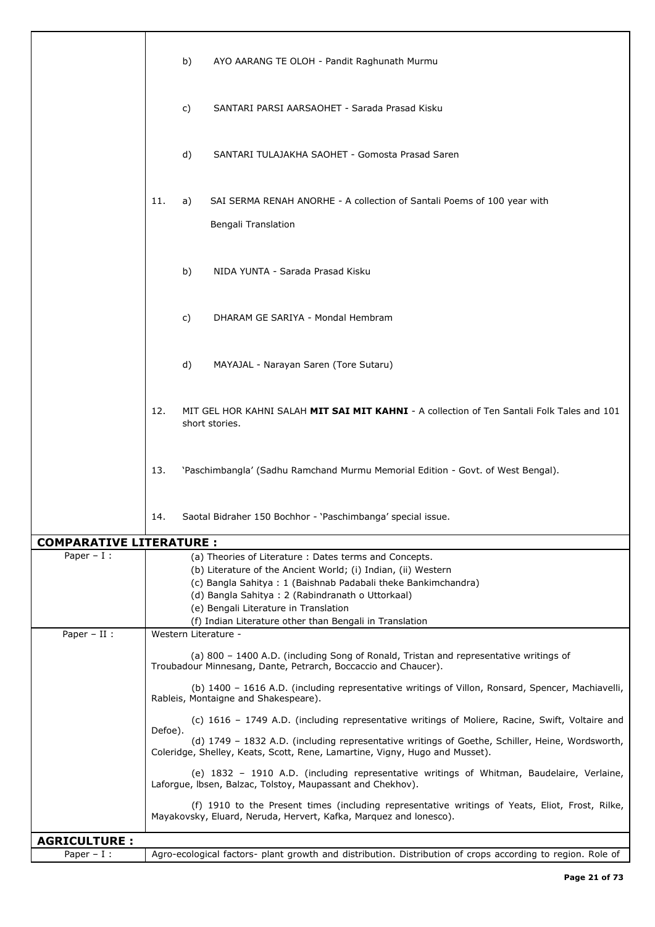|                                |         | b) | AYO AARANG TE OLOH - Pandit Raghunath Murmu                                                                                                                                                                                                                                                                                                      |
|--------------------------------|---------|----|--------------------------------------------------------------------------------------------------------------------------------------------------------------------------------------------------------------------------------------------------------------------------------------------------------------------------------------------------|
|                                |         | c) | SANTARI PARSI AARSAOHET - Sarada Prasad Kisku                                                                                                                                                                                                                                                                                                    |
|                                |         | d) | SANTARI TULAJAKHA SAOHET - Gomosta Prasad Saren                                                                                                                                                                                                                                                                                                  |
|                                | 11.     | a) | SAI SERMA RENAH ANORHE - A collection of Santali Poems of 100 year with<br>Bengali Translation                                                                                                                                                                                                                                                   |
|                                |         | b) | NIDA YUNTA - Sarada Prasad Kisku                                                                                                                                                                                                                                                                                                                 |
|                                |         | c) | DHARAM GE SARIYA - Mondal Hembram                                                                                                                                                                                                                                                                                                                |
|                                |         | d) | MAYAJAL - Narayan Saren (Tore Sutaru)                                                                                                                                                                                                                                                                                                            |
|                                | 12.     |    | MIT GEL HOR KAHNI SALAH MIT SAI MIT KAHNI - A collection of Ten Santali Folk Tales and 101<br>short stories.                                                                                                                                                                                                                                     |
|                                | 13.     |    | 'Paschimbangla' (Sadhu Ramchand Murmu Memorial Edition - Govt. of West Bengal).                                                                                                                                                                                                                                                                  |
|                                | 14.     |    | Saotal Bidraher 150 Bochhor - 'Paschimbanga' special issue.                                                                                                                                                                                                                                                                                      |
| <b>COMPARATIVE LITERATURE:</b> |         |    |                                                                                                                                                                                                                                                                                                                                                  |
| Paper $- I$ :                  |         |    | (a) Theories of Literature : Dates terms and Concepts.<br>(b) Literature of the Ancient World; (i) Indian, (ii) Western<br>(c) Bangla Sahitya: 1 (Baishnab Padabali theke Bankimchandra)<br>(d) Bangla Sahitya: 2 (Rabindranath o Uttorkaal)<br>(e) Bengali Literature in Translation<br>(f) Indian Literature other than Bengali in Translation |
| Paper $-$ II :                 |         |    | Western Literature -                                                                                                                                                                                                                                                                                                                             |
|                                |         |    | (a) 800 - 1400 A.D. (including Song of Ronald, Tristan and representative writings of<br>Troubadour Minnesang, Dante, Petrarch, Boccaccio and Chaucer).                                                                                                                                                                                          |
|                                |         |    | (b) 1400 - 1616 A.D. (including representative writings of Villon, Ronsard, Spencer, Machiavelli,<br>Rableis, Montaigne and Shakespeare).                                                                                                                                                                                                        |
|                                |         |    |                                                                                                                                                                                                                                                                                                                                                  |
|                                | Defoe). |    | (c) 1616 - 1749 A.D. (including representative writings of Moliere, Racine, Swift, Voltaire and                                                                                                                                                                                                                                                  |
|                                |         |    | (d) 1749 - 1832 A.D. (including representative writings of Goethe, Schiller, Heine, Wordsworth,<br>Coleridge, Shelley, Keats, Scott, Rene, Lamartine, Vigny, Hugo and Musset).                                                                                                                                                                   |
|                                |         |    | (e) 1832 - 1910 A.D. (including representative writings of Whitman, Baudelaire, Verlaine,<br>Laforgue, Ibsen, Balzac, Tolstoy, Maupassant and Chekhov).                                                                                                                                                                                          |
|                                |         |    | (f) 1910 to the Present times (including representative writings of Yeats, Eliot, Frost, Rilke,<br>Mayakovsky, Eluard, Neruda, Hervert, Kafka, Marquez and lonesco).                                                                                                                                                                             |
| <b>AGRICULTURE:</b>            |         |    |                                                                                                                                                                                                                                                                                                                                                  |
| Paper $- I$ :                  |         |    | Agro-ecological factors- plant growth and distribution. Distribution of crops according to region. Role of                                                                                                                                                                                                                                       |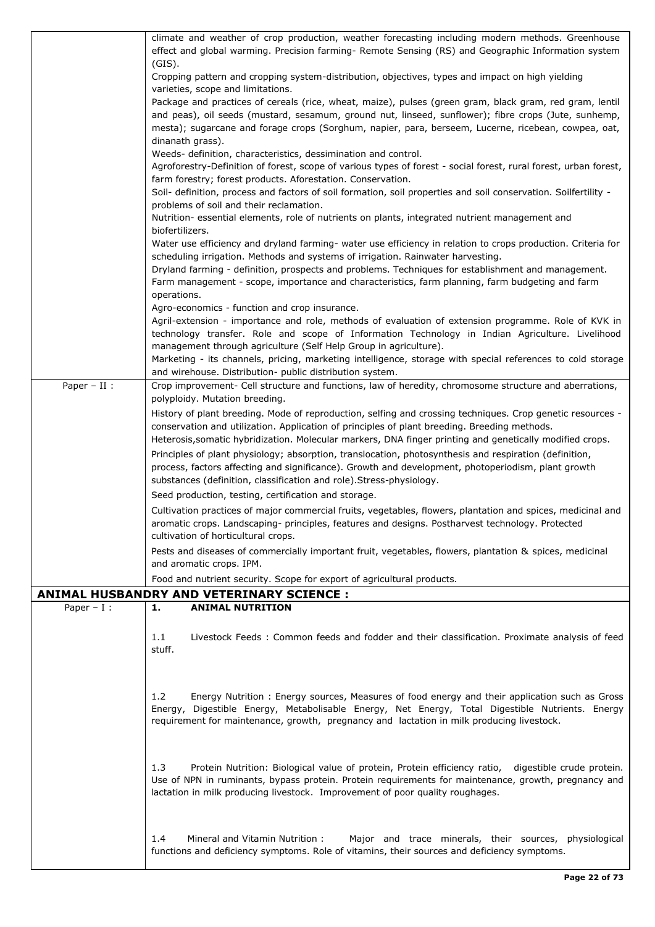|                | climate and weather of crop production, weather forecasting including modern methods. Greenhouse                                                                                                                |
|----------------|-----------------------------------------------------------------------------------------------------------------------------------------------------------------------------------------------------------------|
|                | effect and global warming. Precision farming- Remote Sensing (RS) and Geographic Information system<br>(GIS).                                                                                                   |
|                | Cropping pattern and cropping system-distribution, objectives, types and impact on high yielding<br>varieties, scope and limitations.                                                                           |
|                | Package and practices of cereals (rice, wheat, maize), pulses (green gram, black gram, red gram, lentil<br>and peas), oil seeds (mustard, sesamum, ground nut, linseed, sunflower); fibre crops (Jute, sunhemp, |
|                | mesta); sugarcane and forage crops (Sorghum, napier, para, berseem, Lucerne, ricebean, cowpea, oat,                                                                                                             |
|                | dinanath grass).                                                                                                                                                                                                |
|                | Weeds- definition, characteristics, dessimination and control.<br>Agroforestry-Definition of forest, scope of various types of forest - social forest, rural forest, urban forest,                              |
|                | farm forestry; forest products. Aforestation. Conservation.                                                                                                                                                     |
|                | Soil- definition, process and factors of soil formation, soil properties and soil conservation. Soilfertility -                                                                                                 |
|                | problems of soil and their reclamation.                                                                                                                                                                         |
|                | Nutrition- essential elements, role of nutrients on plants, integrated nutrient management and                                                                                                                  |
|                | biofertilizers.                                                                                                                                                                                                 |
|                | Water use efficiency and dryland farming- water use efficiency in relation to crops production. Criteria for<br>scheduling irrigation. Methods and systems of irrigation. Rainwater harvesting.                 |
|                | Dryland farming - definition, prospects and problems. Techniques for establishment and management.                                                                                                              |
|                | Farm management - scope, importance and characteristics, farm planning, farm budgeting and farm                                                                                                                 |
|                | operations.                                                                                                                                                                                                     |
|                | Agro-economics - function and crop insurance.<br>Agril-extension - importance and role, methods of evaluation of extension programme. Role of KVK in                                                            |
|                | technology transfer. Role and scope of Information Technology in Indian Agriculture. Livelihood                                                                                                                 |
|                | management through agriculture (Self Help Group in agriculture).                                                                                                                                                |
|                | Marketing - its channels, pricing, marketing intelligence, storage with special references to cold storage                                                                                                      |
| Paper $-$ II : | and wirehouse. Distribution- public distribution system.<br>Crop improvement- Cell structure and functions, law of heredity, chromosome structure and aberrations,                                              |
|                | polyploidy. Mutation breeding.                                                                                                                                                                                  |
|                | History of plant breeding. Mode of reproduction, selfing and crossing techniques. Crop genetic resources -                                                                                                      |
|                | conservation and utilization. Application of principles of plant breeding. Breeding methods.                                                                                                                    |
|                | Heterosis, somatic hybridization. Molecular markers, DNA finger printing and genetically modified crops.                                                                                                        |
|                | Principles of plant physiology; absorption, translocation, photosynthesis and respiration (definition,                                                                                                          |
|                | process, factors affecting and significance). Growth and development, photoperiodism, plant growth<br>substances (definition, classification and role). Stress-physiology.                                      |
|                | Seed production, testing, certification and storage.                                                                                                                                                            |
|                | Cultivation practices of major commercial fruits, vegetables, flowers, plantation and spices, medicinal and                                                                                                     |
|                | aromatic crops. Landscaping- principles, features and designs. Postharvest technology. Protected<br>cultivation of horticultural crops.                                                                         |
|                | Pests and diseases of commercially important fruit, vegetables, flowers, plantation & spices, medicinal<br>and aromatic crops. IPM.                                                                             |
|                | Food and nutrient security. Scope for export of agricultural products.                                                                                                                                          |
|                | ANIMAL HUSBANDRY AND VETERINARY SCIENCE :                                                                                                                                                                       |
| Paper $- I$ :  | <b>ANIMAL NUTRITION</b><br>1.                                                                                                                                                                                   |
|                |                                                                                                                                                                                                                 |
|                | 1.1<br>Livestock Feeds: Common feeds and fodder and their classification. Proximate analysis of feed<br>stuff.                                                                                                  |
|                |                                                                                                                                                                                                                 |
|                |                                                                                                                                                                                                                 |
|                | 1.2<br>Energy Nutrition: Energy sources, Measures of food energy and their application such as Gross                                                                                                            |
|                | Energy, Digestible Energy, Metabolisable Energy, Net Energy, Total Digestible Nutrients. Energy                                                                                                                 |
|                | requirement for maintenance, growth, pregnancy and lactation in milk producing livestock.                                                                                                                       |
|                |                                                                                                                                                                                                                 |
|                |                                                                                                                                                                                                                 |
|                | 1.3<br>Protein Nutrition: Biological value of protein, Protein efficiency ratio, digestible crude protein.                                                                                                      |
|                | Use of NPN in ruminants, bypass protein. Protein requirements for maintenance, growth, pregnancy and<br>lactation in milk producing livestock. Improvement of poor quality roughages.                           |
|                |                                                                                                                                                                                                                 |
|                |                                                                                                                                                                                                                 |
|                | Mineral and Vitamin Nutrition:<br>1.4<br>Major and trace minerals, their sources, physiological                                                                                                                 |
|                | functions and deficiency symptoms. Role of vitamins, their sources and deficiency symptoms.                                                                                                                     |
|                |                                                                                                                                                                                                                 |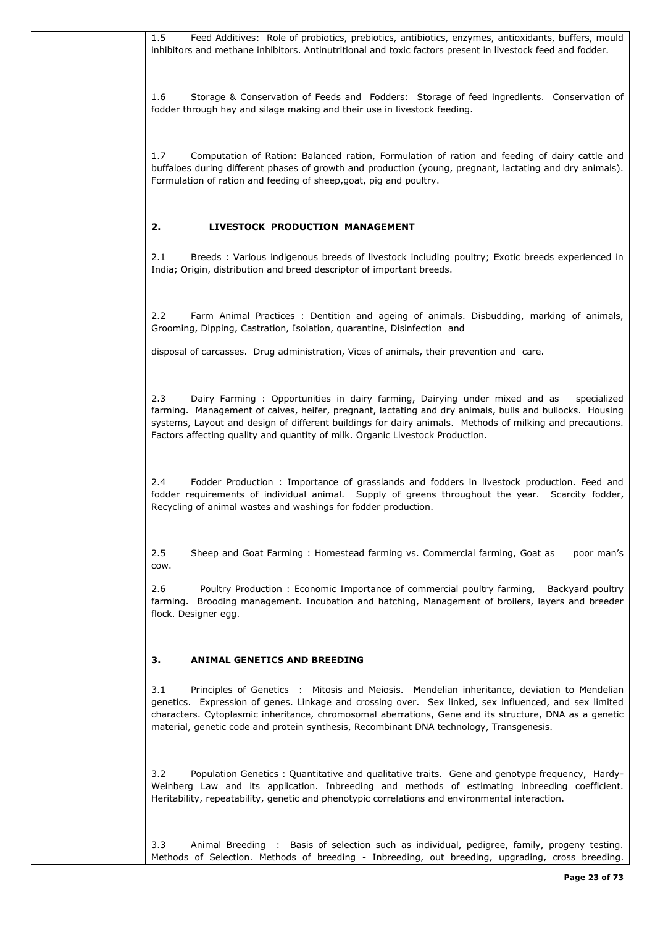1.5 Feed Additives: Role of probiotics, prebiotics, antibiotics, enzymes, antioxidants, buffers, mould inhibitors and methane inhibitors. Antinutritional and toxic factors present in livestock feed and fodder.

1.6 Storage & Conservation of Feeds and Fodders: Storage of feed ingredients. Conservation of fodder through hay and silage making and their use in livestock feeding.

1.7 Computation of Ration: Balanced ration, Formulation of ration and feeding of dairy cattle and buffaloes during different phases of growth and production (young, pregnant, lactating and dry animals). Formulation of ration and feeding of sheep,goat, pig and poultry.

# **2. LIVESTOCK PRODUCTION MANAGEMENT**

2.1 Breeds : Various indigenous breeds of livestock including poultry; Exotic breeds experienced in India; Origin, distribution and breed descriptor of important breeds.

2.2 Farm Animal Practices : Dentition and ageing of animals. Disbudding, marking of animals, Grooming, Dipping, Castration, Isolation, quarantine, Disinfection and

disposal of carcasses. Drug administration, Vices of animals, their prevention and care.

2.3 Dairy Farming : Opportunities in dairy farming, Dairying under mixed and as specialized farming. Management of calves, heifer, pregnant, lactating and dry animals, bulls and bullocks. Housing systems, Layout and design of different buildings for dairy animals. Methods of milking and precautions. Factors affecting quality and quantity of milk. Organic Livestock Production.

2.4 Fodder Production : Importance of grasslands and fodders in livestock production. Feed and fodder requirements of individual animal. Supply of greens throughout the year. Scarcity fodder, Recycling of animal wastes and washings for fodder production.

2.5 Sheep and Goat Farming : Homestead farming vs. Commercial farming, Goat as poor man's cow.

2.6 Poultry Production : Economic Importance of commercial poultry farming, Backyard poultry farming. Brooding management. Incubation and hatching, Management of broilers, layers and breeder flock. Designer egg.

# **3. ANIMAL GENETICS AND BREEDING**

3.1 Principles of Genetics : Mitosis and Meiosis. Mendelian inheritance, deviation to Mendelian genetics. Expression of genes. Linkage and crossing over. Sex linked, sex influenced, and sex limited characters. Cytoplasmic inheritance, chromosomal aberrations, Gene and its structure, DNA as a genetic material, genetic code and protein synthesis, Recombinant DNA technology, Transgenesis.

3.2 Population Genetics : Quantitative and qualitative traits. Gene and genotype frequency, Hardy-Weinberg Law and its application. Inbreeding and methods of estimating inbreeding coefficient. Heritability, repeatability, genetic and phenotypic correlations and environmental interaction.

3.3 Animal Breeding : Basis of selection such as individual, pedigree, family, progeny testing. Methods of Selection. Methods of breeding - Inbreeding, out breeding, upgrading, cross breeding.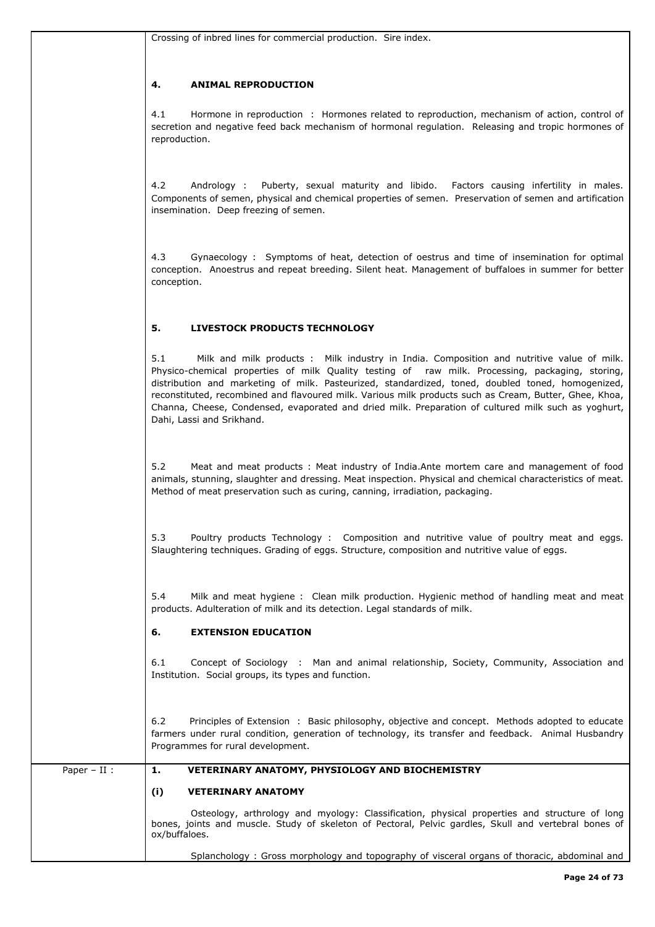Crossing of inbred lines for commercial production. Sire index.

# **4. ANIMAL REPRODUCTION**

4.1 Hormone in reproduction : Hormones related to reproduction, mechanism of action, control of secretion and negative feed back mechanism of hormonal regulation. Releasing and tropic hormones of reproduction.

4.2 Andrology : Puberty, sexual maturity and libido. Factors causing infertility in males. Components of semen, physical and chemical properties of semen. Preservation of semen and artification insemination. Deep freezing of semen.

4.3 Gynaecology : Symptoms of heat, detection of oestrus and time of insemination for optimal conception. Anoestrus and repeat breeding. Silent heat. Management of buffaloes in summer for better conception.

# **5. LIVESTOCK PRODUCTS TECHNOLOGY**

5.1 Milk and milk products : Milk industry in India. Composition and nutritive value of milk. Physico-chemical properties of milk Quality testing of raw milk. Processing, packaging, storing, distribution and marketing of milk. Pasteurized, standardized, toned, doubled toned, homogenized, reconstituted, recombined and flavoured milk. Various milk products such as Cream, Butter, Ghee, Khoa, Channa, Cheese, Condensed, evaporated and dried milk. Preparation of cultured milk such as yoghurt, Dahi, Lassi and Srikhand.

5.2 Meat and meat products : Meat industry of India.Ante mortem care and management of food animals, stunning, slaughter and dressing. Meat inspection. Physical and chemical characteristics of meat. Method of meat preservation such as curing, canning, irradiation, packaging.

5.3 Poultry products Technology : Composition and nutritive value of poultry meat and eggs. Slaughtering techniques. Grading of eggs. Structure, composition and nutritive value of eggs.

5.4 Milk and meat hygiene : Clean milk production. Hygienic method of handling meat and meat products. Adulteration of milk and its detection. Legal standards of milk.

# **6. EXTENSION EDUCATION**

6.1 Concept of Sociology : Man and animal relationship, Society, Community, Association and Institution. Social groups, its types and function.

6.2 Principles of Extension : Basic philosophy, objective and concept. Methods adopted to educate farmers under rural condition, generation of technology, its transfer and feedback. Animal Husbandry Programmes for rural development.

# Paper – II : **1. VETERINARY ANATOMY, PHYSIOLOGY AND BIOCHEMISTRY (i) VETERINARY ANATOMY** Osteology, arthrology and myology: Classification, physical properties and structure of long bones, joints and muscle. Study of skeleton of Pectoral, Pelvic gardles, Skull and vertebral bones of ox/buffaloes.

Splanchology : Gross morphology and topography of visceral organs of thoracic, abdominal and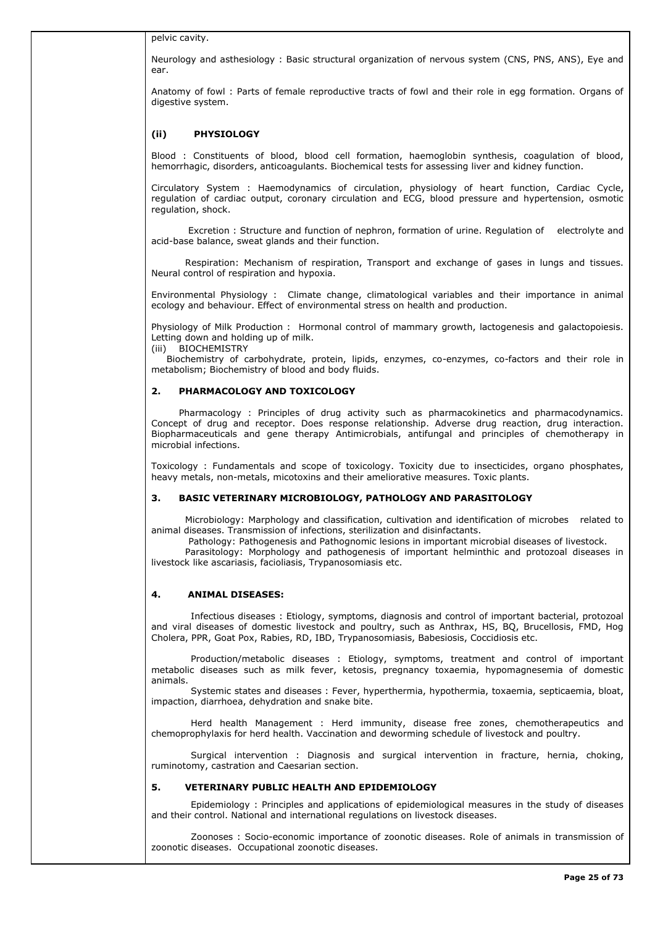pelvic cavity.

Neurology and asthesiology : Basic structural organization of nervous system (CNS, PNS, ANS), Eye and ear.

Anatomy of fowl : Parts of female reproductive tracts of fowl and their role in egg formation. Organs of digestive system.

### **(ii) PHYSIOLOGY**

Blood : Constituents of blood, blood cell formation, haemoglobin synthesis, coagulation of blood, hemorrhagic, disorders, anticoagulants. Biochemical tests for assessing liver and kidney function.

Circulatory System : Haemodynamics of circulation, physiology of heart function, Cardiac Cycle, regulation of cardiac output, coronary circulation and ECG, blood pressure and hypertension, osmotic regulation, shock.

 Excretion : Structure and function of nephron, formation of urine. Regulation of electrolyte and acid-base balance, sweat glands and their function.

 Respiration: Mechanism of respiration, Transport and exchange of gases in lungs and tissues. Neural control of respiration and hypoxia.

Environmental Physiology : Climate change, climatological variables and their importance in animal ecology and behaviour. Effect of environmental stress on health and production.

Physiology of Milk Production : Hormonal control of mammary growth, lactogenesis and galactopoiesis. Letting down and holding up of milk. (iii) BIOCHEMISTRY

 Biochemistry of carbohydrate, protein, lipids, enzymes, co-enzymes, co-factors and their role in metabolism; Biochemistry of blood and body fluids.

### **2. PHARMACOLOGY AND TOXICOLOGY**

 Pharmacology : Principles of drug activity such as pharmacokinetics and pharmacodynamics. Concept of drug and receptor. Does response relationship. Adverse drug reaction, drug interaction. Biopharmaceuticals and gene therapy Antimicrobials, antifungal and principles of chemotherapy in microbial infections.

Toxicology : Fundamentals and scope of toxicology. Toxicity due to insecticides, organo phosphates, heavy metals, non-metals, micotoxins and their ameliorative measures. Toxic plants.

# **3. BASIC VETERINARY MICROBIOLOGY, PATHOLOGY AND PARASITOLOGY**

 Microbiology: Marphology and classification, cultivation and identification of microbes related to animal diseases. Transmission of infections, sterilization and disinfactants.

Pathology: Pathogenesis and Pathognomic lesions in important microbial diseases of livestock.

 Parasitology: Morphology and pathogenesis of important helminthic and protozoal diseases in livestock like ascariasis, facioliasis, Trypanosomiasis etc.

### **4. ANIMAL DISEASES:**

Infectious diseases : Etiology, symptoms, diagnosis and control of important bacterial, protozoal and viral diseases of domestic livestock and poultry, such as Anthrax, HS, BQ, Brucellosis, FMD, Hog Cholera, PPR, Goat Pox, Rabies, RD, IBD, Trypanosomiasis, Babesiosis, Coccidiosis etc.

Production/metabolic diseases : Etiology, symptoms, treatment and control of important metabolic diseases such as milk fever, ketosis, pregnancy toxaemia, hypomagnesemia of domestic animals.

Systemic states and diseases : Fever, hyperthermia, hypothermia, toxaemia, septicaemia, bloat, impaction, diarrhoea, dehydration and snake bite.

Herd health Management : Herd immunity, disease free zones, chemotherapeutics and chemoprophylaxis for herd health. Vaccination and deworming schedule of livestock and poultry.

Surgical intervention : Diagnosis and surgical intervention in fracture, hernia, choking, ruminotomy, castration and Caesarian section.

### **5. VETERINARY PUBLIC HEALTH AND EPIDEMIOLOGY**

Epidemiology : Principles and applications of epidemiological measures in the study of diseases and their control. National and international regulations on livestock diseases.

Zoonoses : Socio-economic importance of zoonotic diseases. Role of animals in transmission of zoonotic diseases. Occupational zoonotic diseases.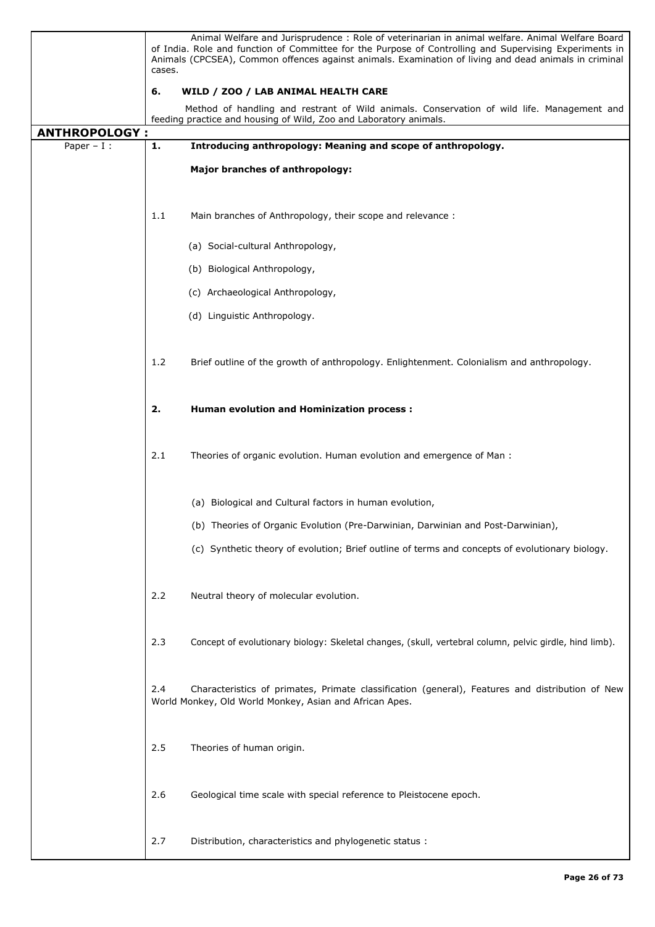|                      | cases. | Animal Welfare and Jurisprudence : Role of veterinarian in animal welfare. Animal Welfare Board<br>of India. Role and function of Committee for the Purpose of Controlling and Supervising Experiments in<br>Animals (CPCSEA), Common offences against animals. Examination of living and dead animals in criminal |
|----------------------|--------|--------------------------------------------------------------------------------------------------------------------------------------------------------------------------------------------------------------------------------------------------------------------------------------------------------------------|
|                      | 6.     | WILD / ZOO / LAB ANIMAL HEALTH CARE                                                                                                                                                                                                                                                                                |
|                      |        | Method of handling and restrant of Wild animals. Conservation of wild life. Management and<br>feeding practice and housing of Wild, Zoo and Laboratory animals.                                                                                                                                                    |
| <b>ANTHROPOLOGY:</b> |        |                                                                                                                                                                                                                                                                                                                    |
| Paper $-1$ :         | 1.     | Introducing anthropology: Meaning and scope of anthropology.                                                                                                                                                                                                                                                       |
|                      |        | <b>Major branches of anthropology:</b>                                                                                                                                                                                                                                                                             |
|                      |        |                                                                                                                                                                                                                                                                                                                    |
|                      | 1.1    | Main branches of Anthropology, their scope and relevance :                                                                                                                                                                                                                                                         |
|                      |        | (a) Social-cultural Anthropology,                                                                                                                                                                                                                                                                                  |
|                      |        | (b) Biological Anthropology,                                                                                                                                                                                                                                                                                       |
|                      |        | (c) Archaeological Anthropology,                                                                                                                                                                                                                                                                                   |
|                      |        | (d) Linguistic Anthropology.                                                                                                                                                                                                                                                                                       |
|                      |        |                                                                                                                                                                                                                                                                                                                    |
|                      | 1.2    | Brief outline of the growth of anthropology. Enlightenment. Colonialism and anthropology.                                                                                                                                                                                                                          |
|                      |        |                                                                                                                                                                                                                                                                                                                    |
|                      | 2.     | Human evolution and Hominization process :                                                                                                                                                                                                                                                                         |
|                      |        |                                                                                                                                                                                                                                                                                                                    |
|                      | 2.1    | Theories of organic evolution. Human evolution and emergence of Man :                                                                                                                                                                                                                                              |
|                      |        |                                                                                                                                                                                                                                                                                                                    |
|                      |        | (a) Biological and Cultural factors in human evolution,                                                                                                                                                                                                                                                            |
|                      |        | (b) Theories of Organic Evolution (Pre-Darwinian, Darwinian and Post-Darwinian),                                                                                                                                                                                                                                   |
|                      |        | (c) Synthetic theory of evolution; Brief outline of terms and concepts of evolutionary biology.                                                                                                                                                                                                                    |
|                      |        |                                                                                                                                                                                                                                                                                                                    |
|                      | 2.2    | Neutral theory of molecular evolution.                                                                                                                                                                                                                                                                             |
|                      |        |                                                                                                                                                                                                                                                                                                                    |
|                      | 2.3    | Concept of evolutionary biology: Skeletal changes, (skull, vertebral column, pelvic girdle, hind limb).                                                                                                                                                                                                            |
|                      |        |                                                                                                                                                                                                                                                                                                                    |
|                      | 2.4    | Characteristics of primates, Primate classification (general), Features and distribution of New                                                                                                                                                                                                                    |
|                      |        | World Monkey, Old World Monkey, Asian and African Apes.                                                                                                                                                                                                                                                            |
|                      |        |                                                                                                                                                                                                                                                                                                                    |
|                      | 2.5    | Theories of human origin.                                                                                                                                                                                                                                                                                          |
|                      |        |                                                                                                                                                                                                                                                                                                                    |
|                      | 2.6    | Geological time scale with special reference to Pleistocene epoch.                                                                                                                                                                                                                                                 |
|                      |        |                                                                                                                                                                                                                                                                                                                    |
|                      | 2.7    | Distribution, characteristics and phylogenetic status :                                                                                                                                                                                                                                                            |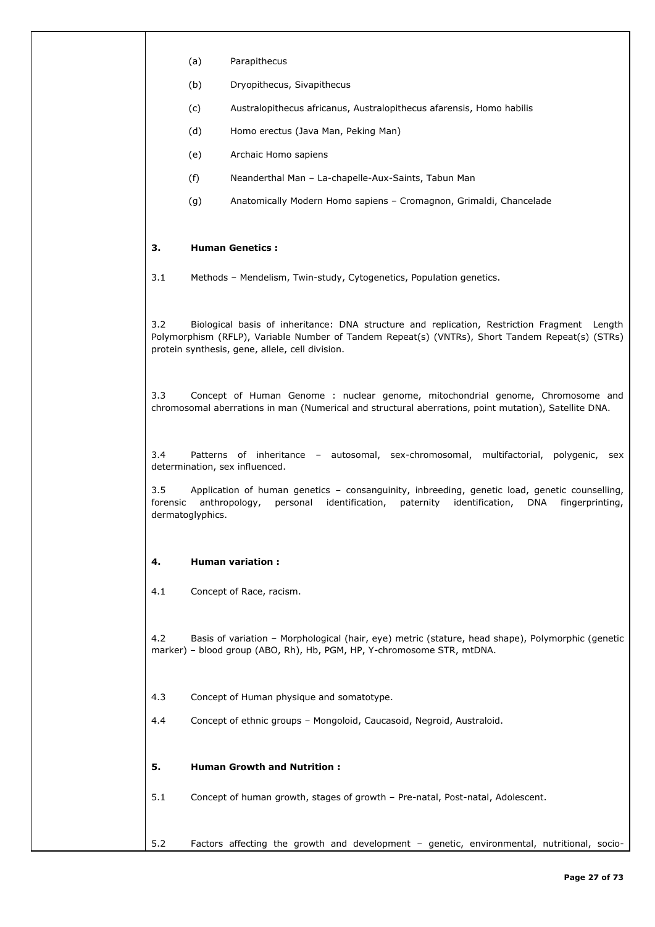|                 | (a)<br>Parapithecus                                                                                                                                                                                                                               |
|-----------------|---------------------------------------------------------------------------------------------------------------------------------------------------------------------------------------------------------------------------------------------------|
|                 | (b)<br>Dryopithecus, Sivapithecus                                                                                                                                                                                                                 |
|                 | (c)<br>Australopithecus africanus, Australopithecus afarensis, Homo habilis                                                                                                                                                                       |
|                 | (d)<br>Homo erectus (Java Man, Peking Man)                                                                                                                                                                                                        |
|                 | (e)<br>Archaic Homo sapiens                                                                                                                                                                                                                       |
|                 | (f)<br>Neanderthal Man - La-chapelle-Aux-Saints, Tabun Man                                                                                                                                                                                        |
|                 | (g)<br>Anatomically Modern Homo sapiens - Cromagnon, Grimaldi, Chancelade                                                                                                                                                                         |
| з.              | <b>Human Genetics:</b>                                                                                                                                                                                                                            |
| 3.1             | Methods - Mendelism, Twin-study, Cytogenetics, Population genetics.                                                                                                                                                                               |
| 3.2             | Biological basis of inheritance: DNA structure and replication, Restriction Fragment Length<br>Polymorphism (RFLP), Variable Number of Tandem Repeat(s) (VNTRs), Short Tandem Repeat(s) (STRs)<br>protein synthesis, gene, allele, cell division. |
| 3.3             | Concept of Human Genome : nuclear genome, mitochondrial genome, Chromosome and<br>chromosomal aberrations in man (Numerical and structural aberrations, point mutation), Satellite DNA.                                                           |
| 3.4             | Patterns of inheritance - autosomal, sex-chromosomal, multifactorial, polygenic,<br>sex<br>determination, sex influenced.                                                                                                                         |
| 3.5<br>forensic | Application of human genetics - consanguinity, inbreeding, genetic load, genetic counselling,<br>identification,<br>identification,<br>anthropology,<br>personal<br>paternity<br>DNA<br>fingerprinting,<br>dermatoglyphics.                       |
| 4.              | <b>Human variation:</b>                                                                                                                                                                                                                           |
| 4.1             | Concept of Race, racism.                                                                                                                                                                                                                          |
| 4.2             | Basis of variation - Morphological (hair, eye) metric (stature, head shape), Polymorphic (genetic<br>marker) - blood group (ABO, Rh), Hb, PGM, HP, Y-chromosome STR, mtDNA.                                                                       |
| 4.3             | Concept of Human physique and somatotype.                                                                                                                                                                                                         |
| 4.4             | Concept of ethnic groups - Mongoloid, Caucasoid, Negroid, Australoid.                                                                                                                                                                             |
| 5.              | <b>Human Growth and Nutrition:</b>                                                                                                                                                                                                                |
| 5.1             |                                                                                                                                                                                                                                                   |
|                 | Concept of human growth, stages of growth - Pre-natal, Post-natal, Adolescent.                                                                                                                                                                    |
| 5.2             | Factors affecting the growth and development - genetic, environmental, nutritional, socio-                                                                                                                                                        |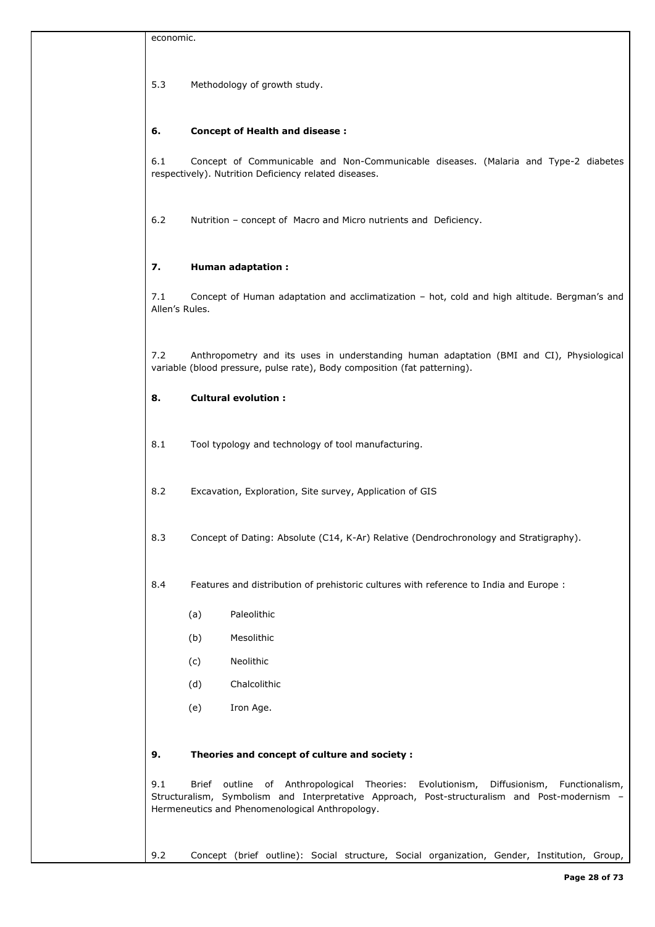| 5.3 | Methodology of growth study.                                                                                                                                          |
|-----|-----------------------------------------------------------------------------------------------------------------------------------------------------------------------|
| 6.  | <b>Concept of Health and disease:</b>                                                                                                                                 |
| 6.1 | Concept of Communicable and Non-Communicable diseases. (Malaria and Type-2 diabetes<br>respectively). Nutrition Deficiency related diseases.                          |
| 6.2 | Nutrition - concept of Macro and Micro nutrients and Deficiency.                                                                                                      |
| 7.  | <b>Human adaptation:</b>                                                                                                                                              |
| 7.1 | Concept of Human adaptation and acclimatization - hot, cold and high altitude. Bergman's and<br>Allen's Rules.                                                        |
| 7.2 | Anthropometry and its uses in understanding human adaptation (BMI and CI), Physiological<br>variable (blood pressure, pulse rate), Body composition (fat patterning). |
| 8.  | <b>Cultural evolution:</b>                                                                                                                                            |
| 8.1 | Tool typology and technology of tool manufacturing.                                                                                                                   |
| 8.2 | Excavation, Exploration, Site survey, Application of GIS                                                                                                              |
| 8.3 | Concept of Dating: Absolute (C14, K-Ar) Relative (Dendrochronology and Stratigraphy).                                                                                 |
| 8.4 | Features and distribution of prehistoric cultures with reference to India and Europe :                                                                                |
|     | Paleolithic<br>(a)                                                                                                                                                    |
|     | Mesolithic<br>(b)                                                                                                                                                     |
|     | Neolithic<br>(c)                                                                                                                                                      |
|     | (d)<br>Chalcolithic                                                                                                                                                   |
|     | (e)<br>Iron Age.                                                                                                                                                      |
| 9.  | Theories and concept of culture and society :                                                                                                                         |
|     | Brief outline of Anthropological Theories: Evolutionism,<br>Diffusionism, Functionalism,                                                                              |

9.2 Concept (brief outline): Social structure, Social organization, Gender, Institution, Group,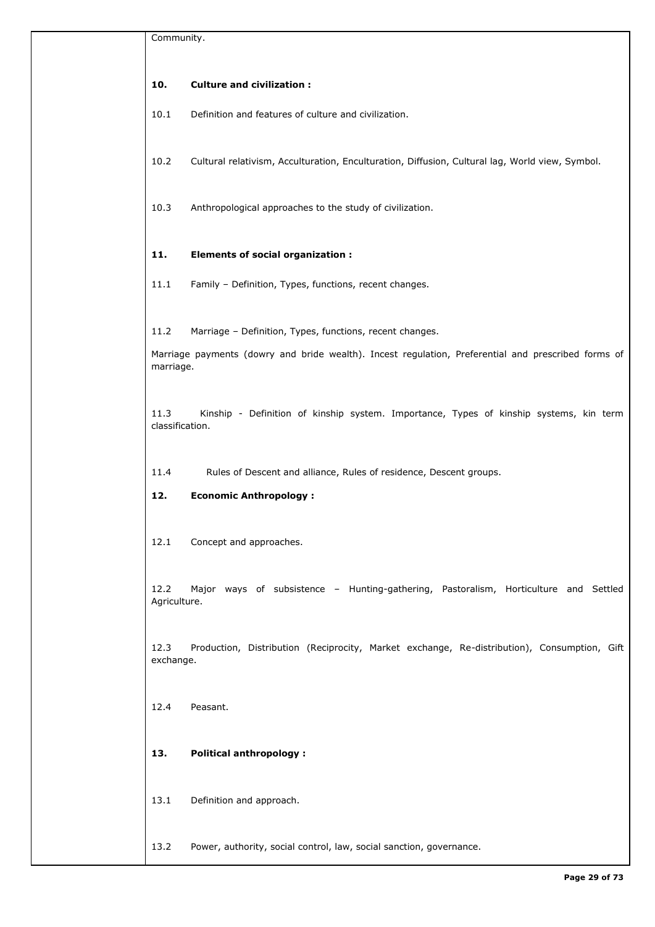| Community.              |                                                                                                     |
|-------------------------|-----------------------------------------------------------------------------------------------------|
| 10.                     | <b>Culture and civilization:</b>                                                                    |
| 10.1                    | Definition and features of culture and civilization.                                                |
| 10.2                    | Cultural relativism, Acculturation, Enculturation, Diffusion, Cultural lag, World view, Symbol.     |
| 10.3                    | Anthropological approaches to the study of civilization.                                            |
| 11.                     | <b>Elements of social organization:</b>                                                             |
| 11.1                    | Family - Definition, Types, functions, recent changes.                                              |
| 11.2                    | Marriage - Definition, Types, functions, recent changes.                                            |
| marriage.               | Marriage payments (dowry and bride wealth). Incest regulation, Preferential and prescribed forms of |
| 11.3<br>classification. | Kinship - Definition of kinship system. Importance, Types of kinship systems, kin term              |
| 11.4                    | Rules of Descent and alliance, Rules of residence, Descent groups.                                  |
| 12.                     | <b>Economic Anthropology:</b>                                                                       |
| 12.1                    | Concept and approaches.                                                                             |
| 12.2<br>Agriculture.    | Major ways of subsistence - Hunting-gathering, Pastoralism, Horticulture and Settled                |
| 12.3<br>exchange.       | Production, Distribution (Reciprocity, Market exchange, Re-distribution), Consumption, Gift         |
| 12.4                    | Peasant.                                                                                            |
| 13.                     | <b>Political anthropology:</b>                                                                      |
| 13.1                    | Definition and approach.                                                                            |
| 13.2                    | Power, authority, social control, law, social sanction, governance.                                 |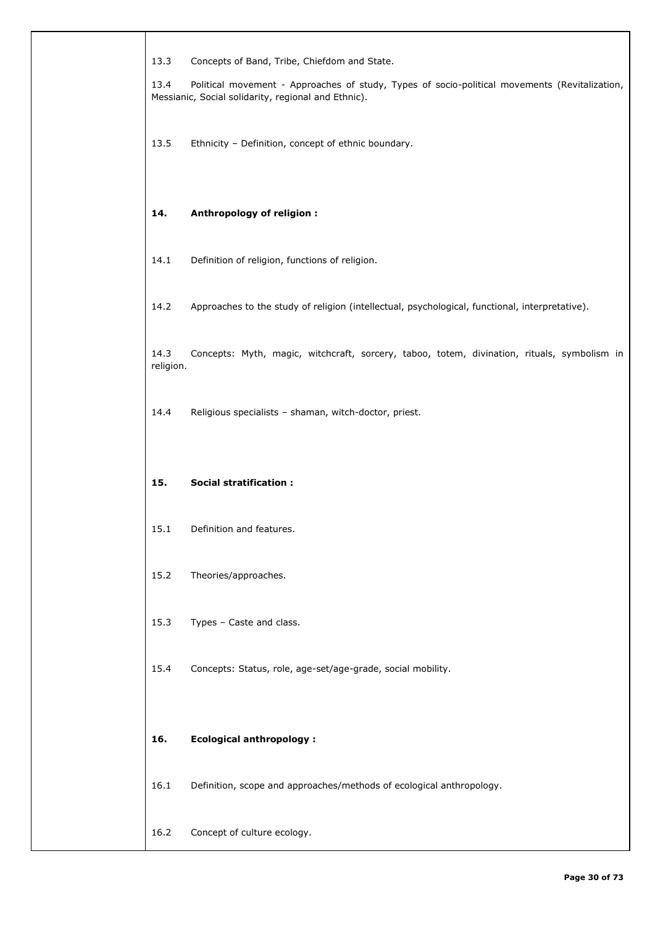| 13.3              | Concepts of Band, Tribe, Chiefdom and State.                                                                                                         |
|-------------------|------------------------------------------------------------------------------------------------------------------------------------------------------|
| 13.4              | Political movement - Approaches of study, Types of socio-political movements (Revitalization,<br>Messianic, Social solidarity, regional and Ethnic). |
| 13.5              | Ethnicity - Definition, concept of ethnic boundary.                                                                                                  |
| 14.               | Anthropology of religion :                                                                                                                           |
| 14.1              | Definition of religion, functions of religion.                                                                                                       |
| 14.2              | Approaches to the study of religion (intellectual, psychological, functional, interpretative).                                                       |
| 14.3<br>religion. | Concepts: Myth, magic, witchcraft, sorcery, taboo, totem, divination, rituals, symbolism in                                                          |
| 14.4              | Religious specialists - shaman, witch-doctor, priest.                                                                                                |
| 15.               | <b>Social stratification:</b>                                                                                                                        |
| 15.1              | Definition and features.                                                                                                                             |
| 15.2              | Theories/approaches.                                                                                                                                 |
| 15.3              | Types - Caste and class.                                                                                                                             |
| 15.4              | Concepts: Status, role, age-set/age-grade, social mobility.                                                                                          |
| 16.               | <b>Ecological anthropology:</b>                                                                                                                      |
|                   |                                                                                                                                                      |
| 16.1              | Definition, scope and approaches/methods of ecological anthropology.                                                                                 |
| 16.2              | Concept of culture ecology.                                                                                                                          |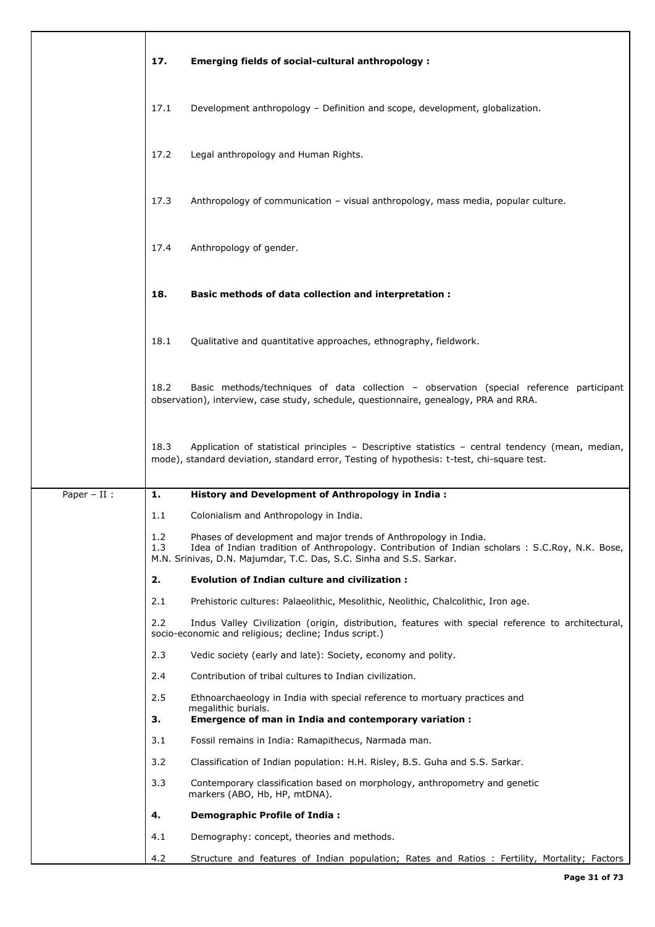|                | 17.        | <b>Emerging fields of social-cultural anthropology:</b>                                                                                                                                                                                   |
|----------------|------------|-------------------------------------------------------------------------------------------------------------------------------------------------------------------------------------------------------------------------------------------|
|                |            |                                                                                                                                                                                                                                           |
|                | 17.1       | Development anthropology - Definition and scope, development, globalization.                                                                                                                                                              |
|                | 17.2       | Legal anthropology and Human Rights.                                                                                                                                                                                                      |
|                | 17.3       | Anthropology of communication - visual anthropology, mass media, popular culture.                                                                                                                                                         |
|                | 17.4       | Anthropology of gender.                                                                                                                                                                                                                   |
|                | 18.        | Basic methods of data collection and interpretation :                                                                                                                                                                                     |
|                | 18.1       | Qualitative and quantitative approaches, ethnography, fieldwork.                                                                                                                                                                          |
|                | 18.2       | Basic methods/techniques of data collection - observation (special reference participant<br>observation), interview, case study, schedule, questionnaire, genealogy, PRA and RRA.                                                         |
|                | 18.3       | Application of statistical principles - Descriptive statistics - central tendency (mean, median,<br>mode), standard deviation, standard error, Testing of hypothesis: t-test, chi-square test.                                            |
| Paper $-$ II : | 1.         | History and Development of Anthropology in India :                                                                                                                                                                                        |
|                | 1.1        | Colonialism and Anthropology in India.                                                                                                                                                                                                    |
|                | 1.2<br>1.3 | Phases of development and major trends of Anthropology in India.<br>Idea of Indian tradition of Anthropology. Contribution of Indian scholars: S.C.Roy, N.K. Bose,<br>M.N. Srinivas, D.N. Majumdar, T.C. Das, S.C. Sinha and S.S. Sarkar. |
|                | 2.         | Evolution of Indian culture and civilization :                                                                                                                                                                                            |
|                | 2.1        | Prehistoric cultures: Palaeolithic, Mesolithic, Neolithic, Chalcolithic, Iron age.                                                                                                                                                        |
|                | 2.2        | Indus Valley Civilization (origin, distribution, features with special reference to architectural,<br>socio-economic and religious; decline; Indus script.)                                                                               |
|                | 2.3        | Vedic society (early and late): Society, economy and polity.                                                                                                                                                                              |
|                | 2.4        | Contribution of tribal cultures to Indian civilization.                                                                                                                                                                                   |
|                | 2.5<br>3.  | Ethnoarchaeology in India with special reference to mortuary practices and<br>megalithic burials.<br>Emergence of man in India and contemporary variation :                                                                               |
|                | 3.1        | Fossil remains in India: Ramapithecus, Narmada man.                                                                                                                                                                                       |
|                | 3.2        | Classification of Indian population: H.H. Risley, B.S. Guha and S.S. Sarkar.                                                                                                                                                              |
|                | 3.3        | Contemporary classification based on morphology, anthropometry and genetic<br>markers (ABO, Hb, HP, mtDNA).                                                                                                                               |
|                | 4.         | Demographic Profile of India:                                                                                                                                                                                                             |
|                | 4.1        | Demography: concept, theories and methods.                                                                                                                                                                                                |
|                | 4.2        | Structure and features of Indian population; Rates and Ratios: Fertility, Mortality; Factors                                                                                                                                              |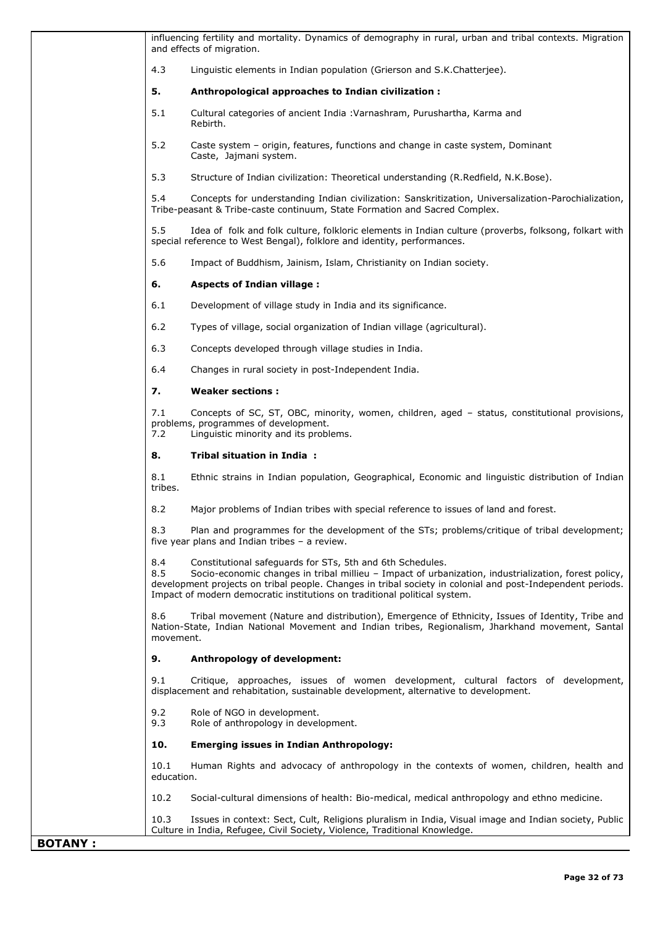|                    | influencing fertility and mortality. Dynamics of demography in rural, urban and tribal contexts. Migration<br>and effects of migration.                                                                                                                                                                                                                      |
|--------------------|--------------------------------------------------------------------------------------------------------------------------------------------------------------------------------------------------------------------------------------------------------------------------------------------------------------------------------------------------------------|
| 4.3                | Linguistic elements in Indian population (Grierson and S.K.Chatterjee).                                                                                                                                                                                                                                                                                      |
| 5.                 | Anthropological approaches to Indian civilization :                                                                                                                                                                                                                                                                                                          |
| 5.1                | Cultural categories of ancient India: Varnashram, Purushartha, Karma and<br>Rebirth.                                                                                                                                                                                                                                                                         |
| 5.2                | Caste system - origin, features, functions and change in caste system, Dominant<br>Caste, Jajmani system.                                                                                                                                                                                                                                                    |
| 5.3                | Structure of Indian civilization: Theoretical understanding (R.Redfield, N.K.Bose).                                                                                                                                                                                                                                                                          |
| 5.4                | Concepts for understanding Indian civilization: Sanskritization, Universalization-Parochialization,<br>Tribe-peasant & Tribe-caste continuum, State Formation and Sacred Complex.                                                                                                                                                                            |
| 5.5                | Idea of folk and folk culture, folkloric elements in Indian culture (proverbs, folksong, folkart with<br>special reference to West Bengal), folklore and identity, performances.                                                                                                                                                                             |
| 5.6                | Impact of Buddhism, Jainism, Islam, Christianity on Indian society.                                                                                                                                                                                                                                                                                          |
| 6.                 | <b>Aspects of Indian village:</b>                                                                                                                                                                                                                                                                                                                            |
| 6.1                | Development of village study in India and its significance.                                                                                                                                                                                                                                                                                                  |
| 6.2                | Types of village, social organization of Indian village (agricultural).                                                                                                                                                                                                                                                                                      |
| 6.3                | Concepts developed through village studies in India.                                                                                                                                                                                                                                                                                                         |
| 6.4                | Changes in rural society in post-Independent India.                                                                                                                                                                                                                                                                                                          |
| 7.                 | <b>Weaker sections:</b>                                                                                                                                                                                                                                                                                                                                      |
| 7.1<br>7.2         | Concepts of SC, ST, OBC, minority, women, children, aged - status, constitutional provisions,<br>problems, programmes of development.<br>Linguistic minority and its problems.                                                                                                                                                                               |
| 8.                 | Tribal situation in India :                                                                                                                                                                                                                                                                                                                                  |
| 8.1<br>tribes.     | Ethnic strains in Indian population, Geographical, Economic and linguistic distribution of Indian                                                                                                                                                                                                                                                            |
| 8.2                | Major problems of Indian tribes with special reference to issues of land and forest.                                                                                                                                                                                                                                                                         |
| 8.3                | Plan and programmes for the development of the STs; problems/critique of tribal development;<br>five year plans and Indian tribes - a review.                                                                                                                                                                                                                |
| 8.4<br>8.5         | Constitutional safeguards for STs, 5th and 6th Schedules.<br>Socio-economic changes in tribal millieu - Impact of urbanization, industrialization, forest policy,<br>development projects on tribal people. Changes in tribal society in colonial and post-Independent periods.<br>Impact of modern democratic institutions on traditional political system. |
| 8.6<br>movement.   | Tribal movement (Nature and distribution), Emergence of Ethnicity, Issues of Identity, Tribe and<br>Nation-State, Indian National Movement and Indian tribes, Regionalism, Jharkhand movement, Santal                                                                                                                                                        |
| 9.                 | Anthropology of development:                                                                                                                                                                                                                                                                                                                                 |
| 9.1                | Critique, approaches, issues of women development, cultural factors of development,<br>displacement and rehabitation, sustainable development, alternative to development.                                                                                                                                                                                   |
| 9.2<br>9.3         | Role of NGO in development.<br>Role of anthropology in development.                                                                                                                                                                                                                                                                                          |
| 10.                | <b>Emerging issues in Indian Anthropology:</b>                                                                                                                                                                                                                                                                                                               |
| 10.1<br>education. | Human Rights and advocacy of anthropology in the contexts of women, children, health and                                                                                                                                                                                                                                                                     |
| 10.2               | Social-cultural dimensions of health: Bio-medical, medical anthropology and ethno medicine.                                                                                                                                                                                                                                                                  |
| 10.3               | Issues in context: Sect, Cult, Religions pluralism in India, Visual image and Indian society, Public<br>Culture in India, Refugee, Civil Society, Violence, Traditional Knowledge.                                                                                                                                                                           |
|                    |                                                                                                                                                                                                                                                                                                                                                              |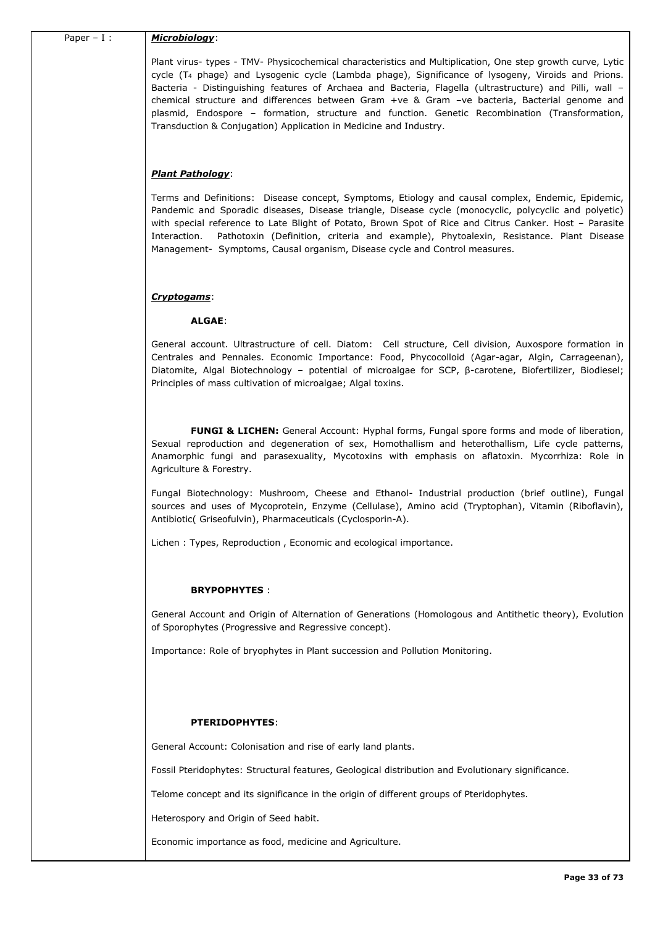### Paper – I : *Microbiology*:

Plant virus- types - TMV- Physicochemical characteristics and Multiplication, One step growth curve, Lytic cycle (T<sup>4</sup> phage) and Lysogenic cycle (Lambda phage), Significance of lysogeny, Viroids and Prions. Bacteria - Distinguishing features of Archaea and Bacteria, Flagella (ultrastructure) and Pilli, wall – chemical structure and differences between Gram +ve & Gram –ve bacteria, Bacterial genome and plasmid, Endospore – formation, structure and function. Genetic Recombination (Transformation, Transduction & Conjugation) Application in Medicine and Industry.

### *Plant Pathology*:

Terms and Definitions: Disease concept, Symptoms, Etiology and causal complex, Endemic, Epidemic, Pandemic and Sporadic diseases, Disease triangle, Disease cycle (monocyclic, polycyclic and polyetic) with special reference to Late Blight of Potato, Brown Spot of Rice and Citrus Canker. Host – Parasite Interaction. Pathotoxin (Definition, criteria and example), Phytoalexin, Resistance. Plant Disease Management- Symptoms, Causal organism, Disease cycle and Control measures.

### *Cryptogams*:

### **ALGAE**:

General account. Ultrastructure of cell. Diatom: Cell structure, Cell division, Auxospore formation in Centrales and Pennales. Economic Importance: Food, Phycocolloid (Agar-agar, Algin, Carrageenan), Diatomite, Algal Biotechnology – potential of microalgae for SCP, β-carotene, Biofertilizer, Biodiesel; Principles of mass cultivation of microalgae; Algal toxins.

**FUNGI & LICHEN:** General Account: Hyphal forms, Fungal spore forms and mode of liberation, Sexual reproduction and degeneration of sex, Homothallism and heterothallism, Life cycle patterns, Anamorphic fungi and parasexuality, Mycotoxins with emphasis on aflatoxin. Mycorrhiza: Role in Agriculture & Forestry.

Fungal Biotechnology: Mushroom, Cheese and Ethanol- Industrial production (brief outline), Fungal sources and uses of Mycoprotein, Enzyme (Cellulase), Amino acid (Tryptophan), Vitamin (Riboflavin), Antibiotic( Griseofulvin), Pharmaceuticals (Cyclosporin-A).

Lichen : Types, Reproduction , Economic and ecological importance.

### **BRYPOPHYTES** :

General Account and Origin of Alternation of Generations (Homologous and Antithetic theory), Evolution of Sporophytes (Progressive and Regressive concept).

Importance: Role of bryophytes in Plant succession and Pollution Monitoring.

### **PTERIDOPHYTES**:

General Account: Colonisation and rise of early land plants.

Fossil Pteridophytes: Structural features, Geological distribution and Evolutionary significance.

Telome concept and its significance in the origin of different groups of Pteridophytes.

Heterospory and Origin of Seed habit.

Economic importance as food, medicine and Agriculture.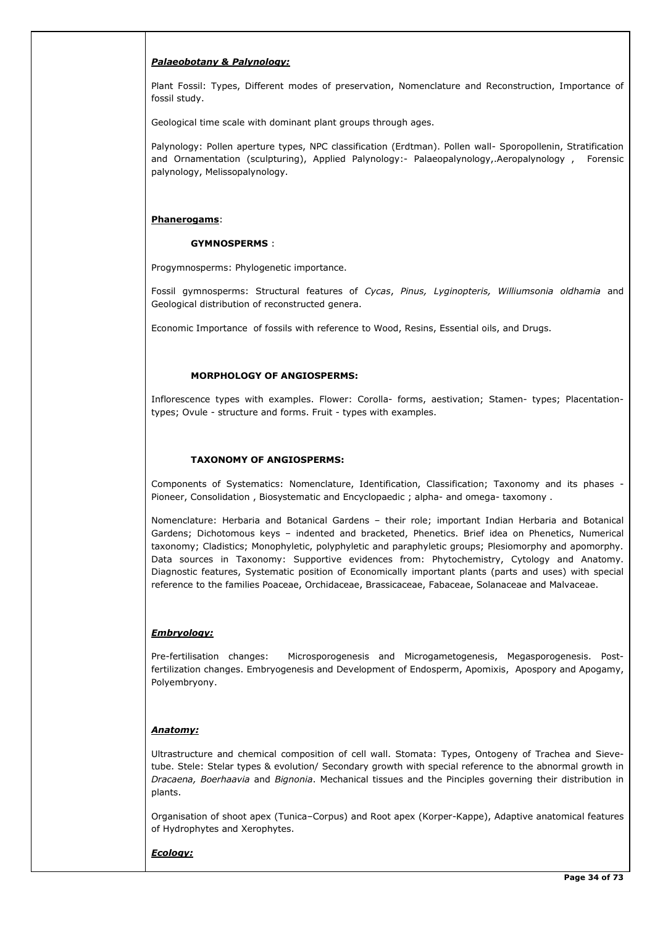### *Palaeobotany & Palynology:*

Plant Fossil: Types, Different modes of preservation, Nomenclature and Reconstruction, Importance of fossil study.

Geological time scale with dominant plant groups through ages.

Palynology: Pollen aperture types, NPC classification (Erdtman). Pollen wall- Sporopollenin, Stratification and Ornamentation (sculpturing), Applied Palynology:- Palaeopalynology,.Aeropalynology , Forensic palynology, Melissopalynology.

### **Phanerogams**:

### **GYMNOSPERMS** :

Progymnosperms: Phylogenetic importance.

Fossil gymnosperms: Structural features of *Cycas*, *Pinus, Lyginopteris, Williumsonia oldhamia* and Geological distribution of reconstructed genera.

Economic Importance of fossils with reference to Wood, Resins, Essential oils, and Drugs.

### **MORPHOLOGY OF ANGIOSPERMS:**

Inflorescence types with examples. Flower: Corolla- forms, aestivation; Stamen- types; Placentationtypes; Ovule - structure and forms. Fruit - types with examples.

### **TAXONOMY OF ANGIOSPERMS:**

Components of Systematics: Nomenclature, Identification, Classification; Taxonomy and its phases - Pioneer, Consolidation , Biosystematic and Encyclopaedic ; alpha- and omega- taxomony .

Nomenclature: Herbaria and Botanical Gardens – their role; important Indian Herbaria and Botanical Gardens; Dichotomous keys – indented and bracketed, Phenetics. Brief idea on Phenetics, Numerical taxonomy; Cladistics; Monophyletic, polyphyletic and paraphyletic groups; Plesiomorphy and apomorphy. Data sources in Taxonomy: Supportive evidences from: Phytochemistry, Cytology and Anatomy. Diagnostic features, Systematic position of Economically important plants (parts and uses) with special reference to the families Poaceae, Orchidaceae, Brassicaceae, Fabaceae, Solanaceae and Malvaceae.

# *Embryology:*

Pre-fertilisation changes: Microsporogenesis and Microgametogenesis, Megasporogenesis. Postfertilization changes. Embryogenesis and Development of Endosperm, Apomixis, Apospory and Apogamy, Polyembryony.

# *Anatomy:*

Ultrastructure and chemical composition of cell wall. Stomata: Types, Ontogeny of Trachea and Sievetube. Stele: Stelar types & evolution/ Secondary growth with special reference to the abnormal growth in *Dracaena, Boerhaavia* and *Bignonia*. Mechanical tissues and the Pinciples governing their distribution in plants.

Organisation of shoot apex (Tunica–Corpus) and Root apex (Korper-Kappe), Adaptive anatomical features of Hydrophytes and Xerophytes.

*Ecology:*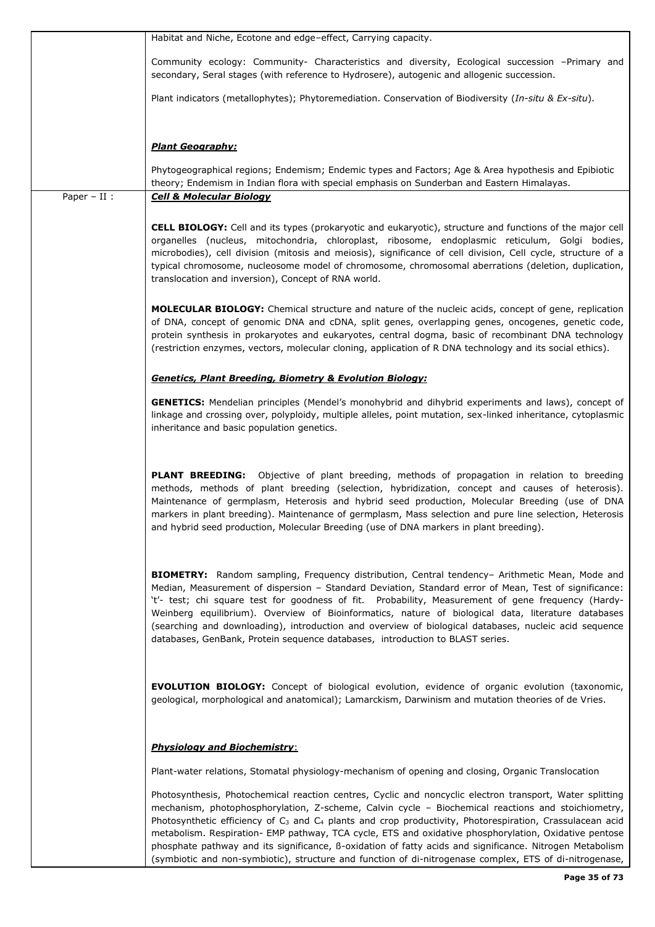|                | Habitat and Niche, Ecotone and edge-effect, Carrying capacity.                                                                                                                                                                                                                                                                                                                                                                                                                                                                                                                                                                                                   |
|----------------|------------------------------------------------------------------------------------------------------------------------------------------------------------------------------------------------------------------------------------------------------------------------------------------------------------------------------------------------------------------------------------------------------------------------------------------------------------------------------------------------------------------------------------------------------------------------------------------------------------------------------------------------------------------|
|                | Community ecology: Community- Characteristics and diversity, Ecological succession -Primary and<br>secondary, Seral stages (with reference to Hydrosere), autogenic and allogenic succession.                                                                                                                                                                                                                                                                                                                                                                                                                                                                    |
|                | Plant indicators (metallophytes); Phytoremediation. Conservation of Biodiversity (In-situ & Ex-situ).                                                                                                                                                                                                                                                                                                                                                                                                                                                                                                                                                            |
|                | <b>Plant Geography:</b>                                                                                                                                                                                                                                                                                                                                                                                                                                                                                                                                                                                                                                          |
|                | Phytogeographical regions; Endemism; Endemic types and Factors; Age & Area hypothesis and Epibiotic<br>theory; Endemism in Indian flora with special emphasis on Sunderban and Eastern Himalayas.                                                                                                                                                                                                                                                                                                                                                                                                                                                                |
| Paper $-$ II : | <b>Cell &amp; Molecular Biology</b>                                                                                                                                                                                                                                                                                                                                                                                                                                                                                                                                                                                                                              |
|                | <b>CELL BIOLOGY:</b> Cell and its types (prokaryotic and eukaryotic), structure and functions of the major cell<br>organelles (nucleus, mitochondria, chloroplast, ribosome, endoplasmic reticulum, Golgi bodies,<br>microbodies), cell division (mitosis and meiosis), significance of cell division, Cell cycle, structure of a<br>typical chromosome, nucleosome model of chromosome, chromosomal aberrations (deletion, duplication,<br>translocation and inversion), Concept of RNA world.                                                                                                                                                                  |
|                | MOLECULAR BIOLOGY: Chemical structure and nature of the nucleic acids, concept of gene, replication<br>of DNA, concept of genomic DNA and cDNA, split genes, overlapping genes, oncogenes, genetic code,<br>protein synthesis in prokaryotes and eukaryotes, central dogma, basic of recombinant DNA technology<br>(restriction enzymes, vectors, molecular cloning, application of R DNA technology and its social ethics).                                                                                                                                                                                                                                     |
|                | <b>Genetics, Plant Breeding, Biometry &amp; Evolution Biology:</b>                                                                                                                                                                                                                                                                                                                                                                                                                                                                                                                                                                                               |
|                | <b>GENETICS:</b> Mendelian principles (Mendel's monohybrid and dihybrid experiments and laws), concept of<br>linkage and crossing over, polyploidy, multiple alleles, point mutation, sex-linked inheritance, cytoplasmic<br>inheritance and basic population genetics.                                                                                                                                                                                                                                                                                                                                                                                          |
|                | PLANT BREEDING: Objective of plant breeding, methods of propagation in relation to breeding<br>methods, methods of plant breeding (selection, hybridization, concept and causes of heterosis).<br>Maintenance of germplasm, Heterosis and hybrid seed production, Molecular Breeding (use of DNA<br>markers in plant breeding). Maintenance of germplasm, Mass selection and pure line selection, Heterosis<br>and hybrid seed production, Molecular Breeding (use of DNA markers in plant breeding).                                                                                                                                                            |
|                | BIOMETRY: Random sampling, Frequency distribution, Central tendency- Arithmetic Mean, Mode and<br>Median, Measurement of dispersion - Standard Deviation, Standard error of Mean, Test of significance:<br>'t'- test; chi square test for goodness of fit. Probability, Measurement of gene frequency (Hardy-<br>Weinberg equilibrium). Overview of Bioinformatics, nature of biological data, literature databases<br>(searching and downloading), introduction and overview of biological databases, nucleic acid sequence<br>databases, GenBank, Protein sequence databases, introduction to BLAST series.                                                    |
|                | <b>EVOLUTION BIOLOGY:</b> Concept of biological evolution, evidence of organic evolution (taxonomic,<br>geological, morphological and anatomical); Lamarckism, Darwinism and mutation theories of de Vries.                                                                                                                                                                                                                                                                                                                                                                                                                                                      |
|                | <b>Physiology and Biochemistry:</b>                                                                                                                                                                                                                                                                                                                                                                                                                                                                                                                                                                                                                              |
|                | Plant-water relations, Stomatal physiology-mechanism of opening and closing, Organic Translocation                                                                                                                                                                                                                                                                                                                                                                                                                                                                                                                                                               |
|                | Photosynthesis, Photochemical reaction centres, Cyclic and noncyclic electron transport, Water splitting<br>mechanism, photophosphorylation, Z-scheme, Calvin cycle - Biochemical reactions and stoichiometry,<br>Photosynthetic efficiency of $C_3$ and $C_4$ plants and crop productivity, Photorespiration, Crassulacean acid<br>metabolism. Respiration- EMP pathway, TCA cycle, ETS and oxidative phosphorylation, Oxidative pentose<br>phosphate pathway and its significance, B-oxidation of fatty acids and significance. Nitrogen Metabolism<br>(symbiotic and non-symbiotic), structure and function of di-nitrogenase complex, ETS of di-nitrogenase, |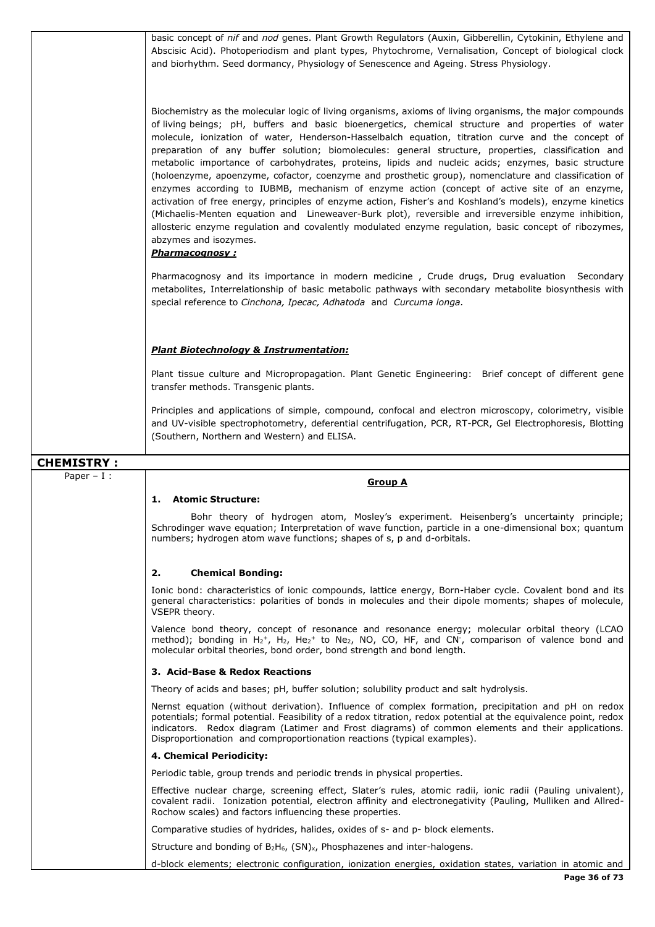|                   | basic concept of <i>nif</i> and <i>nod</i> genes. Plant Growth Regulators (Auxin, Gibberellin, Cytokinin, Ethylene and<br>Abscisic Acid). Photoperiodism and plant types, Phytochrome, Vernalisation, Concept of biological clock<br>and biorhythm. Seed dormancy, Physiology of Senescence and Ageing. Stress Physiology.<br>Biochemistry as the molecular logic of living organisms, axioms of living organisms, the major compounds<br>of living beings; pH, buffers and basic bioenergetics, chemical structure and properties of water<br>molecule, ionization of water, Henderson-Hasselbalch equation, titration curve and the concept of<br>preparation of any buffer solution; biomolecules: general structure, properties, classification and<br>metabolic importance of carbohydrates, proteins, lipids and nucleic acids; enzymes, basic structure<br>(holoenzyme, apoenzyme, cofactor, coenzyme and prosthetic group), nomenclature and classification of<br>enzymes according to IUBMB, mechanism of enzyme action (concept of active site of an enzyme,<br>activation of free energy, principles of enzyme action, Fisher's and Koshland's models), enzyme kinetics<br>(Michaelis-Menten equation and Lineweaver-Burk plot), reversible and irreversible enzyme inhibition,<br>allosteric enzyme regulation and covalently modulated enzyme regulation, basic concept of ribozymes,<br>abzymes and isozymes.<br>Pharmacognosy:<br>Pharmacognosy and its importance in modern medicine, Crude drugs, Drug evaluation Secondary<br>metabolites, Interrelationship of basic metabolic pathways with secondary metabolite biosynthesis with |
|-------------------|--------------------------------------------------------------------------------------------------------------------------------------------------------------------------------------------------------------------------------------------------------------------------------------------------------------------------------------------------------------------------------------------------------------------------------------------------------------------------------------------------------------------------------------------------------------------------------------------------------------------------------------------------------------------------------------------------------------------------------------------------------------------------------------------------------------------------------------------------------------------------------------------------------------------------------------------------------------------------------------------------------------------------------------------------------------------------------------------------------------------------------------------------------------------------------------------------------------------------------------------------------------------------------------------------------------------------------------------------------------------------------------------------------------------------------------------------------------------------------------------------------------------------------------------------------------------------------------------------------------------------------------------------------|
|                   | special reference to Cinchona, Ipecac, Adhatoda and Curcuma longa.                                                                                                                                                                                                                                                                                                                                                                                                                                                                                                                                                                                                                                                                                                                                                                                                                                                                                                                                                                                                                                                                                                                                                                                                                                                                                                                                                                                                                                                                                                                                                                                     |
|                   | <b>Plant Biotechnology &amp; Instrumentation:</b>                                                                                                                                                                                                                                                                                                                                                                                                                                                                                                                                                                                                                                                                                                                                                                                                                                                                                                                                                                                                                                                                                                                                                                                                                                                                                                                                                                                                                                                                                                                                                                                                      |
|                   | Plant tissue culture and Micropropagation. Plant Genetic Engineering: Brief concept of different gene<br>transfer methods. Transgenic plants.                                                                                                                                                                                                                                                                                                                                                                                                                                                                                                                                                                                                                                                                                                                                                                                                                                                                                                                                                                                                                                                                                                                                                                                                                                                                                                                                                                                                                                                                                                          |
|                   | Principles and applications of simple, compound, confocal and electron microscopy, colorimetry, visible<br>and UV-visible spectrophotometry, deferential centrifugation, PCR, RT-PCR, Gel Electrophoresis, Blotting<br>(Southern, Northern and Western) and ELISA.                                                                                                                                                                                                                                                                                                                                                                                                                                                                                                                                                                                                                                                                                                                                                                                                                                                                                                                                                                                                                                                                                                                                                                                                                                                                                                                                                                                     |
|                   |                                                                                                                                                                                                                                                                                                                                                                                                                                                                                                                                                                                                                                                                                                                                                                                                                                                                                                                                                                                                                                                                                                                                                                                                                                                                                                                                                                                                                                                                                                                                                                                                                                                        |
| <b>CHEMISTRY:</b> |                                                                                                                                                                                                                                                                                                                                                                                                                                                                                                                                                                                                                                                                                                                                                                                                                                                                                                                                                                                                                                                                                                                                                                                                                                                                                                                                                                                                                                                                                                                                                                                                                                                        |
| Paper $- I$ :     | <b>Group A</b>                                                                                                                                                                                                                                                                                                                                                                                                                                                                                                                                                                                                                                                                                                                                                                                                                                                                                                                                                                                                                                                                                                                                                                                                                                                                                                                                                                                                                                                                                                                                                                                                                                         |
|                   | <b>Atomic Structure:</b><br>1.                                                                                                                                                                                                                                                                                                                                                                                                                                                                                                                                                                                                                                                                                                                                                                                                                                                                                                                                                                                                                                                                                                                                                                                                                                                                                                                                                                                                                                                                                                                                                                                                                         |
|                   | Bohr theory of hydrogen atom, Mosley's experiment. Heisenberg's uncertainty principle;<br>Schrodinger wave equation; Interpretation of wave function, particle in a one-dimensional box; quantum<br>numbers; hydrogen atom wave functions; shapes of s, p and d-orbitals.                                                                                                                                                                                                                                                                                                                                                                                                                                                                                                                                                                                                                                                                                                                                                                                                                                                                                                                                                                                                                                                                                                                                                                                                                                                                                                                                                                              |
|                   | 2.<br><b>Chemical Bonding:</b>                                                                                                                                                                                                                                                                                                                                                                                                                                                                                                                                                                                                                                                                                                                                                                                                                                                                                                                                                                                                                                                                                                                                                                                                                                                                                                                                                                                                                                                                                                                                                                                                                         |
|                   | Ionic bond: characteristics of ionic compounds, lattice energy, Born-Haber cycle. Covalent bond and its<br>general characteristics: polarities of bonds in molecules and their dipole moments; shapes of molecule,<br>VSEPR theory.                                                                                                                                                                                                                                                                                                                                                                                                                                                                                                                                                                                                                                                                                                                                                                                                                                                                                                                                                                                                                                                                                                                                                                                                                                                                                                                                                                                                                    |
|                   | Valence bond theory, concept of resonance and resonance energy; molecular orbital theory (LCAO<br>method); bonding in H <sub>2</sub> +, H <sub>2</sub> , He <sub>2</sub> + to Ne <sub>2</sub> , NO, CO, HF, and CN <sup>-</sup> , comparison of valence bond and<br>molecular orbital theories, bond order, bond strength and bond length.                                                                                                                                                                                                                                                                                                                                                                                                                                                                                                                                                                                                                                                                                                                                                                                                                                                                                                                                                                                                                                                                                                                                                                                                                                                                                                             |
|                   | 3. Acid-Base & Redox Reactions                                                                                                                                                                                                                                                                                                                                                                                                                                                                                                                                                                                                                                                                                                                                                                                                                                                                                                                                                                                                                                                                                                                                                                                                                                                                                                                                                                                                                                                                                                                                                                                                                         |
|                   | Theory of acids and bases; pH, buffer solution; solubility product and salt hydrolysis.                                                                                                                                                                                                                                                                                                                                                                                                                                                                                                                                                                                                                                                                                                                                                                                                                                                                                                                                                                                                                                                                                                                                                                                                                                                                                                                                                                                                                                                                                                                                                                |
|                   | Nernst equation (without derivation). Influence of complex formation, precipitation and pH on redox<br>potentials; formal potential. Feasibility of a redox titration, redox potential at the equivalence point, redox<br>indicators. Redox diagram (Latimer and Frost diagrams) of common elements and their applications.<br>Disproportionation and comproportionation reactions (typical examples).                                                                                                                                                                                                                                                                                                                                                                                                                                                                                                                                                                                                                                                                                                                                                                                                                                                                                                                                                                                                                                                                                                                                                                                                                                                 |
|                   | 4. Chemical Periodicity:                                                                                                                                                                                                                                                                                                                                                                                                                                                                                                                                                                                                                                                                                                                                                                                                                                                                                                                                                                                                                                                                                                                                                                                                                                                                                                                                                                                                                                                                                                                                                                                                                               |
|                   | Periodic table, group trends and periodic trends in physical properties.                                                                                                                                                                                                                                                                                                                                                                                                                                                                                                                                                                                                                                                                                                                                                                                                                                                                                                                                                                                                                                                                                                                                                                                                                                                                                                                                                                                                                                                                                                                                                                               |
|                   | Effective nuclear charge, screening effect, Slater's rules, atomic radii, ionic radii (Pauling univalent),<br>covalent radii. Ionization potential, electron affinity and electronegativity (Pauling, Mulliken and Allred-<br>Rochow scales) and factors influencing these properties.                                                                                                                                                                                                                                                                                                                                                                                                                                                                                                                                                                                                                                                                                                                                                                                                                                                                                                                                                                                                                                                                                                                                                                                                                                                                                                                                                                 |
|                   | Comparative studies of hydrides, halides, oxides of s- and p- block elements.                                                                                                                                                                                                                                                                                                                                                                                                                                                                                                                                                                                                                                                                                                                                                                                                                                                                                                                                                                                                                                                                                                                                                                                                                                                                                                                                                                                                                                                                                                                                                                          |
|                   | Structure and bonding of $B_2H_6$ , (SN) <sub>x</sub> , Phosphazenes and inter-halogens.                                                                                                                                                                                                                                                                                                                                                                                                                                                                                                                                                                                                                                                                                                                                                                                                                                                                                                                                                                                                                                                                                                                                                                                                                                                                                                                                                                                                                                                                                                                                                               |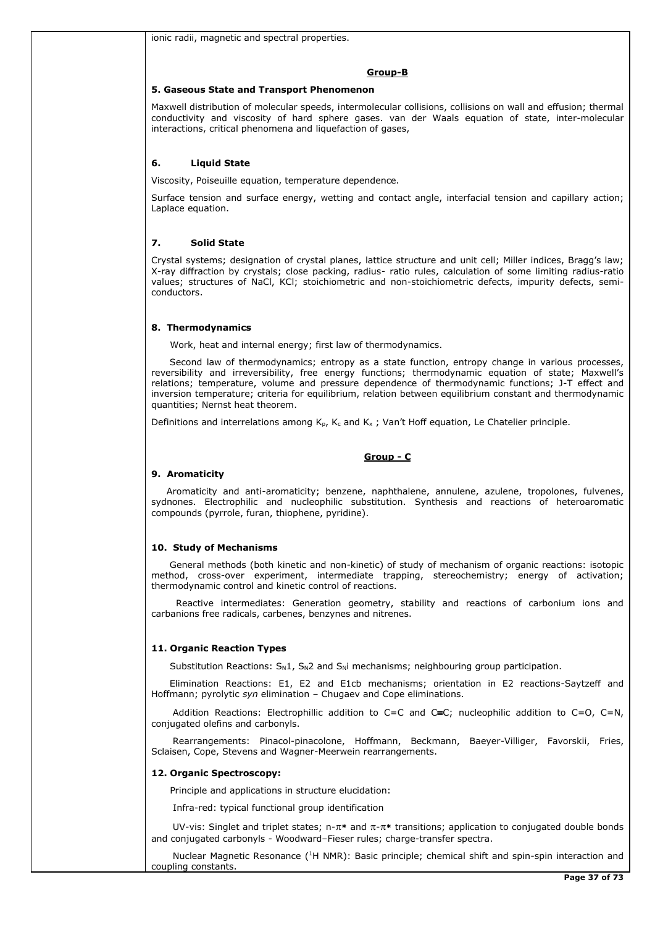ionic radii, magnetic and spectral properties.

### **Group-B**

### **5. Gaseous State and Transport Phenomenon**

Maxwell distribution of molecular speeds, intermolecular collisions, collisions on wall and effusion; thermal conductivity and viscosity of hard sphere gases. van der Waals equation of state, inter-molecular interactions, critical phenomena and liquefaction of gases,

# **6. Liquid State**

Viscosity, Poiseuille equation, temperature dependence.

Surface tension and surface energy, wetting and contact angle, interfacial tension and capillary action; Laplace equation.

# **7. Solid State**

Crystal systems; designation of crystal planes, lattice structure and unit cell; Miller indices, Bragg's law; X-ray diffraction by crystals; close packing, radius- ratio rules, calculation of some limiting radius-ratio values; structures of NaCl, KCl; stoichiometric and non-stoichiometric defects, impurity defects, semiconductors.

# **8. Thermodynamics**

Work, heat and internal energy; first law of thermodynamics.

 Second law of thermodynamics; entropy as a state function, entropy change in various processes, reversibility and irreversibility, free energy functions; thermodynamic equation of state; Maxwell's relations; temperature, volume and pressure dependence of thermodynamic functions; J-T effect and inversion temperature; criteria for equilibrium, relation between equilibrium constant and thermodynamic quantities; Nernst heat theorem.

Definitions and interrelations among  $K_p$ ,  $K_c$  and  $K_x$ ; Van't Hoff equation, Le Chatelier principle.

# **Group - C**

# **9. Aromaticity**

 Aromaticity and anti-aromaticity; benzene, naphthalene, annulene, azulene, tropolones, fulvenes, sydnones. Electrophilic and nucleophilic substitution. Synthesis and reactions of heteroaromatic compounds (pyrrole, furan, thiophene, pyridine).

# **10. Study of Mechanisms**

 General methods (both kinetic and non-kinetic) of study of mechanism of organic reactions: isotopic method, cross-over experiment, intermediate trapping, stereochemistry; energy of activation; thermodynamic control and kinetic control of reactions.

 Reactive intermediates: Generation geometry, stability and reactions of carbonium ions and carbanions free radicals, carbenes, benzynes and nitrenes.

# **11. Organic Reaction Types**

Substitution Reactions:  $S_N1$ ,  $S_N2$  and  $S_Ni$  mechanisms; neighbouring group participation.

 Elimination Reactions: E1, E2 and E1cb mechanisms; orientation in E2 reactions-Saytzeff and Hoffmann; pyrolytic *syn* elimination – Chugaev and Cope eliminations.

Addition Reactions: Electrophillic addition to  $C=C$  and  $C=C$ ; nucleophilic addition to  $C=O$ ,  $C=N$ , conjugated olefins and carbonyls.

 Rearrangements: Pinacol-pinacolone, Hoffmann, Beckmann, Baeyer-Villiger, Favorskii, Fries, Sclaisen, Cope, Stevens and Wagner-Meerwein rearrangements.

# **12. Organic Spectroscopy:**

Principle and applications in structure elucidation:

Infra-red: typical functional group identification

UV-vis: Singlet and triplet states; n- $\pi^*$  and  $\pi$ - $\pi^*$  transitions; application to conjugated double bonds and conjugated carbonyls - Woodward–Fieser rules; charge-transfer spectra.

Nuclear Magnetic Resonance (<sup>1</sup>H NMR): Basic principle; chemical shift and spin-spin interaction and coupling constants.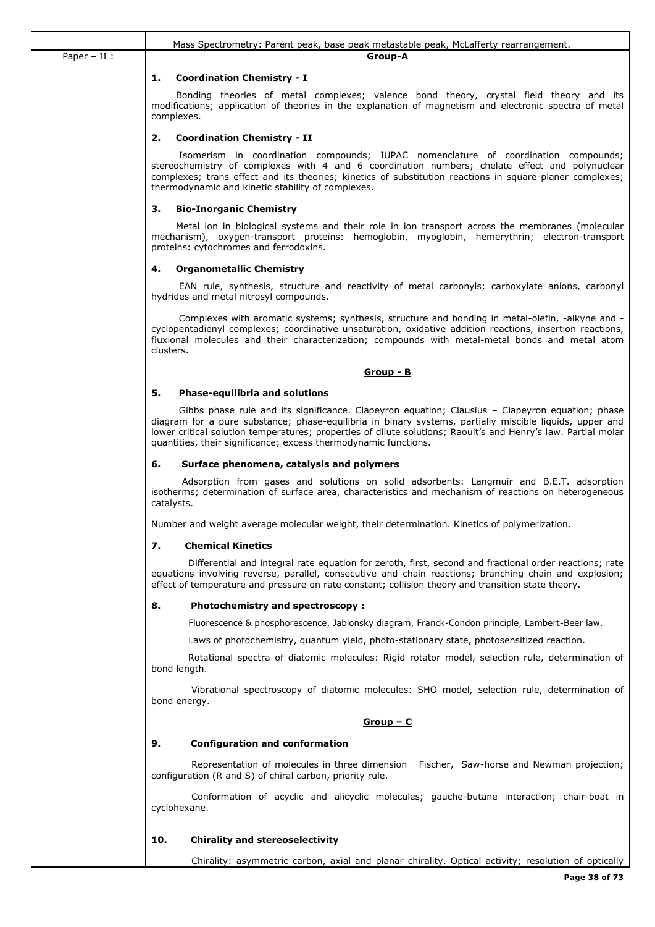|                | Mass Spectrometry: Parent peak, base peak metastable peak, McLafferty rearrangement.                                                                                                                                                                                                                                                                                                           |
|----------------|------------------------------------------------------------------------------------------------------------------------------------------------------------------------------------------------------------------------------------------------------------------------------------------------------------------------------------------------------------------------------------------------|
| Paper $-$ II : | Group-A                                                                                                                                                                                                                                                                                                                                                                                        |
|                | <b>Coordination Chemistry - I</b><br>1.                                                                                                                                                                                                                                                                                                                                                        |
|                | Bonding theories of metal complexes; valence bond theory, crystal field theory and its<br>modifications; application of theories in the explanation of magnetism and electronic spectra of metal<br>complexes.                                                                                                                                                                                 |
|                | <b>Coordination Chemistry - II</b><br>2.                                                                                                                                                                                                                                                                                                                                                       |
|                | Isomerism in coordination compounds; IUPAC nomenclature of coordination compounds;<br>stereochemistry of complexes with 4 and 6 coordination numbers; chelate effect and polynuclear<br>complexes; trans effect and its theories; kinetics of substitution reactions in square-planer complexes;<br>thermodynamic and kinetic stability of complexes.                                          |
|                | З.<br><b>Bio-Inorganic Chemistry</b>                                                                                                                                                                                                                                                                                                                                                           |
|                | Metal ion in biological systems and their role in ion transport across the membranes (molecular<br>mechanism), oxygen-transport proteins: hemoglobin, myoglobin, hemerythrin; electron-transport<br>proteins: cytochromes and ferrodoxins.                                                                                                                                                     |
|                | <b>Organometallic Chemistry</b><br>4.                                                                                                                                                                                                                                                                                                                                                          |
|                | EAN rule, synthesis, structure and reactivity of metal carbonyls; carboxylate anions, carbonyl<br>hydrides and metal nitrosyl compounds.                                                                                                                                                                                                                                                       |
|                | Complexes with aromatic systems; synthesis, structure and bonding in metal-olefin, -alkyne and -<br>cyclopentadienyl complexes; coordinative unsaturation, oxidative addition reactions, insertion reactions,<br>fluxional molecules and their characterization; compounds with metal-metal bonds and metal atom<br>clusters.                                                                  |
|                | <u>Group - B</u>                                                                                                                                                                                                                                                                                                                                                                               |
|                | 5.<br><b>Phase-equilibria and solutions</b>                                                                                                                                                                                                                                                                                                                                                    |
|                | Gibbs phase rule and its significance. Clapeyron equation; Clausius - Clapeyron equation; phase<br>diagram for a pure substance; phase-equilibria in binary systems, partially miscible liquids, upper and<br>lower critical solution temperatures; properties of dilute solutions; Raoult's and Henry's law. Partial molar<br>quantities, their significance; excess thermodynamic functions. |
|                | 6.<br>Surface phenomena, catalysis and polymers                                                                                                                                                                                                                                                                                                                                                |
|                | Adsorption from gases and solutions on solid adsorbents: Langmuir and B.E.T. adsorption<br>isotherms; determination of surface area, characteristics and mechanism of reactions on heterogeneous<br>catalysts.                                                                                                                                                                                 |
|                | Number and weight average molecular weight, their determination. Kinetics of polymerization.                                                                                                                                                                                                                                                                                                   |
|                | 7.<br><b>Chemical Kinetics</b>                                                                                                                                                                                                                                                                                                                                                                 |
|                | Differential and integral rate equation for zeroth, first, second and fractional order reactions; rate<br>equations involving reverse, parallel, consecutive and chain reactions; branching chain and explosion;<br>effect of temperature and pressure on rate constant; collision theory and transition state theory.                                                                         |
|                | 8.<br>Photochemistry and spectroscopy :                                                                                                                                                                                                                                                                                                                                                        |
|                | Fluorescence & phosphorescence, Jablonsky diagram, Franck-Condon principle, Lambert-Beer law.                                                                                                                                                                                                                                                                                                  |
|                | Laws of photochemistry, quantum yield, photo-stationary state, photosensitized reaction.                                                                                                                                                                                                                                                                                                       |
|                | Rotational spectra of diatomic molecules: Rigid rotator model, selection rule, determination of<br>bond length.                                                                                                                                                                                                                                                                                |
|                | Vibrational spectroscopy of diatomic molecules: SHO model, selection rule, determination of<br>bond energy.                                                                                                                                                                                                                                                                                    |
|                | $Group - C$                                                                                                                                                                                                                                                                                                                                                                                    |
|                | 9.<br><b>Configuration and conformation</b>                                                                                                                                                                                                                                                                                                                                                    |
|                | Representation of molecules in three dimension Fischer, Saw-horse and Newman projection;<br>configuration (R and S) of chiral carbon, priority rule.                                                                                                                                                                                                                                           |
|                | Conformation of acyclic and alicyclic molecules; gauche-butane interaction; chair-boat in<br>cyclohexane.                                                                                                                                                                                                                                                                                      |
|                | <b>Chirality and stereoselectivity</b><br>10.                                                                                                                                                                                                                                                                                                                                                  |

I

Chirality: asymmetric carbon, axial and planar chirality. Optical activity; resolution of optically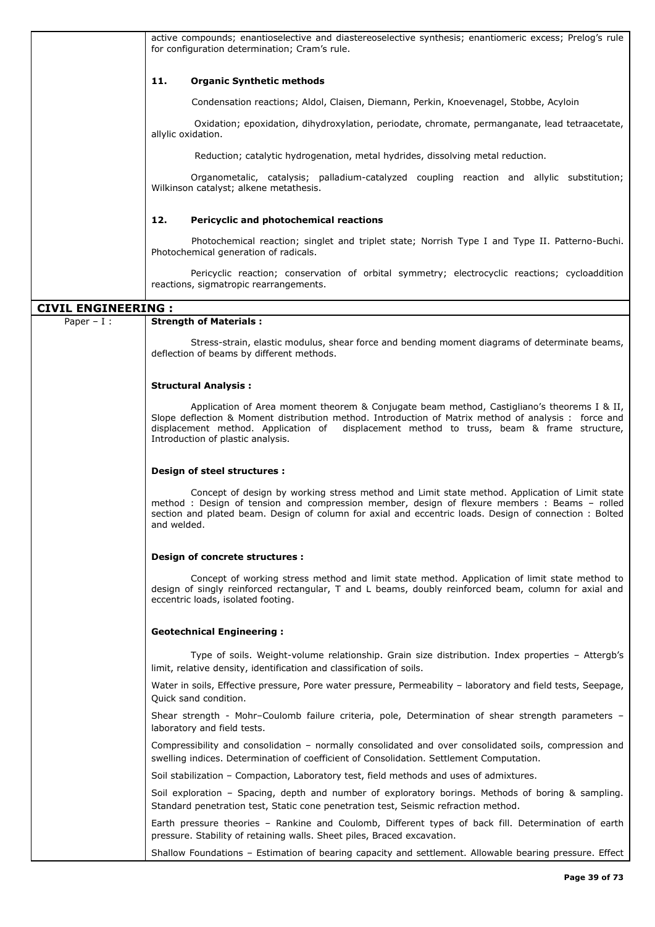|                                            | active compounds; enantioselective and diastereoselective synthesis; enantiomeric excess; Prelog's rule<br>for configuration determination; Cram's rule.                                                                                                                                                                            |
|--------------------------------------------|-------------------------------------------------------------------------------------------------------------------------------------------------------------------------------------------------------------------------------------------------------------------------------------------------------------------------------------|
|                                            | 11.<br><b>Organic Synthetic methods</b>                                                                                                                                                                                                                                                                                             |
|                                            | Condensation reactions; Aldol, Claisen, Diemann, Perkin, Knoevenagel, Stobbe, Acyloin                                                                                                                                                                                                                                               |
|                                            | Oxidation; epoxidation, dihydroxylation, periodate, chromate, permanganate, lead tetraacetate,                                                                                                                                                                                                                                      |
|                                            | allylic oxidation.<br>Reduction; catalytic hydrogenation, metal hydrides, dissolving metal reduction.                                                                                                                                                                                                                               |
|                                            |                                                                                                                                                                                                                                                                                                                                     |
|                                            | Organometalic, catalysis; palladium-catalyzed coupling reaction and allylic substitution;<br>Wilkinson catalyst; alkene metathesis.                                                                                                                                                                                                 |
|                                            | 12.<br>Pericyclic and photochemical reactions                                                                                                                                                                                                                                                                                       |
|                                            | Photochemical reaction; singlet and triplet state; Norrish Type I and Type II. Patterno-Buchi.<br>Photochemical generation of radicals.                                                                                                                                                                                             |
|                                            | Pericyclic reaction; conservation of orbital symmetry; electrocyclic reactions; cycloaddition<br>reactions, sigmatropic rearrangements.                                                                                                                                                                                             |
| <b>CIVIL ENGINEERING:</b><br>Paper $- I$ : | <b>Strength of Materials:</b>                                                                                                                                                                                                                                                                                                       |
|                                            | Stress-strain, elastic modulus, shear force and bending moment diagrams of determinate beams,<br>deflection of beams by different methods.                                                                                                                                                                                          |
|                                            | <b>Structural Analysis:</b>                                                                                                                                                                                                                                                                                                         |
|                                            | Application of Area moment theorem & Conjugate beam method, Castigliano's theorems I & II,<br>Slope deflection & Moment distribution method. Introduction of Matrix method of analysis: force and<br>displacement method. Application of displacement method to truss, beam & frame structure,<br>Introduction of plastic analysis. |
|                                            | Design of steel structures :                                                                                                                                                                                                                                                                                                        |
|                                            | Concept of design by working stress method and Limit state method. Application of Limit state<br>method : Design of tension and compression member, design of flexure members : Beams - rolled<br>section and plated beam. Design of column for axial and eccentric loads. Design of connection : Bolted<br>and welded.             |
|                                            | Design of concrete structures :                                                                                                                                                                                                                                                                                                     |
|                                            | Concept of working stress method and limit state method. Application of limit state method to<br>design of singly reinforced rectangular, T and L beams, doubly reinforced beam, column for axial and<br>eccentric loads, isolated footing.                                                                                         |
|                                            | <b>Geotechnical Engineering:</b>                                                                                                                                                                                                                                                                                                    |
|                                            | Type of soils. Weight-volume relationship. Grain size distribution. Index properties - Attergb's<br>limit, relative density, identification and classification of soils.                                                                                                                                                            |
|                                            | Water in soils, Effective pressure, Pore water pressure, Permeability - laboratory and field tests, Seepage,<br>Quick sand condition.                                                                                                                                                                                               |
|                                            | Shear strength - Mohr-Coulomb failure criteria, pole, Determination of shear strength parameters -<br>laboratory and field tests.                                                                                                                                                                                                   |
|                                            | Compressibility and consolidation - normally consolidated and over consolidated soils, compression and<br>swelling indices. Determination of coefficient of Consolidation. Settlement Computation.                                                                                                                                  |
|                                            | Soil stabilization - Compaction, Laboratory test, field methods and uses of admixtures.                                                                                                                                                                                                                                             |
|                                            | Soil exploration - Spacing, depth and number of exploratory borings. Methods of boring & sampling.<br>Standard penetration test, Static cone penetration test, Seismic refraction method.                                                                                                                                           |
|                                            | Earth pressure theories - Rankine and Coulomb, Different types of back fill. Determination of earth<br>pressure. Stability of retaining walls. Sheet piles, Braced excavation.                                                                                                                                                      |
|                                            | Shallow Foundations - Estimation of bearing capacity and settlement. Allowable bearing pressure. Effect                                                                                                                                                                                                                             |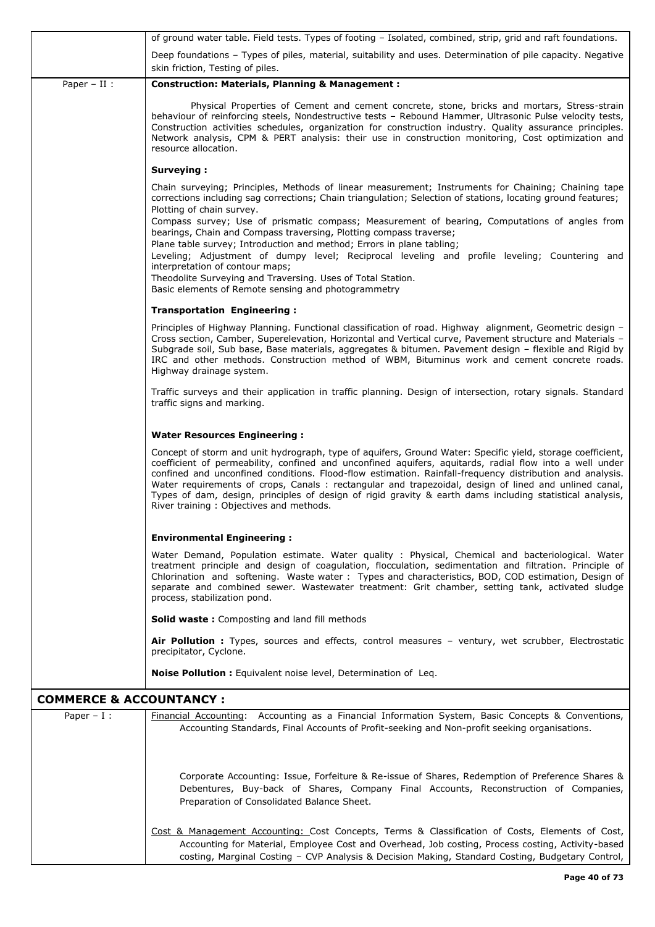|                                    | of ground water table. Field tests. Types of footing - Isolated, combined, strip, grid and raft foundations.                                                                                                                                                                                                                                                                                                                                                                                                                                                                                                                                                                                                                                               |
|------------------------------------|------------------------------------------------------------------------------------------------------------------------------------------------------------------------------------------------------------------------------------------------------------------------------------------------------------------------------------------------------------------------------------------------------------------------------------------------------------------------------------------------------------------------------------------------------------------------------------------------------------------------------------------------------------------------------------------------------------------------------------------------------------|
|                                    | Deep foundations - Types of piles, material, suitability and uses. Determination of pile capacity. Negative<br>skin friction, Testing of piles.                                                                                                                                                                                                                                                                                                                                                                                                                                                                                                                                                                                                            |
| Paper $-$ II :                     | <b>Construction: Materials, Planning &amp; Management:</b>                                                                                                                                                                                                                                                                                                                                                                                                                                                                                                                                                                                                                                                                                                 |
|                                    | Physical Properties of Cement and cement concrete, stone, bricks and mortars, Stress-strain<br>behaviour of reinforcing steels, Nondestructive tests - Rebound Hammer, Ultrasonic Pulse velocity tests,<br>Construction activities schedules, organization for construction industry. Quality assurance principles.<br>Network analysis, CPM & PERT analysis: their use in construction monitoring, Cost optimization and<br>resource allocation.                                                                                                                                                                                                                                                                                                          |
|                                    | <b>Surveying:</b>                                                                                                                                                                                                                                                                                                                                                                                                                                                                                                                                                                                                                                                                                                                                          |
|                                    | Chain surveying; Principles, Methods of linear measurement; Instruments for Chaining; Chaining tape<br>corrections including sag corrections; Chain triangulation; Selection of stations, locating ground features;<br>Plotting of chain survey.<br>Compass survey; Use of prismatic compass; Measurement of bearing, Computations of angles from<br>bearings, Chain and Compass traversing, Plotting compass traverse;<br>Plane table survey; Introduction and method; Errors in plane tabling;<br>Leveling; Adjustment of dumpy level; Reciprocal leveling and profile leveling; Countering and<br>interpretation of contour maps;<br>Theodolite Surveying and Traversing. Uses of Total Station.<br>Basic elements of Remote sensing and photogrammetry |
|                                    | <b>Transportation Engineering:</b>                                                                                                                                                                                                                                                                                                                                                                                                                                                                                                                                                                                                                                                                                                                         |
|                                    | Principles of Highway Planning. Functional classification of road. Highway alignment, Geometric design -<br>Cross section, Camber, Superelevation, Horizontal and Vertical curve, Pavement structure and Materials -<br>Subgrade soil, Sub base, Base materials, aggregates & bitumen. Pavement design – flexible and Rigid by<br>IRC and other methods. Construction method of WBM, Bituminus work and cement concrete roads.<br>Highway drainage system.                                                                                                                                                                                                                                                                                                 |
|                                    | Traffic surveys and their application in traffic planning. Design of intersection, rotary signals. Standard<br>traffic signs and marking.                                                                                                                                                                                                                                                                                                                                                                                                                                                                                                                                                                                                                  |
|                                    | <b>Water Resources Engineering:</b>                                                                                                                                                                                                                                                                                                                                                                                                                                                                                                                                                                                                                                                                                                                        |
|                                    | Concept of storm and unit hydrograph, type of aquifers, Ground Water: Specific yield, storage coefficient,<br>coefficient of permeability, confined and unconfined aquifers, aquitards, radial flow into a well under<br>confined and unconfined conditions. Flood-flow estimation. Rainfall-frequency distribution and analysis.<br>Water requirements of crops, Canals: rectangular and trapezoidal, design of lined and unlined canal,<br>Types of dam, design, principles of design of rigid gravity & earth dams including statistical analysis,<br>River training: Objectives and methods.                                                                                                                                                           |
|                                    | <b>Environmental Engineering:</b>                                                                                                                                                                                                                                                                                                                                                                                                                                                                                                                                                                                                                                                                                                                          |
|                                    | Water Demand, Population estimate. Water quality: Physical, Chemical and bacteriological. Water<br>treatment principle and design of coagulation, flocculation, sedimentation and filtration. Principle of<br>Chlorination and softening. Waste water: Types and characteristics, BOD, COD estimation, Design of<br>separate and combined sewer. Wastewater treatment: Grit chamber, setting tank, activated sludge<br>process, stabilization pond.                                                                                                                                                                                                                                                                                                        |
|                                    | <b>Solid waste:</b> Composting and land fill methods                                                                                                                                                                                                                                                                                                                                                                                                                                                                                                                                                                                                                                                                                                       |
|                                    | Air Pollution : Types, sources and effects, control measures - ventury, wet scrubber, Electrostatic<br>precipitator, Cyclone.                                                                                                                                                                                                                                                                                                                                                                                                                                                                                                                                                                                                                              |
|                                    | <b>Noise Pollution:</b> Equivalent noise level, Determination of Leq.                                                                                                                                                                                                                                                                                                                                                                                                                                                                                                                                                                                                                                                                                      |
| <b>COMMERCE &amp; ACCOUNTANCY:</b> |                                                                                                                                                                                                                                                                                                                                                                                                                                                                                                                                                                                                                                                                                                                                                            |
| Paper $-1$ :                       | Financial Accounting: Accounting as a Financial Information System, Basic Concepts & Conventions,                                                                                                                                                                                                                                                                                                                                                                                                                                                                                                                                                                                                                                                          |
|                                    | Accounting Standards, Final Accounts of Profit-seeking and Non-profit seeking organisations.<br>Corporate Accounting: Issue, Forfeiture & Re-issue of Shares, Redemption of Preference Shares &<br>Debentures, Buy-back of Shares, Company Final Accounts, Reconstruction of Companies,<br>Preparation of Consolidated Balance Sheet.                                                                                                                                                                                                                                                                                                                                                                                                                      |
|                                    | Cost & Management Accounting: Cost Concepts, Terms & Classification of Costs, Elements of Cost,<br>Accounting for Material, Employee Cost and Overhead, Job costing, Process costing, Activity-based<br>costing, Marginal Costing - CVP Analysis & Decision Making, Standard Costing, Budgetary Control,                                                                                                                                                                                                                                                                                                                                                                                                                                                   |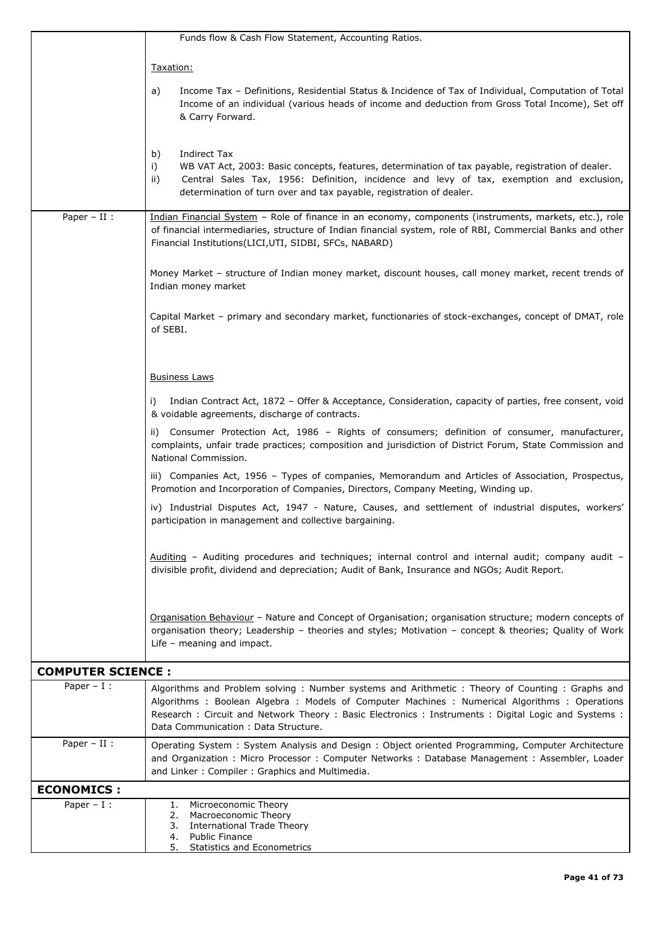|                          | Funds flow & Cash Flow Statement, Accounting Ratios.                                                                                                                                                                                                                                                                                           |
|--------------------------|------------------------------------------------------------------------------------------------------------------------------------------------------------------------------------------------------------------------------------------------------------------------------------------------------------------------------------------------|
|                          | Taxation:                                                                                                                                                                                                                                                                                                                                      |
|                          | Income Tax - Definitions, Residential Status & Incidence of Tax of Individual, Computation of Total<br>a)<br>Income of an individual (various heads of income and deduction from Gross Total Income), Set off<br>& Carry Forward.                                                                                                              |
|                          | <b>Indirect Tax</b><br>b)<br>i)<br>WB VAT Act, 2003: Basic concepts, features, determination of tax payable, registration of dealer.<br>Central Sales Tax, 1956: Definition, incidence and levy of tax, exemption and exclusion,<br>ii)<br>determination of turn over and tax payable, registration of dealer.                                 |
| Paper $-$ II :           | Indian Financial System - Role of finance in an economy, components (instruments, markets, etc.), role<br>of financial intermediaries, structure of Indian financial system, role of RBI, Commercial Banks and other<br>Financial Institutions(LICI, UTI, SIDBI, SFCs, NABARD)                                                                 |
|                          | Money Market - structure of Indian money market, discount houses, call money market, recent trends of<br>Indian money market                                                                                                                                                                                                                   |
|                          | Capital Market - primary and secondary market, functionaries of stock-exchanges, concept of DMAT, role<br>of SEBI.                                                                                                                                                                                                                             |
|                          | <b>Business Laws</b>                                                                                                                                                                                                                                                                                                                           |
|                          | Indian Contract Act, 1872 - Offer & Acceptance, Consideration, capacity of parties, free consent, void<br>i)<br>& voidable agreements, discharge of contracts.                                                                                                                                                                                 |
|                          | ii) Consumer Protection Act, 1986 - Rights of consumers; definition of consumer, manufacturer,<br>complaints, unfair trade practices; composition and jurisdiction of District Forum, State Commission and<br>National Commission.                                                                                                             |
|                          | iii) Companies Act, 1956 - Types of companies, Memorandum and Articles of Association, Prospectus,<br>Promotion and Incorporation of Companies, Directors, Company Meeting, Winding up.                                                                                                                                                        |
|                          | iv) Industrial Disputes Act, 1947 - Nature, Causes, and settlement of industrial disputes, workers'<br>participation in management and collective bargaining.                                                                                                                                                                                  |
|                          | Auditing - Auditing procedures and techniques; internal control and internal audit; company audit -<br>divisible profit, dividend and depreciation; Audit of Bank, Insurance and NGOs; Audit Report.                                                                                                                                           |
|                          | Organisation Behaviour - Nature and Concept of Organisation; organisation structure; modern concepts of<br>organisation theory; Leadership - theories and styles; Motivation - concept & theories; Quality of Work<br>Life - meaning and impact.                                                                                               |
| <b>COMPUTER SCIENCE:</b> |                                                                                                                                                                                                                                                                                                                                                |
| Paper $- I$ :            | Algorithms and Problem solving : Number systems and Arithmetic : Theory of Counting : Graphs and<br>Algorithms: Boolean Algebra: Models of Computer Machines: Numerical Algorithms: Operations<br>Research : Circuit and Network Theory : Basic Electronics : Instruments : Digital Logic and Systems :<br>Data Communication: Data Structure. |
| Paper $-$ II :           | Operating System: System Analysis and Design: Object oriented Programming, Computer Architecture<br>and Organization : Micro Processor : Computer Networks : Database Management : Assembler, Loader<br>and Linker: Compiler: Graphics and Multimedia.                                                                                         |
| <b>ECONOMICS:</b>        |                                                                                                                                                                                                                                                                                                                                                |
| Paper $-1$ :             | Microeconomic Theory<br>1.<br>Macroeconomic Theory<br>2.<br><b>International Trade Theory</b><br>3.<br>Public Finance<br>4.<br>Statistics and Econometrics<br>5.                                                                                                                                                                               |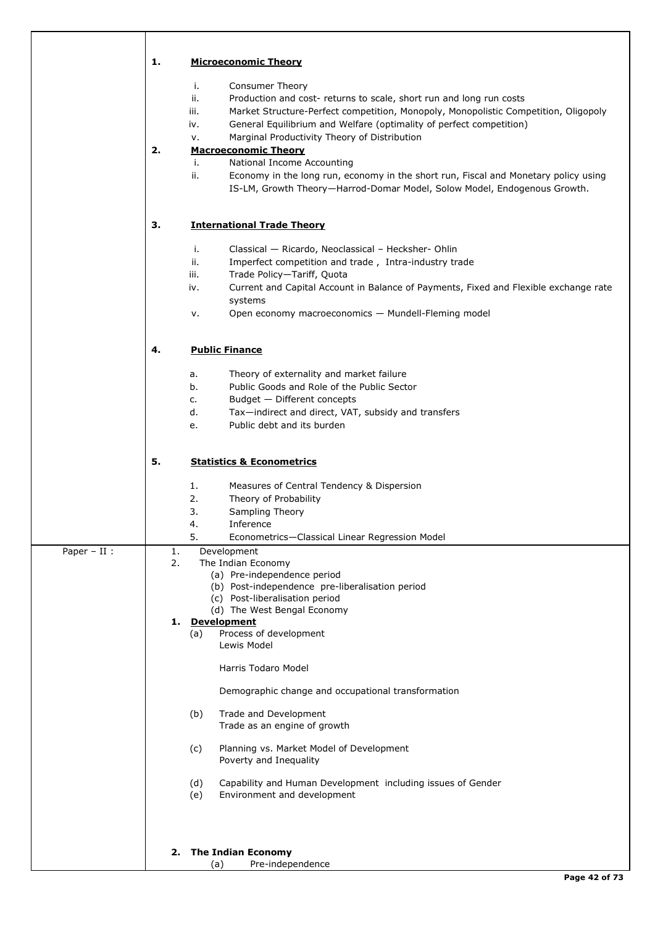|                | 1. | <b>Microeconomic Theory</b>                                                                 |
|----------------|----|---------------------------------------------------------------------------------------------|
|                |    |                                                                                             |
|                |    | i.<br>Consumer Theory                                                                       |
|                |    | ii.<br>Production and cost- returns to scale, short run and long run costs                  |
|                |    | Market Structure-Perfect competition, Monopoly, Monopolistic Competition, Oligopoly<br>iii. |
|                |    | General Equilibrium and Welfare (optimality of perfect competition)<br>iv.                  |
|                |    | Marginal Productivity Theory of Distribution<br>ν.                                          |
|                | 2. | <b>Macroeconomic Theory</b>                                                                 |
|                |    | i.<br>National Income Accounting                                                            |
|                |    | ii.<br>Economy in the long run, economy in the short run, Fiscal and Monetary policy using  |
|                |    | IS-LM, Growth Theory-Harrod-Domar Model, Solow Model, Endogenous Growth.                    |
|                |    |                                                                                             |
|                |    |                                                                                             |
|                | З. | <b>International Trade Theory</b>                                                           |
|                |    |                                                                                             |
|                |    | i.<br>Classical - Ricardo, Neoclassical - Hecksher- Ohlin                                   |
|                |    | ii.<br>Imperfect competition and trade, Intra-industry trade                                |
|                |    | Trade Policy-Tariff, Quota<br>iii.                                                          |
|                |    | Current and Capital Account in Balance of Payments, Fixed and Flexible exchange rate<br>iv. |
|                |    | systems                                                                                     |
|                |    | Open economy macroeconomics - Mundell-Fleming model<br>ν.                                   |
|                |    |                                                                                             |
|                | 4. | <b>Public Finance</b>                                                                       |
|                |    |                                                                                             |
|                |    | Theory of externality and market failure<br>a.                                              |
|                |    | Public Goods and Role of the Public Sector<br>b.                                            |
|                |    | Budget - Different concepts<br>c.                                                           |
|                |    | d.<br>Tax-indirect and direct, VAT, subsidy and transfers                                   |
|                |    | Public debt and its burden<br>e.                                                            |
|                |    |                                                                                             |
|                |    |                                                                                             |
|                | 5. | <b>Statistics &amp; Econometrics</b>                                                        |
|                |    |                                                                                             |
|                |    | 1.<br>Measures of Central Tendency & Dispersion                                             |
|                |    | 2.<br>Theory of Probability                                                                 |
|                |    | 3.<br>Sampling Theory                                                                       |
|                |    | Inference<br>4.                                                                             |
|                |    | 5.<br>Econometrics-Classical Linear Regression Model                                        |
| Paper $-$ II : | 1. | Development                                                                                 |
|                | 2. | The Indian Economy<br>(a) Pre-independence period                                           |
|                |    | (b) Post-independence pre-liberalisation period                                             |
|                |    | (c) Post-liberalisation period                                                              |
|                |    | (d) The West Bengal Economy                                                                 |
|                | 1. | <b>Development</b>                                                                          |
|                |    | Process of development<br>(a)                                                               |
|                |    | Lewis Model                                                                                 |
|                |    |                                                                                             |
|                |    | Harris Todaro Model                                                                         |
|                |    | Demographic change and occupational transformation                                          |
|                |    |                                                                                             |
|                |    | (b)<br>Trade and Development                                                                |
|                |    | Trade as an engine of growth                                                                |
|                |    |                                                                                             |
|                |    | Planning vs. Market Model of Development<br>(c)                                             |
|                |    | Poverty and Inequality                                                                      |
|                |    | Capability and Human Development including issues of Gender<br>(d)                          |
|                |    | Environment and development<br>(e)                                                          |
|                |    |                                                                                             |
|                |    |                                                                                             |
|                |    |                                                                                             |
|                | 2. | <b>The Indian Economy</b>                                                                   |
|                |    | (a)<br>Pre-independence                                                                     |
|                |    |                                                                                             |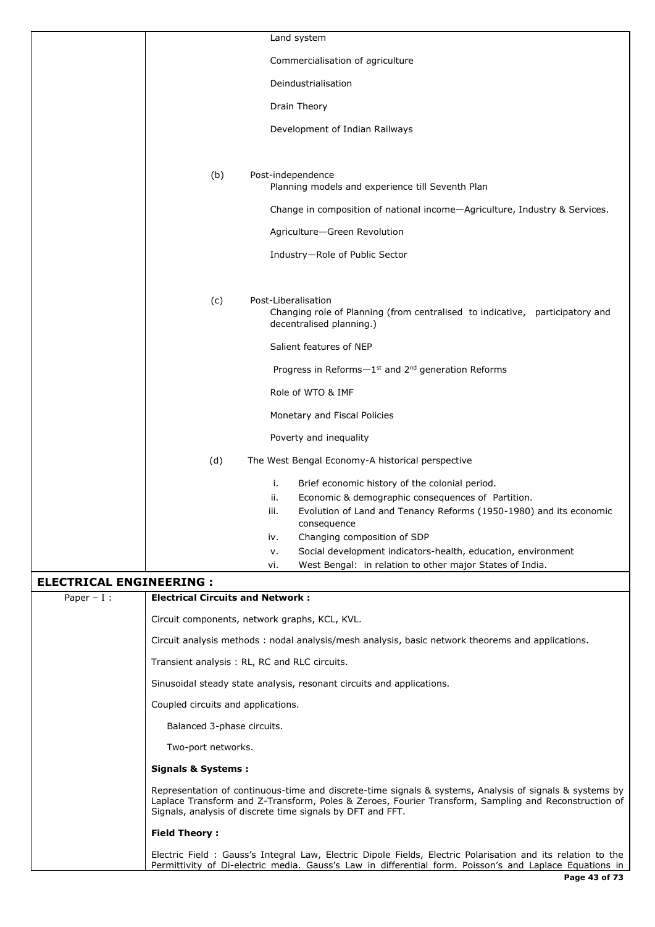|                                | Land system                                                                                                                                                                                                                                                                   |
|--------------------------------|-------------------------------------------------------------------------------------------------------------------------------------------------------------------------------------------------------------------------------------------------------------------------------|
|                                | Commercialisation of agriculture                                                                                                                                                                                                                                              |
|                                | Deindustrialisation                                                                                                                                                                                                                                                           |
|                                | Drain Theory                                                                                                                                                                                                                                                                  |
|                                | Development of Indian Railways                                                                                                                                                                                                                                                |
|                                |                                                                                                                                                                                                                                                                               |
|                                | Post-independence<br>(b)<br>Planning models and experience till Seventh Plan                                                                                                                                                                                                  |
|                                | Change in composition of national income-Agriculture, Industry & Services.                                                                                                                                                                                                    |
|                                | Agriculture-Green Revolution                                                                                                                                                                                                                                                  |
|                                | Industry-Role of Public Sector                                                                                                                                                                                                                                                |
|                                | (c)<br>Post-Liberalisation<br>Changing role of Planning (from centralised to indicative, participatory and<br>decentralised planning.)                                                                                                                                        |
|                                | Salient features of NEP                                                                                                                                                                                                                                                       |
|                                | Progress in Reforms-1 <sup>st</sup> and 2 <sup>nd</sup> generation Reforms                                                                                                                                                                                                    |
|                                | Role of WTO & IMF                                                                                                                                                                                                                                                             |
|                                | Monetary and Fiscal Policies                                                                                                                                                                                                                                                  |
|                                | Poverty and inequality                                                                                                                                                                                                                                                        |
|                                | (d)<br>The West Bengal Economy-A historical perspective                                                                                                                                                                                                                       |
|                                | i.<br>Brief economic history of the colonial period.                                                                                                                                                                                                                          |
|                                | ii.<br>Economic & demographic consequences of Partition.<br>Evolution of Land and Tenancy Reforms (1950-1980) and its economic<br>iii.                                                                                                                                        |
|                                | consequence                                                                                                                                                                                                                                                                   |
|                                | Changing composition of SDP<br>iv.<br>Social development indicators-health, education, environment<br>v.                                                                                                                                                                      |
|                                | West Bengal: in relation to other major States of India.<br>vi.                                                                                                                                                                                                               |
| <b>ELECTRICAL ENGINEERING:</b> |                                                                                                                                                                                                                                                                               |
| Paper $-1$ :                   | <b>Electrical Circuits and Network:</b>                                                                                                                                                                                                                                       |
|                                | Circuit components, network graphs, KCL, KVL.                                                                                                                                                                                                                                 |
|                                | Circuit analysis methods: nodal analysis/mesh analysis, basic network theorems and applications.                                                                                                                                                                              |
|                                | Transient analysis: RL, RC and RLC circuits.                                                                                                                                                                                                                                  |
|                                | Sinusoidal steady state analysis, resonant circuits and applications.                                                                                                                                                                                                         |
|                                | Coupled circuits and applications.                                                                                                                                                                                                                                            |
|                                | Balanced 3-phase circuits.                                                                                                                                                                                                                                                    |
|                                | Two-port networks.                                                                                                                                                                                                                                                            |
|                                | <b>Signals &amp; Systems:</b>                                                                                                                                                                                                                                                 |
|                                | Representation of continuous-time and discrete-time signals & systems, Analysis of signals & systems by<br>Laplace Transform and Z-Transform, Poles & Zeroes, Fourier Transform, Sampling and Reconstruction of<br>Signals, analysis of discrete time signals by DFT and FFT. |
|                                | <b>Field Theory:</b>                                                                                                                                                                                                                                                          |
|                                | Electric Field : Gauss's Integral Law, Electric Dipole Fields, Electric Polarisation and its relation to the<br>Permittivity of Di-electric media. Gauss's Law in differential form. Poisson's and Laplace Equations in                                                       |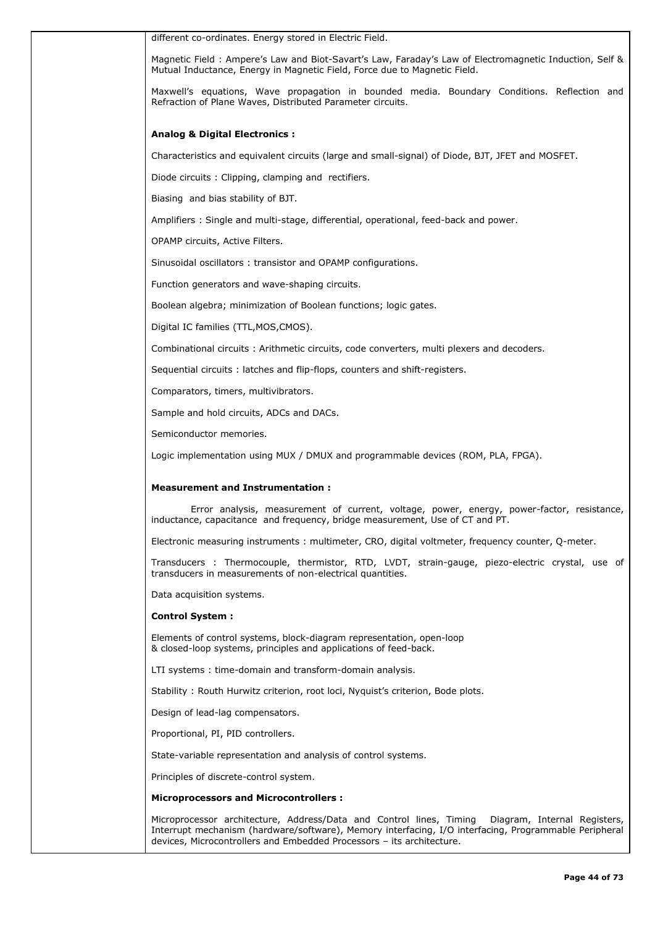Magnetic Field : Ampere's Law and Biot-Savart's Law, Faraday's Law of Electromagnetic Induction, Self & Mutual Inductance, Energy in Magnetic Field, Force due to Magnetic Field.

Maxwell's equations, Wave propagation in bounded media. Boundary Conditions. Reflection and Refraction of Plane Waves, Distributed Parameter circuits.

#### **Analog & Digital Electronics :**

Characteristics and equivalent circuits (large and small-signal) of Diode, BJT, JFET and MOSFET.

Diode circuits : Clipping, clamping and rectifiers.

Biasing and bias stability of BJT.

Amplifiers : Single and multi-stage, differential, operational, feed-back and power.

OPAMP circuits, Active Filters.

Sinusoidal oscillators : transistor and OPAMP configurations.

Function generators and wave-shaping circuits.

Boolean algebra; minimization of Boolean functions; logic gates.

Digital IC families (TTL,MOS,CMOS).

Combinational circuits : Arithmetic circuits, code converters, multi plexers and decoders.

Sequential circuits : latches and flip-flops, counters and shift-registers.

Comparators, timers, multivibrators.

Sample and hold circuits, ADCs and DACs.

Semiconductor memories.

Logic implementation using MUX / DMUX and programmable devices (ROM, PLA, FPGA).

### **Measurement and Instrumentation :**

Error analysis, measurement of current, voltage, power, energy, power-factor, resistance, inductance, capacitance and frequency, bridge measurement, Use of CT and PT.

Electronic measuring instruments : multimeter, CRO, digital voltmeter, frequency counter, Q-meter.

Transducers : Thermocouple, thermistor, RTD, LVDT, strain-gauge, piezo-electric crystal, use of transducers in measurements of non-electrical quantities.

Data acquisition systems.

#### **Control System :**

Elements of control systems, block-diagram representation, open-loop & closed-loop systems, principles and applications of feed-back.

LTI systems : time-domain and transform-domain analysis.

Stability : Routh Hurwitz criterion, root loci, Nyquist's criterion, Bode plots.

Design of lead-lag compensators.

Proportional, PI, PID controllers.

State-variable representation and analysis of control systems.

Principles of discrete-control system.

#### **Microprocessors and Microcontrollers :**

Microprocessor architecture, Address/Data and Control lines, Timing Diagram, Internal Registers, Interrupt mechanism (hardware/software), Memory interfacing, I/O interfacing, Programmable Peripheral devices, Microcontrollers and Embedded Processors – its architecture.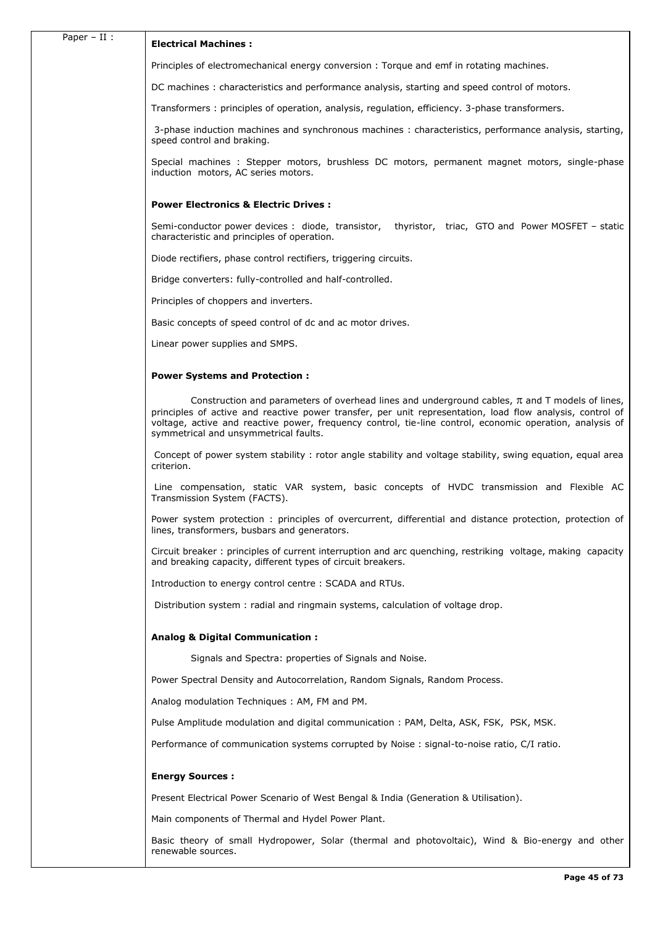| Paper $-$ II : | <b>Electrical Machines:</b>                                                                                                                                                                                                                                                                                                                                          |
|----------------|----------------------------------------------------------------------------------------------------------------------------------------------------------------------------------------------------------------------------------------------------------------------------------------------------------------------------------------------------------------------|
|                | Principles of electromechanical energy conversion : Torque and emf in rotating machines.                                                                                                                                                                                                                                                                             |
|                | DC machines: characteristics and performance analysis, starting and speed control of motors.                                                                                                                                                                                                                                                                         |
|                | Transformers: principles of operation, analysis, regulation, efficiency. 3-phase transformers.                                                                                                                                                                                                                                                                       |
|                | 3-phase induction machines and synchronous machines : characteristics, performance analysis, starting,<br>speed control and braking.                                                                                                                                                                                                                                 |
|                | Special machines : Stepper motors, brushless DC motors, permanent magnet motors, single-phase<br>induction motors, AC series motors.                                                                                                                                                                                                                                 |
|                | <b>Power Electronics &amp; Electric Drives:</b>                                                                                                                                                                                                                                                                                                                      |
|                | Semi-conductor power devices: diode, transistor, thyristor, triac, GTO and Power MOSFET – static<br>characteristic and principles of operation.                                                                                                                                                                                                                      |
|                | Diode rectifiers, phase control rectifiers, triggering circuits.                                                                                                                                                                                                                                                                                                     |
|                | Bridge converters: fully-controlled and half-controlled.                                                                                                                                                                                                                                                                                                             |
|                | Principles of choppers and inverters.                                                                                                                                                                                                                                                                                                                                |
|                | Basic concepts of speed control of dc and ac motor drives.                                                                                                                                                                                                                                                                                                           |
|                | Linear power supplies and SMPS.                                                                                                                                                                                                                                                                                                                                      |
|                | <b>Power Systems and Protection:</b>                                                                                                                                                                                                                                                                                                                                 |
|                | Construction and parameters of overhead lines and underground cables, $\pi$ and T models of lines,<br>principles of active and reactive power transfer, per unit representation, load flow analysis, control of<br>voltage, active and reactive power, frequency control, tie-line control, economic operation, analysis of<br>symmetrical and unsymmetrical faults. |
|                | Concept of power system stability: rotor angle stability and voltage stability, swing equation, equal area<br>criterion.                                                                                                                                                                                                                                             |
|                | Line compensation, static VAR system, basic concepts of HVDC transmission and Flexible AC<br>Transmission System (FACTS).                                                                                                                                                                                                                                            |
|                | Power system protection: principles of overcurrent, differential and distance protection, protection of<br>lines, transformers, busbars and generators.                                                                                                                                                                                                              |
|                | Circuit breaker : principles of current interruption and arc quenching, restriking voltage, making capacity<br>and breaking capacity, different types of circuit breakers.                                                                                                                                                                                           |
|                | Introduction to energy control centre: SCADA and RTUs.                                                                                                                                                                                                                                                                                                               |
|                | Distribution system: radial and ringmain systems, calculation of voltage drop.                                                                                                                                                                                                                                                                                       |
|                | <b>Analog &amp; Digital Communication:</b>                                                                                                                                                                                                                                                                                                                           |
|                | Signals and Spectra: properties of Signals and Noise.                                                                                                                                                                                                                                                                                                                |
|                | Power Spectral Density and Autocorrelation, Random Signals, Random Process.                                                                                                                                                                                                                                                                                          |
|                | Analog modulation Techniques: AM, FM and PM.                                                                                                                                                                                                                                                                                                                         |
|                | Pulse Amplitude modulation and digital communication: PAM, Delta, ASK, FSK, PSK, MSK.                                                                                                                                                                                                                                                                                |
|                | Performance of communication systems corrupted by Noise : signal-to-noise ratio, C/I ratio.                                                                                                                                                                                                                                                                          |
|                | <b>Energy Sources:</b>                                                                                                                                                                                                                                                                                                                                               |
|                | Present Electrical Power Scenario of West Bengal & India (Generation & Utilisation).                                                                                                                                                                                                                                                                                 |
|                | Main components of Thermal and Hydel Power Plant.                                                                                                                                                                                                                                                                                                                    |
|                | Basic theory of small Hydropower, Solar (thermal and photovoltaic), Wind & Bio-energy and other<br>renewable sources.                                                                                                                                                                                                                                                |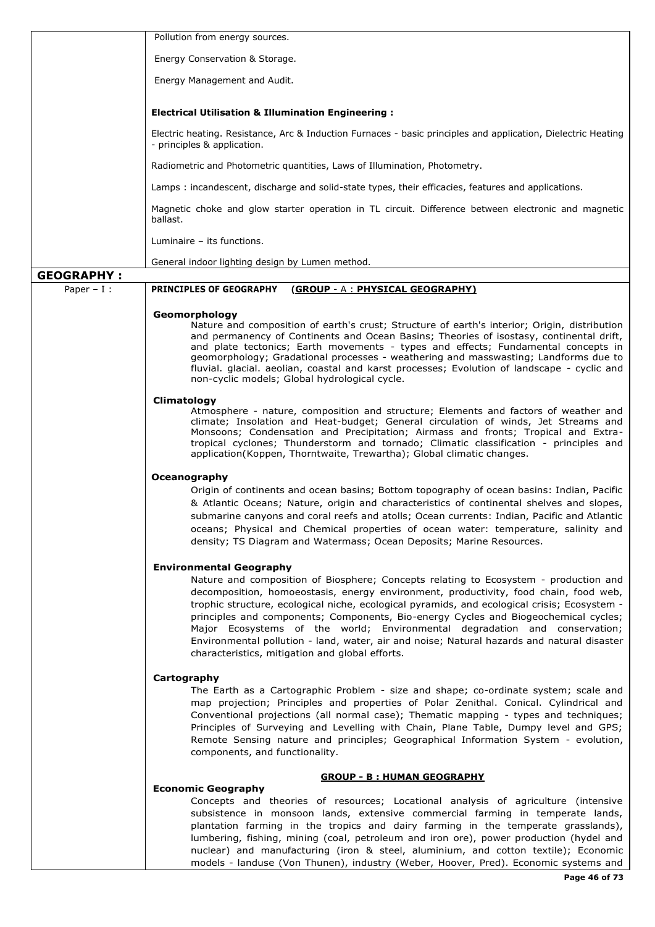|                                    | Pollution from energy sources.                                                                                                                                                                                                                                                                                                                                                                                                                                                                                                                                                                     |
|------------------------------------|----------------------------------------------------------------------------------------------------------------------------------------------------------------------------------------------------------------------------------------------------------------------------------------------------------------------------------------------------------------------------------------------------------------------------------------------------------------------------------------------------------------------------------------------------------------------------------------------------|
|                                    | Energy Conservation & Storage.                                                                                                                                                                                                                                                                                                                                                                                                                                                                                                                                                                     |
|                                    | Energy Management and Audit.                                                                                                                                                                                                                                                                                                                                                                                                                                                                                                                                                                       |
|                                    | <b>Electrical Utilisation &amp; Illumination Engineering:</b>                                                                                                                                                                                                                                                                                                                                                                                                                                                                                                                                      |
|                                    | Electric heating. Resistance, Arc & Induction Furnaces - basic principles and application, Dielectric Heating<br>- principles & application.                                                                                                                                                                                                                                                                                                                                                                                                                                                       |
|                                    | Radiometric and Photometric quantities, Laws of Illumination, Photometry.                                                                                                                                                                                                                                                                                                                                                                                                                                                                                                                          |
|                                    | Lamps: incandescent, discharge and solid-state types, their efficacies, features and applications.                                                                                                                                                                                                                                                                                                                                                                                                                                                                                                 |
|                                    | Magnetic choke and glow starter operation in TL circuit. Difference between electronic and magnetic<br>ballast.                                                                                                                                                                                                                                                                                                                                                                                                                                                                                    |
|                                    | Luminaire - its functions.                                                                                                                                                                                                                                                                                                                                                                                                                                                                                                                                                                         |
|                                    | General indoor lighting design by Lumen method.                                                                                                                                                                                                                                                                                                                                                                                                                                                                                                                                                    |
| <b>GEOGRAPHY:</b><br>Paper $- I$ : | <b>PRINCIPLES OF GEOGRAPHY</b><br>(GROUP - A : PHYSICAL GEOGRAPHY)                                                                                                                                                                                                                                                                                                                                                                                                                                                                                                                                 |
|                                    |                                                                                                                                                                                                                                                                                                                                                                                                                                                                                                                                                                                                    |
|                                    | Geomorphology<br>Nature and composition of earth's crust; Structure of earth's interior; Origin, distribution<br>and permanency of Continents and Ocean Basins; Theories of isostasy, continental drift,<br>and plate tectonics; Earth movements - types and effects; Fundamental concepts in<br>geomorphology; Gradational processes - weathering and masswasting; Landforms due to<br>fluvial. glacial. aeolian, coastal and karst processes; Evolution of landscape - cyclic and<br>non-cyclic models; Global hydrological cycle.                                                               |
|                                    | Climatology<br>Atmosphere - nature, composition and structure; Elements and factors of weather and<br>climate; Insolation and Heat-budget; General circulation of winds, Jet Streams and<br>Monsoons; Condensation and Precipitation; Airmass and fronts; Tropical and Extra-<br>tropical cyclones; Thunderstorm and tornado; Climatic classification - principles and<br>application(Koppen, Thorntwaite, Trewartha); Global climatic changes.                                                                                                                                                    |
|                                    | Oceanography                                                                                                                                                                                                                                                                                                                                                                                                                                                                                                                                                                                       |
|                                    | Origin of continents and ocean basins; Bottom topography of ocean basins: Indian, Pacific<br>& Atlantic Oceans; Nature, origin and characteristics of continental shelves and slopes,<br>submarine canyons and coral reefs and atolls; Ocean currents: Indian, Pacific and Atlantic<br>oceans; Physical and Chemical properties of ocean water: temperature, salinity and<br>density; TS Diagram and Watermass; Ocean Deposits; Marine Resources.                                                                                                                                                  |
|                                    | <b>Environmental Geography</b>                                                                                                                                                                                                                                                                                                                                                                                                                                                                                                                                                                     |
|                                    | Nature and composition of Biosphere; Concepts relating to Ecosystem - production and<br>decomposition, homoeostasis, energy environment, productivity, food chain, food web,<br>trophic structure, ecological niche, ecological pyramids, and ecological crisis; Ecosystem -<br>principles and components; Components, Bio-energy Cycles and Biogeochemical cycles;<br>Major Ecosystems of the world; Environmental degradation and conservation;<br>Environmental pollution - land, water, air and noise; Natural hazards and natural disaster<br>characteristics, mitigation and global efforts. |
|                                    | Cartography<br>The Earth as a Cartographic Problem - size and shape; co-ordinate system; scale and<br>map projection; Principles and properties of Polar Zenithal. Conical. Cylindrical and<br>Conventional projections (all normal case); Thematic mapping - types and techniques;<br>Principles of Surveying and Levelling with Chain, Plane Table, Dumpy level and GPS;<br>Remote Sensing nature and principles; Geographical Information System - evolution,<br>components, and functionality.                                                                                                 |
|                                    | <b>GROUP - B : HUMAN GEOGRAPHY</b>                                                                                                                                                                                                                                                                                                                                                                                                                                                                                                                                                                 |
|                                    | <b>Economic Geography</b>                                                                                                                                                                                                                                                                                                                                                                                                                                                                                                                                                                          |
|                                    | Concepts and theories of resources; Locational analysis of agriculture (intensive<br>subsistence in monsoon lands, extensive commercial farming in temperate lands,<br>plantation farming in the tropics and dairy farming in the temperate grasslands),<br>lumbering, fishing, mining (coal, petroleum and iron ore), power production (hydel and<br>nuclear) and manufacturing (iron & steel, aluminium, and cotton textile); Economic<br>models - landuse (Von Thunen), industry (Weber, Hoover, Pred). Economic systems and                                                                    |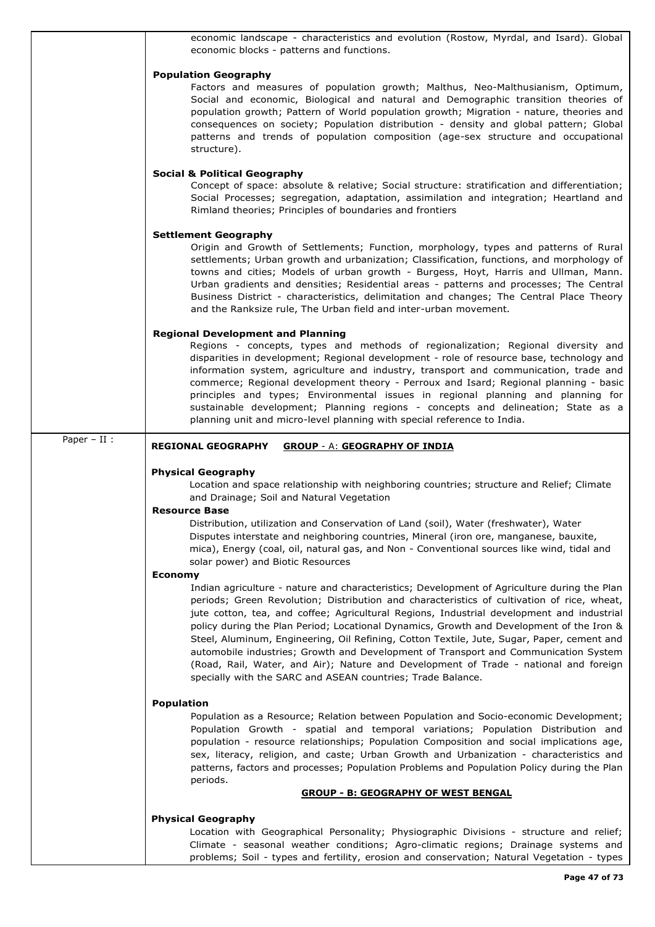|                | economic landscape - characteristics and evolution (Rostow, Myrdal, and Isard). Global<br>economic blocks - patterns and functions.                                                                                                                                                                                                                                                                                                                                                                                                                                                                                                                                                                                                              |
|----------------|--------------------------------------------------------------------------------------------------------------------------------------------------------------------------------------------------------------------------------------------------------------------------------------------------------------------------------------------------------------------------------------------------------------------------------------------------------------------------------------------------------------------------------------------------------------------------------------------------------------------------------------------------------------------------------------------------------------------------------------------------|
|                | <b>Population Geography</b><br>Factors and measures of population growth; Malthus, Neo-Malthusianism, Optimum,<br>Social and economic, Biological and natural and Demographic transition theories of<br>population growth; Pattern of World population growth; Migration - nature, theories and<br>consequences on society; Population distribution - density and global pattern; Global<br>patterns and trends of population composition (age-sex structure and occupational<br>structure).                                                                                                                                                                                                                                                     |
|                | <b>Social &amp; Political Geography</b><br>Concept of space: absolute & relative; Social structure: stratification and differentiation;<br>Social Processes; segregation, adaptation, assimilation and integration; Heartland and<br>Rimland theories; Principles of boundaries and frontiers                                                                                                                                                                                                                                                                                                                                                                                                                                                    |
|                | <b>Settlement Geography</b><br>Origin and Growth of Settlements; Function, morphology, types and patterns of Rural<br>settlements; Urban growth and urbanization; Classification, functions, and morphology of<br>towns and cities; Models of urban growth - Burgess, Hoyt, Harris and Ullman, Mann.<br>Urban gradients and densities; Residential areas - patterns and processes; The Central<br>Business District - characteristics, delimitation and changes; The Central Place Theory<br>and the Ranksize rule, The Urban field and inter-urban movement.                                                                                                                                                                                    |
|                | <b>Regional Development and Planning</b><br>Regions - concepts, types and methods of regionalization; Regional diversity and<br>disparities in development; Regional development - role of resource base, technology and<br>information system, agriculture and industry, transport and communication, trade and<br>commerce; Regional development theory - Perroux and Isard; Regional planning - basic<br>principles and types; Environmental issues in regional planning and planning for<br>sustainable development; Planning regions - concepts and delineation; State as a<br>planning unit and micro-level planning with special reference to India.                                                                                      |
| Paper $-$ II : | <b>REGIONAL GEOGRAPHY</b><br><b>GROUP - A: GEOGRAPHY OF INDIA</b>                                                                                                                                                                                                                                                                                                                                                                                                                                                                                                                                                                                                                                                                                |
|                | <b>Physical Geography</b><br>Location and space relationship with neighboring countries; structure and Relief; Climate<br>and Drainage; Soil and Natural Vegetation<br><b>Resource Base</b>                                                                                                                                                                                                                                                                                                                                                                                                                                                                                                                                                      |
|                | Distribution, utilization and Conservation of Land (soil), Water (freshwater), Water<br>Disputes interstate and neighboring countries, Mineral (iron ore, manganese, bauxite,<br>mica), Energy (coal, oil, natural gas, and Non - Conventional sources like wind, tidal and<br>solar power) and Biotic Resources                                                                                                                                                                                                                                                                                                                                                                                                                                 |
|                | <b>Economy</b><br>Indian agriculture - nature and characteristics; Development of Agriculture during the Plan<br>periods; Green Revolution; Distribution and characteristics of cultivation of rice, wheat,<br>jute cotton, tea, and coffee; Agricultural Regions, Industrial development and industrial<br>policy during the Plan Period; Locational Dynamics, Growth and Development of the Iron &<br>Steel, Aluminum, Engineering, Oil Refining, Cotton Textile, Jute, Sugar, Paper, cement and<br>automobile industries; Growth and Development of Transport and Communication System<br>(Road, Rail, Water, and Air); Nature and Development of Trade - national and foreign<br>specially with the SARC and ASEAN countries; Trade Balance. |
|                | <b>Population</b><br>Population as a Resource; Relation between Population and Socio-economic Development;<br>Population Growth - spatial and temporal variations; Population Distribution and<br>population - resource relationships; Population Composition and social implications age,<br>sex, literacy, religion, and caste; Urban Growth and Urbanization - characteristics and<br>patterns, factors and processes; Population Problems and Population Policy during the Plan<br>periods.                                                                                                                                                                                                                                                  |
|                | <b>GROUP - B: GEOGRAPHY OF WEST BENGAL</b>                                                                                                                                                                                                                                                                                                                                                                                                                                                                                                                                                                                                                                                                                                       |
|                | <b>Physical Geography</b><br>Location with Geographical Personality; Physiographic Divisions - structure and relief;<br>Climate - seasonal weather conditions; Agro-climatic regions; Drainage systems and<br>problems; Soil - types and fertility, erosion and conservation; Natural Vegetation - types                                                                                                                                                                                                                                                                                                                                                                                                                                         |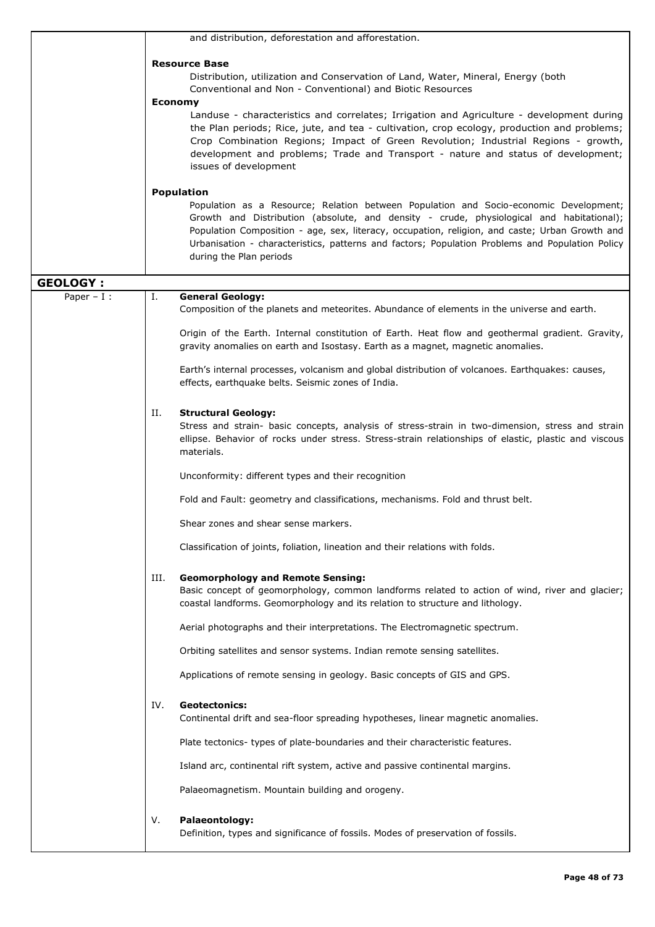|                 | and distribution, deforestation and afforestation.                                                                                                                                         |
|-----------------|--------------------------------------------------------------------------------------------------------------------------------------------------------------------------------------------|
|                 |                                                                                                                                                                                            |
|                 | <b>Resource Base</b><br>Distribution, utilization and Conservation of Land, Water, Mineral, Energy (both                                                                                   |
|                 | Conventional and Non - Conventional) and Biotic Resources                                                                                                                                  |
|                 | <b>Economy</b>                                                                                                                                                                             |
|                 | Landuse - characteristics and correlates; Irrigation and Agriculture - development during<br>the Plan periods; Rice, jute, and tea - cultivation, crop ecology, production and problems;   |
|                 | Crop Combination Regions; Impact of Green Revolution; Industrial Regions - growth,                                                                                                         |
|                 | development and problems; Trade and Transport - nature and status of development;                                                                                                          |
|                 | issues of development                                                                                                                                                                      |
|                 | <b>Population</b>                                                                                                                                                                          |
|                 | Population as a Resource; Relation between Population and Socio-economic Development;                                                                                                      |
|                 | Growth and Distribution (absolute, and density - crude, physiological and habitational);<br>Population Composition - age, sex, literacy, occupation, religion, and caste; Urban Growth and |
|                 | Urbanisation - characteristics, patterns and factors; Population Problems and Population Policy                                                                                            |
|                 | during the Plan periods                                                                                                                                                                    |
| <b>GEOLOGY:</b> |                                                                                                                                                                                            |
| Paper $- I$ :   | <b>General Geology:</b><br>Ι.                                                                                                                                                              |
|                 | Composition of the planets and meteorites. Abundance of elements in the universe and earth.                                                                                                |
|                 | Origin of the Earth. Internal constitution of Earth. Heat flow and geothermal gradient. Gravity,                                                                                           |
|                 | gravity anomalies on earth and Isostasy. Earth as a magnet, magnetic anomalies.                                                                                                            |
|                 | Earth's internal processes, volcanism and global distribution of volcanoes. Earthquakes: causes,                                                                                           |
|                 | effects, earthquake belts. Seismic zones of India.                                                                                                                                         |
|                 | и.<br><b>Structural Geology:</b>                                                                                                                                                           |
|                 | Stress and strain- basic concepts, analysis of stress-strain in two-dimension, stress and strain                                                                                           |
|                 | ellipse. Behavior of rocks under stress. Stress-strain relationships of elastic, plastic and viscous<br>materials.                                                                         |
|                 |                                                                                                                                                                                            |
|                 | Unconformity: different types and their recognition                                                                                                                                        |
|                 | Fold and Fault: geometry and classifications, mechanisms. Fold and thrust belt.                                                                                                            |
|                 | Shear zones and shear sense markers.                                                                                                                                                       |
|                 | Classification of joints, foliation, lineation and their relations with folds.                                                                                                             |
|                 |                                                                                                                                                                                            |
|                 | III.<br><b>Geomorphology and Remote Sensing:</b><br>Basic concept of geomorphology, common landforms related to action of wind, river and glacier;                                         |
|                 | coastal landforms. Geomorphology and its relation to structure and lithology.                                                                                                              |
|                 | Aerial photographs and their interpretations. The Electromagnetic spectrum.                                                                                                                |
|                 | Orbiting satellites and sensor systems. Indian remote sensing satellites.                                                                                                                  |
|                 | Applications of remote sensing in geology. Basic concepts of GIS and GPS.                                                                                                                  |
|                 | <b>Geotectonics:</b><br>IV.                                                                                                                                                                |
|                 | Continental drift and sea-floor spreading hypotheses, linear magnetic anomalies.                                                                                                           |
|                 | Plate tectonics- types of plate-boundaries and their characteristic features.                                                                                                              |
|                 | Island arc, continental rift system, active and passive continental margins.                                                                                                               |
|                 | Palaeomagnetism. Mountain building and orogeny.                                                                                                                                            |
|                 | V.<br>Palaeontology:                                                                                                                                                                       |
|                 | Definition, types and significance of fossils. Modes of preservation of fossils.                                                                                                           |
|                 |                                                                                                                                                                                            |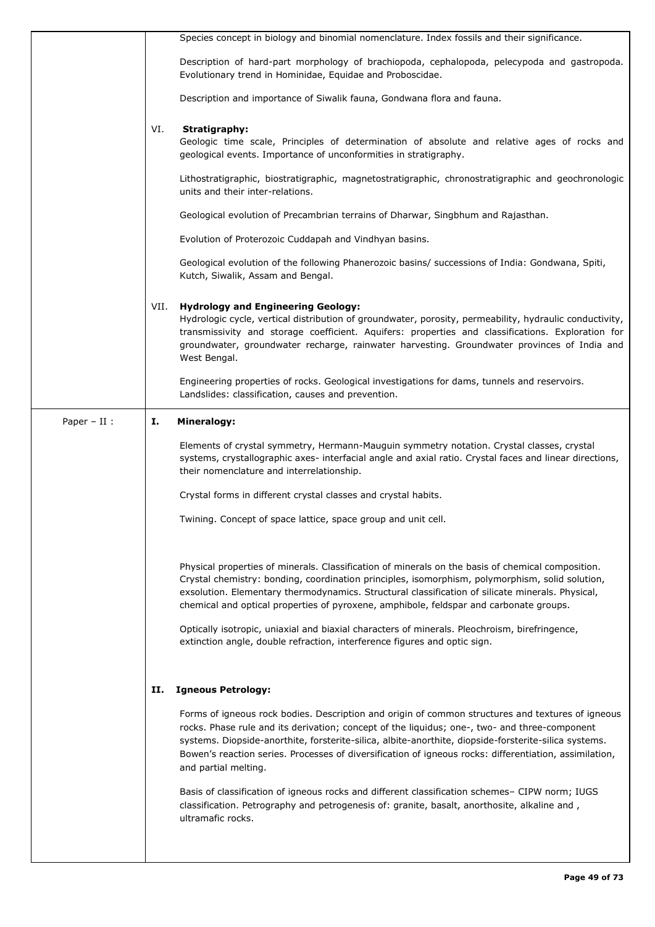|                |      | Species concept in biology and binomial nomenclature. Index fossils and their significance.                                                                                                                                                                                                                                                                                                                                                   |
|----------------|------|-----------------------------------------------------------------------------------------------------------------------------------------------------------------------------------------------------------------------------------------------------------------------------------------------------------------------------------------------------------------------------------------------------------------------------------------------|
|                |      | Description of hard-part morphology of brachiopoda, cephalopoda, pelecypoda and gastropoda.<br>Evolutionary trend in Hominidae, Equidae and Proboscidae.                                                                                                                                                                                                                                                                                      |
|                |      | Description and importance of Siwalik fauna, Gondwana flora and fauna.                                                                                                                                                                                                                                                                                                                                                                        |
|                | VI.  | Stratigraphy:                                                                                                                                                                                                                                                                                                                                                                                                                                 |
|                |      | Geologic time scale, Principles of determination of absolute and relative ages of rocks and<br>geological events. Importance of unconformities in stratigraphy.                                                                                                                                                                                                                                                                               |
|                |      | Lithostratigraphic, biostratigraphic, magnetostratigraphic, chronostratigraphic and geochronologic<br>units and their inter-relations.                                                                                                                                                                                                                                                                                                        |
|                |      | Geological evolution of Precambrian terrains of Dharwar, Singbhum and Rajasthan.                                                                                                                                                                                                                                                                                                                                                              |
|                |      | Evolution of Proterozoic Cuddapah and Vindhyan basins.                                                                                                                                                                                                                                                                                                                                                                                        |
|                |      | Geological evolution of the following Phanerozoic basins/ successions of India: Gondwana, Spiti,<br>Kutch, Siwalik, Assam and Bengal.                                                                                                                                                                                                                                                                                                         |
|                | VII. | <b>Hydrology and Engineering Geology:</b><br>Hydrologic cycle, vertical distribution of groundwater, porosity, permeability, hydraulic conductivity,<br>transmissivity and storage coefficient. Aquifers: properties and classifications. Exploration for<br>groundwater, groundwater recharge, rainwater harvesting. Groundwater provinces of India and<br>West Bengal.                                                                      |
|                |      | Engineering properties of rocks. Geological investigations for dams, tunnels and reservoirs.<br>Landslides: classification, causes and prevention.                                                                                                                                                                                                                                                                                            |
| Paper $-$ II : | Ι.   | <b>Mineralogy:</b>                                                                                                                                                                                                                                                                                                                                                                                                                            |
|                |      |                                                                                                                                                                                                                                                                                                                                                                                                                                               |
|                |      | Elements of crystal symmetry, Hermann-Mauguin symmetry notation. Crystal classes, crystal<br>systems, crystallographic axes- interfacial angle and axial ratio. Crystal faces and linear directions,<br>their nomenclature and interrelationship.                                                                                                                                                                                             |
|                |      | Crystal forms in different crystal classes and crystal habits.                                                                                                                                                                                                                                                                                                                                                                                |
|                |      | Twining. Concept of space lattice, space group and unit cell.                                                                                                                                                                                                                                                                                                                                                                                 |
|                |      | Physical properties of minerals. Classification of minerals on the basis of chemical composition.<br>Crystal chemistry: bonding, coordination principles, isomorphism, polymorphism, solid solution,<br>exsolution. Elementary thermodynamics. Structural classification of silicate minerals. Physical,<br>chemical and optical properties of pyroxene, amphibole, feldspar and carbonate groups.                                            |
|                |      | Optically isotropic, uniaxial and biaxial characters of minerals. Pleochroism, birefringence,<br>extinction angle, double refraction, interference figures and optic sign.                                                                                                                                                                                                                                                                    |
|                | н.   | <b>Igneous Petrology:</b>                                                                                                                                                                                                                                                                                                                                                                                                                     |
|                |      | Forms of igneous rock bodies. Description and origin of common structures and textures of igneous<br>rocks. Phase rule and its derivation; concept of the liquidus; one-, two- and three-component<br>systems. Diopside-anorthite, forsterite-silica, albite-anorthite, diopside-forsterite-silica systems.<br>Bowen's reaction series. Processes of diversification of igneous rocks: differentiation, assimilation,<br>and partial melting. |
|                |      | Basis of classification of igneous rocks and different classification schemes- CIPW norm; IUGS<br>classification. Petrography and petrogenesis of: granite, basalt, anorthosite, alkaline and,<br>ultramafic rocks.                                                                                                                                                                                                                           |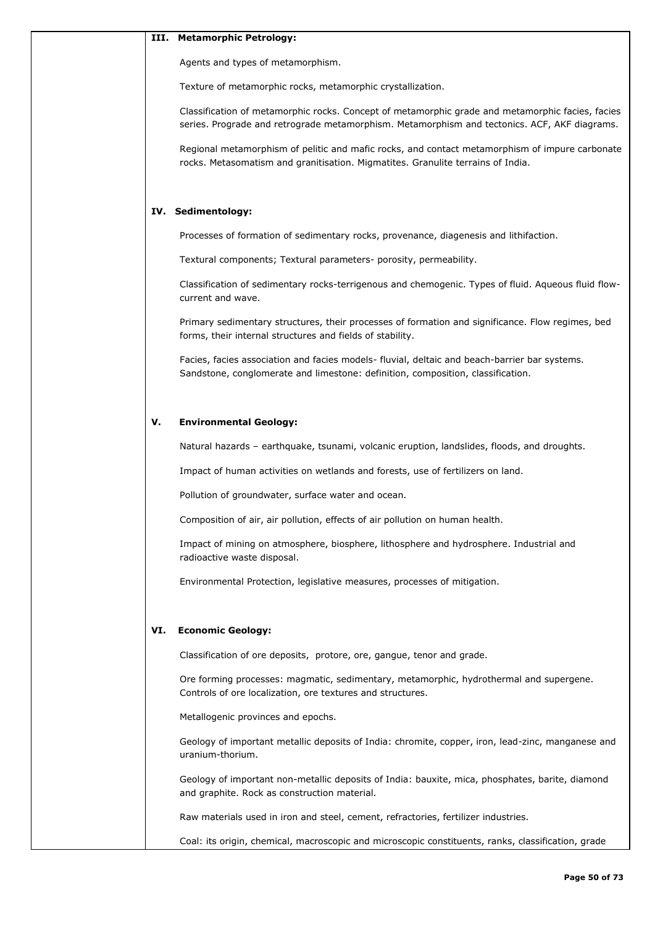# **III. Metamorphic Petrology:**

Agents and types of metamorphism.

Texture of metamorphic rocks, metamorphic crystallization.

Classification of metamorphic rocks. Concept of metamorphic grade and metamorphic facies, facies series. Prograde and retrograde metamorphism. Metamorphism and tectonics. ACF, AKF diagrams.

Regional metamorphism of pelitic and mafic rocks, and contact metamorphism of impure carbonate rocks. Metasomatism and granitisation. Migmatites. Granulite terrains of India.

### **IV. Sedimentology:**

Processes of formation of sedimentary rocks, provenance, diagenesis and lithifaction.

Textural components; Textural parameters- porosity, permeability.

Classification of sedimentary rocks-terrigenous and chemogenic. Types of fluid. Aqueous fluid flowcurrent and wave.

Primary sedimentary structures, their processes of formation and significance. Flow regimes, bed forms, their internal structures and fields of stability.

Facies, facies association and facies models- fluvial, deltaic and beach-barrier bar systems. Sandstone, conglomerate and limestone: definition, composition, classification.

### **V. Environmental Geology:**

Natural hazards – earthquake, tsunami, volcanic eruption, landslides, floods, and droughts.

Impact of human activities on wetlands and forests, use of fertilizers on land.

Pollution of groundwater, surface water and ocean.

Composition of air, air pollution, effects of air pollution on human health.

Impact of mining on atmosphere, biosphere, lithosphere and hydrosphere. Industrial and radioactive waste disposal.

Environmental Protection, legislative measures, processes of mitigation.

### **VI. Economic Geology:**

Classification of ore deposits, protore, ore, gangue, tenor and grade.

Ore forming processes: magmatic, sedimentary, metamorphic, hydrothermal and supergene. Controls of ore localization, ore textures and structures.

Metallogenic provinces and epochs.

Geology of important metallic deposits of India: chromite, copper, iron, lead-zinc, manganese and uranium-thorium.

Geology of important non-metallic deposits of India: bauxite, mica, phosphates, barite, diamond and graphite. Rock as construction material.

Raw materials used in iron and steel, cement, refractories, fertilizer industries.

Coal: its origin, chemical, macroscopic and microscopic constituents, ranks, classification, grade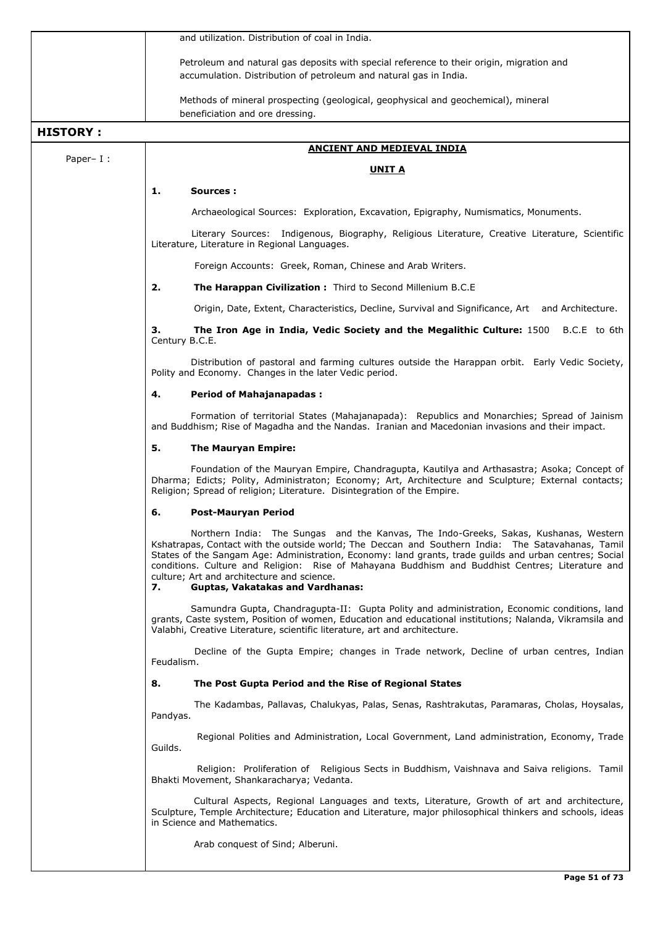|                 | and utilization. Distribution of coal in India.                                                                                                                                                                                                                                                                                                                                                                                                                                                        |
|-----------------|--------------------------------------------------------------------------------------------------------------------------------------------------------------------------------------------------------------------------------------------------------------------------------------------------------------------------------------------------------------------------------------------------------------------------------------------------------------------------------------------------------|
|                 | Petroleum and natural gas deposits with special reference to their origin, migration and<br>accumulation. Distribution of petroleum and natural gas in India.                                                                                                                                                                                                                                                                                                                                          |
|                 | Methods of mineral prospecting (geological, geophysical and geochemical), mineral<br>beneficiation and ore dressing.                                                                                                                                                                                                                                                                                                                                                                                   |
| <b>HISTORY:</b> |                                                                                                                                                                                                                                                                                                                                                                                                                                                                                                        |
| Paper- $I$ :    | <b>ANCIENT AND MEDIEVAL INDIA</b>                                                                                                                                                                                                                                                                                                                                                                                                                                                                      |
|                 | <b>UNIT A</b>                                                                                                                                                                                                                                                                                                                                                                                                                                                                                          |
|                 | 1.<br>Sources:                                                                                                                                                                                                                                                                                                                                                                                                                                                                                         |
|                 | Archaeological Sources: Exploration, Excavation, Epigraphy, Numismatics, Monuments.                                                                                                                                                                                                                                                                                                                                                                                                                    |
|                 | Literary Sources: Indigenous, Biography, Religious Literature, Creative Literature, Scientific<br>Literature, Literature in Regional Languages.                                                                                                                                                                                                                                                                                                                                                        |
|                 | Foreign Accounts: Greek, Roman, Chinese and Arab Writers.                                                                                                                                                                                                                                                                                                                                                                                                                                              |
|                 | 2.<br>The Harappan Civilization : Third to Second Millenium B.C.E                                                                                                                                                                                                                                                                                                                                                                                                                                      |
|                 | Origin, Date, Extent, Characteristics, Decline, Survival and Significance, Art and Architecture.                                                                                                                                                                                                                                                                                                                                                                                                       |
|                 | The Iron Age in India, Vedic Society and the Megalithic Culture: 1500 B.C.E to 6th<br>з.<br>Century B.C.E.                                                                                                                                                                                                                                                                                                                                                                                             |
|                 | Distribution of pastoral and farming cultures outside the Harappan orbit. Early Vedic Society,<br>Polity and Economy. Changes in the later Vedic period.                                                                                                                                                                                                                                                                                                                                               |
|                 | 4.<br><b>Period of Mahajanapadas:</b>                                                                                                                                                                                                                                                                                                                                                                                                                                                                  |
|                 | Formation of territorial States (Mahajanapada): Republics and Monarchies; Spread of Jainism<br>and Buddhism; Rise of Magadha and the Nandas. Iranian and Macedonian invasions and their impact.                                                                                                                                                                                                                                                                                                        |
|                 | 5.<br><b>The Mauryan Empire:</b>                                                                                                                                                                                                                                                                                                                                                                                                                                                                       |
|                 | Foundation of the Mauryan Empire, Chandragupta, Kautilya and Arthasastra; Asoka; Concept of<br>Dharma; Edicts; Polity, Administraton; Economy; Art, Architecture and Sculpture; External contacts;<br>Religion; Spread of religion; Literature. Disintegration of the Empire.                                                                                                                                                                                                                          |
|                 | 6.<br><b>Post-Mauryan Period</b>                                                                                                                                                                                                                                                                                                                                                                                                                                                                       |
|                 | Northern India: The Sungas and the Kanvas, The Indo-Greeks, Sakas, Kushanas, Western<br>Kshatrapas, Contact with the outside world; The Deccan and Southern India: The Satavahanas, Tamil<br>States of the Sangam Age: Administration, Economy: land grants, trade guilds and urban centres; Social<br>conditions. Culture and Religion: Rise of Mahayana Buddhism and Buddhist Centres; Literature and<br>culture; Art and architecture and science.<br>7.<br><b>Guptas, Vakatakas and Vardhanas:</b> |
|                 | Samundra Gupta, Chandragupta-II: Gupta Polity and administration, Economic conditions, land<br>grants, Caste system, Position of women, Education and educational institutions; Nalanda, Vikramsila and<br>Valabhi, Creative Literature, scientific literature, art and architecture.                                                                                                                                                                                                                  |
|                 | Decline of the Gupta Empire; changes in Trade network, Decline of urban centres, Indian<br>Feudalism.                                                                                                                                                                                                                                                                                                                                                                                                  |
|                 | 8.<br>The Post Gupta Period and the Rise of Regional States                                                                                                                                                                                                                                                                                                                                                                                                                                            |
|                 | The Kadambas, Pallavas, Chalukyas, Palas, Senas, Rashtrakutas, Paramaras, Cholas, Hoysalas,<br>Pandyas.                                                                                                                                                                                                                                                                                                                                                                                                |
|                 | Regional Polities and Administration, Local Government, Land administration, Economy, Trade<br>Guilds.                                                                                                                                                                                                                                                                                                                                                                                                 |
|                 | Religion: Proliferation of Religious Sects in Buddhism, Vaishnava and Saiva religions. Tamil<br>Bhakti Movement, Shankaracharya; Vedanta.                                                                                                                                                                                                                                                                                                                                                              |
|                 | Cultural Aspects, Regional Languages and texts, Literature, Growth of art and architecture,<br>Sculpture, Temple Architecture; Education and Literature, major philosophical thinkers and schools, ideas<br>in Science and Mathematics.                                                                                                                                                                                                                                                                |
|                 | Arab conquest of Sind; Alberuni.                                                                                                                                                                                                                                                                                                                                                                                                                                                                       |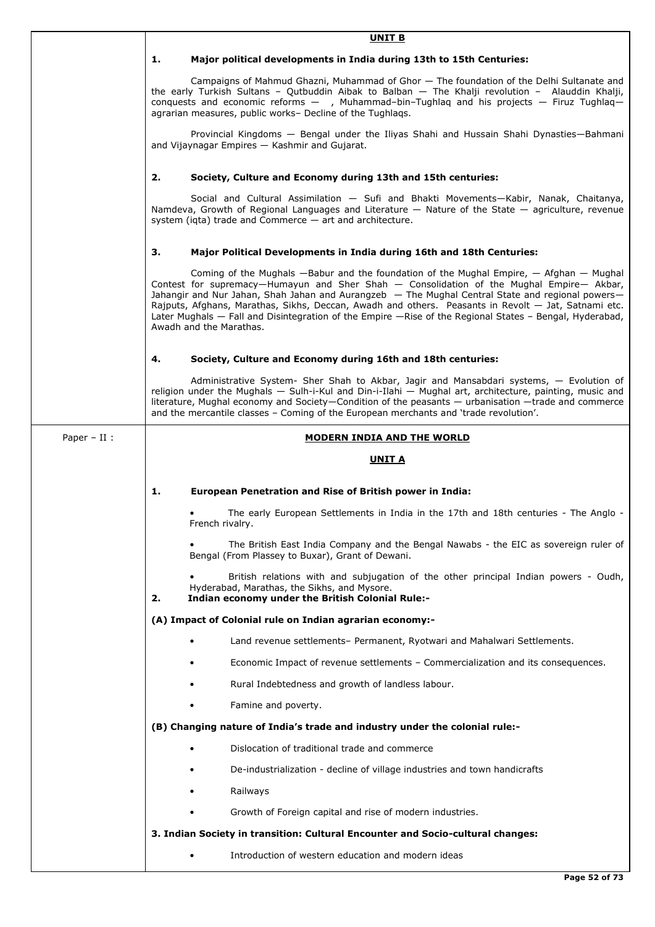|                | <b>UNIT B</b>                                                                                                                                                                                                                                                                                                                                                                                                                                                                                                                        |
|----------------|--------------------------------------------------------------------------------------------------------------------------------------------------------------------------------------------------------------------------------------------------------------------------------------------------------------------------------------------------------------------------------------------------------------------------------------------------------------------------------------------------------------------------------------|
|                | 1.<br>Major political developments in India during 13th to 15th Centuries:                                                                                                                                                                                                                                                                                                                                                                                                                                                           |
|                | Campaigns of Mahmud Ghazni, Muhammad of Ghor - The foundation of the Delhi Sultanate and<br>the early Turkish Sultans - Qutbuddin Aibak to Balban - The Khalji revolution - Alauddin Khalji,<br>conquests and economic reforms - , Muhammad-bin-Tughlaq and his projects - Firuz Tughlaq-<br>agrarian measures, public works- Decline of the Tughlaqs.                                                                                                                                                                               |
|                | Provincial Kingdoms - Bengal under the Iliyas Shahi and Hussain Shahi Dynasties-Bahmani<br>and Vijaynagar Empires - Kashmir and Gujarat.                                                                                                                                                                                                                                                                                                                                                                                             |
|                | 2.<br>Society, Culture and Economy during 13th and 15th centuries:                                                                                                                                                                                                                                                                                                                                                                                                                                                                   |
|                | Social and Cultural Assimilation - Sufi and Bhakti Movements-Kabir, Nanak, Chaitanya,<br>Namdeva, Growth of Regional Languages and Literature - Nature of the State - agriculture, revenue<br>system (iqta) trade and Commerce $-$ art and architecture.                                                                                                                                                                                                                                                                             |
|                | 3.<br>Major Political Developments in India during 16th and 18th Centuries:                                                                                                                                                                                                                                                                                                                                                                                                                                                          |
|                | Coming of the Mughals -Babur and the foundation of the Mughal Empire, - Afghan - Mughal<br>Contest for supremacy-Humayun and Sher Shah - Consolidation of the Mughal Empire- Akbar,<br>Jahangir and Nur Jahan, Shah Jahan and Aurangzeb - The Mughal Central State and regional powers-<br>Rajputs, Afghans, Marathas, Sikhs, Deccan, Awadh and others. Peasants in Revolt - Jat, Satnami etc.<br>Later Mughals - Fall and Disintegration of the Empire -Rise of the Regional States - Bengal, Hyderabad,<br>Awadh and the Marathas. |
|                | 4.<br>Society, Culture and Economy during 16th and 18th centuries:                                                                                                                                                                                                                                                                                                                                                                                                                                                                   |
|                | Administrative System- Sher Shah to Akbar, Jagir and Mansabdari systems, - Evolution of<br>religion under the Mughals - Sulh-i-Kul and Din-i-Ilahi - Mughal art, architecture, painting, music and<br>literature, Mughal economy and Society-Condition of the peasants - urbanisation -trade and commerce<br>and the mercantile classes - Coming of the European merchants and 'trade revolution'.                                                                                                                                   |
| Paper $-$ II : | <b>MODERN INDIA AND THE WORLD</b>                                                                                                                                                                                                                                                                                                                                                                                                                                                                                                    |
|                |                                                                                                                                                                                                                                                                                                                                                                                                                                                                                                                                      |
|                | <b>UNITA</b>                                                                                                                                                                                                                                                                                                                                                                                                                                                                                                                         |
|                | 1.<br>European Penetration and Rise of British power in India:                                                                                                                                                                                                                                                                                                                                                                                                                                                                       |
|                | The early European Settlements in India in the 17th and 18th centuries - The Anglo -<br>French rivalry.                                                                                                                                                                                                                                                                                                                                                                                                                              |
|                | The British East India Company and the Bengal Nawabs - the EIC as sovereign ruler of<br>Bengal (From Plassey to Buxar), Grant of Dewani.                                                                                                                                                                                                                                                                                                                                                                                             |
|                | British relations with and subjugation of the other principal Indian powers - Oudh,<br>Hyderabad, Marathas, the Sikhs, and Mysore.<br>Indian economy under the British Colonial Rule:-<br>2.                                                                                                                                                                                                                                                                                                                                         |
|                | (A) Impact of Colonial rule on Indian agrarian economy:-                                                                                                                                                                                                                                                                                                                                                                                                                                                                             |
|                | Land revenue settlements- Permanent, Ryotwari and Mahalwari Settlements.                                                                                                                                                                                                                                                                                                                                                                                                                                                             |
|                | Economic Impact of revenue settlements - Commercialization and its consequences.                                                                                                                                                                                                                                                                                                                                                                                                                                                     |
|                | Rural Indebtedness and growth of landless labour.                                                                                                                                                                                                                                                                                                                                                                                                                                                                                    |
|                | Famine and poverty.                                                                                                                                                                                                                                                                                                                                                                                                                                                                                                                  |
|                | (B) Changing nature of India's trade and industry under the colonial rule:-                                                                                                                                                                                                                                                                                                                                                                                                                                                          |
|                | Dislocation of traditional trade and commerce                                                                                                                                                                                                                                                                                                                                                                                                                                                                                        |
|                | De-industrialization - decline of village industries and town handicrafts                                                                                                                                                                                                                                                                                                                                                                                                                                                            |
|                | Railways                                                                                                                                                                                                                                                                                                                                                                                                                                                                                                                             |
|                | Growth of Foreign capital and rise of modern industries.                                                                                                                                                                                                                                                                                                                                                                                                                                                                             |
|                | 3. Indian Society in transition: Cultural Encounter and Socio-cultural changes:                                                                                                                                                                                                                                                                                                                                                                                                                                                      |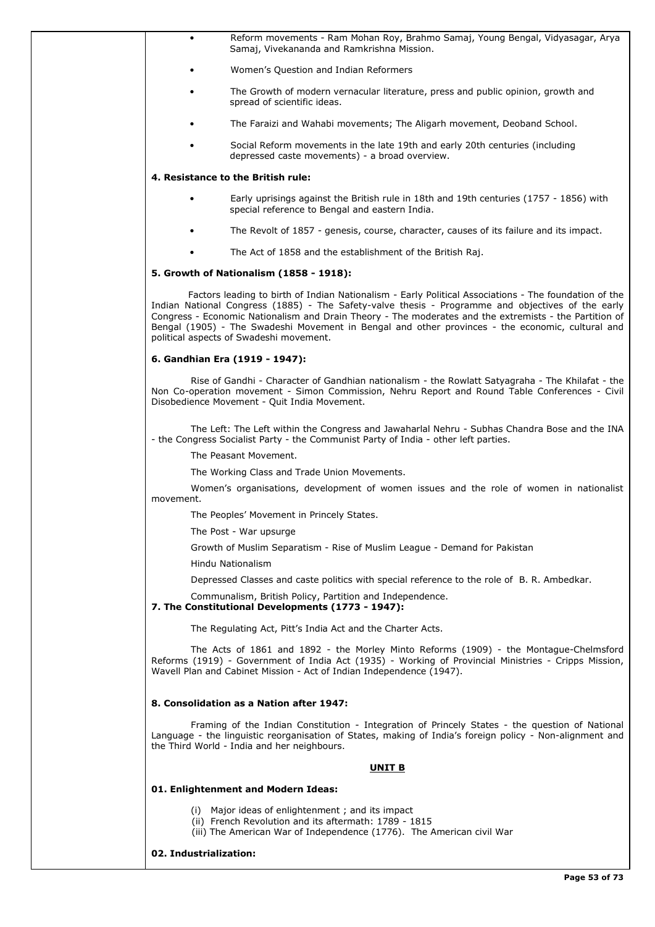|           | Reform movements - Ram Mohan Roy, Brahmo Samaj, Young Bengal, Vidyasagar, Arya<br>Samaj, Vivekananda and Ramkrishna Mission.                                                                                                                                                                                                                                                                                                                                        |
|-----------|---------------------------------------------------------------------------------------------------------------------------------------------------------------------------------------------------------------------------------------------------------------------------------------------------------------------------------------------------------------------------------------------------------------------------------------------------------------------|
|           | Women's Question and Indian Reformers                                                                                                                                                                                                                                                                                                                                                                                                                               |
|           | The Growth of modern vernacular literature, press and public opinion, growth and<br>spread of scientific ideas.                                                                                                                                                                                                                                                                                                                                                     |
|           | The Faraizi and Wahabi movements; The Aligarh movement, Deoband School.                                                                                                                                                                                                                                                                                                                                                                                             |
|           | Social Reform movements in the late 19th and early 20th centuries (including<br>depressed caste movements) - a broad overview.                                                                                                                                                                                                                                                                                                                                      |
|           | 4. Resistance to the British rule:                                                                                                                                                                                                                                                                                                                                                                                                                                  |
|           | Early uprisings against the British rule in 18th and 19th centuries (1757 - 1856) with<br>special reference to Bengal and eastern India.                                                                                                                                                                                                                                                                                                                            |
|           | The Revolt of 1857 - genesis, course, character, causes of its failure and its impact.                                                                                                                                                                                                                                                                                                                                                                              |
|           | The Act of 1858 and the establishment of the British Raj.                                                                                                                                                                                                                                                                                                                                                                                                           |
|           | 5. Growth of Nationalism (1858 - 1918):                                                                                                                                                                                                                                                                                                                                                                                                                             |
|           | Factors leading to birth of Indian Nationalism - Early Political Associations - The foundation of the<br>Indian National Congress (1885) - The Safety-valve thesis - Programme and objectives of the early<br>Congress - Economic Nationalism and Drain Theory - The moderates and the extremists - the Partition of<br>Bengal (1905) - The Swadeshi Movement in Bengal and other provinces - the economic, cultural and<br>political aspects of Swadeshi movement. |
|           | 6. Gandhian Era (1919 - 1947):                                                                                                                                                                                                                                                                                                                                                                                                                                      |
|           | Rise of Gandhi - Character of Gandhian nationalism - the Rowlatt Satyagraha - The Khilafat - the<br>Non Co-operation movement - Simon Commission, Nehru Report and Round Table Conferences - Civil<br>Disobedience Movement - Quit India Movement.                                                                                                                                                                                                                  |
|           | The Left: The Left within the Congress and Jawaharlal Nehru - Subhas Chandra Bose and the INA<br>- the Congress Socialist Party - the Communist Party of India - other left parties.                                                                                                                                                                                                                                                                                |
|           | The Peasant Movement.                                                                                                                                                                                                                                                                                                                                                                                                                                               |
|           | The Working Class and Trade Union Movements.                                                                                                                                                                                                                                                                                                                                                                                                                        |
| movement. | Women's organisations, development of women issues and the role of women in nationalist                                                                                                                                                                                                                                                                                                                                                                             |
|           | The Peoples' Movement in Princely States.                                                                                                                                                                                                                                                                                                                                                                                                                           |
|           | The Post - War upsurge                                                                                                                                                                                                                                                                                                                                                                                                                                              |
|           | Growth of Muslim Separatism - Rise of Muslim League - Demand for Pakistan                                                                                                                                                                                                                                                                                                                                                                                           |
|           | Hindu Nationalism                                                                                                                                                                                                                                                                                                                                                                                                                                                   |
|           | Depressed Classes and caste politics with special reference to the role of B. R. Ambedkar.                                                                                                                                                                                                                                                                                                                                                                          |
|           | Communalism, British Policy, Partition and Independence.<br>7. The Constitutional Developments (1773 - 1947):                                                                                                                                                                                                                                                                                                                                                       |
|           | The Regulating Act, Pitt's India Act and the Charter Acts.                                                                                                                                                                                                                                                                                                                                                                                                          |
|           | The Acts of 1861 and 1892 - the Morley Minto Reforms (1909) - the Montague-Chelmsford<br>Reforms (1919) - Government of India Act (1935) - Working of Provincial Ministries - Cripps Mission,<br>Wavell Plan and Cabinet Mission - Act of Indian Independence (1947).                                                                                                                                                                                               |
|           | 8. Consolidation as a Nation after 1947:                                                                                                                                                                                                                                                                                                                                                                                                                            |
|           | Framing of the Indian Constitution - Integration of Princely States - the question of National<br>Language - the linguistic reorganisation of States, making of India's foreign policy - Non-alignment and<br>the Third World - India and her neighbours.                                                                                                                                                                                                           |
|           | <b>UNIT B</b>                                                                                                                                                                                                                                                                                                                                                                                                                                                       |
|           | 01. Enlightenment and Modern Ideas:                                                                                                                                                                                                                                                                                                                                                                                                                                 |
|           | (i) Major ideas of enlightenment; and its impact<br>(ii) French Revolution and its aftermath: 1789 - 1815<br>(iii) The American War of Independence (1776). The American civil War                                                                                                                                                                                                                                                                                  |

**02. Industrialization:**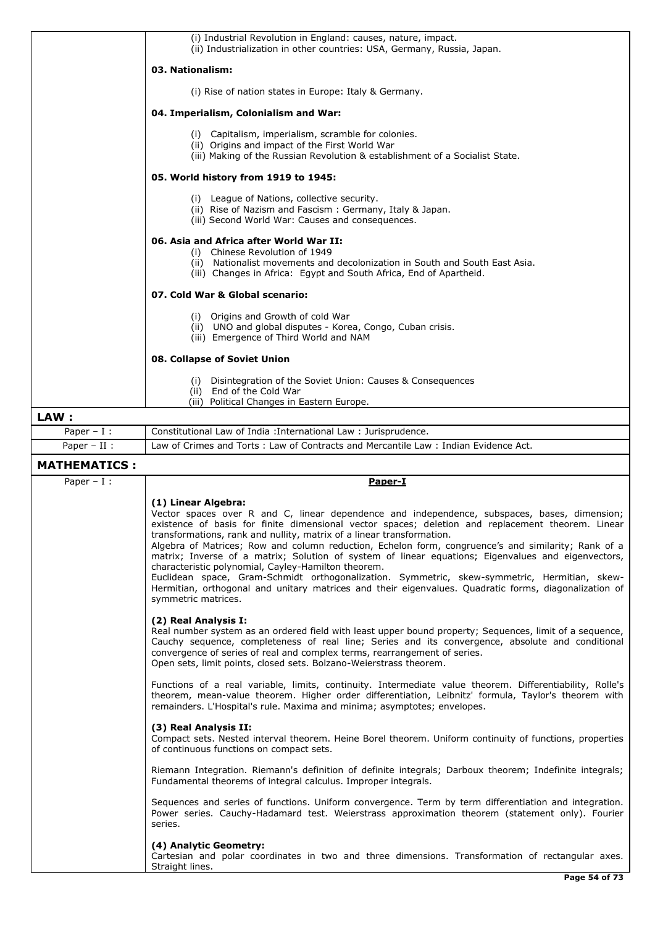|                     | (i) Industrial Revolution in England: causes, nature, impact.<br>(ii) Industrialization in other countries: USA, Germany, Russia, Japan.                                                                                                                                                                                                                                                                                                                                                                                                                                                                                                                                                                                                                                                              |
|---------------------|-------------------------------------------------------------------------------------------------------------------------------------------------------------------------------------------------------------------------------------------------------------------------------------------------------------------------------------------------------------------------------------------------------------------------------------------------------------------------------------------------------------------------------------------------------------------------------------------------------------------------------------------------------------------------------------------------------------------------------------------------------------------------------------------------------|
|                     | 03. Nationalism:                                                                                                                                                                                                                                                                                                                                                                                                                                                                                                                                                                                                                                                                                                                                                                                      |
|                     | (i) Rise of nation states in Europe: Italy & Germany.                                                                                                                                                                                                                                                                                                                                                                                                                                                                                                                                                                                                                                                                                                                                                 |
|                     | 04. Imperialism, Colonialism and War:                                                                                                                                                                                                                                                                                                                                                                                                                                                                                                                                                                                                                                                                                                                                                                 |
|                     | (i) Capitalism, imperialism, scramble for colonies.<br>(ii) Origins and impact of the First World War<br>(iii) Making of the Russian Revolution & establishment of a Socialist State.                                                                                                                                                                                                                                                                                                                                                                                                                                                                                                                                                                                                                 |
|                     | 05. World history from 1919 to 1945:                                                                                                                                                                                                                                                                                                                                                                                                                                                                                                                                                                                                                                                                                                                                                                  |
|                     | (i) League of Nations, collective security.<br>(ii) Rise of Nazism and Fascism: Germany, Italy & Japan.<br>(iii) Second World War: Causes and consequences.                                                                                                                                                                                                                                                                                                                                                                                                                                                                                                                                                                                                                                           |
|                     | 06. Asia and Africa after World War II:<br>(i) Chinese Revolution of 1949<br>(ii) Nationalist movements and decolonization in South and South East Asia.<br>(iii) Changes in Africa: Egypt and South Africa, End of Apartheid.                                                                                                                                                                                                                                                                                                                                                                                                                                                                                                                                                                        |
|                     | 07. Cold War & Global scenario:                                                                                                                                                                                                                                                                                                                                                                                                                                                                                                                                                                                                                                                                                                                                                                       |
|                     | (i) Origins and Growth of cold War<br>(ii) UNO and global disputes - Korea, Congo, Cuban crisis.<br>(iii) Emergence of Third World and NAM                                                                                                                                                                                                                                                                                                                                                                                                                                                                                                                                                                                                                                                            |
|                     | 08. Collapse of Soviet Union                                                                                                                                                                                                                                                                                                                                                                                                                                                                                                                                                                                                                                                                                                                                                                          |
|                     | (i) Disintegration of the Soviet Union: Causes & Consequences<br>(ii) End of the Cold War<br>(iii) Political Changes in Eastern Europe.                                                                                                                                                                                                                                                                                                                                                                                                                                                                                                                                                                                                                                                               |
| LAW:                |                                                                                                                                                                                                                                                                                                                                                                                                                                                                                                                                                                                                                                                                                                                                                                                                       |
| Paper $-1$ :        | Constitutional Law of India : International Law : Jurisprudence.                                                                                                                                                                                                                                                                                                                                                                                                                                                                                                                                                                                                                                                                                                                                      |
| Paper $-$ II :      | Law of Crimes and Torts: Law of Contracts and Mercantile Law: Indian Evidence Act.                                                                                                                                                                                                                                                                                                                                                                                                                                                                                                                                                                                                                                                                                                                    |
| <b>MATHEMATICS:</b> |                                                                                                                                                                                                                                                                                                                                                                                                                                                                                                                                                                                                                                                                                                                                                                                                       |
| Paper $-1$ :        | Paper-I                                                                                                                                                                                                                                                                                                                                                                                                                                                                                                                                                                                                                                                                                                                                                                                               |
|                     | (1) Linear Algebra:<br>Vector spaces over R and C, linear dependence and independence, subspaces, bases, dimension;<br>existence of basis for finite dimensional vector spaces; deletion and replacement theorem. Linear<br>transformations, rank and nullity, matrix of a linear transformation.<br>Algebra of Matrices; Row and column reduction, Echelon form, congruence's and similarity; Rank of a<br>matrix; Inverse of a matrix; Solution of system of linear equations; Eigenvalues and eigenvectors,<br>characteristic polynomial, Cayley-Hamilton theorem.<br>Euclidean space, Gram-Schmidt orthogonalization. Symmetric, skew-symmetric, Hermitian, skew-<br>Hermitian, orthogonal and unitary matrices and their eigenvalues. Quadratic forms, diagonalization of<br>symmetric matrices. |
|                     | (2) Real Analysis I:<br>Real number system as an ordered field with least upper bound property; Sequences, limit of a sequence,<br>Cauchy sequence, completeness of real line; Series and its convergence, absolute and conditional<br>convergence of series of real and complex terms, rearrangement of series.<br>Open sets, limit points, closed sets. Bolzano-Weierstrass theorem.                                                                                                                                                                                                                                                                                                                                                                                                                |
|                     | Functions of a real variable, limits, continuity. Intermediate value theorem. Differentiability, Rolle's<br>theorem, mean-value theorem. Higher order differentiation, Leibnitz' formula, Taylor's theorem with<br>remainders. L'Hospital's rule. Maxima and minima; asymptotes; envelopes.                                                                                                                                                                                                                                                                                                                                                                                                                                                                                                           |
|                     | (3) Real Analysis II:<br>Compact sets. Nested interval theorem. Heine Borel theorem. Uniform continuity of functions, properties<br>of continuous functions on compact sets.                                                                                                                                                                                                                                                                                                                                                                                                                                                                                                                                                                                                                          |
|                     | Riemann Integration. Riemann's definition of definite integrals; Darboux theorem; Indefinite integrals;<br>Fundamental theorems of integral calculus. Improper integrals.                                                                                                                                                                                                                                                                                                                                                                                                                                                                                                                                                                                                                             |
|                     | Sequences and series of functions. Uniform convergence. Term by term differentiation and integration.<br>Power series. Cauchy-Hadamard test. Weierstrass approximation theorem (statement only). Fourier<br>series.                                                                                                                                                                                                                                                                                                                                                                                                                                                                                                                                                                                   |
|                     | (4) Analytic Geometry:<br>Cartesian and polar coordinates in two and three dimensions. Transformation of rectangular axes.<br>Straight lines.                                                                                                                                                                                                                                                                                                                                                                                                                                                                                                                                                                                                                                                         |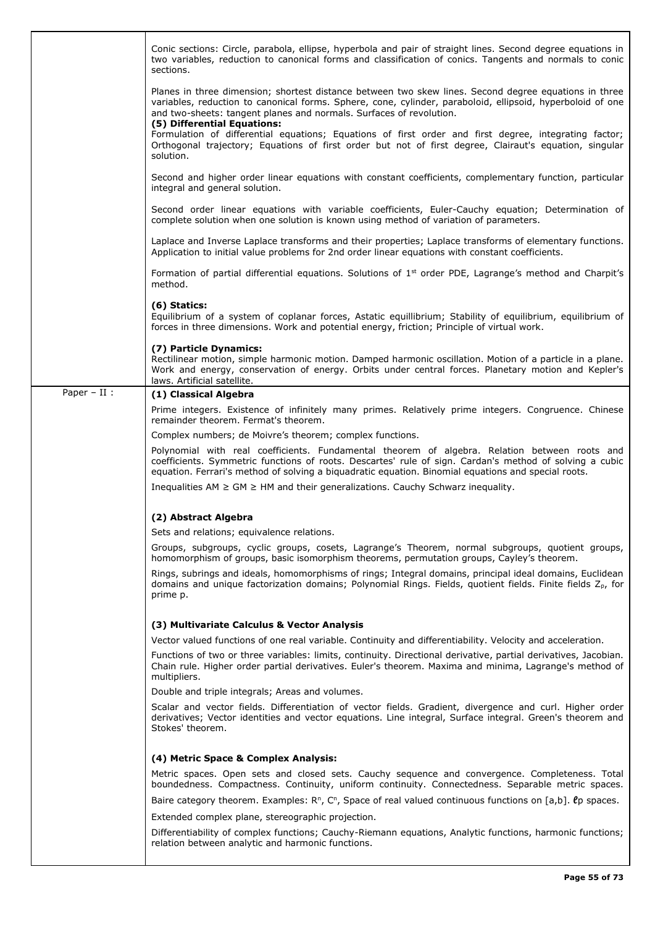|                | Conic sections: Circle, parabola, ellipse, hyperbola and pair of straight lines. Second degree equations in<br>two variables, reduction to canonical forms and classification of conics. Tangents and normals to conic<br>sections.                                                                                       |
|----------------|---------------------------------------------------------------------------------------------------------------------------------------------------------------------------------------------------------------------------------------------------------------------------------------------------------------------------|
|                | Planes in three dimension; shortest distance between two skew lines. Second degree equations in three<br>variables, reduction to canonical forms. Sphere, cone, cylinder, paraboloid, ellipsoid, hyperboloid of one<br>and two-sheets: tangent planes and normals. Surfaces of revolution.<br>(5) Differential Equations: |
|                | Formulation of differential equations; Equations of first order and first degree, integrating factor;<br>Orthogonal trajectory; Equations of first order but not of first degree, Clairaut's equation, singular<br>solution.                                                                                              |
|                | Second and higher order linear equations with constant coefficients, complementary function, particular<br>integral and general solution.                                                                                                                                                                                 |
|                | Second order linear equations with variable coefficients, Euler-Cauchy equation; Determination of<br>complete solution when one solution is known using method of variation of parameters.                                                                                                                                |
|                | Laplace and Inverse Laplace transforms and their properties; Laplace transforms of elementary functions.<br>Application to initial value problems for 2nd order linear equations with constant coefficients.                                                                                                              |
|                | Formation of partial differential equations. Solutions of 1 <sup>st</sup> order PDE, Lagrange's method and Charpit's<br>method.                                                                                                                                                                                           |
|                |                                                                                                                                                                                                                                                                                                                           |
|                | (6) Statics:<br>Equilibrium of a system of coplanar forces, Astatic equillibrium; Stability of equilibrium, equilibrium of<br>forces in three dimensions. Work and potential energy, friction; Principle of virtual work.                                                                                                 |
|                | (7) Particle Dynamics:<br>Rectilinear motion, simple harmonic motion. Damped harmonic oscillation. Motion of a particle in a plane.<br>Work and energy, conservation of energy. Orbits under central forces. Planetary motion and Kepler's<br>laws. Artificial satellite.                                                 |
| Paper $-$ II : | (1) Classical Algebra                                                                                                                                                                                                                                                                                                     |
|                | Prime integers. Existence of infinitely many primes. Relatively prime integers. Congruence. Chinese<br>remainder theorem. Fermat's theorem.                                                                                                                                                                               |
|                | Complex numbers; de Moivre's theorem; complex functions.                                                                                                                                                                                                                                                                  |
|                |                                                                                                                                                                                                                                                                                                                           |
|                | Polynomial with real coefficients. Fundamental theorem of algebra. Relation between roots and<br>coefficients. Symmetric functions of roots. Descartes' rule of sign. Cardan's method of solving a cubic<br>equation. Ferrari's method of solving a biquadratic equation. Binomial equations and special roots.           |
|                | Inequalities AM $\ge$ GM $\ge$ HM and their generalizations. Cauchy Schwarz inequality.                                                                                                                                                                                                                                   |
|                |                                                                                                                                                                                                                                                                                                                           |
|                | (2) Abstract Algebra                                                                                                                                                                                                                                                                                                      |
|                | Sets and relations; equivalence relations.                                                                                                                                                                                                                                                                                |
|                | Groups, subgroups, cyclic groups, cosets, Lagrange's Theorem, normal subgroups, quotient groups,<br>homomorphism of groups, basic isomorphism theorems, permutation groups, Cayley's theorem.                                                                                                                             |
|                | Rings, subrings and ideals, homomorphisms of rings; Integral domains, principal ideal domains, Euclidean<br>domains and unique factorization domains; Polynomial Rings. Fields, quotient fields. Finite fields Z <sub>p</sub> , for<br>prime p.                                                                           |
|                | (3) Multivariate Calculus & Vector Analysis                                                                                                                                                                                                                                                                               |
|                | Vector valued functions of one real variable. Continuity and differentiability. Velocity and acceleration.                                                                                                                                                                                                                |
|                |                                                                                                                                                                                                                                                                                                                           |
|                | Functions of two or three variables: limits, continuity. Directional derivative, partial derivatives, Jacobian.<br>Chain rule. Higher order partial derivatives. Euler's theorem. Maxima and minima, Lagrange's method of<br>multipliers.                                                                                 |
|                | Double and triple integrals; Areas and volumes.                                                                                                                                                                                                                                                                           |
|                | Scalar and vector fields. Differentiation of vector fields. Gradient, divergence and curl. Higher order<br>derivatives; Vector identities and vector equations. Line integral, Surface integral. Green's theorem and<br>Stokes' theorem.                                                                                  |
|                | (4) Metric Space & Complex Analysis:                                                                                                                                                                                                                                                                                      |
|                | Metric spaces. Open sets and closed sets. Cauchy sequence and convergence. Completeness. Total<br>boundedness. Compactness. Continuity, uniform continuity. Connectedness. Separable metric spaces.                                                                                                                       |
|                | Baire category theorem. Examples: $R^n$ , $C^n$ , Space of real valued continuous functions on [a,b]. $\ell$ p spaces.                                                                                                                                                                                                    |
|                | Extended complex plane, stereographic projection.                                                                                                                                                                                                                                                                         |
|                | Differentiability of complex functions; Cauchy-Riemann equations, Analytic functions, harmonic functions;<br>relation between analytic and harmonic functions.                                                                                                                                                            |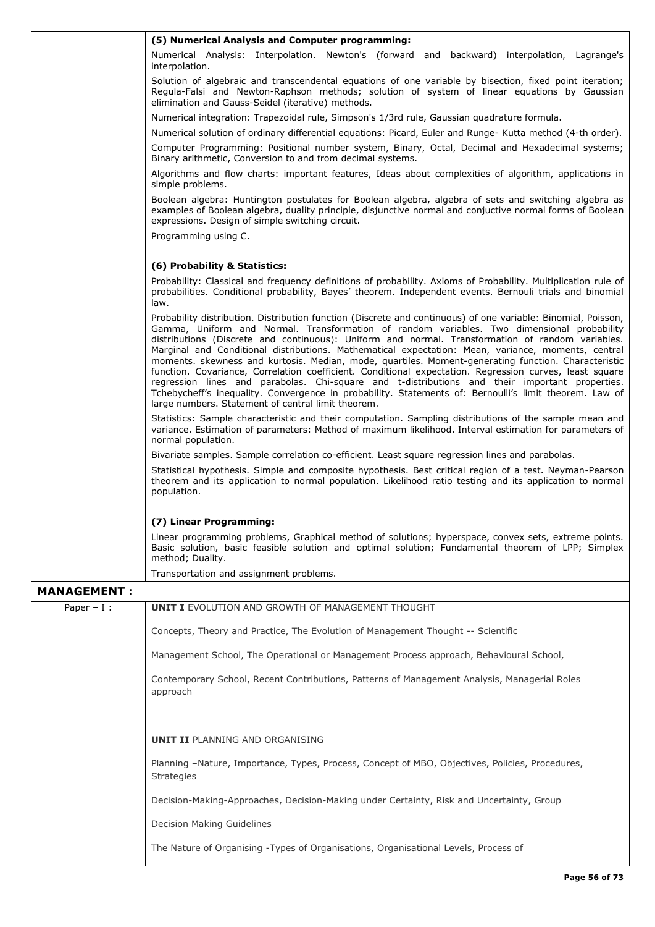|                    | (5) Numerical Analysis and Computer programming:                                                                                                                                                                                                                                                                                                                                                                                                                                                                                                                                                                                                                                                                                                                                                                                                                                                          |
|--------------------|-----------------------------------------------------------------------------------------------------------------------------------------------------------------------------------------------------------------------------------------------------------------------------------------------------------------------------------------------------------------------------------------------------------------------------------------------------------------------------------------------------------------------------------------------------------------------------------------------------------------------------------------------------------------------------------------------------------------------------------------------------------------------------------------------------------------------------------------------------------------------------------------------------------|
|                    | Numerical Analysis: Interpolation. Newton's (forward and backward) interpolation, Lagrange's<br>interpolation.                                                                                                                                                                                                                                                                                                                                                                                                                                                                                                                                                                                                                                                                                                                                                                                            |
|                    | Solution of algebraic and transcendental equations of one variable by bisection, fixed point iteration;<br>Regula-Falsi and Newton-Raphson methods; solution of system of linear equations by Gaussian<br>elimination and Gauss-Seidel (iterative) methods.                                                                                                                                                                                                                                                                                                                                                                                                                                                                                                                                                                                                                                               |
|                    | Numerical integration: Trapezoidal rule, Simpson's 1/3rd rule, Gaussian quadrature formula.                                                                                                                                                                                                                                                                                                                                                                                                                                                                                                                                                                                                                                                                                                                                                                                                               |
|                    | Numerical solution of ordinary differential equations: Picard, Euler and Runge- Kutta method (4-th order).                                                                                                                                                                                                                                                                                                                                                                                                                                                                                                                                                                                                                                                                                                                                                                                                |
|                    | Computer Programming: Positional number system, Binary, Octal, Decimal and Hexadecimal systems;<br>Binary arithmetic, Conversion to and from decimal systems.                                                                                                                                                                                                                                                                                                                                                                                                                                                                                                                                                                                                                                                                                                                                             |
|                    | Algorithms and flow charts: important features, Ideas about complexities of algorithm, applications in<br>simple problems.                                                                                                                                                                                                                                                                                                                                                                                                                                                                                                                                                                                                                                                                                                                                                                                |
|                    | Boolean algebra: Huntington postulates for Boolean algebra, algebra of sets and switching algebra as<br>examples of Boolean algebra, duality principle, disjunctive normal and conjuctive normal forms of Boolean<br>expressions. Design of simple switching circuit.                                                                                                                                                                                                                                                                                                                                                                                                                                                                                                                                                                                                                                     |
|                    | Programming using C.                                                                                                                                                                                                                                                                                                                                                                                                                                                                                                                                                                                                                                                                                                                                                                                                                                                                                      |
|                    | (6) Probability & Statistics:                                                                                                                                                                                                                                                                                                                                                                                                                                                                                                                                                                                                                                                                                                                                                                                                                                                                             |
|                    | Probability: Classical and frequency definitions of probability. Axioms of Probability. Multiplication rule of<br>probabilities. Conditional probability, Bayes' theorem. Independent events. Bernouli trials and binomial<br>law.                                                                                                                                                                                                                                                                                                                                                                                                                                                                                                                                                                                                                                                                        |
|                    | Probability distribution. Distribution function (Discrete and continuous) of one variable: Binomial, Poisson,<br>Gamma, Uniform and Normal. Transformation of random variables. Two dimensional probability<br>distributions (Discrete and continuous): Uniform and normal. Transformation of random variables.<br>Marginal and Conditional distributions. Mathematical expectation: Mean, variance, moments, central<br>moments. skewness and kurtosis. Median, mode, quartiles. Moment-generating function. Characteristic<br>function. Covariance, Correlation coefficient. Conditional expectation. Regression curves, least square<br>regression lines and parabolas. Chi-square and t-distributions and their important properties.<br>Tchebycheff's inequality. Convergence in probability. Statements of: Bernoulli's limit theorem. Law of<br>large numbers. Statement of central limit theorem. |
|                    | Statistics: Sample characteristic and their computation. Sampling distributions of the sample mean and<br>variance. Estimation of parameters: Method of maximum likelihood. Interval estimation for parameters of<br>normal population.                                                                                                                                                                                                                                                                                                                                                                                                                                                                                                                                                                                                                                                                   |
|                    | Bivariate samples. Sample correlation co-efficient. Least square regression lines and parabolas.                                                                                                                                                                                                                                                                                                                                                                                                                                                                                                                                                                                                                                                                                                                                                                                                          |
|                    | Statistical hypothesis. Simple and composite hypothesis. Best critical region of a test. Neyman-Pearson<br>theorem and its application to normal population. Likelihood ratio testing and its application to normal<br>population.                                                                                                                                                                                                                                                                                                                                                                                                                                                                                                                                                                                                                                                                        |
|                    | (7) Linear Programming:                                                                                                                                                                                                                                                                                                                                                                                                                                                                                                                                                                                                                                                                                                                                                                                                                                                                                   |
|                    | Linear programming problems, Graphical method of solutions; hyperspace, convex sets, extreme points.<br>Basic solution, basic feasible solution and optimal solution; Fundamental theorem of LPP; Simplex<br>method; Duality.                                                                                                                                                                                                                                                                                                                                                                                                                                                                                                                                                                                                                                                                             |
|                    | Transportation and assignment problems.                                                                                                                                                                                                                                                                                                                                                                                                                                                                                                                                                                                                                                                                                                                                                                                                                                                                   |
| <b>MANAGEMENT:</b> |                                                                                                                                                                                                                                                                                                                                                                                                                                                                                                                                                                                                                                                                                                                                                                                                                                                                                                           |
| Paper $-1$ :       | <b>UNIT I</b> EVOLUTION AND GROWTH OF MANAGEMENT THOUGHT                                                                                                                                                                                                                                                                                                                                                                                                                                                                                                                                                                                                                                                                                                                                                                                                                                                  |
|                    | Concepts, Theory and Practice, The Evolution of Management Thought -- Scientific                                                                                                                                                                                                                                                                                                                                                                                                                                                                                                                                                                                                                                                                                                                                                                                                                          |
|                    | Management School, The Operational or Management Process approach, Behavioural School,                                                                                                                                                                                                                                                                                                                                                                                                                                                                                                                                                                                                                                                                                                                                                                                                                    |
|                    | Contemporary School, Recent Contributions, Patterns of Management Analysis, Managerial Roles<br>approach                                                                                                                                                                                                                                                                                                                                                                                                                                                                                                                                                                                                                                                                                                                                                                                                  |
|                    |                                                                                                                                                                                                                                                                                                                                                                                                                                                                                                                                                                                                                                                                                                                                                                                                                                                                                                           |
|                    | <b>UNIT II PLANNING AND ORGANISING</b>                                                                                                                                                                                                                                                                                                                                                                                                                                                                                                                                                                                                                                                                                                                                                                                                                                                                    |
|                    | Planning -Nature, Importance, Types, Process, Concept of MBO, Objectives, Policies, Procedures,<br><b>Strategies</b>                                                                                                                                                                                                                                                                                                                                                                                                                                                                                                                                                                                                                                                                                                                                                                                      |
|                    | Decision-Making-Approaches, Decision-Making under Certainty, Risk and Uncertainty, Group                                                                                                                                                                                                                                                                                                                                                                                                                                                                                                                                                                                                                                                                                                                                                                                                                  |
|                    | Decision Making Guidelines                                                                                                                                                                                                                                                                                                                                                                                                                                                                                                                                                                                                                                                                                                                                                                                                                                                                                |
|                    | The Nature of Organising -Types of Organisations, Organisational Levels, Process of                                                                                                                                                                                                                                                                                                                                                                                                                                                                                                                                                                                                                                                                                                                                                                                                                       |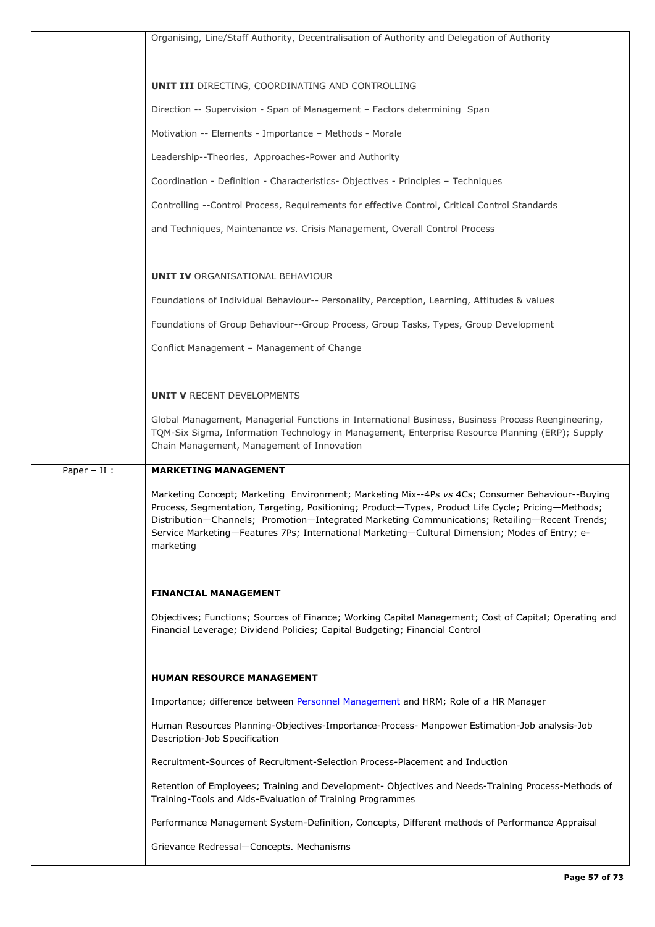|                | Organising, Line/Staff Authority, Decentralisation of Authority and Delegation of Authority                                                                                                                                                                                                                                                                                                                            |
|----------------|------------------------------------------------------------------------------------------------------------------------------------------------------------------------------------------------------------------------------------------------------------------------------------------------------------------------------------------------------------------------------------------------------------------------|
|                |                                                                                                                                                                                                                                                                                                                                                                                                                        |
|                | <b>UNIT III</b> DIRECTING, COORDINATING AND CONTROLLING                                                                                                                                                                                                                                                                                                                                                                |
|                | Direction -- Supervision - Span of Management - Factors determining Span                                                                                                                                                                                                                                                                                                                                               |
|                | Motivation -- Elements - Importance - Methods - Morale                                                                                                                                                                                                                                                                                                                                                                 |
|                | Leadership--Theories, Approaches-Power and Authority                                                                                                                                                                                                                                                                                                                                                                   |
|                | Coordination - Definition - Characteristics- Objectives - Principles - Techniques                                                                                                                                                                                                                                                                                                                                      |
|                | Controlling --Control Process, Requirements for effective Control, Critical Control Standards                                                                                                                                                                                                                                                                                                                          |
|                | and Techniques, Maintenance vs. Crisis Management, Overall Control Process                                                                                                                                                                                                                                                                                                                                             |
|                |                                                                                                                                                                                                                                                                                                                                                                                                                        |
|                | <b>UNIT IV ORGANISATIONAL BEHAVIOUR</b>                                                                                                                                                                                                                                                                                                                                                                                |
|                | Foundations of Individual Behaviour-- Personality, Perception, Learning, Attitudes & values                                                                                                                                                                                                                                                                                                                            |
|                | Foundations of Group Behaviour--Group Process, Group Tasks, Types, Group Development                                                                                                                                                                                                                                                                                                                                   |
|                | Conflict Management - Management of Change                                                                                                                                                                                                                                                                                                                                                                             |
|                |                                                                                                                                                                                                                                                                                                                                                                                                                        |
|                | <b>UNIT V RECENT DEVELOPMENTS</b>                                                                                                                                                                                                                                                                                                                                                                                      |
|                | Global Management, Managerial Functions in International Business, Business Process Reengineering,<br>TQM-Six Sigma, Information Technology in Management, Enterprise Resource Planning (ERP); Supply                                                                                                                                                                                                                  |
|                | Chain Management, Management of Innovation                                                                                                                                                                                                                                                                                                                                                                             |
| Paper $-$ II : | <b>MARKETING MANAGEMENT</b>                                                                                                                                                                                                                                                                                                                                                                                            |
|                | Marketing Concept; Marketing Environment; Marketing Mix--4Ps vs 4Cs; Consumer Behaviour--Buying<br>Process, Segmentation, Targeting, Positioning; Product-Types, Product Life Cycle; Pricing-Methods;<br>Distribution-Channels; Promotion-Integrated Marketing Communications; Retailing-Recent Trends;<br>Service Marketing-Features 7Ps; International Marketing-Cultural Dimension; Modes of Entry; e-<br>marketing |
|                |                                                                                                                                                                                                                                                                                                                                                                                                                        |
|                | <b>FINANCIAL MANAGEMENT</b>                                                                                                                                                                                                                                                                                                                                                                                            |
|                | Objectives; Functions; Sources of Finance; Working Capital Management; Cost of Capital; Operating and<br>Financial Leverage; Dividend Policies; Capital Budgeting; Financial Control                                                                                                                                                                                                                                   |
|                | <b>HUMAN RESOURCE MANAGEMENT</b>                                                                                                                                                                                                                                                                                                                                                                                       |
|                | Importance; difference between Personnel Management and HRM; Role of a HR Manager                                                                                                                                                                                                                                                                                                                                      |
|                | Human Resources Planning-Objectives-Importance-Process- Manpower Estimation-Job analysis-Job<br>Description-Job Specification                                                                                                                                                                                                                                                                                          |
|                | Recruitment-Sources of Recruitment-Selection Process-Placement and Induction                                                                                                                                                                                                                                                                                                                                           |
|                | Retention of Employees; Training and Development- Objectives and Needs-Training Process-Methods of<br>Training-Tools and Aids-Evaluation of Training Programmes                                                                                                                                                                                                                                                        |
|                | Performance Management System-Definition, Concepts, Different methods of Performance Appraisal                                                                                                                                                                                                                                                                                                                         |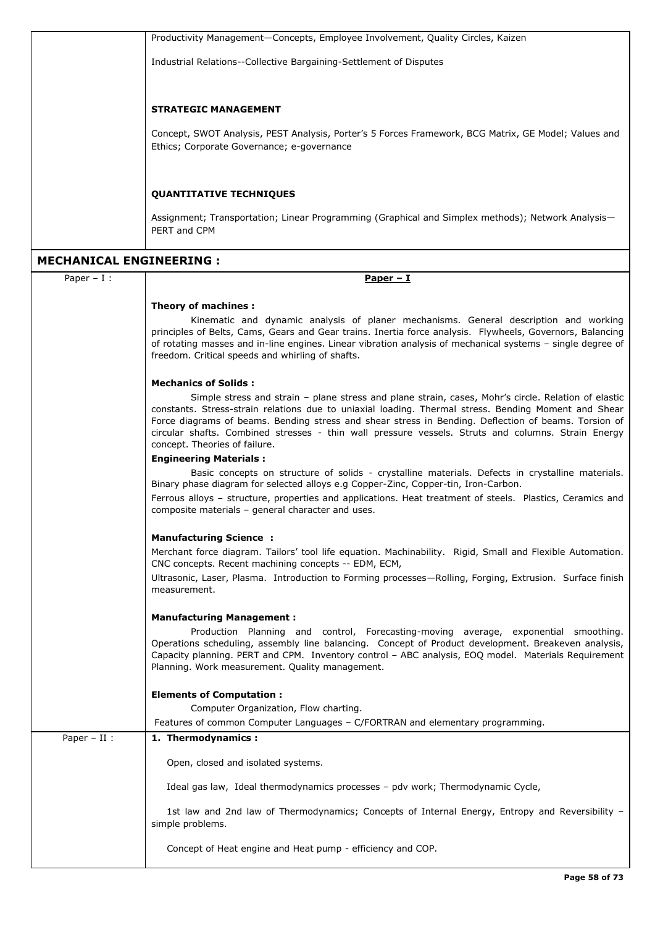|                                | Productivity Management-Concepts, Employee Involvement, Quality Circles, Kaizen                                                                                                                                                                                                                                                                                                                                                                            |
|--------------------------------|------------------------------------------------------------------------------------------------------------------------------------------------------------------------------------------------------------------------------------------------------------------------------------------------------------------------------------------------------------------------------------------------------------------------------------------------------------|
|                                | Industrial Relations--Collective Bargaining-Settlement of Disputes                                                                                                                                                                                                                                                                                                                                                                                         |
|                                | <b>STRATEGIC MANAGEMENT</b><br>Concept, SWOT Analysis, PEST Analysis, Porter's 5 Forces Framework, BCG Matrix, GE Model; Values and                                                                                                                                                                                                                                                                                                                        |
|                                | Ethics; Corporate Governance; e-governance<br><b>QUANTITATIVE TECHNIQUES</b>                                                                                                                                                                                                                                                                                                                                                                               |
|                                | Assignment; Transportation; Linear Programming (Graphical and Simplex methods); Network Analysis—<br>PERT and CPM                                                                                                                                                                                                                                                                                                                                          |
| <b>MECHANICAL ENGINEERING:</b> |                                                                                                                                                                                                                                                                                                                                                                                                                                                            |
| Paper $- I$ :                  | Paper $- I$                                                                                                                                                                                                                                                                                                                                                                                                                                                |
|                                | Theory of machines :                                                                                                                                                                                                                                                                                                                                                                                                                                       |
|                                | Kinematic and dynamic analysis of planer mechanisms. General description and working<br>principles of Belts, Cams, Gears and Gear trains. Inertia force analysis. Flywheels, Governors, Balancing<br>of rotating masses and in-line engines. Linear vibration analysis of mechanical systems - single degree of<br>freedom. Critical speeds and whirling of shafts.                                                                                        |
|                                | <b>Mechanics of Solids:</b>                                                                                                                                                                                                                                                                                                                                                                                                                                |
|                                | Simple stress and strain - plane stress and plane strain, cases, Mohr's circle. Relation of elastic<br>constants. Stress-strain relations due to uniaxial loading. Thermal stress. Bending Moment and Shear<br>Force diagrams of beams. Bending stress and shear stress in Bending. Deflection of beams. Torsion of<br>circular shafts. Combined stresses - thin wall pressure vessels. Struts and columns. Strain Energy<br>concept. Theories of failure. |
|                                | <b>Engineering Materials:</b>                                                                                                                                                                                                                                                                                                                                                                                                                              |
|                                | Basic concepts on structure of solids - crystalline materials. Defects in crystalline materials.<br>Binary phase diagram for selected alloys e.g Copper-Zinc, Copper-tin, Iron-Carbon.<br>Ferrous alloys - structure, properties and applications. Heat treatment of steels. Plastics, Ceramics and                                                                                                                                                        |
|                                | composite materials - general character and uses.                                                                                                                                                                                                                                                                                                                                                                                                          |
|                                | <b>Manufacturing Science:</b>                                                                                                                                                                                                                                                                                                                                                                                                                              |
|                                | Merchant force diagram. Tailors' tool life equation. Machinability. Rigid, Small and Flexible Automation.<br>CNC concepts. Recent machining concepts -- EDM, ECM,                                                                                                                                                                                                                                                                                          |
|                                | Ultrasonic, Laser, Plasma. Introduction to Forming processes-Rolling, Forging, Extrusion. Surface finish<br>measurement.                                                                                                                                                                                                                                                                                                                                   |
|                                | <b>Manufacturing Management:</b>                                                                                                                                                                                                                                                                                                                                                                                                                           |
|                                | Production Planning and control, Forecasting-moving average, exponential smoothing.<br>Operations scheduling, assembly line balancing. Concept of Product development. Breakeven analysis,<br>Capacity planning. PERT and CPM. Inventory control - ABC analysis, EOQ model. Materials Requirement<br>Planning. Work measurement. Quality management.                                                                                                       |
|                                | <b>Elements of Computation:</b><br>Computer Organization, Flow charting.                                                                                                                                                                                                                                                                                                                                                                                   |
|                                | Features of common Computer Languages – C/FORTRAN and elementary programming.                                                                                                                                                                                                                                                                                                                                                                              |
| Paper $-$ II :                 | 1. Thermodynamics:                                                                                                                                                                                                                                                                                                                                                                                                                                         |
|                                | Open, closed and isolated systems.                                                                                                                                                                                                                                                                                                                                                                                                                         |
|                                | Ideal gas law, Ideal thermodynamics processes - pdv work; Thermodynamic Cycle,                                                                                                                                                                                                                                                                                                                                                                             |
|                                | 1st law and 2nd law of Thermodynamics; Concepts of Internal Energy, Entropy and Reversibility -<br>simple problems.                                                                                                                                                                                                                                                                                                                                        |
|                                | Concept of Heat engine and Heat pump - efficiency and COP.                                                                                                                                                                                                                                                                                                                                                                                                 |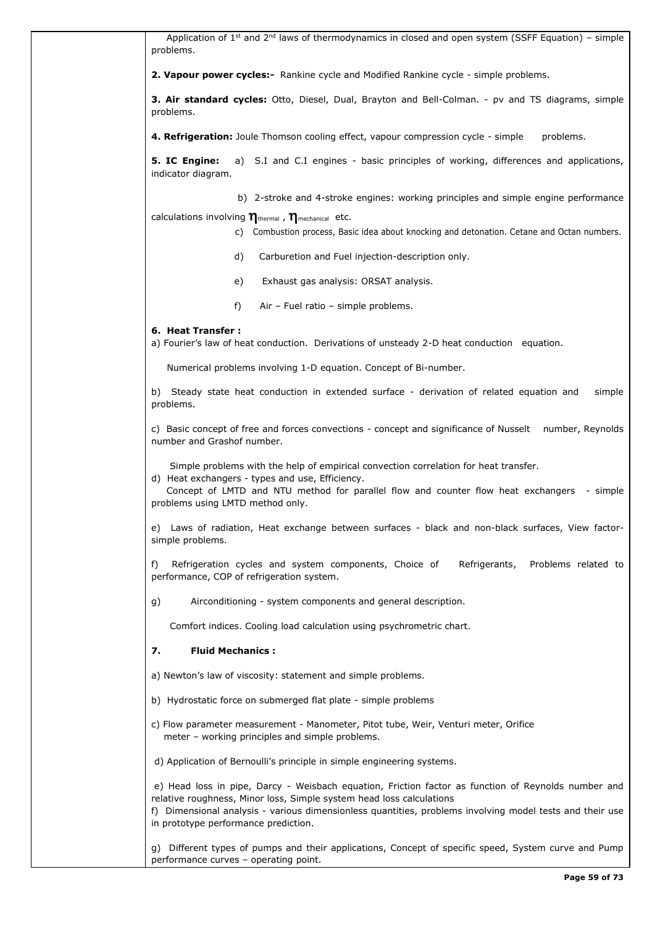Application of 1<sup>st</sup> and 2<sup>nd</sup> laws of thermodynamics in closed and open system (SSFF Equation) – simple problems.

**2. Vapour power cycles:-** Rankine cycle and Modified Rankine cycle - simple problems.

**3. Air standard cycles:** Otto, Diesel, Dual, Brayton and Bell-Colman. - pv and TS diagrams, simple problems.

**4. Refrigeration:** Joule Thomson cooling effect, vapour compression cycle - simple problems.

**5. IC Engine:** a) S.I and C.I engines - basic principles of working, differences and applications, indicator diagram.

b) 2-stroke and 4-stroke engines: working principles and simple engine performance

calculations involving  $\eta_{\text{thermal}}$ ,  $\eta_{\text{mechanical}}$  etc.

- c) Combustion process, Basic idea about knocking and detonation. Cetane and Octan numbers.
- d) Carburetion and Fuel injection-description only.
- e) Exhaust gas analysis: ORSAT analysis.
- f) Air Fuel ratio simple problems.

### **6. Heat Transfer :**

a) Fourier's law of heat conduction. Derivations of unsteady 2-D heat conduction equation.

Numerical problems involving 1-D equation. Concept of Bi-number.

b) Steady state heat conduction in extended surface - derivation of related equation and simple problems.

c) Basic concept of free and forces convections - concept and significance of Nusselt number, Reynolds number and Grashof number.

Simple problems with the help of empirical convection correlation for heat transfer.

d) Heat exchangers - types and use, Efficiency.

 Concept of LMTD and NTU method for parallel flow and counter flow heat exchangers - simple problems using LMTD method only.

e) Laws of radiation, Heat exchange between surfaces - black and non-black surfaces, View factorsimple problems.

f) Refrigeration cycles and system components, Choice of Refrigerants, Problems related to performance, COP of refrigeration system.

g) Airconditioning - system components and general description.

Comfort indices. Cooling load calculation using psychrometric chart.

# **7. Fluid Mechanics :**

a) Newton's law of viscosity: statement and simple problems.

- b) Hydrostatic force on submerged flat plate simple problems
- c) Flow parameter measurement Manometer, Pitot tube, Weir, Venturi meter, Orifice meter – working principles and simple problems.

d) Application of Bernoulli's principle in simple engineering systems.

e) Head loss in pipe, Darcy - Weisbach equation, Friction factor as function of Reynolds number and relative roughness, Minor loss, Simple system head loss calculations f) Dimensional analysis - various dimensionless quantities, problems involving model tests and their use in prototype performance prediction.

g) Different types of pumps and their applications, Concept of specific speed, System curve and Pump performance curves – operating point.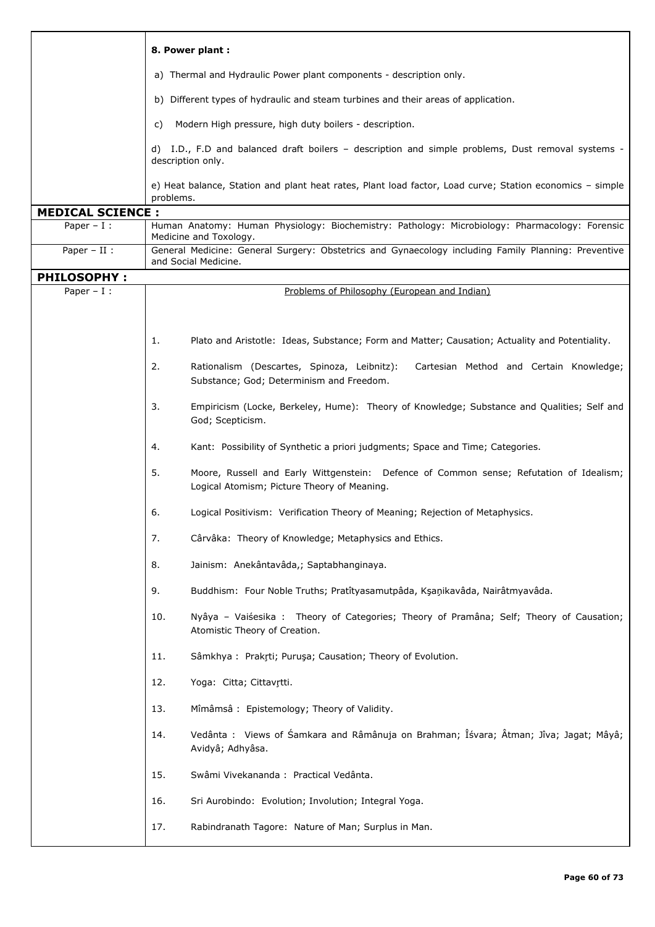|                         | 8. Power plant :                                                                                                                             |
|-------------------------|----------------------------------------------------------------------------------------------------------------------------------------------|
|                         | a) Thermal and Hydraulic Power plant components - description only.                                                                          |
|                         | b) Different types of hydraulic and steam turbines and their areas of application.                                                           |
|                         | Modern High pressure, high duty boilers - description.<br>C)                                                                                 |
|                         | d) I.D., F.D and balanced draft boilers - description and simple problems, Dust removal systems -<br>description only.                       |
|                         | e) Heat balance, Station and plant heat rates, Plant load factor, Load curve; Station economics - simple<br>problems.                        |
| <b>MEDICAL SCIENCE:</b> |                                                                                                                                              |
| Paper $- I$ :           | Human Anatomy: Human Physiology: Biochemistry: Pathology: Microbiology: Pharmacology: Forensic<br>Medicine and Toxology.                     |
| Paper $-$ II :          | General Medicine: General Surgery: Obstetrics and Gynaecology including Family Planning: Preventive<br>and Social Medicine.                  |
| <b>PHILOSOPHY:</b>      |                                                                                                                                              |
| Paper $- I$ :           | Problems of Philosophy (European and Indian)                                                                                                 |
|                         |                                                                                                                                              |
|                         |                                                                                                                                              |
|                         | 1.<br>Plato and Aristotle: Ideas, Substance; Form and Matter; Causation; Actuality and Potentiality.                                         |
|                         | 2.<br>Rationalism (Descartes, Spinoza, Leibnitz):<br>Cartesian Method and Certain Knowledge;<br>Substance; God; Determinism and Freedom.     |
|                         | 3.<br>Empiricism (Locke, Berkeley, Hume): Theory of Knowledge; Substance and Qualities; Self and<br>God; Scepticism.                         |
|                         | 4.<br>Kant: Possibility of Synthetic a priori judgments; Space and Time; Categories.                                                         |
|                         | 5.<br>Moore, Russell and Early Wittgenstein: Defence of Common sense; Refutation of Idealism;<br>Logical Atomism; Picture Theory of Meaning. |
|                         | 6.<br>Logical Positivism: Verification Theory of Meaning; Rejection of Metaphysics.                                                          |
|                         | 7.<br>Cârvâka: Theory of Knowledge; Metaphysics and Ethics.                                                                                  |
|                         | Jainism: Anekântavâda,; Saptabhanginaya.<br>8.                                                                                               |
|                         | 9.<br>Buddhism: Four Noble Truths; Pratîtyasamutpâda, Kşaņikavâda, Nairâtmyavâda.                                                            |
|                         | Nyâya - Vaiśesika : Theory of Categories; Theory of Pramâna; Self; Theory of Causation;<br>10.<br>Atomistic Theory of Creation.              |
|                         | Sâmkhya: Prakrti; Puruşa; Causation; Theory of Evolution.<br>11.                                                                             |
|                         | Yoga: Citta; Cittavrtti.<br>12.                                                                                                              |
|                         | Mîmâmsâ : Epistemology; Theory of Validity.<br>13.                                                                                           |
|                         | Vedânta : Views of Śamkara and Râmânuja on Brahman; Îśvara; Âtman; Jîva; Jagat; Mâyâ;<br>14.<br>Avidyâ; Adhyâsa.                             |
|                         | Swâmi Vivekananda : Practical Vedânta.<br>15.                                                                                                |
|                         | Sri Aurobindo: Evolution; Involution; Integral Yoga.<br>16.                                                                                  |
|                         | Rabindranath Tagore: Nature of Man; Surplus in Man.<br>17.                                                                                   |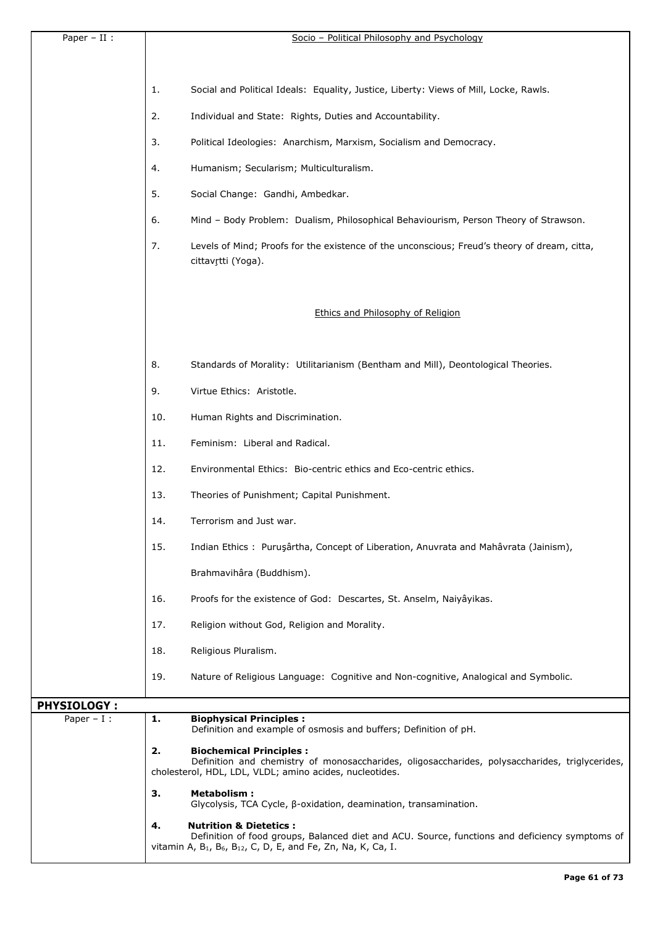| Paper $-$ II :     | Socio - Political Philosophy and Psychology                                                                                                                                                                           |
|--------------------|-----------------------------------------------------------------------------------------------------------------------------------------------------------------------------------------------------------------------|
|                    |                                                                                                                                                                                                                       |
|                    |                                                                                                                                                                                                                       |
|                    | Social and Political Ideals: Equality, Justice, Liberty: Views of Mill, Locke, Rawls.<br>1.                                                                                                                           |
|                    | 2.<br>Individual and State: Rights, Duties and Accountability.                                                                                                                                                        |
|                    | 3.<br>Political Ideologies: Anarchism, Marxism, Socialism and Democracy.                                                                                                                                              |
|                    | 4.<br>Humanism; Secularism; Multiculturalism.                                                                                                                                                                         |
|                    | 5.<br>Social Change: Gandhi, Ambedkar.                                                                                                                                                                                |
|                    | Mind - Body Problem: Dualism, Philosophical Behaviourism, Person Theory of Strawson.<br>6.                                                                                                                            |
|                    | 7.<br>Levels of Mind; Proofs for the existence of the unconscious; Freud's theory of dream, citta,<br>cittavrtti (Yoga).                                                                                              |
|                    |                                                                                                                                                                                                                       |
|                    | <b>Ethics and Philosophy of Religion</b>                                                                                                                                                                              |
|                    |                                                                                                                                                                                                                       |
|                    | 8.<br>Standards of Morality: Utilitarianism (Bentham and Mill), Deontological Theories.                                                                                                                               |
|                    | 9.<br>Virtue Ethics: Aristotle.                                                                                                                                                                                       |
|                    | 10.<br>Human Rights and Discrimination.                                                                                                                                                                               |
|                    | Feminism: Liberal and Radical.<br>11.                                                                                                                                                                                 |
|                    | Environmental Ethics: Bio-centric ethics and Eco-centric ethics.<br>12.                                                                                                                                               |
|                    | Theories of Punishment; Capital Punishment.<br>13.                                                                                                                                                                    |
|                    | Terrorism and Just war.                                                                                                                                                                                               |
|                    | 14.                                                                                                                                                                                                                   |
|                    | 15.<br>Indian Ethics: Puruşârtha, Concept of Liberation, Anuvrata and Mahâvrata (Jainism),                                                                                                                            |
|                    | Brahmavihâra (Buddhism).                                                                                                                                                                                              |
|                    | 16.<br>Proofs for the existence of God: Descartes, St. Anselm, Naiyâyikas.                                                                                                                                            |
|                    | 17.<br>Religion without God, Religion and Morality.                                                                                                                                                                   |
|                    | Religious Pluralism.<br>18.                                                                                                                                                                                           |
|                    | 19.<br>Nature of Religious Language: Cognitive and Non-cognitive, Analogical and Symbolic.                                                                                                                            |
| <b>PHYSIOLOGY:</b> |                                                                                                                                                                                                                       |
| Paper $- I$ :      | 1.<br><b>Biophysical Principles:</b><br>Definition and example of osmosis and buffers; Definition of pH.                                                                                                              |
|                    | 2.<br><b>Biochemical Principles:</b>                                                                                                                                                                                  |
|                    | Definition and chemistry of monosaccharides, oligosaccharides, polysaccharides, triglycerides,<br>cholesterol, HDL, LDL, VLDL; amino acides, nucleotides.                                                             |
|                    | З.<br><b>Metabolism:</b><br>Glycolysis, TCA Cycle, β-oxidation, deamination, transamination.                                                                                                                          |
|                    | <b>Nutrition &amp; Dietetics:</b><br>4.<br>Definition of food groups, Balanced diet and ACU. Source, functions and deficiency symptoms of<br>vitamin A, $B_1$ , $B_6$ , $B_{12}$ , C, D, E, and Fe, Zn, Na, K, Ca, I. |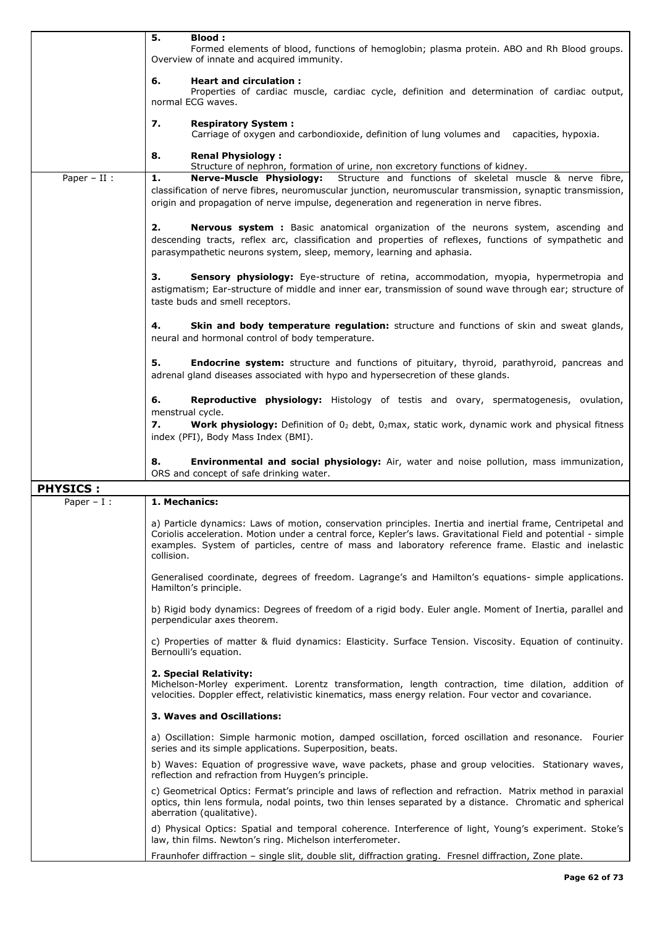|                                  | 5.<br>Blood:<br>Formed elements of blood, functions of hemoglobin; plasma protein. ABO and Rh Blood groups.<br>Overview of innate and acquired immunity.                                                                                                                                                                                          |
|----------------------------------|---------------------------------------------------------------------------------------------------------------------------------------------------------------------------------------------------------------------------------------------------------------------------------------------------------------------------------------------------|
|                                  | 6.<br><b>Heart and circulation:</b><br>Properties of cardiac muscle, cardiac cycle, definition and determination of cardiac output,<br>normal ECG waves.                                                                                                                                                                                          |
|                                  | 7.<br><b>Respiratory System:</b><br>Carriage of oxygen and carbondioxide, definition of lung volumes and capacities, hypoxia.                                                                                                                                                                                                                     |
|                                  | <b>Renal Physiology:</b><br>8.<br>Structure of nephron, formation of urine, non excretory functions of kidney.                                                                                                                                                                                                                                    |
| Paper $-$ II :                   | Structure and functions of skeletal muscle & nerve fibre,<br>1.<br><b>Nerve-Muscle Physiology:</b><br>classification of nerve fibres, neuromuscular junction, neuromuscular transmission, synaptic transmission,<br>origin and propagation of nerve impulse, degeneration and regeneration in nerve fibres.                                       |
|                                  | 2.<br><b>Nervous system :</b> Basic anatomical organization of the neurons system, ascending and<br>descending tracts, reflex arc, classification and properties of reflexes, functions of sympathetic and<br>parasympathetic neurons system, sleep, memory, learning and aphasia.                                                                |
|                                  | З.<br><b>Sensory physiology:</b> Eye-structure of retina, accommodation, myopia, hypermetropia and<br>astigmatism; Ear-structure of middle and inner ear, transmission of sound wave through ear; structure of<br>taste buds and smell receptors.                                                                                                 |
|                                  | 4.<br>Skin and body temperature regulation: structure and functions of skin and sweat glands,<br>neural and hormonal control of body temperature.                                                                                                                                                                                                 |
|                                  | 5.<br><b>Endocrine system:</b> structure and functions of pituitary, thyroid, parathyroid, pancreas and<br>adrenal gland diseases associated with hypo and hypersecretion of these glands.                                                                                                                                                        |
|                                  | Reproductive physiology: Histology of testis and ovary, spermatogenesis, ovulation,<br>6.<br>menstrual cycle.                                                                                                                                                                                                                                     |
|                                  | 7.<br><b>Work physiology:</b> Definition of 0 <sub>2</sub> debt, 0 <sub>2</sub> max, static work, dynamic work and physical fitness<br>index (PFI), Body Mass Index (BMI).                                                                                                                                                                        |
|                                  | 8.<br><b>Environmental and social physiology:</b> Air, water and noise pollution, mass immunization,<br>ORS and concept of safe drinking water.                                                                                                                                                                                                   |
| <b>PHYSICS:</b><br>Paper $- I$ : | 1. Mechanics:                                                                                                                                                                                                                                                                                                                                     |
|                                  | a) Particle dynamics: Laws of motion, conservation principles. Inertia and inertial frame, Centripetal and<br>Coriolis acceleration. Motion under a central force, Kepler's laws. Gravitational Field and potential - simple<br>examples. System of particles, centre of mass and laboratory reference frame. Elastic and inelastic<br>collision. |
|                                  | Generalised coordinate, degrees of freedom. Lagrange's and Hamilton's equations- simple applications.<br>Hamilton's principle.                                                                                                                                                                                                                    |
|                                  | b) Rigid body dynamics: Degrees of freedom of a rigid body. Euler angle. Moment of Inertia, parallel and<br>perpendicular axes theorem.                                                                                                                                                                                                           |
|                                  | c) Properties of matter & fluid dynamics: Elasticity. Surface Tension. Viscosity. Equation of continuity.<br>Bernoulli's equation.                                                                                                                                                                                                                |
|                                  | 2. Special Relativity:<br>Michelson-Morley experiment. Lorentz transformation, length contraction, time dilation, addition of<br>velocities. Doppler effect, relativistic kinematics, mass energy relation. Four vector and covariance.                                                                                                           |
|                                  | 3. Waves and Oscillations:                                                                                                                                                                                                                                                                                                                        |
|                                  | a) Oscillation: Simple harmonic motion, damped oscillation, forced oscillation and resonance. Fourier<br>series and its simple applications. Superposition, beats.                                                                                                                                                                                |
|                                  | b) Waves: Equation of progressive wave, wave packets, phase and group velocities. Stationary waves,<br>reflection and refraction from Huygen's principle.                                                                                                                                                                                         |
|                                  | c) Geometrical Optics: Fermat's principle and laws of reflection and refraction. Matrix method in paraxial<br>optics, thin lens formula, nodal points, two thin lenses separated by a distance. Chromatic and spherical<br>aberration (qualitative).                                                                                              |
|                                  | d) Physical Optics: Spatial and temporal coherence. Interference of light, Young's experiment. Stoke's<br>law, thin films. Newton's ring. Michelson interferometer.                                                                                                                                                                               |
|                                  | Fraunhofer diffraction - single slit, double slit, diffraction grating. Fresnel diffraction, Zone plate.                                                                                                                                                                                                                                          |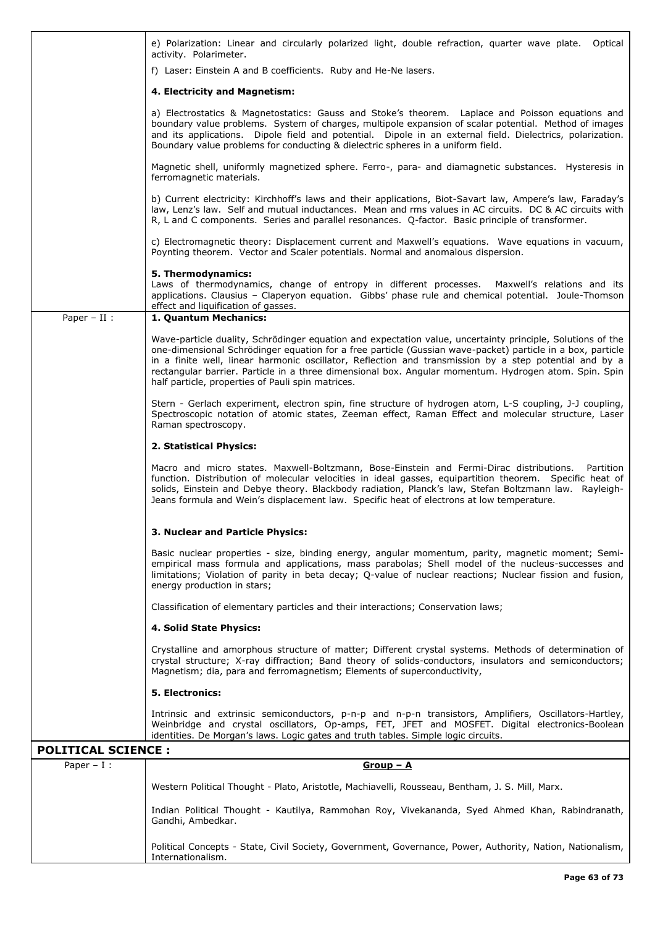|                           | e) Polarization: Linear and circularly polarized light, double refraction, quarter wave plate.<br>Optical<br>activity. Polarimeter.                                                                                                                                                                                                                                                                                                                                                              |
|---------------------------|--------------------------------------------------------------------------------------------------------------------------------------------------------------------------------------------------------------------------------------------------------------------------------------------------------------------------------------------------------------------------------------------------------------------------------------------------------------------------------------------------|
|                           | f) Laser: Einstein A and B coefficients. Ruby and He-Ne lasers.                                                                                                                                                                                                                                                                                                                                                                                                                                  |
|                           | 4. Electricity and Magnetism:                                                                                                                                                                                                                                                                                                                                                                                                                                                                    |
|                           | a) Electrostatics & Magnetostatics: Gauss and Stoke's theorem. Laplace and Poisson equations and<br>boundary value problems. System of charges, multipole expansion of scalar potential. Method of images<br>and its applications. Dipole field and potential. Dipole in an external field. Dielectrics, polarization.<br>Boundary value problems for conducting & dielectric spheres in a uniform field.                                                                                        |
|                           | Magnetic shell, uniformly magnetized sphere. Ferro-, para- and diamagnetic substances. Hysteresis in<br>ferromagnetic materials.                                                                                                                                                                                                                                                                                                                                                                 |
|                           | b) Current electricity: Kirchhoff's laws and their applications, Biot-Savart law, Ampere's law, Faraday's<br>law, Lenz's law. Self and mutual inductances. Mean and rms values in AC circuits. DC & AC circuits with<br>R, L and C components. Series and parallel resonances. Q-factor. Basic principle of transformer.                                                                                                                                                                         |
|                           | c) Electromagnetic theory: Displacement current and Maxwell's equations. Wave equations in vacuum,<br>Poynting theorem. Vector and Scaler potentials. Normal and anomalous dispersion.                                                                                                                                                                                                                                                                                                           |
|                           | 5. Thermodynamics:<br>Laws of thermodynamics, change of entropy in different processes.<br>Maxwell's relations and its<br>applications. Clausius - Claperyon equation. Gibbs' phase rule and chemical potential. Joule-Thomson<br>effect and liquification of gasses.                                                                                                                                                                                                                            |
| Paper $-$ II :            | 1. Quantum Mechanics:                                                                                                                                                                                                                                                                                                                                                                                                                                                                            |
|                           | Wave-particle duality, Schrödinger equation and expectation value, uncertainty principle, Solutions of the<br>one-dimensional Schrödinger equation for a free particle (Gussian wave-packet) particle in a box, particle<br>in a finite well, linear harmonic oscillator, Reflection and transmission by a step potential and by a<br>rectangular barrier. Particle in a three dimensional box. Angular momentum. Hydrogen atom. Spin. Spin<br>half particle, properties of Pauli spin matrices. |
|                           | Stern - Gerlach experiment, electron spin, fine structure of hydrogen atom, L-S coupling, J-J coupling,<br>Spectroscopic notation of atomic states, Zeeman effect, Raman Effect and molecular structure, Laser<br>Raman spectroscopy.                                                                                                                                                                                                                                                            |
|                           | 2. Statistical Physics:                                                                                                                                                                                                                                                                                                                                                                                                                                                                          |
|                           | Macro and micro states. Maxwell-Boltzmann, Bose-Einstein and Fermi-Dirac distributions.<br>Partition<br>function. Distribution of molecular velocities in ideal gasses, equipartition theorem. Specific heat of<br>solids, Einstein and Debye theory. Blackbody radiation, Planck's law, Stefan Boltzmann law. Rayleigh-<br>Jeans formula and Wein's displacement law. Specific heat of electrons at low temperature.                                                                            |
|                           | 3. Nuclear and Particle Physics:                                                                                                                                                                                                                                                                                                                                                                                                                                                                 |
|                           | Basic nuclear properties - size, binding energy, angular momentum, parity, magnetic moment; Semi-<br>empirical mass formula and applications, mass parabolas; Shell model of the nucleus-successes and<br>limitations; Violation of parity in beta decay; Q-value of nuclear reactions; Nuclear fission and fusion,<br>energy production in stars;                                                                                                                                               |
|                           | Classification of elementary particles and their interactions; Conservation laws;                                                                                                                                                                                                                                                                                                                                                                                                                |
|                           | 4. Solid State Physics:                                                                                                                                                                                                                                                                                                                                                                                                                                                                          |
|                           | Crystalline and amorphous structure of matter; Different crystal systems. Methods of determination of<br>crystal structure; X-ray diffraction; Band theory of solids-conductors, insulators and semiconductors;<br>Magnetism; dia, para and ferromagnetism; Elements of superconductivity,                                                                                                                                                                                                       |
|                           | 5. Electronics:                                                                                                                                                                                                                                                                                                                                                                                                                                                                                  |
|                           | Intrinsic and extrinsic semiconductors, p-n-p and n-p-n transistors, Amplifiers, Oscillators-Hartley,<br>Weinbridge and crystal oscillators, Op-amps, FET, JFET and MOSFET. Digital electronics-Boolean<br>identities. De Morgan's laws. Logic gates and truth tables. Simple logic circuits.                                                                                                                                                                                                    |
| <b>POLITICAL SCIENCE:</b> |                                                                                                                                                                                                                                                                                                                                                                                                                                                                                                  |
| Paper $- I$ :             | <u>Group - A</u>                                                                                                                                                                                                                                                                                                                                                                                                                                                                                 |
|                           | Western Political Thought - Plato, Aristotle, Machiavelli, Rousseau, Bentham, J. S. Mill, Marx.                                                                                                                                                                                                                                                                                                                                                                                                  |
|                           | Indian Political Thought - Kautilya, Rammohan Roy, Vivekananda, Syed Ahmed Khan, Rabindranath,<br>Gandhi, Ambedkar.                                                                                                                                                                                                                                                                                                                                                                              |
|                           | Political Concepts - State, Civil Society, Government, Governance, Power, Authority, Nation, Nationalism,<br>Internationalism.                                                                                                                                                                                                                                                                                                                                                                   |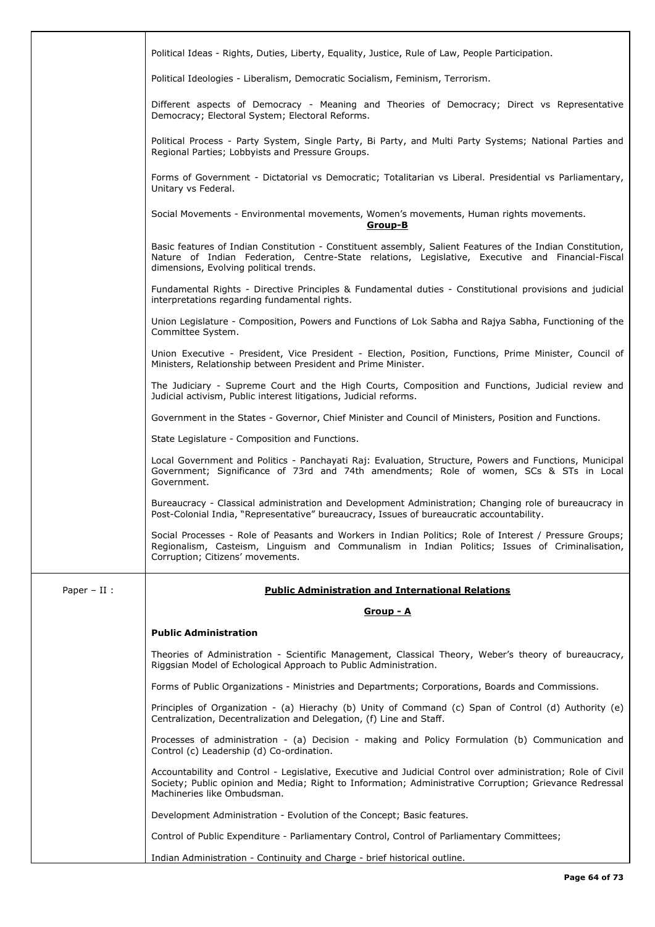|                | Political Ideas - Rights, Duties, Liberty, Equality, Justice, Rule of Law, People Participation.                                                                                                                                                         |
|----------------|----------------------------------------------------------------------------------------------------------------------------------------------------------------------------------------------------------------------------------------------------------|
|                | Political Ideologies - Liberalism, Democratic Socialism, Feminism, Terrorism.                                                                                                                                                                            |
|                | Different aspects of Democracy - Meaning and Theories of Democracy; Direct vs Representative<br>Democracy; Electoral System; Electoral Reforms.                                                                                                          |
|                | Political Process - Party System, Single Party, Bi Party, and Multi Party Systems; National Parties and<br>Regional Parties; Lobbyists and Pressure Groups.                                                                                              |
|                | Forms of Government - Dictatorial vs Democratic; Totalitarian vs Liberal. Presidential vs Parliamentary,<br>Unitary vs Federal.                                                                                                                          |
|                | Social Movements - Environmental movements, Women's movements, Human rights movements.<br>Group-B                                                                                                                                                        |
|                | Basic features of Indian Constitution - Constituent assembly, Salient Features of the Indian Constitution,<br>Nature of Indian Federation, Centre-State relations, Legislative, Executive and Financial-Fiscal<br>dimensions, Evolving political trends. |
|                | Fundamental Rights - Directive Principles & Fundamental duties - Constitutional provisions and judicial<br>interpretations regarding fundamental rights.                                                                                                 |
|                | Union Legislature - Composition, Powers and Functions of Lok Sabha and Rajya Sabha, Functioning of the<br>Committee System.                                                                                                                              |
|                | Union Executive - President, Vice President - Election, Position, Functions, Prime Minister, Council of<br>Ministers, Relationship between President and Prime Minister.                                                                                 |
|                | The Judiciary - Supreme Court and the High Courts, Composition and Functions, Judicial review and<br>Judicial activism, Public interest litigations, Judicial reforms.                                                                                   |
|                | Government in the States - Governor, Chief Minister and Council of Ministers, Position and Functions.                                                                                                                                                    |
|                | State Legislature - Composition and Functions.                                                                                                                                                                                                           |
|                | Local Government and Politics - Panchayati Raj: Evaluation, Structure, Powers and Functions, Municipal<br>Government; Significance of 73rd and 74th amendments; Role of women, SCs & STs in Local<br>Government.                                         |
|                | Bureaucracy - Classical administration and Development Administration; Changing role of bureaucracy in<br>Post-Colonial India, "Representative" bureaucracy, Issues of bureaucratic accountability.                                                      |
|                | Social Processes - Role of Peasants and Workers in Indian Politics; Role of Interest / Pressure Groups;<br>Regionalism, Casteism, Linguism and Communalism in Indian Politics; Issues of Criminalisation,<br>Corruption; Citizens' movements.            |
| Paper $-$ II : | <b>Public Administration and International Relations</b>                                                                                                                                                                                                 |
|                | Group - A                                                                                                                                                                                                                                                |
|                | <b>Public Administration</b>                                                                                                                                                                                                                             |
|                | Theories of Administration - Scientific Management, Classical Theory, Weber's theory of bureaucracy,<br>Riggsian Model of Echological Approach to Public Administration.                                                                                 |
|                | Forms of Public Organizations - Ministries and Departments; Corporations, Boards and Commissions.                                                                                                                                                        |
|                | Principles of Organization - (a) Hierachy (b) Unity of Command (c) Span of Control (d) Authority (e)<br>Centralization, Decentralization and Delegation, (f) Line and Staff.                                                                             |
|                | Processes of administration - (a) Decision - making and Policy Formulation (b) Communication and<br>Control (c) Leadership (d) Co-ordination.                                                                                                            |
|                | Accountability and Control - Legislative, Executive and Judicial Control over administration; Role of Civil<br>Society; Public opinion and Media; Right to Information; Administrative Corruption; Grievance Redressal<br>Machineries like Ombudsman.    |
|                | Development Administration - Evolution of the Concept; Basic features.                                                                                                                                                                                   |
|                | Control of Public Expenditure - Parliamentary Control, Control of Parliamentary Committees;                                                                                                                                                              |
|                | Indian Administration - Continuity and Charge - brief historical outline.                                                                                                                                                                                |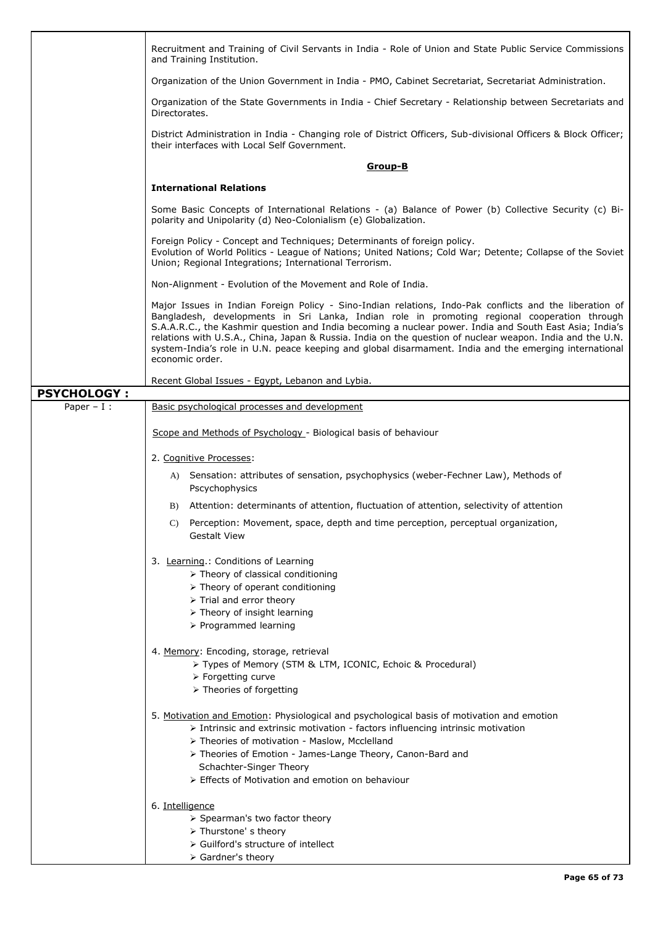|                    | Recruitment and Training of Civil Servants in India - Role of Union and State Public Service Commissions<br>and Training Institution.                                                                                                                                                                                                                                                                                                                                                                                                                        |  |  |  |
|--------------------|--------------------------------------------------------------------------------------------------------------------------------------------------------------------------------------------------------------------------------------------------------------------------------------------------------------------------------------------------------------------------------------------------------------------------------------------------------------------------------------------------------------------------------------------------------------|--|--|--|
|                    | Organization of the Union Government in India - PMO, Cabinet Secretariat, Secretariat Administration.                                                                                                                                                                                                                                                                                                                                                                                                                                                        |  |  |  |
|                    | Organization of the State Governments in India - Chief Secretary - Relationship between Secretariats and<br>Directorates.                                                                                                                                                                                                                                                                                                                                                                                                                                    |  |  |  |
|                    | District Administration in India - Changing role of District Officers, Sub-divisional Officers & Block Officer;<br>their interfaces with Local Self Government.                                                                                                                                                                                                                                                                                                                                                                                              |  |  |  |
|                    | Group-B                                                                                                                                                                                                                                                                                                                                                                                                                                                                                                                                                      |  |  |  |
|                    | <b>International Relations</b>                                                                                                                                                                                                                                                                                                                                                                                                                                                                                                                               |  |  |  |
|                    | Some Basic Concepts of International Relations - (a) Balance of Power (b) Collective Security (c) Bi-<br>polarity and Unipolarity (d) Neo-Colonialism (e) Globalization.                                                                                                                                                                                                                                                                                                                                                                                     |  |  |  |
|                    | Foreign Policy - Concept and Techniques; Determinants of foreign policy.<br>Evolution of World Politics - League of Nations; United Nations; Cold War; Detente; Collapse of the Soviet<br>Union; Regional Integrations; International Terrorism.                                                                                                                                                                                                                                                                                                             |  |  |  |
|                    | Non-Alignment - Evolution of the Movement and Role of India.                                                                                                                                                                                                                                                                                                                                                                                                                                                                                                 |  |  |  |
|                    | Major Issues in Indian Foreign Policy - Sino-Indian relations, Indo-Pak conflicts and the liberation of<br>Bangladesh, developments in Sri Lanka, Indian role in promoting regional cooperation through<br>S.A.A.R.C., the Kashmir question and India becoming a nuclear power. India and South East Asia; India's<br>relations with U.S.A., China, Japan & Russia. India on the question of nuclear weapon. India and the U.N.<br>system-India's role in U.N. peace keeping and global disarmament. India and the emerging international<br>economic order. |  |  |  |
|                    | Recent Global Issues - Egypt, Lebanon and Lybia.                                                                                                                                                                                                                                                                                                                                                                                                                                                                                                             |  |  |  |
| <b>PSYCHOLOGY:</b> |                                                                                                                                                                                                                                                                                                                                                                                                                                                                                                                                                              |  |  |  |
| Paper $-1$ :       | Basic psychological processes and development                                                                                                                                                                                                                                                                                                                                                                                                                                                                                                                |  |  |  |
|                    | Scope and Methods of Psychology - Biological basis of behaviour                                                                                                                                                                                                                                                                                                                                                                                                                                                                                              |  |  |  |
|                    | 2. Cognitive Processes:                                                                                                                                                                                                                                                                                                                                                                                                                                                                                                                                      |  |  |  |
|                    | A) Sensation: attributes of sensation, psychophysics (weber-Fechner Law), Methods of<br>Pscychophysics                                                                                                                                                                                                                                                                                                                                                                                                                                                       |  |  |  |
|                    | B) Attention: determinants of attention, fluctuation of attention, selectivity of attention                                                                                                                                                                                                                                                                                                                                                                                                                                                                  |  |  |  |
|                    | Perception: Movement, space, depth and time perception, perceptual organization,<br>C)<br><b>Gestalt View</b>                                                                                                                                                                                                                                                                                                                                                                                                                                                |  |  |  |
|                    | 3. Learning.: Conditions of Learning<br>> Theory of classical conditioning<br>$\triangleright$ Theory of operant conditioning<br>> Trial and error theory<br>$\triangleright$ Theory of insight learning<br>> Programmed learning                                                                                                                                                                                                                                                                                                                            |  |  |  |
|                    | 4. Memory: Encoding, storage, retrieval<br>> Types of Memory (STM & LTM, ICONIC, Echoic & Procedural)<br>> Forgetting curve<br>> Theories of forgetting                                                                                                                                                                                                                                                                                                                                                                                                      |  |  |  |
|                    | 5. Motivation and Emotion: Physiological and psychological basis of motivation and emotion<br>> Intrinsic and extrinsic motivation - factors influencing intrinsic motivation<br>> Theories of motivation - Maslow, Mcclelland<br>> Theories of Emotion - James-Lange Theory, Canon-Bard and<br>Schachter-Singer Theory<br>> Effects of Motivation and emotion on behaviour                                                                                                                                                                                  |  |  |  |
|                    | 6. Intelligence<br>$\triangleright$ Spearman's two factor theory<br>> Thurstone's theory<br>> Guilford's structure of intellect<br>> Gardner's theory                                                                                                                                                                                                                                                                                                                                                                                                        |  |  |  |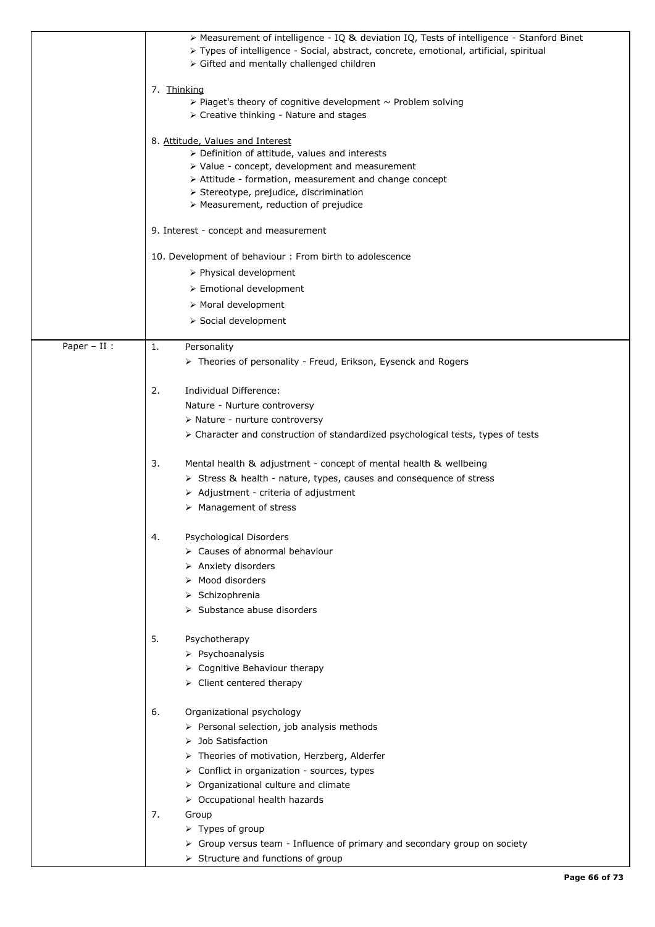|                | > Measurement of intelligence - IQ & deviation IQ, Tests of intelligence - Stanford Binet                                           |  |  |
|----------------|-------------------------------------------------------------------------------------------------------------------------------------|--|--|
|                | > Types of intelligence - Social, abstract, concrete, emotional, artificial, spiritual<br>> Gifted and mentally challenged children |  |  |
|                |                                                                                                                                     |  |  |
|                |                                                                                                                                     |  |  |
|                | 7. Thinking                                                                                                                         |  |  |
|                | $\triangleright$ Piaget's theory of cognitive development $\sim$ Problem solving                                                    |  |  |
|                | > Creative thinking - Nature and stages                                                                                             |  |  |
|                |                                                                                                                                     |  |  |
|                | 8. Attitude, Values and Interest                                                                                                    |  |  |
|                | > Definition of attitude, values and interests                                                                                      |  |  |
|                | > Value - concept, development and measurement                                                                                      |  |  |
|                | > Attitude - formation, measurement and change concept                                                                              |  |  |
|                | > Stereotype, prejudice, discrimination                                                                                             |  |  |
|                | > Measurement, reduction of prejudice                                                                                               |  |  |
|                |                                                                                                                                     |  |  |
|                | 9. Interest - concept and measurement                                                                                               |  |  |
|                |                                                                                                                                     |  |  |
|                |                                                                                                                                     |  |  |
|                | 10. Development of behaviour: From birth to adolescence                                                                             |  |  |
|                | > Physical development                                                                                                              |  |  |
|                | > Emotional development                                                                                                             |  |  |
|                |                                                                                                                                     |  |  |
|                | > Moral development                                                                                                                 |  |  |
|                | > Social development                                                                                                                |  |  |
|                |                                                                                                                                     |  |  |
| Paper $-$ II : | Personality<br>1.                                                                                                                   |  |  |
|                | Theories of personality - Freud, Erikson, Eysenck and Rogers                                                                        |  |  |
|                |                                                                                                                                     |  |  |
|                | Individual Difference:<br>2.                                                                                                        |  |  |
|                | Nature - Nurture controversy                                                                                                        |  |  |
|                |                                                                                                                                     |  |  |
|                | > Nature - nurture controversy                                                                                                      |  |  |
|                | > Character and construction of standardized psychological tests, types of tests                                                    |  |  |
|                |                                                                                                                                     |  |  |
|                | 3.<br>Mental health & adjustment - concept of mental health & wellbeing                                                             |  |  |
|                | > Stress & health - nature, types, causes and consequence of stress                                                                 |  |  |
|                | $\triangleright$ Adjustment - criteria of adjustment                                                                                |  |  |
|                | > Management of stress                                                                                                              |  |  |
|                |                                                                                                                                     |  |  |
|                |                                                                                                                                     |  |  |
|                | Psychological Disorders<br>4.                                                                                                       |  |  |
|                | $\triangleright$ Causes of abnormal behaviour                                                                                       |  |  |
|                | > Anxiety disorders                                                                                                                 |  |  |
|                | Mood disorders<br>⋗                                                                                                                 |  |  |
|                | > Schizophrenia                                                                                                                     |  |  |
|                | > Substance abuse disorders                                                                                                         |  |  |
|                |                                                                                                                                     |  |  |
|                |                                                                                                                                     |  |  |
|                | 5.<br>Psychotherapy                                                                                                                 |  |  |
|                | > Psychoanalysis                                                                                                                    |  |  |
|                | $\triangleright$ Cognitive Behaviour therapy                                                                                        |  |  |
|                | $\triangleright$ Client centered therapy                                                                                            |  |  |
|                |                                                                                                                                     |  |  |
|                |                                                                                                                                     |  |  |
|                | Organizational psychology<br>6.                                                                                                     |  |  |
|                | $\triangleright$ Personal selection, job analysis methods                                                                           |  |  |
|                | Job Satisfaction                                                                                                                    |  |  |
|                | Theories of motivation, Herzberg, Alderfer                                                                                          |  |  |
|                | > Conflict in organization - sources, types                                                                                         |  |  |
|                | > Organizational culture and climate                                                                                                |  |  |
|                |                                                                                                                                     |  |  |
|                | > Occupational health hazards                                                                                                       |  |  |
|                | 7.<br>Group                                                                                                                         |  |  |
|                | $\triangleright$ Types of group                                                                                                     |  |  |
|                | $\triangleright$ Group versus team - Influence of primary and secondary group on society                                            |  |  |
|                | $\triangleright$ Structure and functions of group                                                                                   |  |  |
|                |                                                                                                                                     |  |  |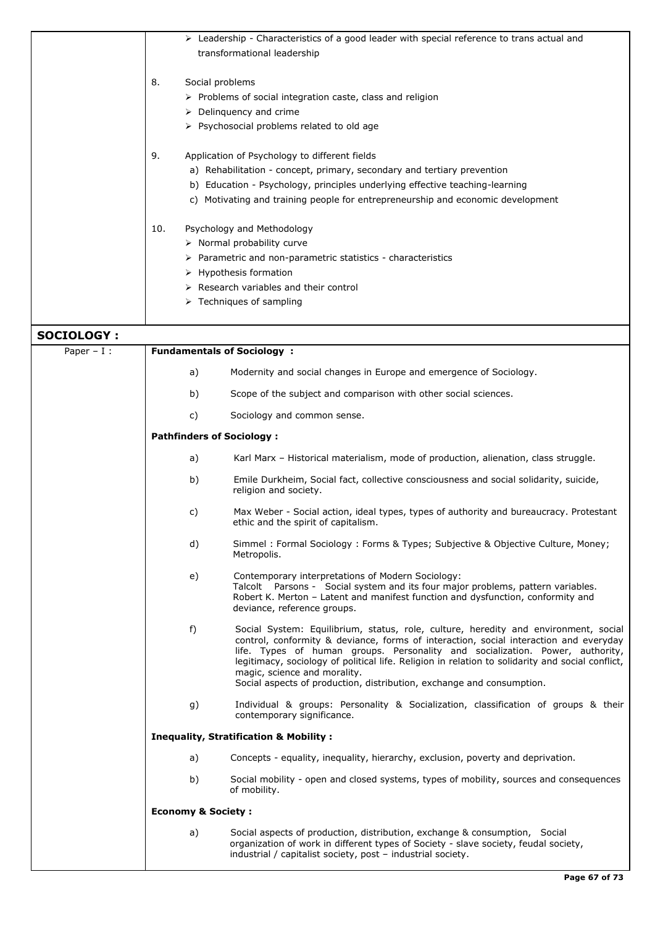|                             |                                  | $\triangleright$ Leadership - Characteristics of a good leader with special reference to trans actual and                                                                                                                                                                                                                                                                                                                                                                  |
|-----------------------------|----------------------------------|----------------------------------------------------------------------------------------------------------------------------------------------------------------------------------------------------------------------------------------------------------------------------------------------------------------------------------------------------------------------------------------------------------------------------------------------------------------------------|
|                             |                                  | transformational leadership                                                                                                                                                                                                                                                                                                                                                                                                                                                |
|                             |                                  |                                                                                                                                                                                                                                                                                                                                                                                                                                                                            |
|                             | 8.                               | Social problems                                                                                                                                                                                                                                                                                                                                                                                                                                                            |
|                             |                                  | > Problems of social integration caste, class and religion                                                                                                                                                                                                                                                                                                                                                                                                                 |
|                             |                                  | $\triangleright$ Delinquency and crime<br>> Psychosocial problems related to old age                                                                                                                                                                                                                                                                                                                                                                                       |
|                             |                                  |                                                                                                                                                                                                                                                                                                                                                                                                                                                                            |
|                             | 9.                               | Application of Psychology to different fields                                                                                                                                                                                                                                                                                                                                                                                                                              |
|                             |                                  | a) Rehabilitation - concept, primary, secondary and tertiary prevention                                                                                                                                                                                                                                                                                                                                                                                                    |
|                             |                                  | b) Education - Psychology, principles underlying effective teaching-learning                                                                                                                                                                                                                                                                                                                                                                                               |
|                             |                                  | c) Motivating and training people for entrepreneurship and economic development                                                                                                                                                                                                                                                                                                                                                                                            |
|                             | 10.                              | Psychology and Methodology                                                                                                                                                                                                                                                                                                                                                                                                                                                 |
|                             |                                  | $\triangleright$ Normal probability curve                                                                                                                                                                                                                                                                                                                                                                                                                                  |
|                             |                                  | $\triangleright$ Parametric and non-parametric statistics - characteristics                                                                                                                                                                                                                                                                                                                                                                                                |
|                             |                                  | $\triangleright$ Hypothesis formation                                                                                                                                                                                                                                                                                                                                                                                                                                      |
|                             |                                  | $\triangleright$ Research variables and their control                                                                                                                                                                                                                                                                                                                                                                                                                      |
|                             |                                  | $\triangleright$ Techniques of sampling                                                                                                                                                                                                                                                                                                                                                                                                                                    |
|                             |                                  |                                                                                                                                                                                                                                                                                                                                                                                                                                                                            |
| SOCIOLOGY:<br>Paper $- I$ : |                                  | <b>Fundamentals of Sociology:</b>                                                                                                                                                                                                                                                                                                                                                                                                                                          |
|                             |                                  |                                                                                                                                                                                                                                                                                                                                                                                                                                                                            |
|                             | a)                               | Modernity and social changes in Europe and emergence of Sociology.                                                                                                                                                                                                                                                                                                                                                                                                         |
|                             | b)                               | Scope of the subject and comparison with other social sciences.                                                                                                                                                                                                                                                                                                                                                                                                            |
|                             | c)                               | Sociology and common sense.                                                                                                                                                                                                                                                                                                                                                                                                                                                |
|                             | <b>Pathfinders of Sociology:</b> |                                                                                                                                                                                                                                                                                                                                                                                                                                                                            |
|                             | a)                               | Karl Marx - Historical materialism, mode of production, alienation, class struggle.                                                                                                                                                                                                                                                                                                                                                                                        |
|                             | b)                               | Emile Durkheim, Social fact, collective consciousness and social solidarity, suicide,<br>religion and society.                                                                                                                                                                                                                                                                                                                                                             |
|                             | c)                               | Max Weber - Social action, ideal types, types of authority and bureaucracy. Protestant<br>ethic and the spirit of capitalism.                                                                                                                                                                                                                                                                                                                                              |
|                             | d)                               | Simmel: Formal Sociology: Forms & Types; Subjective & Objective Culture, Money;<br>Metropolis.                                                                                                                                                                                                                                                                                                                                                                             |
|                             | e)                               | Contemporary interpretations of Modern Sociology:<br>Talcolt Parsons - Social system and its four major problems, pattern variables.<br>Robert K. Merton - Latent and manifest function and dysfunction, conformity and<br>deviance, reference groups.                                                                                                                                                                                                                     |
|                             | f)                               | Social System: Equilibrium, status, role, culture, heredity and environment, social<br>control, conformity & deviance, forms of interaction, social interaction and everyday<br>life. Types of human groups. Personality and socialization. Power, authority,<br>legitimacy, sociology of political life. Religion in relation to solidarity and social conflict,<br>magic, science and morality.<br>Social aspects of production, distribution, exchange and consumption. |
|                             | g)                               | Individual & groups: Personality & Socialization, classification of groups & their<br>contemporary significance.                                                                                                                                                                                                                                                                                                                                                           |
|                             |                                  | <b>Inequality, Stratification &amp; Mobility:</b>                                                                                                                                                                                                                                                                                                                                                                                                                          |
|                             | a)                               | Concepts - equality, inequality, hierarchy, exclusion, poverty and deprivation.                                                                                                                                                                                                                                                                                                                                                                                            |
|                             | b)                               | Social mobility - open and closed systems, types of mobility, sources and consequences<br>of mobility.                                                                                                                                                                                                                                                                                                                                                                     |
|                             | <b>Economy &amp; Society:</b>    |                                                                                                                                                                                                                                                                                                                                                                                                                                                                            |
|                             | a)                               | Social aspects of production, distribution, exchange & consumption, Social<br>organization of work in different types of Society - slave society, feudal society,<br>industrial / capitalist society, post - industrial society.                                                                                                                                                                                                                                           |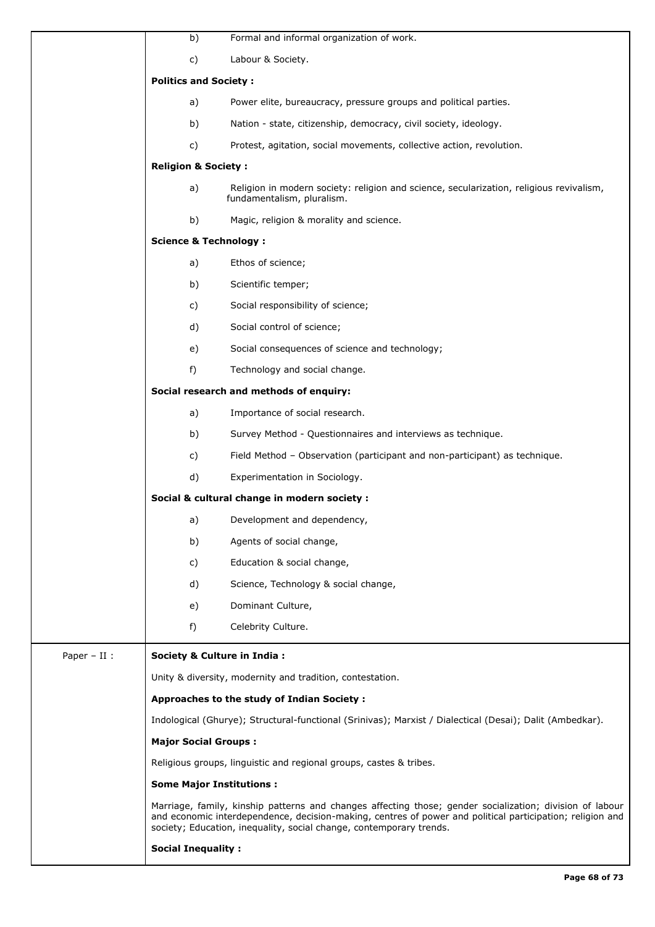|                | b)                                                                                                                                                                                                                                                                                                                                                                                                                                                                                                                                                                                                                           | Formal and informal organization of work.                                                                             |  |
|----------------|------------------------------------------------------------------------------------------------------------------------------------------------------------------------------------------------------------------------------------------------------------------------------------------------------------------------------------------------------------------------------------------------------------------------------------------------------------------------------------------------------------------------------------------------------------------------------------------------------------------------------|-----------------------------------------------------------------------------------------------------------------------|--|
|                | c)                                                                                                                                                                                                                                                                                                                                                                                                                                                                                                                                                                                                                           | Labour & Society.                                                                                                     |  |
|                | <b>Politics and Society:</b>                                                                                                                                                                                                                                                                                                                                                                                                                                                                                                                                                                                                 |                                                                                                                       |  |
|                | a)                                                                                                                                                                                                                                                                                                                                                                                                                                                                                                                                                                                                                           | Power elite, bureaucracy, pressure groups and political parties.                                                      |  |
|                | b)                                                                                                                                                                                                                                                                                                                                                                                                                                                                                                                                                                                                                           | Nation - state, citizenship, democracy, civil society, ideology.                                                      |  |
|                | c)                                                                                                                                                                                                                                                                                                                                                                                                                                                                                                                                                                                                                           | Protest, agitation, social movements, collective action, revolution.                                                  |  |
|                | <b>Religion &amp; Society:</b>                                                                                                                                                                                                                                                                                                                                                                                                                                                                                                                                                                                               |                                                                                                                       |  |
|                | a)                                                                                                                                                                                                                                                                                                                                                                                                                                                                                                                                                                                                                           | Religion in modern society: religion and science, secularization, religious revivalism,<br>fundamentalism, pluralism. |  |
|                | b)                                                                                                                                                                                                                                                                                                                                                                                                                                                                                                                                                                                                                           | Magic, religion & morality and science.                                                                               |  |
|                | <b>Science &amp; Technology:</b>                                                                                                                                                                                                                                                                                                                                                                                                                                                                                                                                                                                             |                                                                                                                       |  |
|                | a)                                                                                                                                                                                                                                                                                                                                                                                                                                                                                                                                                                                                                           | Ethos of science;                                                                                                     |  |
|                | b)                                                                                                                                                                                                                                                                                                                                                                                                                                                                                                                                                                                                                           | Scientific temper;                                                                                                    |  |
|                | c)                                                                                                                                                                                                                                                                                                                                                                                                                                                                                                                                                                                                                           | Social responsibility of science;                                                                                     |  |
|                | d)                                                                                                                                                                                                                                                                                                                                                                                                                                                                                                                                                                                                                           | Social control of science;                                                                                            |  |
|                | e)                                                                                                                                                                                                                                                                                                                                                                                                                                                                                                                                                                                                                           | Social consequences of science and technology;                                                                        |  |
|                | f)                                                                                                                                                                                                                                                                                                                                                                                                                                                                                                                                                                                                                           | Technology and social change.                                                                                         |  |
|                |                                                                                                                                                                                                                                                                                                                                                                                                                                                                                                                                                                                                                              | Social research and methods of enquiry:                                                                               |  |
|                | a)                                                                                                                                                                                                                                                                                                                                                                                                                                                                                                                                                                                                                           | Importance of social research.                                                                                        |  |
|                | b)                                                                                                                                                                                                                                                                                                                                                                                                                                                                                                                                                                                                                           | Survey Method - Questionnaires and interviews as technique.                                                           |  |
|                | c)                                                                                                                                                                                                                                                                                                                                                                                                                                                                                                                                                                                                                           | Field Method - Observation (participant and non-participant) as technique.                                            |  |
|                | d)                                                                                                                                                                                                                                                                                                                                                                                                                                                                                                                                                                                                                           | Experimentation in Sociology.                                                                                         |  |
|                |                                                                                                                                                                                                                                                                                                                                                                                                                                                                                                                                                                                                                              | Social & cultural change in modern society :                                                                          |  |
|                | a)                                                                                                                                                                                                                                                                                                                                                                                                                                                                                                                                                                                                                           | Development and dependency,                                                                                           |  |
|                | b)                                                                                                                                                                                                                                                                                                                                                                                                                                                                                                                                                                                                                           | Agents of social change,                                                                                              |  |
|                | c)                                                                                                                                                                                                                                                                                                                                                                                                                                                                                                                                                                                                                           | Education & social change,                                                                                            |  |
|                | d)                                                                                                                                                                                                                                                                                                                                                                                                                                                                                                                                                                                                                           | Science, Technology & social change,                                                                                  |  |
|                | e)                                                                                                                                                                                                                                                                                                                                                                                                                                                                                                                                                                                                                           | Dominant Culture,                                                                                                     |  |
|                | f)                                                                                                                                                                                                                                                                                                                                                                                                                                                                                                                                                                                                                           | Celebrity Culture.                                                                                                    |  |
| Paper $-$ II : | Society & Culture in India :                                                                                                                                                                                                                                                                                                                                                                                                                                                                                                                                                                                                 |                                                                                                                       |  |
|                |                                                                                                                                                                                                                                                                                                                                                                                                                                                                                                                                                                                                                              | Unity & diversity, modernity and tradition, contestation.                                                             |  |
|                | Approaches to the study of Indian Society :<br>Indological (Ghurye); Structural-functional (Srinivas); Marxist / Dialectical (Desai); Dalit (Ambedkar).<br><b>Major Social Groups:</b><br>Religious groups, linguistic and regional groups, castes & tribes.<br><b>Some Major Institutions:</b><br>Marriage, family, kinship patterns and changes affecting those; gender socialization; division of labour<br>and economic interdependence, decision-making, centres of power and political participation; religion and<br>society; Education, inequality, social change, contemporary trends.<br><b>Social Inequality:</b> |                                                                                                                       |  |
|                |                                                                                                                                                                                                                                                                                                                                                                                                                                                                                                                                                                                                                              |                                                                                                                       |  |
|                |                                                                                                                                                                                                                                                                                                                                                                                                                                                                                                                                                                                                                              |                                                                                                                       |  |
|                |                                                                                                                                                                                                                                                                                                                                                                                                                                                                                                                                                                                                                              |                                                                                                                       |  |
|                |                                                                                                                                                                                                                                                                                                                                                                                                                                                                                                                                                                                                                              |                                                                                                                       |  |
|                |                                                                                                                                                                                                                                                                                                                                                                                                                                                                                                                                                                                                                              |                                                                                                                       |  |
|                |                                                                                                                                                                                                                                                                                                                                                                                                                                                                                                                                                                                                                              |                                                                                                                       |  |
|                |                                                                                                                                                                                                                                                                                                                                                                                                                                                                                                                                                                                                                              |                                                                                                                       |  |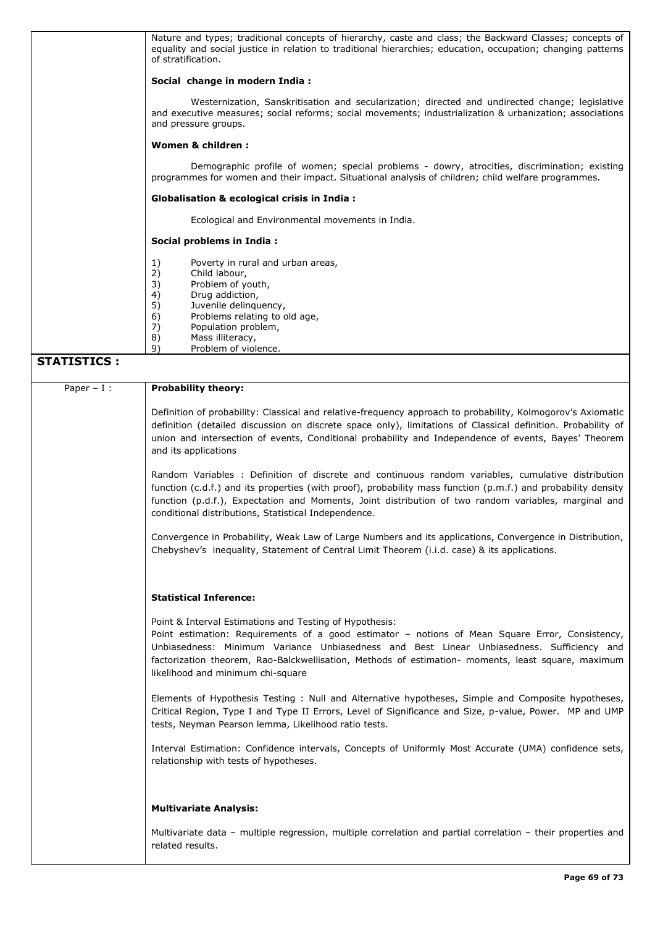|                    | Nature and types; traditional concepts of hierarchy, caste and class; the Backward Classes; concepts of                                                                                                                                                                                                                                                                                            |  |  |
|--------------------|----------------------------------------------------------------------------------------------------------------------------------------------------------------------------------------------------------------------------------------------------------------------------------------------------------------------------------------------------------------------------------------------------|--|--|
|                    | equality and social justice in relation to traditional hierarchies; education, occupation; changing patterns<br>of stratification.                                                                                                                                                                                                                                                                 |  |  |
|                    | Social change in modern India :                                                                                                                                                                                                                                                                                                                                                                    |  |  |
|                    | Westernization, Sanskritisation and secularization; directed and undirected change; legislative<br>and executive measures; social reforms; social movements; industrialization & urbanization; associations<br>and pressure groups.                                                                                                                                                                |  |  |
|                    | Women & children:                                                                                                                                                                                                                                                                                                                                                                                  |  |  |
|                    | Demographic profile of women; special problems - dowry, atrocities, discrimination; existing<br>programmes for women and their impact. Situational analysis of children; child welfare programmes.                                                                                                                                                                                                 |  |  |
|                    | Globalisation & ecological crisis in India :                                                                                                                                                                                                                                                                                                                                                       |  |  |
|                    | Ecological and Environmental movements in India.                                                                                                                                                                                                                                                                                                                                                   |  |  |
|                    | Social problems in India :                                                                                                                                                                                                                                                                                                                                                                         |  |  |
|                    | 1)<br>Poverty in rural and urban areas,                                                                                                                                                                                                                                                                                                                                                            |  |  |
|                    | 2)<br>Child labour,<br>3)<br>Problem of youth,                                                                                                                                                                                                                                                                                                                                                     |  |  |
|                    | 4)<br>Drug addiction,<br>5)<br>Juvenile delinquency,                                                                                                                                                                                                                                                                                                                                               |  |  |
|                    | 6)<br>Problems relating to old age,<br>$\overline{7}$ )<br>Population problem,                                                                                                                                                                                                                                                                                                                     |  |  |
|                    | 8)<br>Mass illiteracy,<br>9)<br>Problem of violence.                                                                                                                                                                                                                                                                                                                                               |  |  |
| <b>STATISTICS:</b> |                                                                                                                                                                                                                                                                                                                                                                                                    |  |  |
| Paper $-1$ :       | <b>Probability theory:</b>                                                                                                                                                                                                                                                                                                                                                                         |  |  |
|                    | Definition of probability: Classical and relative-frequency approach to probability, Kolmogorov's Axiomatic<br>definition (detailed discussion on discrete space only), limitations of Classical definition. Probability of<br>union and intersection of events, Conditional probability and Independence of events, Bayes' Theorem<br>and its applications                                        |  |  |
|                    | Random Variables : Definition of discrete and continuous random variables, cumulative distribution<br>function (c.d.f.) and its properties (with proof), probability mass function (p.m.f.) and probability density<br>function (p.d.f.), Expectation and Moments, Joint distribution of two random variables, marginal and<br>conditional distributions, Statistical Independence.                |  |  |
|                    | Convergence in Probability, Weak Law of Large Numbers and its applications, Convergence in Distribution,<br>Chebyshev's inequality, Statement of Central Limit Theorem (i.i.d. case) & its applications.                                                                                                                                                                                           |  |  |
|                    | <b>Statistical Inference:</b>                                                                                                                                                                                                                                                                                                                                                                      |  |  |
|                    | Point & Interval Estimations and Testing of Hypothesis:<br>Point estimation: Requirements of a good estimator - notions of Mean Square Error, Consistency,<br>Unbiasedness: Minimum Variance Unbiasedness and Best Linear Unbiasedness. Sufficiency and<br>factorization theorem, Rao-Balckwellisation, Methods of estimation- moments, least square, maximum<br>likelihood and minimum chi-square |  |  |
|                    | Elements of Hypothesis Testing: Null and Alternative hypotheses, Simple and Composite hypotheses,<br>Critical Region, Type I and Type II Errors, Level of Significance and Size, p-value, Power. MP and UMP<br>tests, Neyman Pearson lemma, Likelihood ratio tests.                                                                                                                                |  |  |
|                    | Interval Estimation: Confidence intervals, Concepts of Uniformly Most Accurate (UMA) confidence sets,<br>relationship with tests of hypotheses.                                                                                                                                                                                                                                                    |  |  |
|                    | <b>Multivariate Analysis:</b>                                                                                                                                                                                                                                                                                                                                                                      |  |  |
|                    | Multivariate data – multiple regression, multiple correlation and partial correlation – their properties and<br>related results.                                                                                                                                                                                                                                                                   |  |  |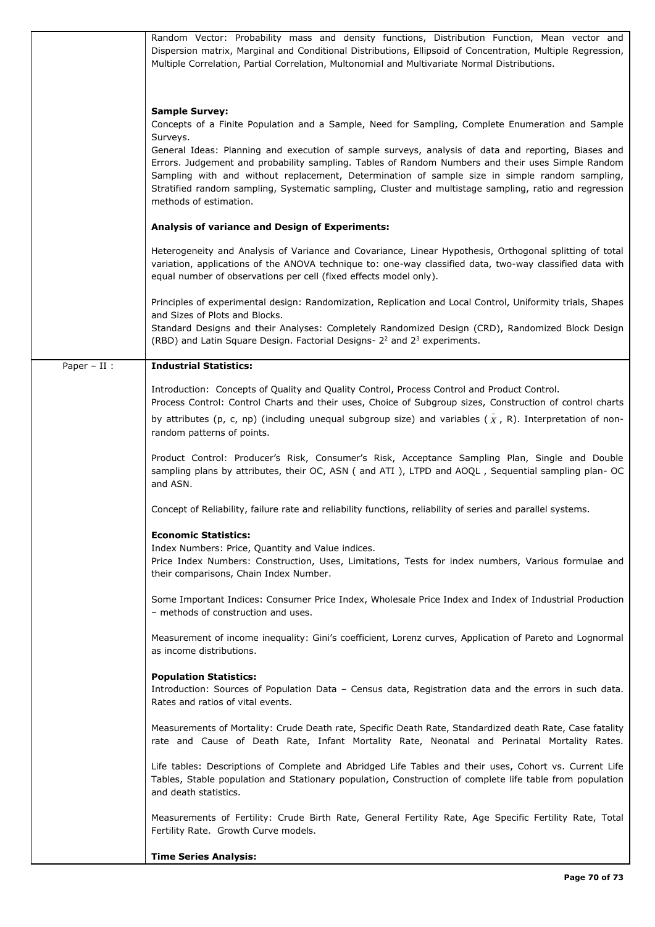|                | Random Vector: Probability mass and density functions, Distribution Function, Mean vector and<br>Dispersion matrix, Marginal and Conditional Distributions, Ellipsoid of Concentration, Multiple Regression,<br>Multiple Correlation, Partial Correlation, Multonomial and Multivariate Normal Distributions.                                                                                                                                                                                                                                                                           |
|----------------|-----------------------------------------------------------------------------------------------------------------------------------------------------------------------------------------------------------------------------------------------------------------------------------------------------------------------------------------------------------------------------------------------------------------------------------------------------------------------------------------------------------------------------------------------------------------------------------------|
|                | <b>Sample Survey:</b><br>Concepts of a Finite Population and a Sample, Need for Sampling, Complete Enumeration and Sample<br>Surveys.<br>General Ideas: Planning and execution of sample surveys, analysis of data and reporting, Biases and<br>Errors. Judgement and probability sampling. Tables of Random Numbers and their uses Simple Random<br>Sampling with and without replacement, Determination of sample size in simple random sampling,<br>Stratified random sampling, Systematic sampling, Cluster and multistage sampling, ratio and regression<br>methods of estimation. |
|                | Analysis of variance and Design of Experiments:                                                                                                                                                                                                                                                                                                                                                                                                                                                                                                                                         |
|                | Heterogeneity and Analysis of Variance and Covariance, Linear Hypothesis, Orthogonal splitting of total<br>variation, applications of the ANOVA technique to: one-way classified data, two-way classified data with<br>equal number of observations per cell (fixed effects model only).                                                                                                                                                                                                                                                                                                |
|                | Principles of experimental design: Randomization, Replication and Local Control, Uniformity trials, Shapes<br>and Sizes of Plots and Blocks.<br>Standard Designs and their Analyses: Completely Randomized Design (CRD), Randomized Block Design<br>(RBD) and Latin Square Design. Factorial Designs- 2 <sup>2</sup> and 2 <sup>3</sup> experiments.                                                                                                                                                                                                                                    |
| Paper $-$ II : | <b>Industrial Statistics:</b>                                                                                                                                                                                                                                                                                                                                                                                                                                                                                                                                                           |
|                | Introduction: Concepts of Quality and Quality Control, Process Control and Product Control.<br>Process Control: Control Charts and their uses, Choice of Subgroup sizes, Construction of control charts                                                                                                                                                                                                                                                                                                                                                                                 |
|                | by attributes (p, c, np) (including unequal subgroup size) and variables ( $X$ , R). Interpretation of non-<br>random patterns of points.                                                                                                                                                                                                                                                                                                                                                                                                                                               |
|                | Product Control: Producer's Risk, Consumer's Risk, Acceptance Sampling Plan, Single and Double<br>sampling plans by attributes, their OC, ASN ( and ATI ), LTPD and AOQL, Sequential sampling plan- OC<br>and ASN.                                                                                                                                                                                                                                                                                                                                                                      |
|                | Concept of Reliability, failure rate and reliability functions, reliability of series and parallel systems.                                                                                                                                                                                                                                                                                                                                                                                                                                                                             |
|                | <b>Economic Statistics:</b><br>Index Numbers: Price, Quantity and Value indices.<br>Price Index Numbers: Construction, Uses, Limitations, Tests for index numbers, Various formulae and<br>their comparisons, Chain Index Number.                                                                                                                                                                                                                                                                                                                                                       |
|                | Some Important Indices: Consumer Price Index, Wholesale Price Index and Index of Industrial Production<br>- methods of construction and uses.                                                                                                                                                                                                                                                                                                                                                                                                                                           |
|                | Measurement of income inequality: Gini's coefficient, Lorenz curves, Application of Pareto and Lognormal<br>as income distributions.                                                                                                                                                                                                                                                                                                                                                                                                                                                    |
|                | <b>Population Statistics:</b><br>Introduction: Sources of Population Data – Census data, Registration data and the errors in such data.<br>Rates and ratios of vital events.                                                                                                                                                                                                                                                                                                                                                                                                            |
|                | Measurements of Mortality: Crude Death rate, Specific Death Rate, Standardized death Rate, Case fatality<br>rate and Cause of Death Rate, Infant Mortality Rate, Neonatal and Perinatal Mortality Rates.                                                                                                                                                                                                                                                                                                                                                                                |
|                | Life tables: Descriptions of Complete and Abridged Life Tables and their uses, Cohort vs. Current Life<br>Tables, Stable population and Stationary population, Construction of complete life table from population<br>and death statistics.                                                                                                                                                                                                                                                                                                                                             |
|                | Measurements of Fertility: Crude Birth Rate, General Fertility Rate, Age Specific Fertility Rate, Total<br>Fertility Rate. Growth Curve models.                                                                                                                                                                                                                                                                                                                                                                                                                                         |
|                | <b>Time Series Analysis:</b>                                                                                                                                                                                                                                                                                                                                                                                                                                                                                                                                                            |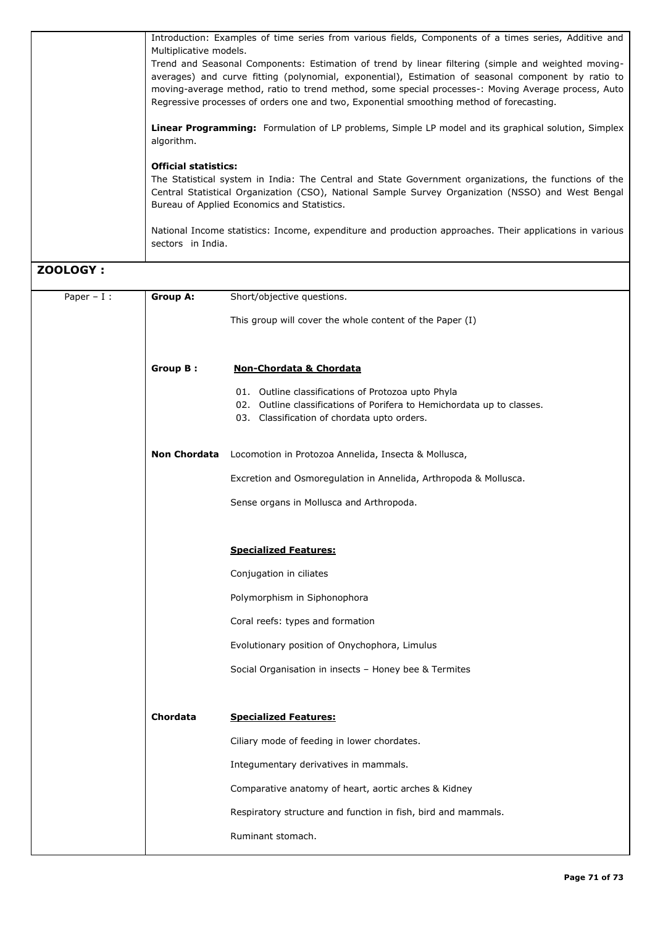| ZOOLOGY:     | Introduction: Examples of time series from various fields, Components of a times series, Additive and<br>Multiplicative models.<br>Trend and Seasonal Components: Estimation of trend by linear filtering (simple and weighted moving-<br>averages) and curve fitting (polynomial, exponential), Estimation of seasonal component by ratio to<br>moving-average method, ratio to trend method, some special processes-: Moving Average process, Auto<br>Regressive processes of orders one and two, Exponential smoothing method of forecasting.<br>Linear Programming: Formulation of LP problems, Simple LP model and its graphical solution, Simplex<br>algorithm.<br><b>Official statistics:</b><br>The Statistical system in India: The Central and State Government organizations, the functions of the<br>Central Statistical Organization (CSO), National Sample Survey Organization (NSSO) and West Bengal<br>Bureau of Applied Economics and Statistics.<br>National Income statistics: Income, expenditure and production approaches. Their applications in various<br>sectors in India. |                                                                                                                                                                             |  |
|--------------|-----------------------------------------------------------------------------------------------------------------------------------------------------------------------------------------------------------------------------------------------------------------------------------------------------------------------------------------------------------------------------------------------------------------------------------------------------------------------------------------------------------------------------------------------------------------------------------------------------------------------------------------------------------------------------------------------------------------------------------------------------------------------------------------------------------------------------------------------------------------------------------------------------------------------------------------------------------------------------------------------------------------------------------------------------------------------------------------------------|-----------------------------------------------------------------------------------------------------------------------------------------------------------------------------|--|
| Paper $-1$ : | <b>Group A:</b>                                                                                                                                                                                                                                                                                                                                                                                                                                                                                                                                                                                                                                                                                                                                                                                                                                                                                                                                                                                                                                                                                     | Short/objective questions.                                                                                                                                                  |  |
|              |                                                                                                                                                                                                                                                                                                                                                                                                                                                                                                                                                                                                                                                                                                                                                                                                                                                                                                                                                                                                                                                                                                     | This group will cover the whole content of the Paper (I)                                                                                                                    |  |
|              | <b>Group B:</b>                                                                                                                                                                                                                                                                                                                                                                                                                                                                                                                                                                                                                                                                                                                                                                                                                                                                                                                                                                                                                                                                                     | Non-Chordata & Chordata                                                                                                                                                     |  |
|              |                                                                                                                                                                                                                                                                                                                                                                                                                                                                                                                                                                                                                                                                                                                                                                                                                                                                                                                                                                                                                                                                                                     | 01. Outline classifications of Protozoa upto Phyla<br>02. Outline classifications of Porifera to Hemichordata up to classes.<br>03. Classification of chordata upto orders. |  |
|              |                                                                                                                                                                                                                                                                                                                                                                                                                                                                                                                                                                                                                                                                                                                                                                                                                                                                                                                                                                                                                                                                                                     | <b>Non Chordata</b> Locomotion in Protozoa Annelida, Insecta & Mollusca,                                                                                                    |  |
|              |                                                                                                                                                                                                                                                                                                                                                                                                                                                                                                                                                                                                                                                                                                                                                                                                                                                                                                                                                                                                                                                                                                     | Excretion and Osmoregulation in Annelida, Arthropoda & Mollusca.                                                                                                            |  |
|              |                                                                                                                                                                                                                                                                                                                                                                                                                                                                                                                                                                                                                                                                                                                                                                                                                                                                                                                                                                                                                                                                                                     | Sense organs in Mollusca and Arthropoda.                                                                                                                                    |  |
|              |                                                                                                                                                                                                                                                                                                                                                                                                                                                                                                                                                                                                                                                                                                                                                                                                                                                                                                                                                                                                                                                                                                     | <b>Specialized Features:</b>                                                                                                                                                |  |
|              |                                                                                                                                                                                                                                                                                                                                                                                                                                                                                                                                                                                                                                                                                                                                                                                                                                                                                                                                                                                                                                                                                                     | Conjugation in ciliates                                                                                                                                                     |  |
|              |                                                                                                                                                                                                                                                                                                                                                                                                                                                                                                                                                                                                                                                                                                                                                                                                                                                                                                                                                                                                                                                                                                     | Polymorphism in Siphonophora                                                                                                                                                |  |
|              |                                                                                                                                                                                                                                                                                                                                                                                                                                                                                                                                                                                                                                                                                                                                                                                                                                                                                                                                                                                                                                                                                                     | Coral reefs: types and formation                                                                                                                                            |  |
|              |                                                                                                                                                                                                                                                                                                                                                                                                                                                                                                                                                                                                                                                                                                                                                                                                                                                                                                                                                                                                                                                                                                     | Evolutionary position of Onychophora, Limulus                                                                                                                               |  |
|              |                                                                                                                                                                                                                                                                                                                                                                                                                                                                                                                                                                                                                                                                                                                                                                                                                                                                                                                                                                                                                                                                                                     | Social Organisation in insects - Honey bee & Termites                                                                                                                       |  |
|              | <b>Chordata</b>                                                                                                                                                                                                                                                                                                                                                                                                                                                                                                                                                                                                                                                                                                                                                                                                                                                                                                                                                                                                                                                                                     | <b>Specialized Features:</b>                                                                                                                                                |  |
|              |                                                                                                                                                                                                                                                                                                                                                                                                                                                                                                                                                                                                                                                                                                                                                                                                                                                                                                                                                                                                                                                                                                     | Ciliary mode of feeding in lower chordates.                                                                                                                                 |  |
|              |                                                                                                                                                                                                                                                                                                                                                                                                                                                                                                                                                                                                                                                                                                                                                                                                                                                                                                                                                                                                                                                                                                     | Integumentary derivatives in mammals.                                                                                                                                       |  |
|              |                                                                                                                                                                                                                                                                                                                                                                                                                                                                                                                                                                                                                                                                                                                                                                                                                                                                                                                                                                                                                                                                                                     | Comparative anatomy of heart, aortic arches & Kidney                                                                                                                        |  |
|              |                                                                                                                                                                                                                                                                                                                                                                                                                                                                                                                                                                                                                                                                                                                                                                                                                                                                                                                                                                                                                                                                                                     | Respiratory structure and function in fish, bird and mammals.                                                                                                               |  |
|              |                                                                                                                                                                                                                                                                                                                                                                                                                                                                                                                                                                                                                                                                                                                                                                                                                                                                                                                                                                                                                                                                                                     | Ruminant stomach.                                                                                                                                                           |  |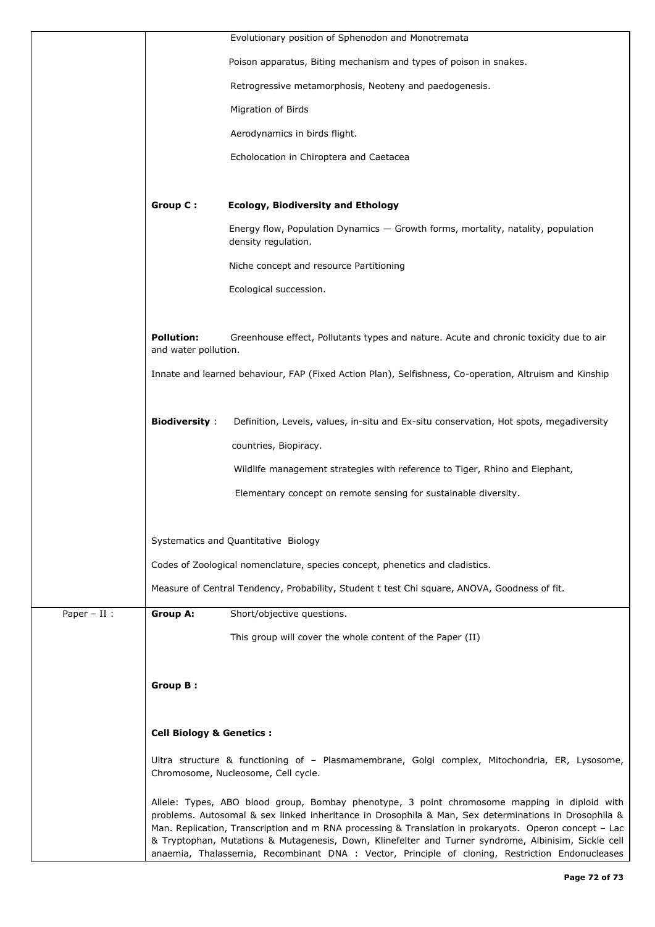|                |                                                                                                                                    | Evolutionary position of Sphenodon and Monotremata                                                                                                                                                                                                                                                                                                                                                                                                                                                                        |  |
|----------------|------------------------------------------------------------------------------------------------------------------------------------|---------------------------------------------------------------------------------------------------------------------------------------------------------------------------------------------------------------------------------------------------------------------------------------------------------------------------------------------------------------------------------------------------------------------------------------------------------------------------------------------------------------------------|--|
|                |                                                                                                                                    | Poison apparatus, Biting mechanism and types of poison in snakes.                                                                                                                                                                                                                                                                                                                                                                                                                                                         |  |
|                |                                                                                                                                    | Retrogressive metamorphosis, Neoteny and paedogenesis.                                                                                                                                                                                                                                                                                                                                                                                                                                                                    |  |
|                |                                                                                                                                    | Migration of Birds                                                                                                                                                                                                                                                                                                                                                                                                                                                                                                        |  |
|                |                                                                                                                                    | Aerodynamics in birds flight.                                                                                                                                                                                                                                                                                                                                                                                                                                                                                             |  |
|                |                                                                                                                                    | Echolocation in Chiroptera and Caetacea                                                                                                                                                                                                                                                                                                                                                                                                                                                                                   |  |
|                |                                                                                                                                    |                                                                                                                                                                                                                                                                                                                                                                                                                                                                                                                           |  |
|                | <b>Group C:</b>                                                                                                                    | <b>Ecology, Biodiversity and Ethology</b>                                                                                                                                                                                                                                                                                                                                                                                                                                                                                 |  |
|                |                                                                                                                                    | Energy flow, Population Dynamics - Growth forms, mortality, natality, population<br>density regulation.                                                                                                                                                                                                                                                                                                                                                                                                                   |  |
|                |                                                                                                                                    | Niche concept and resource Partitioning                                                                                                                                                                                                                                                                                                                                                                                                                                                                                   |  |
|                |                                                                                                                                    | Ecological succession.                                                                                                                                                                                                                                                                                                                                                                                                                                                                                                    |  |
|                |                                                                                                                                    |                                                                                                                                                                                                                                                                                                                                                                                                                                                                                                                           |  |
|                | <b>Pollution:</b><br>Greenhouse effect, Pollutants types and nature. Acute and chronic toxicity due to air<br>and water pollution. |                                                                                                                                                                                                                                                                                                                                                                                                                                                                                                                           |  |
|                |                                                                                                                                    | Innate and learned behaviour, FAP (Fixed Action Plan), Selfishness, Co-operation, Altruism and Kinship                                                                                                                                                                                                                                                                                                                                                                                                                    |  |
|                | <b>Biodiversity:</b>                                                                                                               | Definition, Levels, values, in-situ and Ex-situ conservation, Hot spots, megadiversity                                                                                                                                                                                                                                                                                                                                                                                                                                    |  |
|                |                                                                                                                                    | countries, Biopiracy.                                                                                                                                                                                                                                                                                                                                                                                                                                                                                                     |  |
|                |                                                                                                                                    | Wildlife management strategies with reference to Tiger, Rhino and Elephant,                                                                                                                                                                                                                                                                                                                                                                                                                                               |  |
|                |                                                                                                                                    | Elementary concept on remote sensing for sustainable diversity.                                                                                                                                                                                                                                                                                                                                                                                                                                                           |  |
|                |                                                                                                                                    |                                                                                                                                                                                                                                                                                                                                                                                                                                                                                                                           |  |
|                |                                                                                                                                    | Systematics and Quantitative Biology                                                                                                                                                                                                                                                                                                                                                                                                                                                                                      |  |
|                |                                                                                                                                    | Codes of Zoological nomenclature, species concept, phenetics and cladistics.                                                                                                                                                                                                                                                                                                                                                                                                                                              |  |
|                |                                                                                                                                    | Measure of Central Tendency, Probability, Student t test Chi square, ANOVA, Goodness of fit.                                                                                                                                                                                                                                                                                                                                                                                                                              |  |
| Paper $-$ II : | <b>Group A:</b>                                                                                                                    | Short/objective questions.                                                                                                                                                                                                                                                                                                                                                                                                                                                                                                |  |
|                |                                                                                                                                    | This group will cover the whole content of the Paper (II)                                                                                                                                                                                                                                                                                                                                                                                                                                                                 |  |
|                | <b>Group B:</b><br><b>Cell Biology &amp; Genetics:</b>                                                                             |                                                                                                                                                                                                                                                                                                                                                                                                                                                                                                                           |  |
|                |                                                                                                                                    |                                                                                                                                                                                                                                                                                                                                                                                                                                                                                                                           |  |
|                |                                                                                                                                    |                                                                                                                                                                                                                                                                                                                                                                                                                                                                                                                           |  |
|                |                                                                                                                                    | Ultra structure & functioning of - Plasmamembrane, Golgi complex, Mitochondria, ER, Lysosome,<br>Chromosome, Nucleosome, Cell cycle.                                                                                                                                                                                                                                                                                                                                                                                      |  |
|                |                                                                                                                                    | Allele: Types, ABO blood group, Bombay phenotype, 3 point chromosome mapping in diploid with<br>problems. Autosomal & sex linked inheritance in Drosophila & Man, Sex determinations in Drosophila &<br>Man. Replication, Transcription and m RNA processing & Translation in prokaryots. Operon concept - Lac<br>& Tryptophan, Mutations & Mutagenesis, Down, Klinefelter and Turner syndrome, Albinisim, Sickle cell<br>anaemia, Thalassemia, Recombinant DNA : Vector, Principle of cloning, Restriction Endonucleases |  |